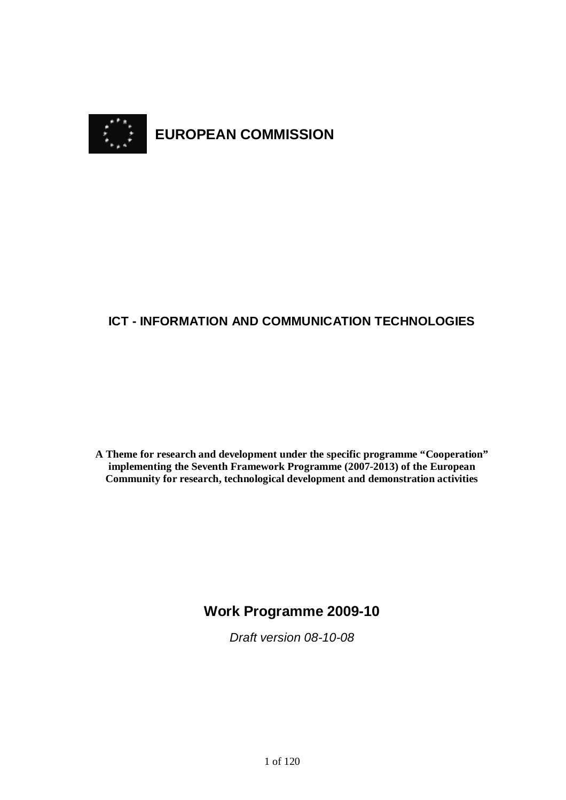

# **ICT - INFORMATION AND COMMUNICATION TECHNOLOGIES**

**A Theme for research and development under the specific programme "Cooperation" implementing the Seventh Framework Programme (2007-2013) of the European Community for research, technological development and demonstration activities**

# **Work Programme 2009-10**

Draft version 08-10-08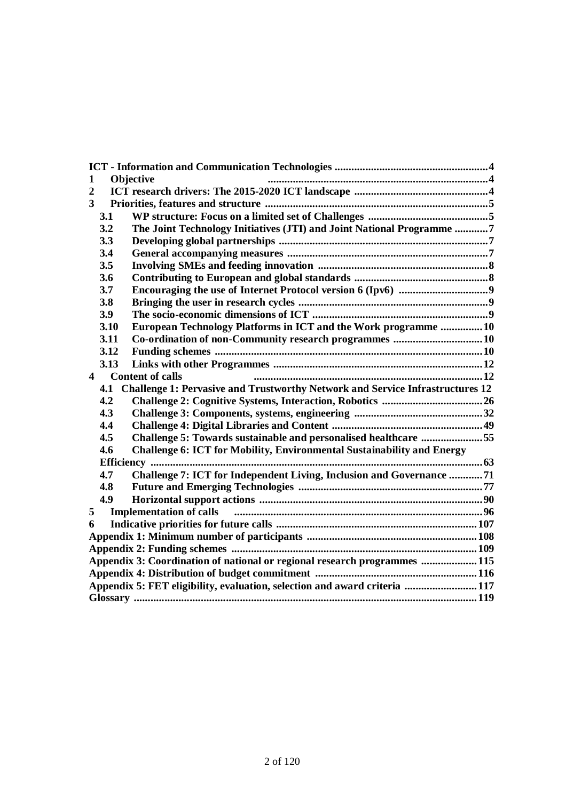| 1                                                                         | Objective                                                                            |                                                                               |  |
|---------------------------------------------------------------------------|--------------------------------------------------------------------------------------|-------------------------------------------------------------------------------|--|
| $\overline{2}$                                                            |                                                                                      |                                                                               |  |
| 3                                                                         |                                                                                      |                                                                               |  |
|                                                                           | 3.1                                                                                  |                                                                               |  |
|                                                                           | 3.2                                                                                  | The Joint Technology Initiatives (JTI) and Joint National Programme 7         |  |
|                                                                           | 3.3                                                                                  |                                                                               |  |
|                                                                           | 3.4                                                                                  |                                                                               |  |
|                                                                           | 3.5                                                                                  |                                                                               |  |
|                                                                           | 3.6                                                                                  |                                                                               |  |
|                                                                           | 3.7                                                                                  |                                                                               |  |
|                                                                           | 3.8                                                                                  |                                                                               |  |
|                                                                           | 3.9                                                                                  |                                                                               |  |
|                                                                           | 3.10                                                                                 | European Technology Platforms in ICT and the Work programme 10                |  |
|                                                                           | 3.11                                                                                 | Co-ordination of non-Community research programmes 10                         |  |
|                                                                           | 3.12                                                                                 |                                                                               |  |
|                                                                           | 3.13                                                                                 |                                                                               |  |
| $\overline{\mathbf{4}}$                                                   |                                                                                      | <b>Content of calls</b>                                                       |  |
|                                                                           | Challenge 1: Pervasive and Trustworthy Network and Service Infrastructures 12<br>4.1 |                                                                               |  |
|                                                                           | 4.2                                                                                  |                                                                               |  |
|                                                                           | 4.3                                                                                  |                                                                               |  |
|                                                                           | 4.4                                                                                  |                                                                               |  |
|                                                                           | 4.5                                                                                  | Challenge 5: Towards sustainable and personalised healthcare 55               |  |
|                                                                           | 4.6                                                                                  | <b>Challenge 6: ICT for Mobility, Environmental Sustainability and Energy</b> |  |
|                                                                           |                                                                                      |                                                                               |  |
|                                                                           | 4.7                                                                                  | Challenge 7: ICT for Independent Living, Inclusion and Governance 71          |  |
|                                                                           | 4.8                                                                                  |                                                                               |  |
|                                                                           | 4.9                                                                                  |                                                                               |  |
| 5                                                                         | <b>Implementation of calls</b>                                                       |                                                                               |  |
| 6                                                                         |                                                                                      |                                                                               |  |
|                                                                           |                                                                                      |                                                                               |  |
|                                                                           |                                                                                      |                                                                               |  |
| Appendix 3: Coordination of national or regional research programmes  115 |                                                                                      |                                                                               |  |
|                                                                           |                                                                                      |                                                                               |  |
| Appendix 5: FET eligibility, evaluation, selection and award criteria 117 |                                                                                      |                                                                               |  |
|                                                                           |                                                                                      |                                                                               |  |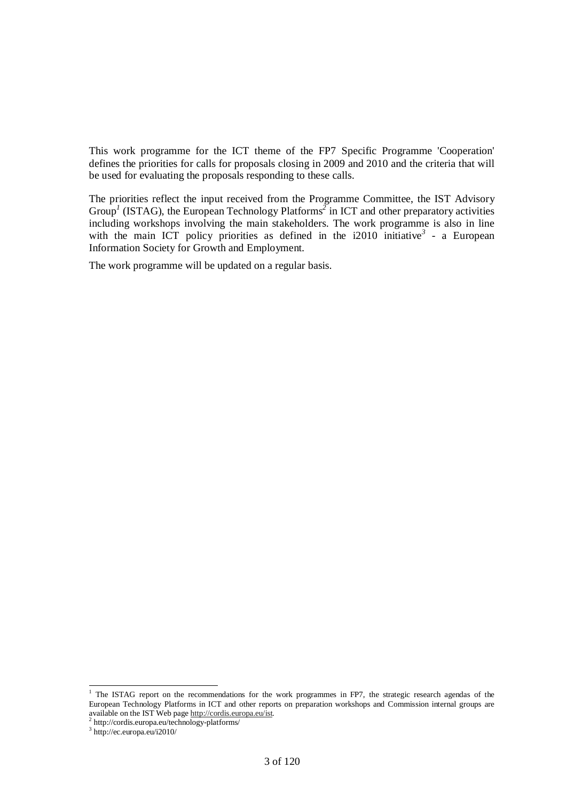This work programme for the ICT theme of the FP7 Specific Programme 'Cooperation' defines the priorities for calls for proposals closing in 2009 and 2010 and the criteria that will be used for evaluating the proposals responding to these calls.

The priorities reflect the input received from the Programme Committee, the IST Advisory Group<sup>1</sup> (ISTAG), the European Technology Platforms<sup>2</sup> in ICT and other preparatory activities including workshops involving the main stakeholders. The work programme is also in line with the main ICT policy priorities as defined in the  $i2010$  initiative<sup>3</sup> - a European Information Society for Growth and Employment.

The work programme will be updated on a regular basis.

<sup>&</sup>lt;sup>1</sup> The ISTAG report on the recommendations for the work programmes in FP7, the strategic research agendas of the European Technology Platforms in ICT and other reports on preparation workshops and Commission internal groups are available on the IST Web page http://cordis.europa.eu/ist*.*

<sup>2</sup> http://cordis.europa.eu/technology-platforms/

<sup>3</sup> http://ec.europa.eu/i2010/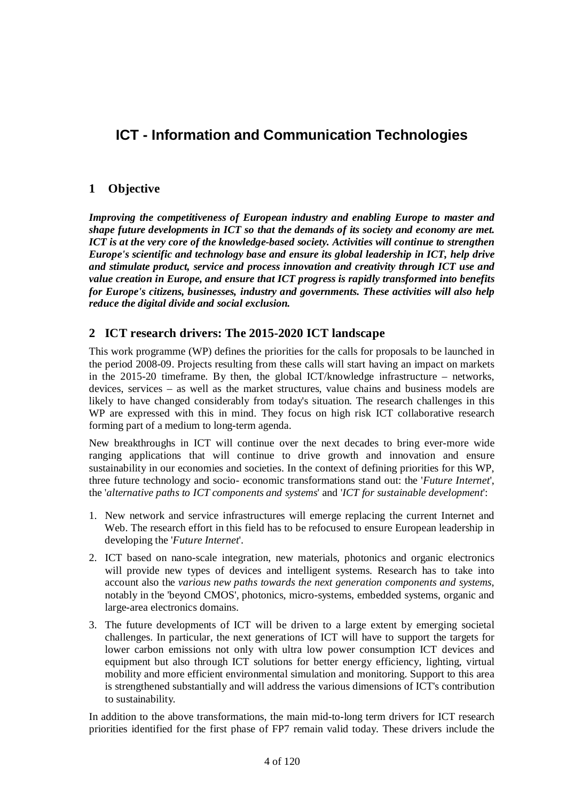# **ICT - Information and Communication Technologies**

# **1 Objective**

*Improving the competitiveness of European industry and enabling Europe to master and shape future developments in ICT so that the demands of its society and economy are met. ICT is at the very core of the knowledge-based society. Activities will continue to strengthen Europe's scientific and technology base and ensure its global leadership in ICT, help drive and stimulate product, service and process innovation and creativity through ICT use and value creation in Europe, and ensure that ICT progress is rapidly transformed into benefits for Europe's citizens, businesses, industry and governments. These activities will also help reduce the digital divide and social exclusion.* 

# **2 ICT research drivers: The 2015-2020 ICT landscape**

This work programme (WP) defines the priorities for the calls for proposals to be launched in the period 2008-09. Projects resulting from these calls will start having an impact on markets in the 2015-20 timeframe. By then, the global ICT/knowledge infrastructure – networks, devices, services – as well as the market structures, value chains and business models are likely to have changed considerably from today's situation. The research challenges in this WP are expressed with this in mind. They focus on high risk ICT collaborative research forming part of a medium to long-term agenda.

New breakthroughs in ICT will continue over the next decades to bring ever-more wide ranging applications that will continue to drive growth and innovation and ensure sustainability in our economies and societies. In the context of defining priorities for this WP, three future technology and socio- economic transformations stand out: the '*Future Internet*', the '*alternative paths to ICT components and systems*' and '*ICT for sustainable development*':

- 1. New network and service infrastructures will emerge replacing the current Internet and Web. The research effort in this field has to be refocused to ensure European leadership in developing the '*Future Internet*'.
- 2. ICT based on nano-scale integration, new materials, photonics and organic electronics will provide new types of devices and intelligent systems. Research has to take into account also the *various new paths towards the next generation components and systems*, notably in the 'beyond CMOS', photonics, micro-systems, embedded systems, organic and large-area electronics domains.
- 3. The future developments of ICT will be driven to a large extent by emerging societal challenges. In particular, the next generations of ICT will have to support the targets for lower carbon emissions not only with ultra low power consumption ICT devices and equipment but also through ICT solutions for better energy efficiency, lighting, virtual mobility and more efficient environmental simulation and monitoring. Support to this area is strengthened substantially and will address the various dimensions of ICT's contribution to sustainability.

In addition to the above transformations, the main mid-to-long term drivers for ICT research priorities identified for the first phase of FP7 remain valid today. These drivers include the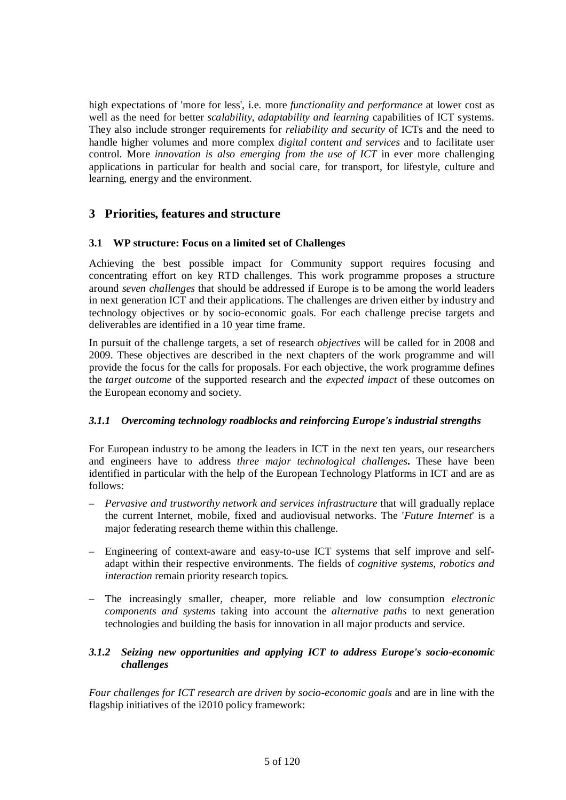high expectations of 'more for less', i.e. more *functionality and performance* at lower cost as well as the need for better *scalability, adaptability and learning* capabilities of ICT systems. They also include stronger requirements for *reliability and security* of ICTs and the need to handle higher volumes and more complex *digital content and services* and to facilitate user control. More *innovation is also emerging from the use of ICT* in ever more challenging applications in particular for health and social care, for transport, for lifestyle, culture and learning, energy and the environment.

# **3 Priorities, features and structure**

# **3.1 WP structure: Focus on a limited set of Challenges**

Achieving the best possible impact for Community support requires focusing and concentrating effort on key RTD challenges. This work programme proposes a structure around *seven challenges* that should be addressed if Europe is to be among the world leaders in next generation ICT and their applications. The challenges are driven either by industry and technology objectives or by socio-economic goals. For each challenge precise targets and deliverables are identified in a 10 year time frame.

In pursuit of the challenge targets, a set of research *objectives* will be called for in 2008 and 2009. These objectives are described in the next chapters of the work programme and will provide the focus for the calls for proposals. For each objective, the work programme defines the *target outcome* of the supported research and the *expected impact* of these outcomes on the European economy and society.

# *3.1.1 Overcoming technology roadblocks and reinforcing Europe's industrial strengths*

For European industry to be among the leaders in ICT in the next ten years, our researchers and engineers have to address *three major technological challenges***.** These have been identified in particular with the help of the European Technology Platforms in ICT and are as follows:

- *Pervasive and trustworthy network and services infrastructure* that will gradually replace the current Internet, mobile, fixed and audiovisual networks. The '*Future Internet*' is a major federating research theme within this challenge.
- Engineering of context-aware and easy-to-use ICT systems that self improve and selfadapt within their respective environments. The fields of *cognitive systems, robotics and interaction* remain priority research topics*.*
- The increasingly smaller, cheaper, more reliable and low consumption *electronic components and systems* taking into account the *alternative paths* to next generation technologies and building the basis for innovation in all major products and service.

# *3.1.2 Seizing new opportunities and applying ICT to address Europe's socio-economic challenges*

*Four challenges for ICT research are driven by socio-economic goals* and are in line with the flagship initiatives of the i2010 policy framework: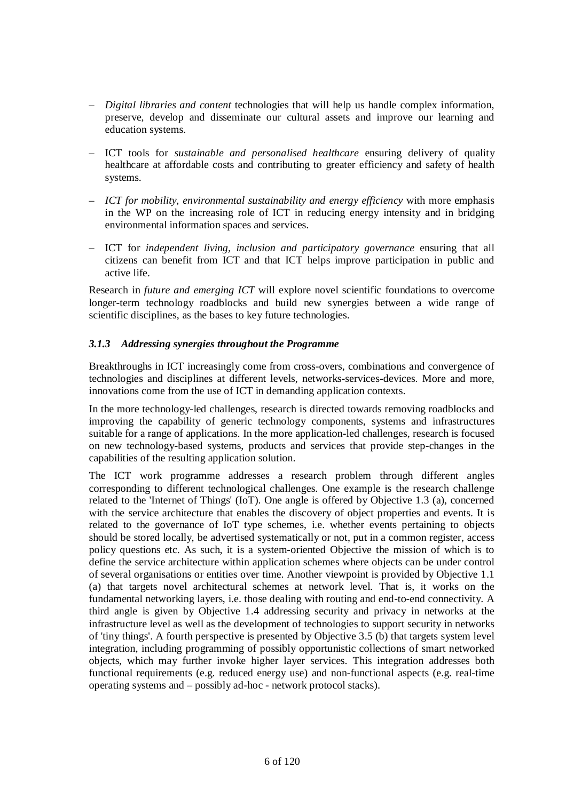- *Digital libraries and content* technologies that will help us handle complex information, preserve, develop and disseminate our cultural assets and improve our learning and education systems.
- ICT tools for *sustainable and personalised healthcare* ensuring delivery of quality healthcare at affordable costs and contributing to greater efficiency and safety of health systems.
- *ICT for mobility, environmental sustainability and energy efficiency* with more emphasis in the WP on the increasing role of ICT in reducing energy intensity and in bridging environmental information spaces and services.
- ICT for *independent living, inclusion and participatory governance* ensuring that all citizens can benefit from ICT and that ICT helps improve participation in public and active life.

Research in *future and emerging ICT* will explore novel scientific foundations to overcome longer-term technology roadblocks and build new synergies between a wide range of scientific disciplines, as the bases to key future technologies.

# *3.1.3 Addressing synergies throughout the Programme*

Breakthroughs in ICT increasingly come from cross-overs, combinations and convergence of technologies and disciplines at different levels, networks-services-devices. More and more, innovations come from the use of ICT in demanding application contexts.

In the more technology-led challenges, research is directed towards removing roadblocks and improving the capability of generic technology components, systems and infrastructures suitable for a range of applications. In the more application-led challenges, research is focused on new technology-based systems, products and services that provide step-changes in the capabilities of the resulting application solution.

The ICT work programme addresses a research problem through different angles corresponding to different technological challenges. One example is the research challenge related to the 'Internet of Things' (IoT). One angle is offered by Objective 1.3 (a), concerned with the service architecture that enables the discovery of object properties and events. It is related to the governance of IoT type schemes, i.e. whether events pertaining to objects should be stored locally, be advertised systematically or not, put in a common register, access policy questions etc. As such, it is a system-oriented Objective the mission of which is to define the service architecture within application schemes where objects can be under control of several organisations or entities over time. Another viewpoint is provided by Objective 1.1 (a) that targets novel architectural schemes at network level. That is, it works on the fundamental networking layers, i.e. those dealing with routing and end-to-end connectivity. A third angle is given by Objective 1.4 addressing security and privacy in networks at the infrastructure level as well as the development of technologies to support security in networks of 'tiny things'. A fourth perspective is presented by Objective 3.5 (b) that targets system level integration, including programming of possibly opportunistic collections of smart networked objects, which may further invoke higher layer services. This integration addresses both functional requirements (e.g. reduced energy use) and non-functional aspects (e.g. real-time operating systems and – possibly ad-hoc - network protocol stacks).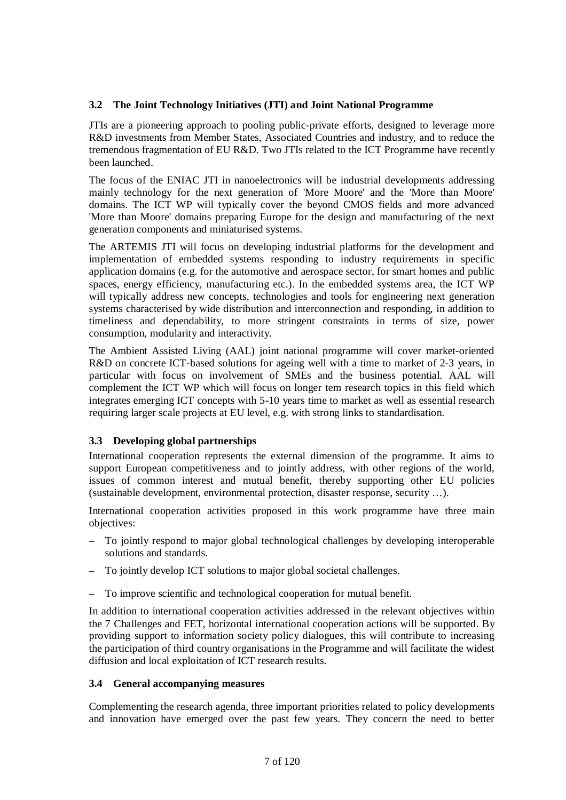# **3.2 The Joint Technology Initiatives (JTI) and Joint National Programme**

JTIs are a pioneering approach to pooling public-private efforts, designed to leverage more R&D investments from Member States, Associated Countries and industry, and to reduce the tremendous fragmentation of EU R&D. Two JTIs related to the ICT Programme have recently been launched.

The focus of the ENIAC JTI in nanoelectronics will be industrial developments addressing mainly technology for the next generation of 'More Moore' and the 'More than Moore' domains. The ICT WP will typically cover the beyond CMOS fields and more advanced 'More than Moore' domains preparing Europe for the design and manufacturing of the next generation components and miniaturised systems.

The ARTEMIS JTI will focus on developing industrial platforms for the development and implementation of embedded systems responding to industry requirements in specific application domains (e.g. for the automotive and aerospace sector, for smart homes and public spaces, energy efficiency, manufacturing etc.). In the embedded systems area, the ICT WP will typically address new concepts, technologies and tools for engineering next generation systems characterised by wide distribution and interconnection and responding, in addition to timeliness and dependability, to more stringent constraints in terms of size, power consumption, modularity and interactivity.

The Ambient Assisted Living (AAL) joint national programme will cover market-oriented R&D on concrete ICT-based solutions for ageing well with a time to market of 2-3 years, in particular with focus on involvement of SMEs and the business potential. AAL will complement the ICT WP which will focus on longer tem research topics in this field which integrates emerging ICT concepts with 5-10 years time to market as well as essential research requiring larger scale projects at EU level, e.g. with strong links to standardisation.

# **3.3 Developing global partnerships**

International cooperation represents the external dimension of the programme. It aims to support European competitiveness and to jointly address, with other regions of the world, issues of common interest and mutual benefit, thereby supporting other EU policies (sustainable development, environmental protection, disaster response, security …).

International cooperation activities proposed in this work programme have three main objectives:

- To jointly respond to major global technological challenges by developing interoperable solutions and standards.
- To jointly develop ICT solutions to major global societal challenges.
- To improve scientific and technological cooperation for mutual benefit.

In addition to international cooperation activities addressed in the relevant objectives within the 7 Challenges and FET, horizontal international cooperation actions will be supported. By providing support to information society policy dialogues, this will contribute to increasing the participation of third country organisations in the Programme and will facilitate the widest diffusion and local exploitation of ICT research results.

# **3.4 General accompanying measures**

Complementing the research agenda, three important priorities related to policy developments and innovation have emerged over the past few years. They concern the need to better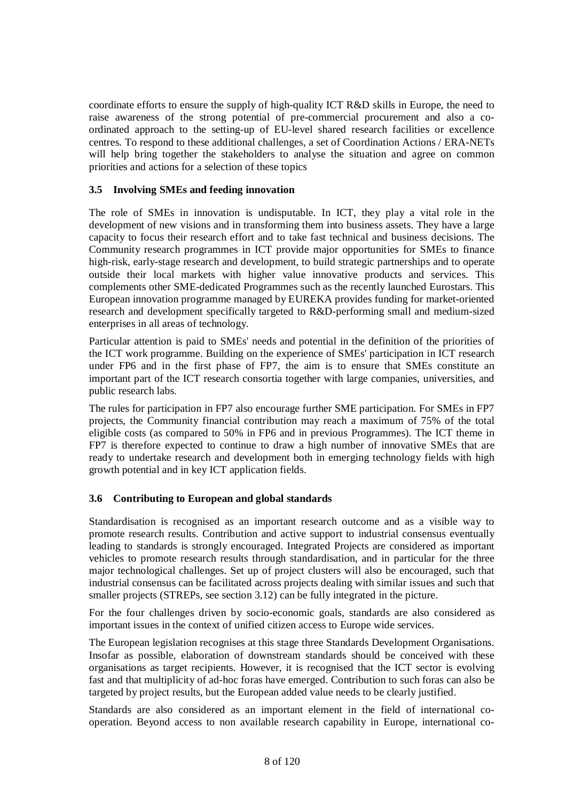coordinate efforts to ensure the supply of high-quality ICT R&D skills in Europe, the need to raise awareness of the strong potential of pre-commercial procurement and also a coordinated approach to the setting-up of EU-level shared research facilities or excellence centres. To respond to these additional challenges, a set of Coordination Actions / ERA-NETs will help bring together the stakeholders to analyse the situation and agree on common priorities and actions for a selection of these topics

### **3.5 Involving SMEs and feeding innovation**

The role of SMEs in innovation is undisputable. In ICT, they play a vital role in the development of new visions and in transforming them into business assets. They have a large capacity to focus their research effort and to take fast technical and business decisions. The Community research programmes in ICT provide major opportunities for SMEs to finance high-risk, early-stage research and development, to build strategic partnerships and to operate outside their local markets with higher value innovative products and services. This complements other SME-dedicated Programmes such as the recently launched Eurostars. This European innovation programme managed by EUREKA provides funding for market-oriented research and development specifically targeted to R&D-performing small and medium-sized enterprises in all areas of technology*.*

Particular attention is paid to SMEs' needs and potential in the definition of the priorities of the ICT work programme. Building on the experience of SMEs' participation in ICT research under FP6 and in the first phase of FP7, the aim is to ensure that SMEs constitute an important part of the ICT research consortia together with large companies, universities, and public research labs.

The rules for participation in FP7 also encourage further SME participation. For SMEs in FP7 projects, the Community financial contribution may reach a maximum of 75% of the total eligible costs (as compared to 50% in FP6 and in previous Programmes). The ICT theme in FP7 is therefore expected to continue to draw a high number of innovative SMEs that are ready to undertake research and development both in emerging technology fields with high growth potential and in key ICT application fields.

# **3.6 Contributing to European and global standards**

Standardisation is recognised as an important research outcome and as a visible way to promote research results. Contribution and active support to industrial consensus eventually leading to standards is strongly encouraged. Integrated Projects are considered as important vehicles to promote research results through standardisation, and in particular for the three major technological challenges. Set up of project clusters will also be encouraged, such that industrial consensus can be facilitated across projects dealing with similar issues and such that smaller projects (STREPs, see section 3.12) can be fully integrated in the picture.

For the four challenges driven by socio-economic goals, standards are also considered as important issues in the context of unified citizen access to Europe wide services.

The European legislation recognises at this stage three Standards Development Organisations. Insofar as possible, elaboration of downstream standards should be conceived with these organisations as target recipients. However, it is recognised that the ICT sector is evolving fast and that multiplicity of ad-hoc foras have emerged. Contribution to such foras can also be targeted by project results, but the European added value needs to be clearly justified.

Standards are also considered as an important element in the field of international cooperation. Beyond access to non available research capability in Europe, international co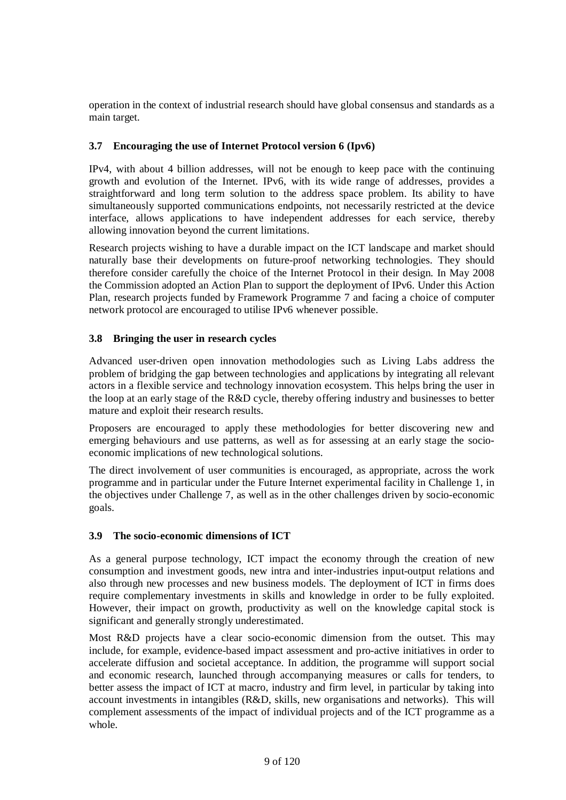operation in the context of industrial research should have global consensus and standards as a main target.

# **3.7 Encouraging the use of Internet Protocol version 6 (Ipv6)**

IPv4, with about 4 billion addresses, will not be enough to keep pace with the continuing growth and evolution of the Internet. IPv6, with its wide range of addresses, provides a straightforward and long term solution to the address space problem. Its ability to have simultaneously supported communications endpoints, not necessarily restricted at the device interface, allows applications to have independent addresses for each service, thereby allowing innovation beyond the current limitations.

Research projects wishing to have a durable impact on the ICT landscape and market should naturally base their developments on future-proof networking technologies. They should therefore consider carefully the choice of the Internet Protocol in their design. In May 2008 the Commission adopted an Action Plan to support the deployment of IPv6. Under this Action Plan, research projects funded by Framework Programme 7 and facing a choice of computer network protocol are encouraged to utilise IPv6 whenever possible.

# **3.8 Bringing the user in research cycles**

Advanced user-driven open innovation methodologies such as Living Labs address the problem of bridging the gap between technologies and applications by integrating all relevant actors in a flexible service and technology innovation ecosystem. This helps bring the user in the loop at an early stage of the R&D cycle, thereby offering industry and businesses to better mature and exploit their research results.

Proposers are encouraged to apply these methodologies for better discovering new and emerging behaviours and use patterns, as well as for assessing at an early stage the socioeconomic implications of new technological solutions.

The direct involvement of user communities is encouraged, as appropriate, across the work programme and in particular under the Future Internet experimental facility in Challenge 1, in the objectives under Challenge 7, as well as in the other challenges driven by socio-economic goals.

# **3.9 The socio-economic dimensions of ICT**

As a general purpose technology, ICT impact the economy through the creation of new consumption and investment goods, new intra and inter-industries input-output relations and also through new processes and new business models. The deployment of ICT in firms does require complementary investments in skills and knowledge in order to be fully exploited. However, their impact on growth, productivity as well on the knowledge capital stock is significant and generally strongly underestimated.

Most R&D projects have a clear socio-economic dimension from the outset. This may include, for example, evidence-based impact assessment and pro-active initiatives in order to accelerate diffusion and societal acceptance. In addition, the programme will support social and economic research, launched through accompanying measures or calls for tenders, to better assess the impact of ICT at macro, industry and firm level, in particular by taking into account investments in intangibles (R&D, skills, new organisations and networks). This will complement assessments of the impact of individual projects and of the ICT programme as a whole.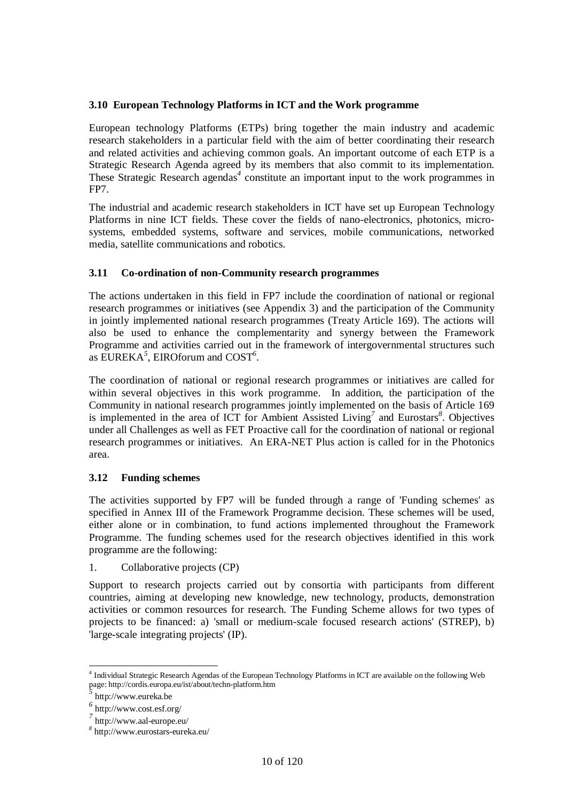# **3.10 European Technology Platforms in ICT and the Work programme**

European technology Platforms (ETPs) bring together the main industry and academic research stakeholders in a particular field with the aim of better coordinating their research and related activities and achieving common goals. An important outcome of each ETP is a Strategic Research Agenda agreed by its members that also commit to its implementation. These Strategic Research agendas<sup>4</sup> constitute an important input to the work programmes in FP7.

The industrial and academic research stakeholders in ICT have set up European Technology Platforms in nine ICT fields. These cover the fields of nano-electronics, photonics, microsystems, embedded systems, software and services, mobile communications, networked media, satellite communications and robotics.

# **3.11 Co-ordination of non-Community research programmes**

The actions undertaken in this field in FP7 include the coordination of national or regional research programmes or initiatives (see Appendix 3) and the participation of the Community in jointly implemented national research programmes (Treaty Article 169). The actions will also be used to enhance the complementarity and synergy between the Framework Programme and activities carried out in the framework of intergovernmental structures such as EUREKA*<sup>5</sup>* , EIROforum and COST*<sup>6</sup>* .

The coordination of national or regional research programmes or initiatives are called for within several objectives in this work programme. In addition, the participation of the Community in national research programmes jointly implemented on the basis of Article 169 is implemented in the area of ICT for Ambient Assisted Living*<sup>7</sup>* and Eurostars*<sup>8</sup>* . Objectives under all Challenges as well as FET Proactive call for the coordination of national or regional research programmes or initiatives. An ERA-NET Plus action is called for in the Photonics area.

# **3.12 Funding schemes**

The activities supported by FP7 will be funded through a range of 'Funding schemes' as specified in Annex III of the Framework Programme decision. These schemes will be used, either alone or in combination, to fund actions implemented throughout the Framework Programme. The funding schemes used for the research objectives identified in this work programme are the following:

1. Collaborative projects (CP)

Support to research projects carried out by consortia with participants from different countries, aiming at developing new knowledge, new technology, products, demonstration activities or common resources for research. The Funding Scheme allows for two types of projects to be financed: a) 'small or medium-scale focused research actions' (STREP), b) 'large-scale integrating projects' (IP).

 $\overline{a}$ 4 Individual Strategic Research Agendas of the European Technology Platforms in ICT are available on the following Web page: http://cordis.europa.eu/ist/about/techn-platform.htm

*<sup>5</sup>* http://www.eureka.be

*<sup>6</sup>* http://www.cost.esf.org/

*<sup>7</sup>* http://www.aal-europe.eu/

*<sup>8</sup>* http://www.eurostars-eureka.eu/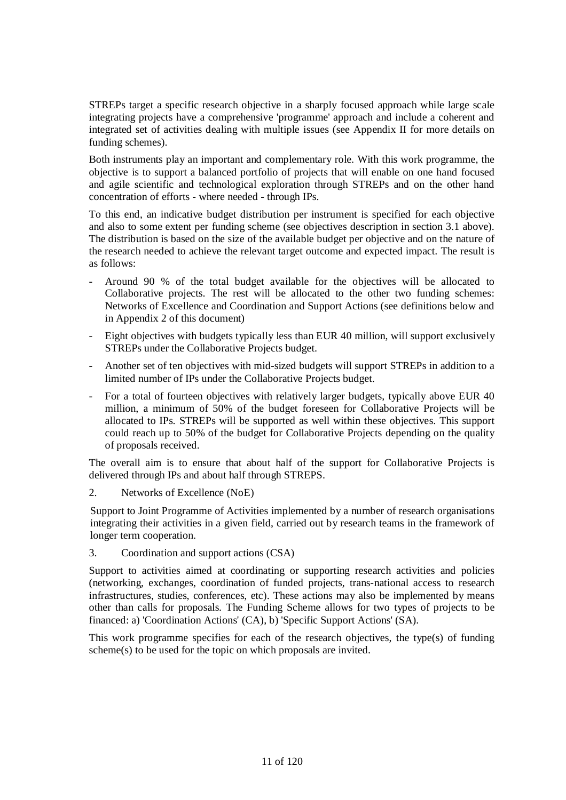STREPs target a specific research objective in a sharply focused approach while large scale integrating projects have a comprehensive 'programme' approach and include a coherent and integrated set of activities dealing with multiple issues (see Appendix II for more details on funding schemes).

Both instruments play an important and complementary role. With this work programme, the objective is to support a balanced portfolio of projects that will enable on one hand focused and agile scientific and technological exploration through STREPs and on the other hand concentration of efforts - where needed - through IPs.

To this end, an indicative budget distribution per instrument is specified for each objective and also to some extent per funding scheme (see objectives description in section 3.1 above). The distribution is based on the size of the available budget per objective and on the nature of the research needed to achieve the relevant target outcome and expected impact. The result is as follows:

- Around 90 % of the total budget available for the objectives will be allocated to Collaborative projects. The rest will be allocated to the other two funding schemes: Networks of Excellence and Coordination and Support Actions (see definitions below and in Appendix 2 of this document)
- Eight objectives with budgets typically less than EUR 40 million, will support exclusively STREPs under the Collaborative Projects budget.
- Another set of ten objectives with mid-sized budgets will support STREPs in addition to a limited number of IPs under the Collaborative Projects budget.
- For a total of fourteen objectives with relatively larger budgets, typically above EUR 40 million, a minimum of 50% of the budget foreseen for Collaborative Projects will be allocated to IPs. STREPs will be supported as well within these objectives. This support could reach up to 50% of the budget for Collaborative Projects depending on the quality of proposals received.

The overall aim is to ensure that about half of the support for Collaborative Projects is delivered through IPs and about half through STREPS.

2. Networks of Excellence (NoE)

Support to Joint Programme of Activities implemented by a number of research organisations integrating their activities in a given field, carried out by research teams in the framework of longer term cooperation.

3. Coordination and support actions (CSA)

Support to activities aimed at coordinating or supporting research activities and policies (networking, exchanges, coordination of funded projects, trans-national access to research infrastructures, studies, conferences, etc). These actions may also be implemented by means other than calls for proposals. The Funding Scheme allows for two types of projects to be financed: a) 'Coordination Actions' (CA), b) 'Specific Support Actions' (SA).

This work programme specifies for each of the research objectives, the type(s) of funding scheme(s) to be used for the topic on which proposals are invited.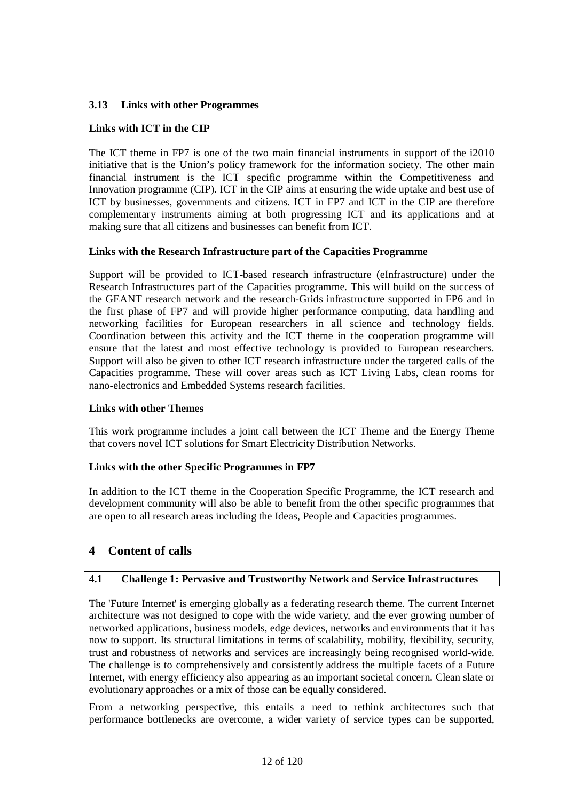# **3.13 Links with other Programmes**

# **Links with ICT in the CIP**

The ICT theme in FP7 is one of the two main financial instruments in support of the i2010 initiative that is the Union's policy framework for the information society. The other main financial instrument is the ICT specific programme within the Competitiveness and Innovation programme (CIP). ICT in the CIP aims at ensuring the wide uptake and best use of ICT by businesses, governments and citizens. ICT in FP7 and ICT in the CIP are therefore complementary instruments aiming at both progressing ICT and its applications and at making sure that all citizens and businesses can benefit from ICT.

# **Links with the Research Infrastructure part of the Capacities Programme**

Support will be provided to ICT-based research infrastructure (eInfrastructure) under the Research Infrastructures part of the Capacities programme. This will build on the success of the GEANT research network and the research-Grids infrastructure supported in FP6 and in the first phase of FP7 and will provide higher performance computing, data handling and networking facilities for European researchers in all science and technology fields. Coordination between this activity and the ICT theme in the cooperation programme will ensure that the latest and most effective technology is provided to European researchers. Support will also be given to other ICT research infrastructure under the targeted calls of the Capacities programme. These will cover areas such as ICT Living Labs, clean rooms for nano-electronics and Embedded Systems research facilities.

# **Links with other Themes**

This work programme includes a joint call between the ICT Theme and the Energy Theme that covers novel ICT solutions for Smart Electricity Distribution Networks.

# **Links with the other Specific Programmes in FP7**

In addition to the ICT theme in the Cooperation Specific Programme, the ICT research and development community will also be able to benefit from the other specific programmes that are open to all research areas including the Ideas, People and Capacities programmes.

# **4 Content of calls**

# **4.1 Challenge 1: Pervasive and Trustworthy Network and Service Infrastructures**

The 'Future Internet' is emerging globally as a federating research theme. The current Internet architecture was not designed to cope with the wide variety, and the ever growing number of networked applications, business models, edge devices, networks and environments that it has now to support. Its structural limitations in terms of scalability, mobility, flexibility, security, trust and robustness of networks and services are increasingly being recognised world-wide. The challenge is to comprehensively and consistently address the multiple facets of a Future Internet, with energy efficiency also appearing as an important societal concern. Clean slate or evolutionary approaches or a mix of those can be equally considered.

From a networking perspective, this entails a need to rethink architectures such that performance bottlenecks are overcome, a wider variety of service types can be supported,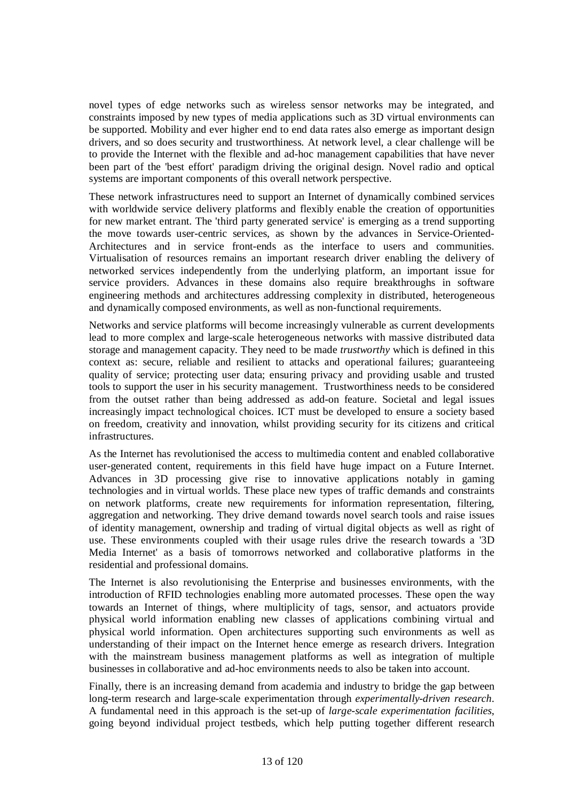novel types of edge networks such as wireless sensor networks may be integrated, and constraints imposed by new types of media applications such as 3D virtual environments can be supported. Mobility and ever higher end to end data rates also emerge as important design drivers, and so does security and trustworthiness. At network level, a clear challenge will be to provide the Internet with the flexible and ad-hoc management capabilities that have never been part of the 'best effort' paradigm driving the original design. Novel radio and optical systems are important components of this overall network perspective.

These network infrastructures need to support an Internet of dynamically combined services with worldwide service delivery platforms and flexibly enable the creation of opportunities for new market entrant. The 'third party generated service' is emerging as a trend supporting the move towards user-centric services, as shown by the advances in Service-Oriented-Architectures and in service front-ends as the interface to users and communities. Virtualisation of resources remains an important research driver enabling the delivery of networked services independently from the underlying platform, an important issue for service providers. Advances in these domains also require breakthroughs in software engineering methods and architectures addressing complexity in distributed, heterogeneous and dynamically composed environments, as well as non-functional requirements.

Networks and service platforms will become increasingly vulnerable as current developments lead to more complex and large-scale heterogeneous networks with massive distributed data storage and management capacity. They need to be made *trustworthy* which is defined in this context as: secure, reliable and resilient to attacks and operational failures; guaranteeing quality of service; protecting user data; ensuring privacy and providing usable and trusted tools to support the user in his security management. Trustworthiness needs to be considered from the outset rather than being addressed as add-on feature. Societal and legal issues increasingly impact technological choices. ICT must be developed to ensure a society based on freedom, creativity and innovation, whilst providing security for its citizens and critical infrastructures.

As the Internet has revolutionised the access to multimedia content and enabled collaborative user-generated content, requirements in this field have huge impact on a Future Internet. Advances in 3D processing give rise to innovative applications notably in gaming technologies and in virtual worlds. These place new types of traffic demands and constraints on network platforms, create new requirements for information representation, filtering, aggregation and networking. They drive demand towards novel search tools and raise issues of identity management, ownership and trading of virtual digital objects as well as right of use. These environments coupled with their usage rules drive the research towards a '3D Media Internet' as a basis of tomorrows networked and collaborative platforms in the residential and professional domains.

The Internet is also revolutionising the Enterprise and businesses environments, with the introduction of RFID technologies enabling more automated processes. These open the way towards an Internet of things, where multiplicity of tags, sensor, and actuators provide physical world information enabling new classes of applications combining virtual and physical world information. Open architectures supporting such environments as well as understanding of their impact on the Internet hence emerge as research drivers. Integration with the mainstream business management platforms as well as integration of multiple businesses in collaborative and ad-hoc environments needs to also be taken into account.

Finally, there is an increasing demand from academia and industry to bridge the gap between long-term research and large-scale experimentation through *experimentally-driven research*. A fundamental need in this approach is the set-up of *large-scale experimentation facilities*, going beyond individual project testbeds, which help putting together different research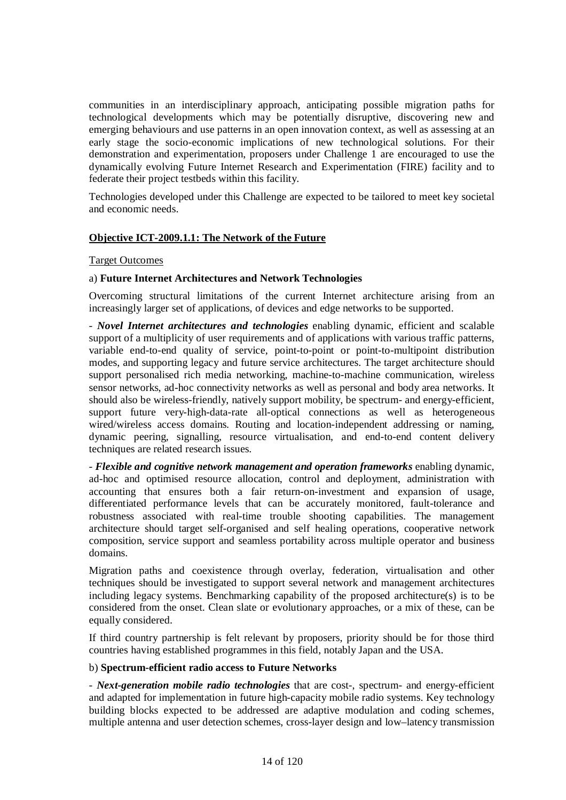communities in an interdisciplinary approach, anticipating possible migration paths for technological developments which may be potentially disruptive, discovering new and emerging behaviours and use patterns in an open innovation context, as well as assessing at an early stage the socio-economic implications of new technological solutions. For their demonstration and experimentation, proposers under Challenge 1 are encouraged to use the dynamically evolving Future Internet Research and Experimentation (FIRE) facility and to federate their project testbeds within this facility.

Technologies developed under this Challenge are expected to be tailored to meet key societal and economic needs.

### **Objective ICT-2009.1.1: The Network of the Future**

### Target Outcomes

### a) **Future Internet Architectures and Network Technologies**

Overcoming structural limitations of the current Internet architecture arising from an increasingly larger set of applications, of devices and edge networks to be supported.

*- Novel Internet architectures and technologies* enabling dynamic, efficient and scalable support of a multiplicity of user requirements and of applications with various traffic patterns, variable end-to-end quality of service, point-to-point or point-to-multipoint distribution modes, and supporting legacy and future service architectures. The target architecture should support personalised rich media networking, machine-to-machine communication, wireless sensor networks, ad-hoc connectivity networks as well as personal and body area networks. It should also be wireless-friendly, natively support mobility, be spectrum- and energy-efficient, support future very-high-data-rate all-optical connections as well as heterogeneous wired/wireless access domains. Routing and location-independent addressing or naming, dynamic peering, signalling, resource virtualisation, and end-to-end content delivery techniques are related research issues.

*- Flexible and cognitive network management and operation frameworks* enabling dynamic, ad-hoc and optimised resource allocation, control and deployment, administration with accounting that ensures both a fair return-on-investment and expansion of usage, differentiated performance levels that can be accurately monitored, fault-tolerance and robustness associated with real-time trouble shooting capabilities. The management architecture should target self-organised and self healing operations, cooperative network composition, service support and seamless portability across multiple operator and business domains.

Migration paths and coexistence through overlay, federation, virtualisation and other techniques should be investigated to support several network and management architectures including legacy systems. Benchmarking capability of the proposed architecture(s) is to be considered from the onset. Clean slate or evolutionary approaches, or a mix of these, can be equally considered.

If third country partnership is felt relevant by proposers, priority should be for those third countries having established programmes in this field, notably Japan and the USA.

### b) **Spectrum-efficient radio access to Future Networks**

- *Next-generation mobile radio technologies* that are cost-, spectrum- and energy-efficient and adapted for implementation in future high-capacity mobile radio systems. Key technology building blocks expected to be addressed are adaptive modulation and coding schemes, multiple antenna and user detection schemes, cross-layer design and low–latency transmission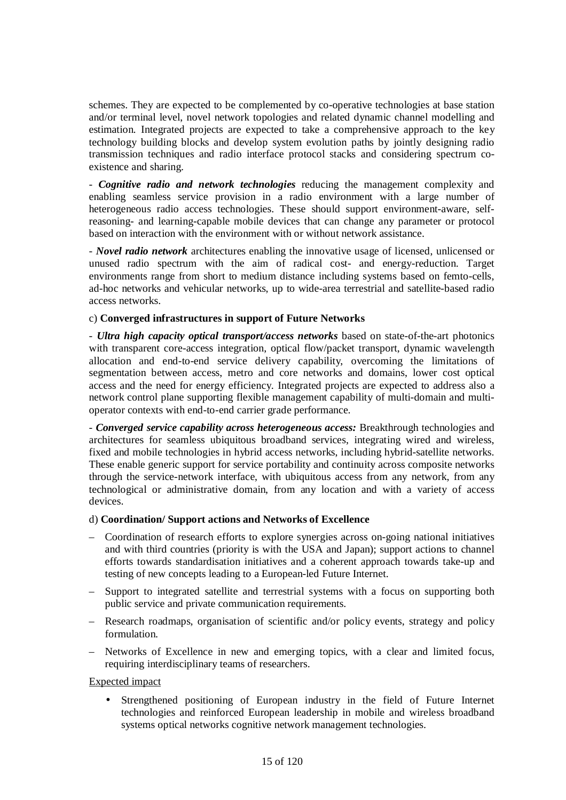schemes. They are expected to be complemented by co-operative technologies at base station and/or terminal level, novel network topologies and related dynamic channel modelling and estimation. Integrated projects are expected to take a comprehensive approach to the key technology building blocks and develop system evolution paths by jointly designing radio transmission techniques and radio interface protocol stacks and considering spectrum coexistence and sharing.

*- Cognitive radio and network technologies* reducing the management complexity and enabling seamless service provision in a radio environment with a large number of heterogeneous radio access technologies. These should support environment-aware, selfreasoning- and learning-capable mobile devices that can change any parameter or protocol based on interaction with the environment with or without network assistance.

*- Novel radio network* architectures enabling the innovative usage of licensed, unlicensed or unused radio spectrum with the aim of radical cost- and energy-reduction. Target environments range from short to medium distance including systems based on femto-cells, ad-hoc networks and vehicular networks, up to wide-area terrestrial and satellite-based radio access networks.

### c) **Converged infrastructures in support of Future Networks**

*- Ultra high capacity optical transport/access networks* based on state-of-the-art photonics with transparent core-access integration, optical flow/packet transport, dynamic wavelength allocation and end-to-end service delivery capability, overcoming the limitations of segmentation between access, metro and core networks and domains, lower cost optical access and the need for energy efficiency. Integrated projects are expected to address also a network control plane supporting flexible management capability of multi-domain and multioperator contexts with end-to-end carrier grade performance.

*- Converged service capability across heterogeneous access:* Breakthrough technologies and architectures for seamless ubiquitous broadband services, integrating wired and wireless, fixed and mobile technologies in hybrid access networks, including hybrid-satellite networks. These enable generic support for service portability and continuity across composite networks through the service-network interface, with ubiquitous access from any network, from any technological or administrative domain, from any location and with a variety of access devices.

### d) **Coordination/ Support actions and Networks of Excellence**

- Coordination of research efforts to explore synergies across on-going national initiatives and with third countries (priority is with the USA and Japan); support actions to channel efforts towards standardisation initiatives and a coherent approach towards take-up and testing of new concepts leading to a European-led Future Internet.
- Support to integrated satellite and terrestrial systems with a focus on supporting both public service and private communication requirements.
- Research roadmaps, organisation of scientific and/or policy events, strategy and policy formulation.
- Networks of Excellence in new and emerging topics, with a clear and limited focus, requiring interdisciplinary teams of researchers.

### Expected impact

• Strengthened positioning of European industry in the field of Future Internet technologies and reinforced European leadership in mobile and wireless broadband systems optical networks cognitive network management technologies.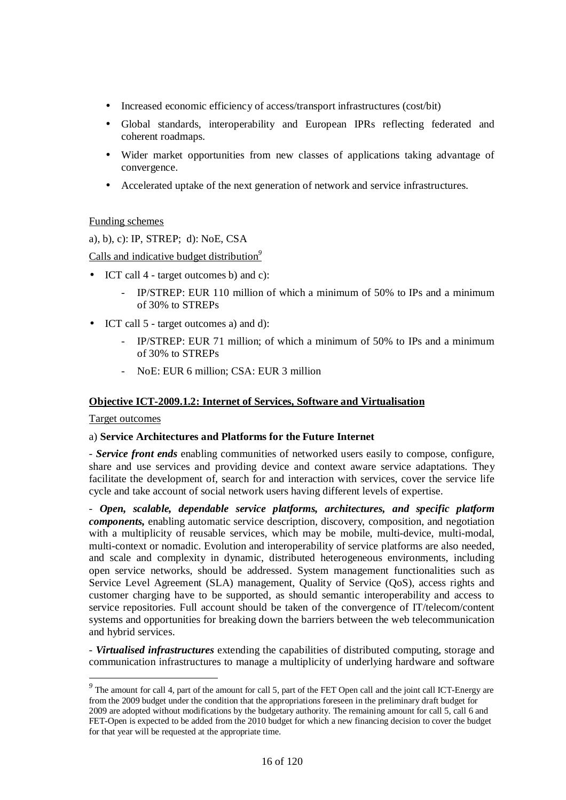- Increased economic efficiency of access/transport infrastructures (cost/bit)
- Global standards, interoperability and European IPRs reflecting federated and coherent roadmaps.
- Wider market opportunities from new classes of applications taking advantage of convergence.
- Accelerated uptake of the next generation of network and service infrastructures.

# Funding schemes

a), b), c): IP, STREP; d): NoE, CSA

Calls and indicative budget distribution*<sup>9</sup>*

- ICT call 4 target outcomes b) and c):
	- IP/STREP: EUR 110 million of which a minimum of 50% to IPs and a minimum of 30% to STREPs
- ICT call 5 target outcomes a) and d):
	- IP/STREP: EUR 71 million; of which a minimum of 50% to IPs and a minimum of 30% to STREPs
	- NoE: EUR 6 million; CSA: EUR 3 million

# **Objective ICT-2009.1.2: Internet of Services, Software and Virtualisation**

# Target outcomes

# a) **Service Architectures and Platforms for the Future Internet**

*- Service front ends* enabling communities of networked users easily to compose, configure, share and use services and providing device and context aware service adaptations. They facilitate the development of, search for and interaction with services, cover the service life cycle and take account of social network users having different levels of expertise.

*- Open, scalable, dependable service platforms, architectures, and specific platform components,* enabling automatic service description, discovery, composition, and negotiation with a multiplicity of reusable services, which may be mobile, multi-device, multi-modal, multi-context or nomadic. Evolution and interoperability of service platforms are also needed, and scale and complexity in dynamic, distributed heterogeneous environments, including open service networks, should be addressed. System management functionalities such as Service Level Agreement (SLA) management, Quality of Service (QoS), access rights and customer charging have to be supported, as should semantic interoperability and access to service repositories. Full account should be taken of the convergence of IT/telecom/content systems and opportunities for breaking down the barriers between the web telecommunication and hybrid services.

*- Virtualised infrastructures* extending the capabilities of distributed computing, storage and communication infrastructures to manage a multiplicity of underlying hardware and software

<sup>&</sup>lt;sup>9</sup> The amount for call 4, part of the amount for call 5, part of the FET Open call and the joint call ICT-Energy are from the 2009 budget under the condition that the appropriations foreseen in the preliminary draft budget for 2009 are adopted without modifications by the budgetary authority. The remaining amount for call 5, call 6 and FET-Open is expected to be added from the 2010 budget for which a new financing decision to cover the budget for that year will be requested at the appropriate time.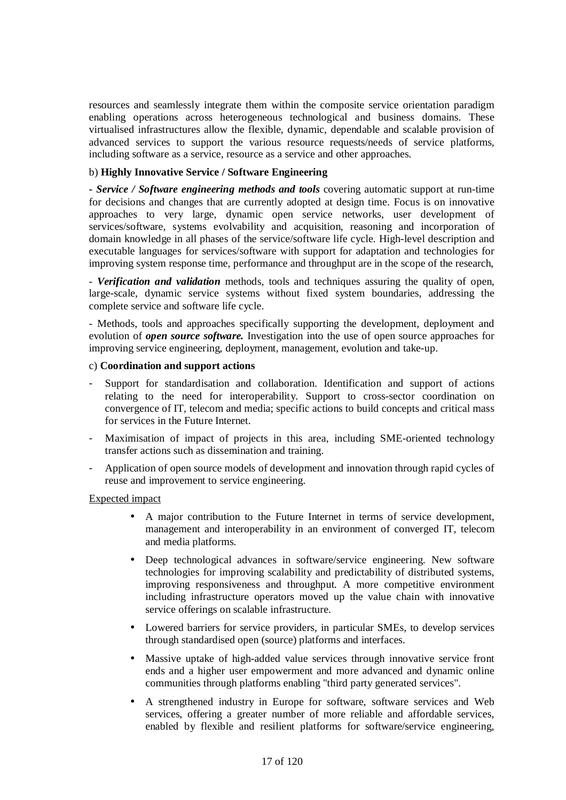resources and seamlessly integrate them within the composite service orientation paradigm enabling operations across heterogeneous technological and business domains. These virtualised infrastructures allow the flexible, dynamic, dependable and scalable provision of advanced services to support the various resource requests/needs of service platforms, including software as a service, resource as a service and other approaches.

### b) **Highly Innovative Service / Software Engineering**

**-** *Service / Software engineering methods and tools* covering automatic support at run-time for decisions and changes that are currently adopted at design time. Focus is on innovative approaches to very large, dynamic open service networks, user development of services/software, systems evolvability and acquisition, reasoning and incorporation of domain knowledge in all phases of the service/software life cycle. High-level description and executable languages for services/software with support for adaptation and technologies for improving system response time, performance and throughput are in the scope of the research,

*- Verification and validation* methods, tools and techniques assuring the quality of open, large-scale, dynamic service systems without fixed system boundaries, addressing the complete service and software life cycle.

- Methods, tools and approaches specifically supporting the development, deployment and evolution of *open source software.* Investigation into the use of open source approaches for improving service engineering, deployment, management, evolution and take-up.

### c) **Coordination and support actions**

- Support for standardisation and collaboration. Identification and support of actions relating to the need for interoperability. Support to cross-sector coordination on convergence of IT, telecom and media; specific actions to build concepts and critical mass for services in the Future Internet.
- Maximisation of impact of projects in this area, including SME-oriented technology transfer actions such as dissemination and training.
- Application of open source models of development and innovation through rapid cycles of reuse and improvement to service engineering.

### Expected impact

- A major contribution to the Future Internet in terms of service development, management and interoperability in an environment of converged IT, telecom and media platforms.
- Deep technological advances in software/service engineering. New software technologies for improving scalability and predictability of distributed systems, improving responsiveness and throughput. A more competitive environment including infrastructure operators moved up the value chain with innovative service offerings on scalable infrastructure.
- Lowered barriers for service providers, in particular SMEs, to develop services through standardised open (source) platforms and interfaces.
- Massive uptake of high-added value services through innovative service front ends and a higher user empowerment and more advanced and dynamic online communities through platforms enabling "third party generated services".
- A strengthened industry in Europe for software, software services and Web services, offering a greater number of more reliable and affordable services, enabled by flexible and resilient platforms for software/service engineering,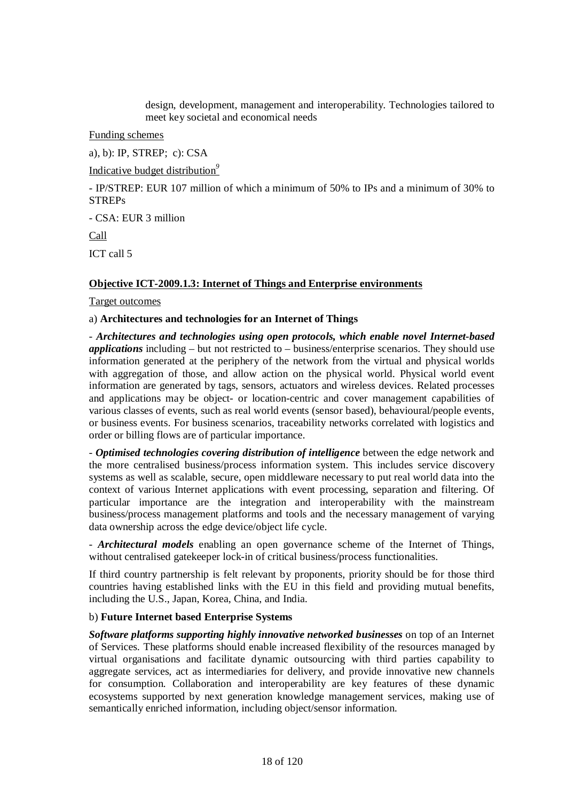design, development, management and interoperability. Technologies tailored to meet key societal and economical needs

Funding schemes

a), b): IP, STREP; c): CSA

Indicative budget distribution*<sup>9</sup>*

- IP/STREP: EUR 107 million of which a minimum of 50% to IPs and a minimum of 30% to STREPs

- CSA: EUR 3 million

Call

ICT call 5

### **Objective ICT-2009.1.3: Internet of Things and Enterprise environments**

Target outcomes

### a) **Architectures and technologies for an Internet of Things**

- *Architectures and technologies using open protocols, which enable novel Internet-based applications* including – but not restricted to – business/enterprise scenarios. They should use information generated at the periphery of the network from the virtual and physical worlds with aggregation of those, and allow action on the physical world. Physical world event information are generated by tags, sensors, actuators and wireless devices. Related processes and applications may be object- or location-centric and cover management capabilities of various classes of events, such as real world events (sensor based), behavioural/people events, or business events. For business scenarios, traceability networks correlated with logistics and order or billing flows are of particular importance.

- *Optimised technologies covering distribution of intelligence* between the edge network and the more centralised business/process information system. This includes service discovery systems as well as scalable, secure, open middleware necessary to put real world data into the context of various Internet applications with event processing, separation and filtering. Of particular importance are the integration and interoperability with the mainstream business/process management platforms and tools and the necessary management of varying data ownership across the edge device/object life cycle.

- *Architectural models* enabling an open governance scheme of the Internet of Things, without centralised gatekeeper lock-in of critical business/process functionalities.

If third country partnership is felt relevant by proponents, priority should be for those third countries having established links with the EU in this field and providing mutual benefits, including the U.S., Japan, Korea, China, and India.

### b) **Future Internet based Enterprise Systems**

*Software platforms supporting highly innovative networked businesses* on top of an Internet of Services. These platforms should enable increased flexibility of the resources managed by virtual organisations and facilitate dynamic outsourcing with third parties capability to aggregate services, act as intermediaries for delivery, and provide innovative new channels for consumption. Collaboration and interoperability are key features of these dynamic ecosystems supported by next generation knowledge management services, making use of semantically enriched information, including object/sensor information.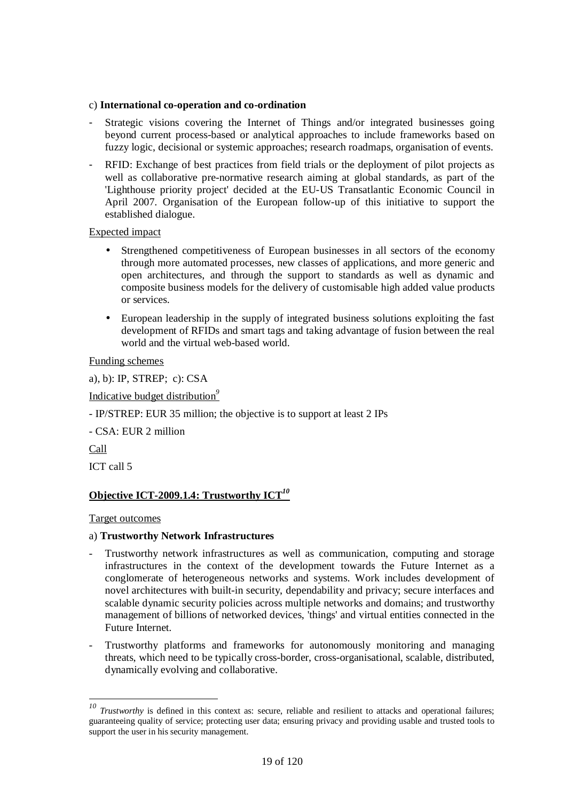### c) **International co-operation and co-ordination**

- Strategic visions covering the Internet of Things and/or integrated businesses going beyond current process-based or analytical approaches to include frameworks based on fuzzy logic, decisional or systemic approaches; research roadmaps, organisation of events.
- RFID: Exchange of best practices from field trials or the deployment of pilot projects as well as collaborative pre-normative research aiming at global standards, as part of the 'Lighthouse priority project' decided at the EU-US Transatlantic Economic Council in April 2007. Organisation of the European follow-up of this initiative to support the established dialogue.

### Expected impact

- Strengthened competitiveness of European businesses in all sectors of the economy through more automated processes, new classes of applications, and more generic and open architectures, and through the support to standards as well as dynamic and composite business models for the delivery of customisable high added value products or services.
- European leadership in the supply of integrated business solutions exploiting the fast development of RFIDs and smart tags and taking advantage of fusion between the real world and the virtual web-based world.

Funding schemes

a), b): IP, STREP; c): CSA

Indicative budget distribution*<sup>9</sup>*

- IP/STREP: EUR 35 million; the objective is to support at least 2 IPs

- CSA: EUR 2 million

Call

 $\overline{a}$ 

ICT call 5

# **Objective ICT-2009.1.4: Trustworthy ICT***<sup>10</sup>*

Target outcomes

# a) **Trustworthy Network Infrastructures**

- Trustworthy network infrastructures as well as communication, computing and storage infrastructures in the context of the development towards the Future Internet as a conglomerate of heterogeneous networks and systems. Work includes development of novel architectures with built-in security, dependability and privacy; secure interfaces and scalable dynamic security policies across multiple networks and domains; and trustworthy management of billions of networked devices, 'things' and virtual entities connected in the Future Internet.
- Trustworthy platforms and frameworks for autonomously monitoring and managing threats, which need to be typically cross-border, cross-organisational, scalable, distributed, dynamically evolving and collaborative.

*<sup>10</sup> Trustworthy* is defined in this context as: secure, reliable and resilient to attacks and operational failures; guaranteeing quality of service; protecting user data; ensuring privacy and providing usable and trusted tools to support the user in his security management.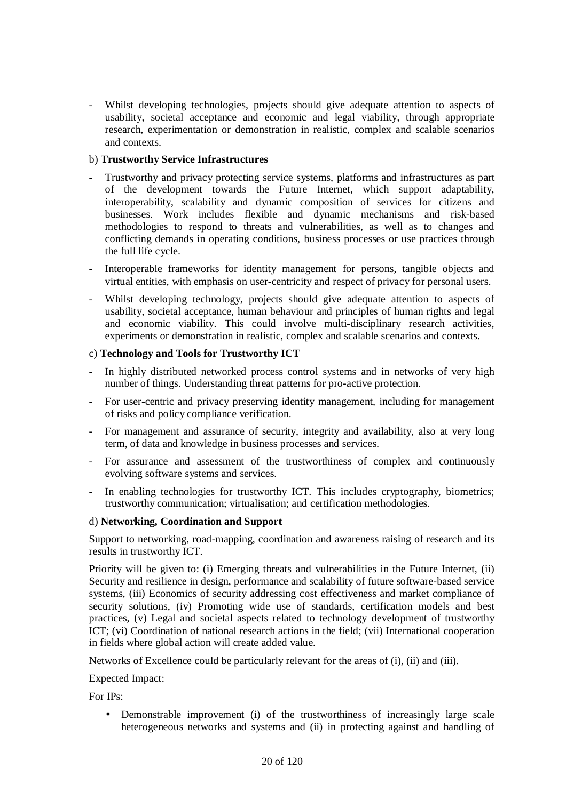Whilst developing technologies, projects should give adequate attention to aspects of usability, societal acceptance and economic and legal viability, through appropriate research, experimentation or demonstration in realistic, complex and scalable scenarios and contexts.

### b) **Trustworthy Service Infrastructures**

- Trustworthy and privacy protecting service systems, platforms and infrastructures as part of the development towards the Future Internet, which support adaptability, interoperability, scalability and dynamic composition of services for citizens and businesses. Work includes flexible and dynamic mechanisms and risk-based methodologies to respond to threats and vulnerabilities, as well as to changes and conflicting demands in operating conditions, business processes or use practices through the full life cycle.
- Interoperable frameworks for identity management for persons, tangible objects and virtual entities, with emphasis on user-centricity and respect of privacy for personal users.
- Whilst developing technology, projects should give adequate attention to aspects of usability, societal acceptance, human behaviour and principles of human rights and legal and economic viability. This could involve multi-disciplinary research activities, experiments or demonstration in realistic, complex and scalable scenarios and contexts.

### c) **Technology and Tools for Trustworthy ICT**

- In highly distributed networked process control systems and in networks of very high number of things. Understanding threat patterns for pro-active protection.
- For user-centric and privacy preserving identity management, including for management of risks and policy compliance verification.
- For management and assurance of security, integrity and availability, also at very long term, of data and knowledge in business processes and services.
- For assurance and assessment of the trustworthiness of complex and continuously evolving software systems and services.
- In enabling technologies for trustworthy ICT. This includes cryptography, biometrics; trustworthy communication; virtualisation; and certification methodologies.

### d) **Networking, Coordination and Support**

Support to networking, road-mapping, coordination and awareness raising of research and its results in trustworthy ICT.

Priority will be given to: (i) Emerging threats and vulnerabilities in the Future Internet, (ii) Security and resilience in design, performance and scalability of future software-based service systems, (iii) Economics of security addressing cost effectiveness and market compliance of security solutions, (iv) Promoting wide use of standards, certification models and best practices, (v) Legal and societal aspects related to technology development of trustworthy ICT; (vi) Coordination of national research actions in the field; (vii) International cooperation in fields where global action will create added value.

Networks of Excellence could be particularly relevant for the areas of (i), (ii) and (iii).

### Expected Impact:

For IPs:

• Demonstrable improvement (i) of the trustworthiness of increasingly large scale heterogeneous networks and systems and (ii) in protecting against and handling of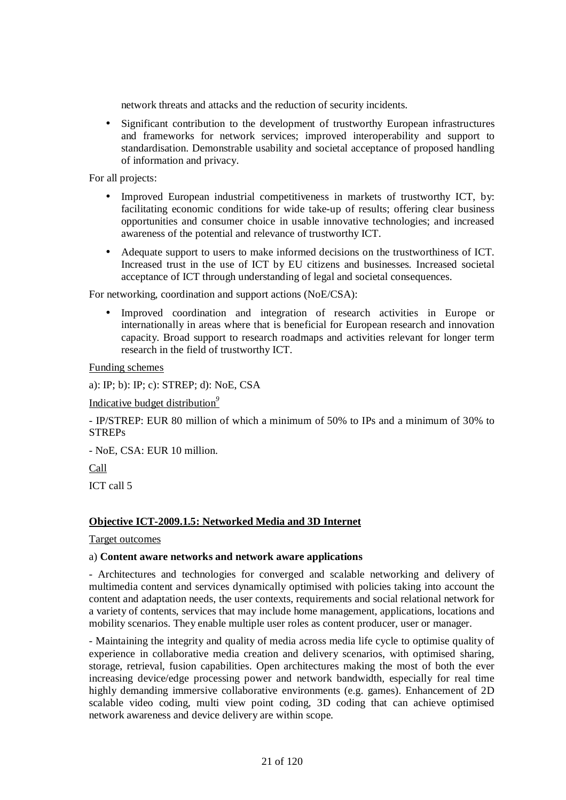network threats and attacks and the reduction of security incidents.

• Significant contribution to the development of trustworthy European infrastructures and frameworks for network services; improved interoperability and support to standardisation. Demonstrable usability and societal acceptance of proposed handling of information and privacy.

For all projects:

- Improved European industrial competitiveness in markets of trustworthy ICT, by: facilitating economic conditions for wide take-up of results; offering clear business opportunities and consumer choice in usable innovative technologies; and increased awareness of the potential and relevance of trustworthy ICT.
- Adequate support to users to make informed decisions on the trustworthiness of ICT. Increased trust in the use of ICT by EU citizens and businesses. Increased societal acceptance of ICT through understanding of legal and societal consequences.

For networking, coordination and support actions (NoE/CSA):

• Improved coordination and integration of research activities in Europe or internationally in areas where that is beneficial for European research and innovation capacity. Broad support to research roadmaps and activities relevant for longer term research in the field of trustworthy ICT.

Funding schemes

a): IP; b): IP; c): STREP; d): NoE, CSA

Indicative budget distribution*<sup>9</sup>*

- IP/STREP: EUR 80 million of which a minimum of 50% to IPs and a minimum of 30% to **STREPs** 

- NoE, CSA: EUR 10 million.

Call

ICT call 5

# **Objective ICT-2009.1.5: Networked Media and 3D Internet**

Target outcomes

### a) **Content aware networks and network aware applications**

- Architectures and technologies for converged and scalable networking and delivery of multimedia content and services dynamically optimised with policies taking into account the content and adaptation needs, the user contexts, requirements and social relational network for a variety of contents, services that may include home management, applications, locations and mobility scenarios. They enable multiple user roles as content producer, user or manager.

- Maintaining the integrity and quality of media across media life cycle to optimise quality of experience in collaborative media creation and delivery scenarios, with optimised sharing, storage, retrieval, fusion capabilities. Open architectures making the most of both the ever increasing device/edge processing power and network bandwidth, especially for real time highly demanding immersive collaborative environments (e.g. games). Enhancement of 2D scalable video coding, multi view point coding, 3D coding that can achieve optimised network awareness and device delivery are within scope.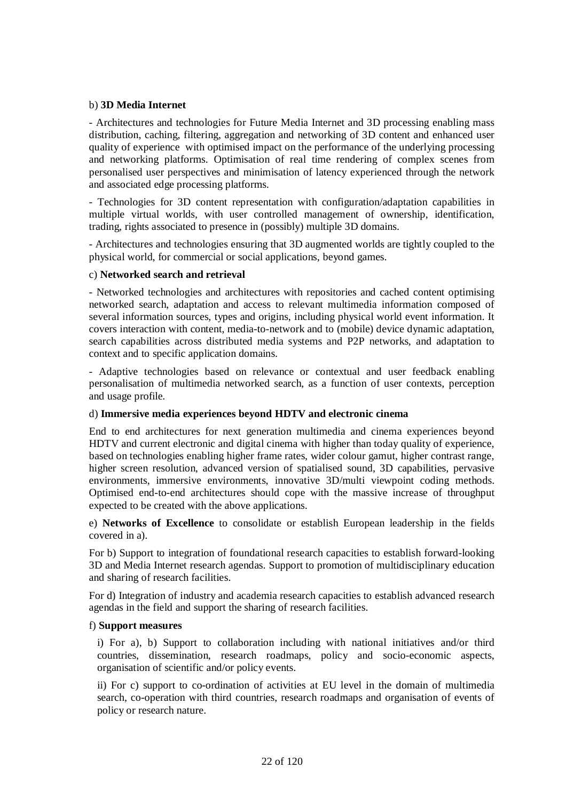### b) **3D Media Internet**

- Architectures and technologies for Future Media Internet and 3D processing enabling mass distribution, caching, filtering, aggregation and networking of 3D content and enhanced user quality of experience with optimised impact on the performance of the underlying processing and networking platforms. Optimisation of real time rendering of complex scenes from personalised user perspectives and minimisation of latency experienced through the network and associated edge processing platforms.

- Technologies for 3D content representation with configuration/adaptation capabilities in multiple virtual worlds, with user controlled management of ownership, identification, trading, rights associated to presence in (possibly) multiple 3D domains.

- Architectures and technologies ensuring that 3D augmented worlds are tightly coupled to the physical world, for commercial or social applications, beyond games.

### c) **Networked search and retrieval**

- Networked technologies and architectures with repositories and cached content optimising networked search, adaptation and access to relevant multimedia information composed of several information sources, types and origins, including physical world event information. It covers interaction with content, media-to-network and to (mobile) device dynamic adaptation, search capabilities across distributed media systems and P2P networks, and adaptation to context and to specific application domains.

- Adaptive technologies based on relevance or contextual and user feedback enabling personalisation of multimedia networked search, as a function of user contexts, perception and usage profile.

# d) **Immersive media experiences beyond HDTV and electronic cinema**

End to end architectures for next generation multimedia and cinema experiences beyond HDTV and current electronic and digital cinema with higher than today quality of experience, based on technologies enabling higher frame rates, wider colour gamut, higher contrast range, higher screen resolution, advanced version of spatialised sound, 3D capabilities, pervasive environments, immersive environments, innovative 3D/multi viewpoint coding methods. Optimised end-to-end architectures should cope with the massive increase of throughput expected to be created with the above applications.

e) **Networks of Excellence** to consolidate or establish European leadership in the fields covered in a).

For b) Support to integration of foundational research capacities to establish forward-looking 3D and Media Internet research agendas. Support to promotion of multidisciplinary education and sharing of research facilities.

For d) Integration of industry and academia research capacities to establish advanced research agendas in the field and support the sharing of research facilities.

### f) **Support measures**

i) For a), b) Support to collaboration including with national initiatives and/or third countries, dissemination, research roadmaps, policy and socio-economic aspects, organisation of scientific and/or policy events.

ii) For c) support to co-ordination of activities at EU level in the domain of multimedia search, co-operation with third countries, research roadmaps and organisation of events of policy or research nature.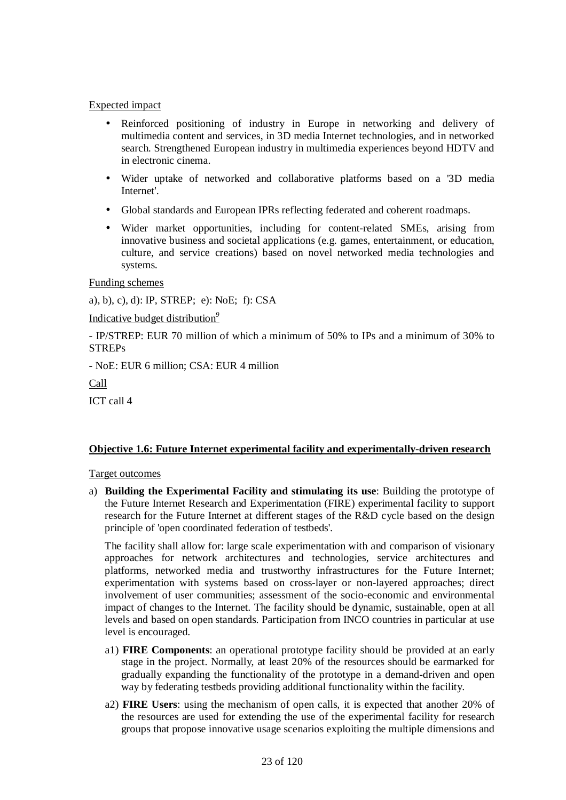### Expected impact

- Reinforced positioning of industry in Europe in networking and delivery of multimedia content and services, in 3D media Internet technologies, and in networked search. Strengthened European industry in multimedia experiences beyond HDTV and in electronic cinema.
- Wider uptake of networked and collaborative platforms based on a '3D media Internet'.
- Global standards and European IPRs reflecting federated and coherent roadmaps.
- Wider market opportunities, including for content-related SMEs, arising from innovative business and societal applications (e.g. games, entertainment, or education, culture, and service creations) based on novel networked media technologies and systems.

Funding schemes

a), b), c), d): IP, STREP; e): NoE; f): CSA

Indicative budget distribution*<sup>9</sup>*

- IP/STREP: EUR 70 million of which a minimum of 50% to IPs and a minimum of 30% to **STREPs** 

- NoE: EUR 6 million; CSA: EUR 4 million

Call

ICT call 4

# **Objective 1.6: Future Internet experimental facility and experimentally-driven research**

### Target outcomes

a) **Building the Experimental Facility and stimulating its use**: Building the prototype of the Future Internet Research and Experimentation (FIRE) experimental facility to support research for the Future Internet at different stages of the R&D cycle based on the design principle of 'open coordinated federation of testbeds'.

The facility shall allow for: large scale experimentation with and comparison of visionary approaches for network architectures and technologies, service architectures and platforms, networked media and trustworthy infrastructures for the Future Internet; experimentation with systems based on cross-layer or non-layered approaches; direct involvement of user communities; assessment of the socio-economic and environmental impact of changes to the Internet. The facility should be dynamic, sustainable, open at all levels and based on open standards. Participation from INCO countries in particular at use level is encouraged.

- a1) **FIRE Components**: an operational prototype facility should be provided at an early stage in the project. Normally, at least 20% of the resources should be earmarked for gradually expanding the functionality of the prototype in a demand-driven and open way by federating testbeds providing additional functionality within the facility.
- a2) **FIRE Users**: using the mechanism of open calls, it is expected that another 20% of the resources are used for extending the use of the experimental facility for research groups that propose innovative usage scenarios exploiting the multiple dimensions and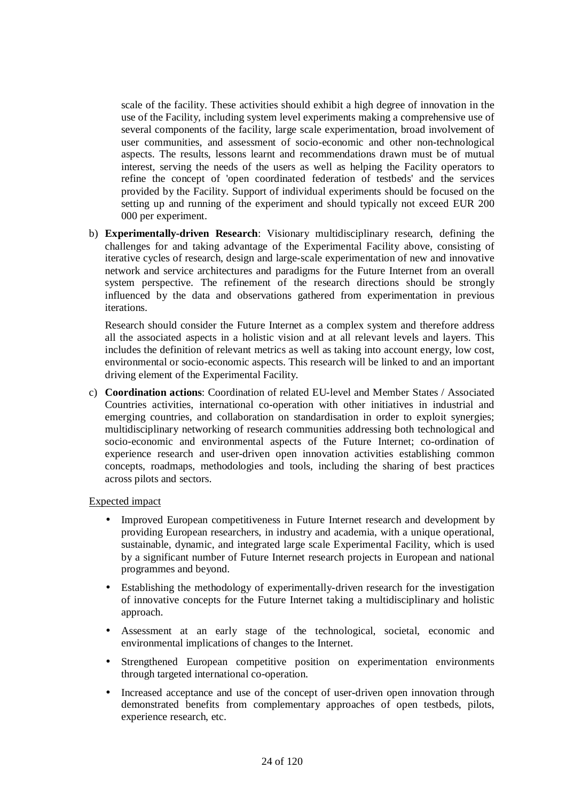scale of the facility. These activities should exhibit a high degree of innovation in the use of the Facility, including system level experiments making a comprehensive use of several components of the facility, large scale experimentation, broad involvement of user communities, and assessment of socio-economic and other non-technological aspects. The results, lessons learnt and recommendations drawn must be of mutual interest, serving the needs of the users as well as helping the Facility operators to refine the concept of 'open coordinated federation of testbeds' and the services provided by the Facility. Support of individual experiments should be focused on the setting up and running of the experiment and should typically not exceed EUR 200 000 per experiment.

b) **Experimentally-driven Research**: Visionary multidisciplinary research, defining the challenges for and taking advantage of the Experimental Facility above, consisting of iterative cycles of research, design and large-scale experimentation of new and innovative network and service architectures and paradigms for the Future Internet from an overall system perspective. The refinement of the research directions should be strongly influenced by the data and observations gathered from experimentation in previous iterations.

Research should consider the Future Internet as a complex system and therefore address all the associated aspects in a holistic vision and at all relevant levels and layers. This includes the definition of relevant metrics as well as taking into account energy, low cost, environmental or socio-economic aspects. This research will be linked to and an important driving element of the Experimental Facility.

c) **Coordination actions**: Coordination of related EU-level and Member States / Associated Countries activities, international co-operation with other initiatives in industrial and emerging countries, and collaboration on standardisation in order to exploit synergies; multidisciplinary networking of research communities addressing both technological and socio-economic and environmental aspects of the Future Internet; co-ordination of experience research and user-driven open innovation activities establishing common concepts, roadmaps, methodologies and tools, including the sharing of best practices across pilots and sectors.

### Expected impact

- Improved European competitiveness in Future Internet research and development by providing European researchers, in industry and academia, with a unique operational, sustainable, dynamic, and integrated large scale Experimental Facility, which is used by a significant number of Future Internet research projects in European and national programmes and beyond.
- Establishing the methodology of experimentally-driven research for the investigation of innovative concepts for the Future Internet taking a multidisciplinary and holistic approach.
- Assessment at an early stage of the technological, societal, economic and environmental implications of changes to the Internet.
- Strengthened European competitive position on experimentation environments through targeted international co-operation.
- Increased acceptance and use of the concept of user-driven open innovation through demonstrated benefits from complementary approaches of open testbeds, pilots, experience research, etc.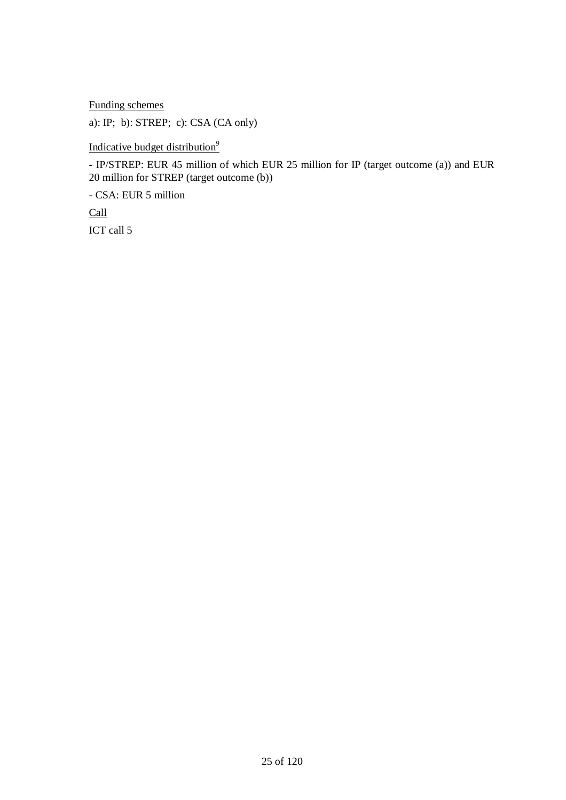Funding schemes

a): IP; b): STREP; c): CSA (CA only)

Indicative budget distribution*<sup>9</sup>*

- IP/STREP: EUR 45 million of which EUR 25 million for IP (target outcome (a)) and EUR 20 million for STREP (target outcome (b))

- CSA: EUR 5 million

Call ICT call 5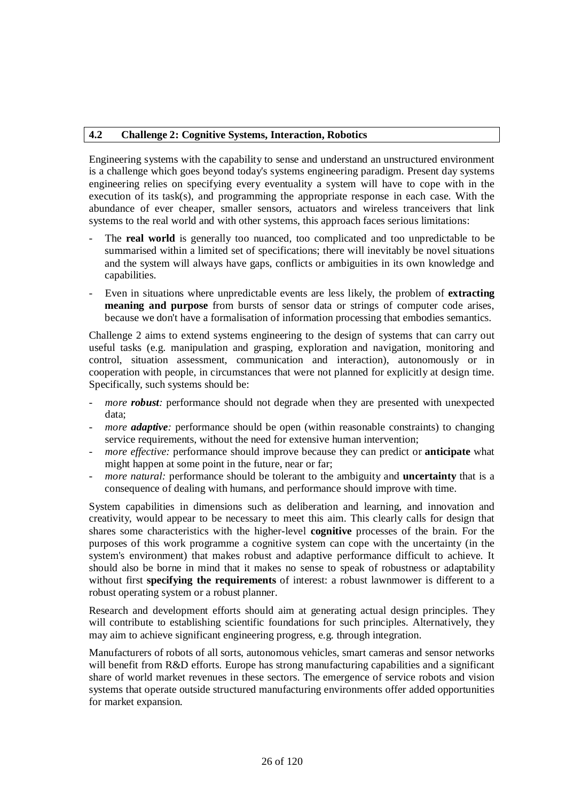### **4.2 Challenge 2: Cognitive Systems, Interaction, Robotics**

Engineering systems with the capability to sense and understand an unstructured environment is a challenge which goes beyond today's systems engineering paradigm. Present day systems engineering relies on specifying every eventuality a system will have to cope with in the execution of its task(s), and programming the appropriate response in each case. With the abundance of ever cheaper, smaller sensors, actuators and wireless tranceivers that link systems to the real world and with other systems, this approach faces serious limitations:

- The **real world** is generally too nuanced, too complicated and too unpredictable to be summarised within a limited set of specifications; there will inevitably be novel situations and the system will always have gaps, conflicts or ambiguities in its own knowledge and capabilities.
- Even in situations where unpredictable events are less likely, the problem of **extracting meaning and purpose** from bursts of sensor data or strings of computer code arises, because we don't have a formalisation of information processing that embodies semantics.

Challenge 2 aims to extend systems engineering to the design of systems that can carry out useful tasks (e.g. manipulation and grasping, exploration and navigation, monitoring and control, situation assessment, communication and interaction), autonomously or in cooperation with people, in circumstances that were not planned for explicitly at design time. Specifically, such systems should be:

- *more robust*: performance should not degrade when they are presented with unexpected data;
- *more adaptive*: performance should be open (within reasonable constraints) to changing service requirements, without the need for extensive human intervention;
- *more effective:* performance should improve because they can predict or **anticipate** what might happen at some point in the future, near or far;
- *more natural:* performance should be tolerant to the ambiguity and **uncertainty** that is a consequence of dealing with humans, and performance should improve with time.

System capabilities in dimensions such as deliberation and learning, and innovation and creativity, would appear to be necessary to meet this aim. This clearly calls for design that shares some characteristics with the higher-level **cognitive** processes of the brain. For the purposes of this work programme a cognitive system can cope with the uncertainty (in the system's environment) that makes robust and adaptive performance difficult to achieve. It should also be borne in mind that it makes no sense to speak of robustness or adaptability without first **specifying the requirements** of interest: a robust lawnmower is different to a robust operating system or a robust planner.

Research and development efforts should aim at generating actual design principles. They will contribute to establishing scientific foundations for such principles. Alternatively, they may aim to achieve significant engineering progress, e.g. through integration.

Manufacturers of robots of all sorts, autonomous vehicles, smart cameras and sensor networks will benefit from R&D efforts. Europe has strong manufacturing capabilities and a significant share of world market revenues in these sectors. The emergence of service robots and vision systems that operate outside structured manufacturing environments offer added opportunities for market expansion.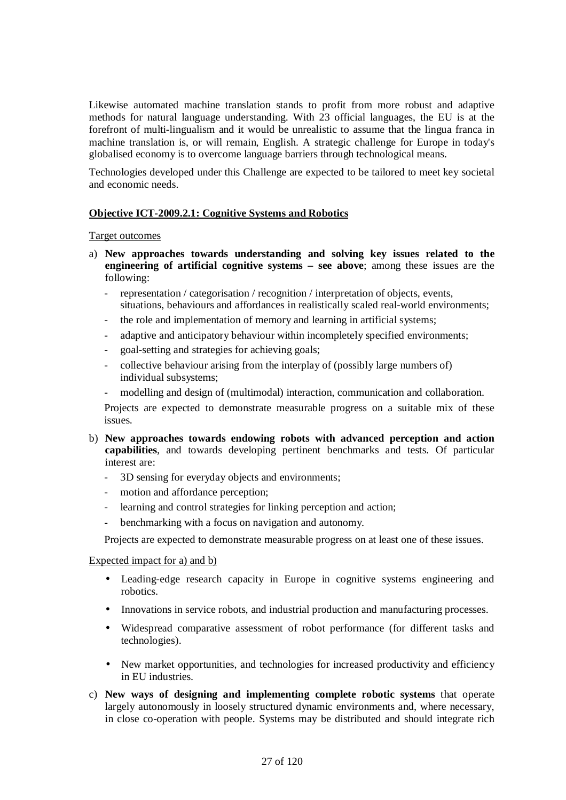Likewise automated machine translation stands to profit from more robust and adaptive methods for natural language understanding. With 23 official languages, the EU is at the forefront of multi-lingualism and it would be unrealistic to assume that the lingua franca in machine translation is, or will remain, English. A strategic challenge for Europe in today's globalised economy is to overcome language barriers through technological means.

Technologies developed under this Challenge are expected to be tailored to meet key societal and economic needs.

### **Objective ICT-2009.2.1: Cognitive Systems and Robotics**

### Target outcomes

- a) **New approaches towards understanding and solving key issues related to the engineering of artificial cognitive systems – see above**; among these issues are the following:
	- representation / categorisation / recognition / interpretation of objects, events, situations, behaviours and affordances in realistically scaled real-world environments;
	- the role and implementation of memory and learning in artificial systems;
	- adaptive and anticipatory behaviour within incompletely specified environments;
	- goal-setting and strategies for achieving goals;
	- collective behaviour arising from the interplay of (possibly large numbers of) individual subsystems;
	- modelling and design of (multimodal) interaction, communication and collaboration.

Projects are expected to demonstrate measurable progress on a suitable mix of these issues.

- b) **New approaches towards endowing robots with advanced perception and action capabilities**, and towards developing pertinent benchmarks and tests. Of particular interest are:
	- 3D sensing for everyday objects and environments;
	- motion and affordance perception;
	- learning and control strategies for linking perception and action;
	- benchmarking with a focus on navigation and autonomy.

Projects are expected to demonstrate measurable progress on at least one of these issues.

### Expected impact for a) and b)

- Leading-edge research capacity in Europe in cognitive systems engineering and robotics.
- Innovations in service robots, and industrial production and manufacturing processes.
- Widespread comparative assessment of robot performance (for different tasks and technologies).
- New market opportunities, and technologies for increased productivity and efficiency in EU industries.
- c) **New ways of designing and implementing complete robotic systems** that operate largely autonomously in loosely structured dynamic environments and, where necessary, in close co-operation with people. Systems may be distributed and should integrate rich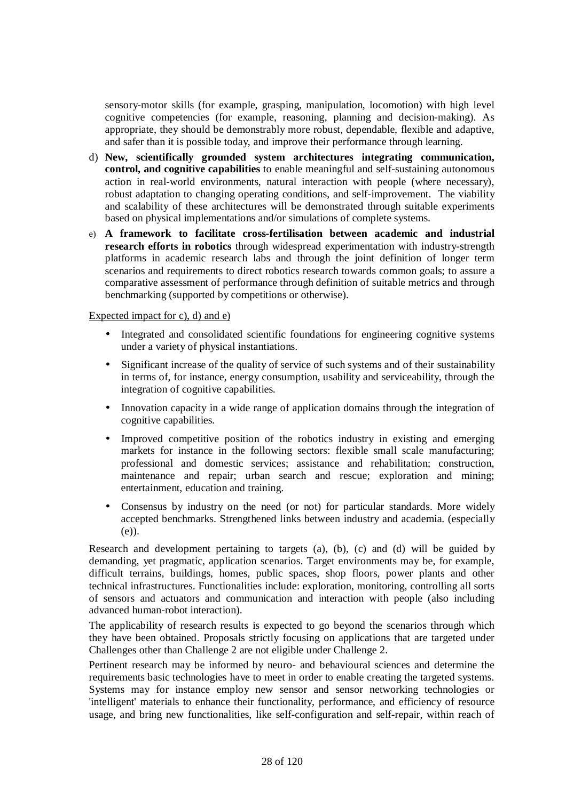sensory-motor skills (for example, grasping, manipulation, locomotion) with high level cognitive competencies (for example, reasoning, planning and decision-making). As appropriate, they should be demonstrably more robust, dependable, flexible and adaptive, and safer than it is possible today, and improve their performance through learning.

- d) **New, scientifically grounded system architectures integrating communication, control, and cognitive capabilities** to enable meaningful and self-sustaining autonomous action in real-world environments, natural interaction with people (where necessary), robust adaptation to changing operating conditions, and self-improvement. The viability and scalability of these architectures will be demonstrated through suitable experiments based on physical implementations and/or simulations of complete systems.
- e) **A framework to facilitate cross-fertilisation between academic and industrial research efforts in robotics** through widespread experimentation with industry-strength platforms in academic research labs and through the joint definition of longer term scenarios and requirements to direct robotics research towards common goals; to assure a comparative assessment of performance through definition of suitable metrics and through benchmarking (supported by competitions or otherwise).

### Expected impact for c), d) and e)

- Integrated and consolidated scientific foundations for engineering cognitive systems under a variety of physical instantiations.
- Significant increase of the quality of service of such systems and of their sustainability in terms of, for instance, energy consumption, usability and serviceability, through the integration of cognitive capabilities.
- Innovation capacity in a wide range of application domains through the integration of cognitive capabilities.
- Improved competitive position of the robotics industry in existing and emerging markets for instance in the following sectors: flexible small scale manufacturing; professional and domestic services; assistance and rehabilitation; construction, maintenance and repair; urban search and rescue; exploration and mining; entertainment, education and training.
- Consensus by industry on the need (or not) for particular standards. More widely accepted benchmarks. Strengthened links between industry and academia. (especially (e)).

Research and development pertaining to targets (a), (b), (c) and (d) will be guided by demanding, yet pragmatic, application scenarios. Target environments may be, for example, difficult terrains, buildings, homes, public spaces, shop floors, power plants and other technical infrastructures. Functionalities include: exploration, monitoring, controlling all sorts of sensors and actuators and communication and interaction with people (also including advanced human-robot interaction).

The applicability of research results is expected to go beyond the scenarios through which they have been obtained. Proposals strictly focusing on applications that are targeted under Challenges other than Challenge 2 are not eligible under Challenge 2.

Pertinent research may be informed by neuro- and behavioural sciences and determine the requirements basic technologies have to meet in order to enable creating the targeted systems. Systems may for instance employ new sensor and sensor networking technologies or 'intelligent' materials to enhance their functionality, performance, and efficiency of resource usage, and bring new functionalities, like self-configuration and self-repair, within reach of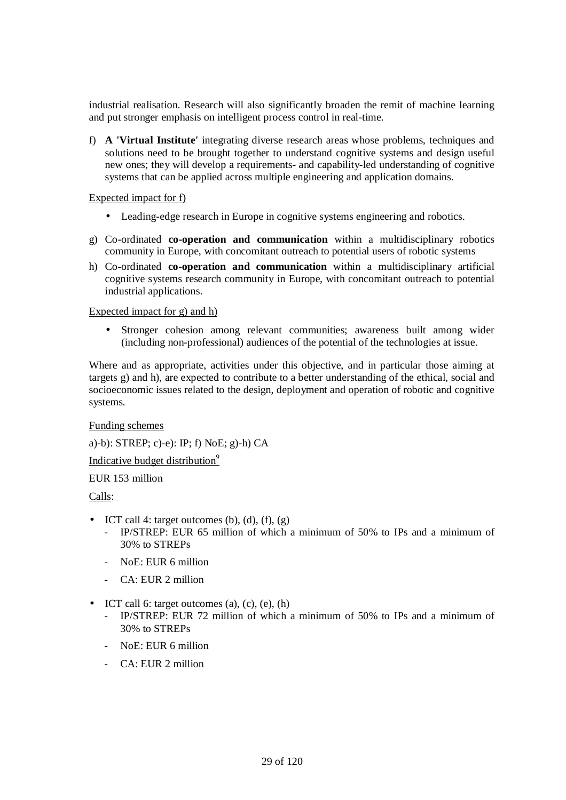industrial realisation. Research will also significantly broaden the remit of machine learning and put stronger emphasis on intelligent process control in real-time.

f) **A 'Virtual Institute'** integrating diverse research areas whose problems, techniques and solutions need to be brought together to understand cognitive systems and design useful new ones; they will develop a requirements- and capability-led understanding of cognitive systems that can be applied across multiple engineering and application domains.

### Expected impact for f)

- Leading-edge research in Europe in cognitive systems engineering and robotics.
- g) Co-ordinated **co-operation and communication** within a multidisciplinary robotics community in Europe, with concomitant outreach to potential users of robotic systems
- h) Co-ordinated **co-operation and communication** within a multidisciplinary artificial cognitive systems research community in Europe, with concomitant outreach to potential industrial applications.

### Expected impact for g) and h)

• Stronger cohesion among relevant communities; awareness built among wider (including non-professional) audiences of the potential of the technologies at issue.

Where and as appropriate, activities under this objective, and in particular those aiming at targets g) and h), are expected to contribute to a better understanding of the ethical, social and socioeconomic issues related to the design, deployment and operation of robotic and cognitive systems.

### Funding schemes

a)-b): STREP; c)-e): IP; f) NoE; g)-h) CA

Indicative budget distribution*<sup>9</sup>*

### EUR 153 million

Calls:

- ICT call 4: target outcomes (b), (d), (f), (g)
	- IP/STREP: EUR 65 million of which a minimum of 50% to IPs and a minimum of 30% to STREPs
	- NoE: EUR 6 million
	- $-CA \cdot EUR$  2 million
- ICT call 6: target outcomes  $(a)$ ,  $(c)$ ,  $(e)$ ,  $(h)$ 
	- IP/STREP: EUR 72 million of which a minimum of 50% to IPs and a minimum of 30% to STREPs
	- NoE: EUR 6 million
	- CA: EUR 2 million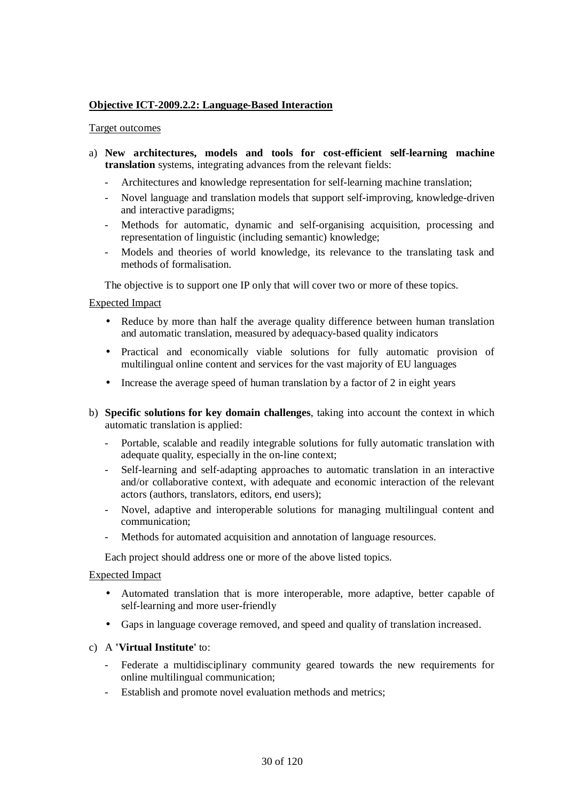# **Objective ICT-2009.2.2: Language-Based Interaction**

### Target outcomes

- a) **New architectures, models and tools for cost-efficient self-learning machine translation** systems, integrating advances from the relevant fields:
	- Architectures and knowledge representation for self-learning machine translation;
	- Novel language and translation models that support self-improving, knowledge-driven and interactive paradigms;
	- Methods for automatic, dynamic and self-organising acquisition, processing and representation of linguistic (including semantic) knowledge;
	- Models and theories of world knowledge, its relevance to the translating task and methods of formalisation.

The objective is to support one IP only that will cover two or more of these topics.

### Expected Impact

- Reduce by more than half the average quality difference between human translation and automatic translation, measured by adequacy-based quality indicators
- Practical and economically viable solutions for fully automatic provision of multilingual online content and services for the vast majority of EU languages
- Increase the average speed of human translation by a factor of 2 in eight years
- b) **Specific solutions for key domain challenges**, taking into account the context in which automatic translation is applied:
	- Portable, scalable and readily integrable solutions for fully automatic translation with adequate quality, especially in the on-line context;
	- Self-learning and self-adapting approaches to automatic translation in an interactive and/or collaborative context, with adequate and economic interaction of the relevant actors (authors, translators, editors, end users);
	- Novel, adaptive and interoperable solutions for managing multilingual content and communication;
	- Methods for automated acquisition and annotation of language resources.

Each project should address one or more of the above listed topics.

### Expected Impact

- Automated translation that is more interoperable, more adaptive, better capable of self-learning and more user-friendly
- Gaps in language coverage removed, and speed and quality of translation increased.
- c) A **'Virtual Institute'** to:
	- Federate a multidisciplinary community geared towards the new requirements for online multilingual communication;
	- Establish and promote novel evaluation methods and metrics;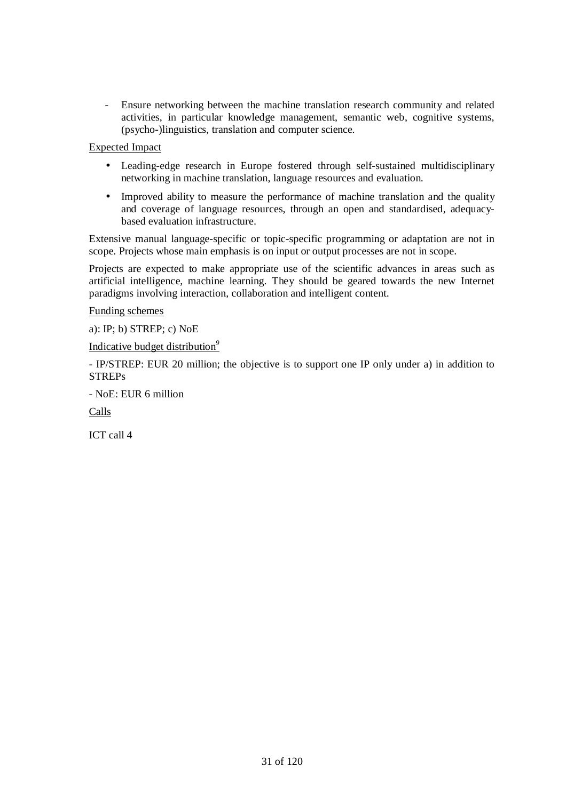- Ensure networking between the machine translation research community and related activities, in particular knowledge management, semantic web, cognitive systems, (psycho-)linguistics, translation and computer science.

Expected Impact

- Leading-edge research in Europe fostered through self-sustained multidisciplinary networking in machine translation, language resources and evaluation.
- Improved ability to measure the performance of machine translation and the quality and coverage of language resources, through an open and standardised, adequacybased evaluation infrastructure.

Extensive manual language-specific or topic-specific programming or adaptation are not in scope. Projects whose main emphasis is on input or output processes are not in scope.

Projects are expected to make appropriate use of the scientific advances in areas such as artificial intelligence, machine learning. They should be geared towards the new Internet paradigms involving interaction, collaboration and intelligent content.

Funding schemes

a): IP; b) STREP; c) NoE

Indicative budget distribution*<sup>9</sup>*

- IP/STREP: EUR 20 million; the objective is to support one IP only under a) in addition to **STREPs** 

- NoE: EUR 6 million

Calls

ICT call 4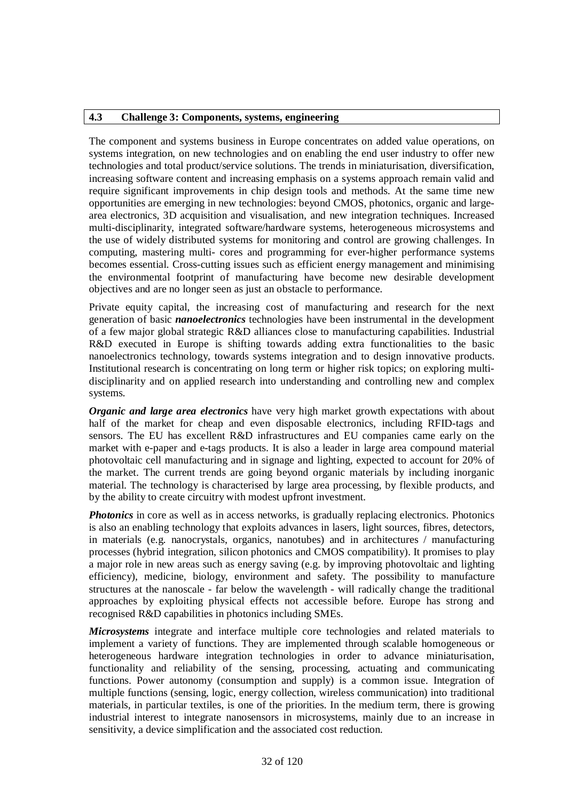### **4.3 Challenge 3: Components, systems, engineering**

The component and systems business in Europe concentrates on added value operations, on systems integration, on new technologies and on enabling the end user industry to offer new technologies and total product/service solutions. The trends in miniaturisation, diversification, increasing software content and increasing emphasis on a systems approach remain valid and require significant improvements in chip design tools and methods. At the same time new opportunities are emerging in new technologies: beyond CMOS, photonics, organic and largearea electronics, 3D acquisition and visualisation, and new integration techniques. Increased multi-disciplinarity, integrated software/hardware systems, heterogeneous microsystems and the use of widely distributed systems for monitoring and control are growing challenges. In computing, mastering multi- cores and programming for ever-higher performance systems becomes essential. Cross-cutting issues such as efficient energy management and minimising the environmental footprint of manufacturing have become new desirable development objectives and are no longer seen as just an obstacle to performance.

Private equity capital, the increasing cost of manufacturing and research for the next generation of basic *nanoelectronics* technologies have been instrumental in the development of a few major global strategic R&D alliances close to manufacturing capabilities. Industrial R&D executed in Europe is shifting towards adding extra functionalities to the basic nanoelectronics technology, towards systems integration and to design innovative products. Institutional research is concentrating on long term or higher risk topics; on exploring multidisciplinarity and on applied research into understanding and controlling new and complex systems.

*Organic and large area electronics* have very high market growth expectations with about half of the market for cheap and even disposable electronics, including RFID-tags and sensors. The EU has excellent R&D infrastructures and EU companies came early on the market with e-paper and e-tags products. It is also a leader in large area compound material photovoltaic cell manufacturing and in signage and lighting, expected to account for 20% of the market. The current trends are going beyond organic materials by including inorganic material. The technology is characterised by large area processing, by flexible products, and by the ability to create circuitry with modest upfront investment.

*Photonics* in core as well as in access networks, is gradually replacing electronics. Photonics is also an enabling technology that exploits advances in lasers, light sources, fibres, detectors, in materials (e.g. nanocrystals, organics, nanotubes) and in architectures / manufacturing processes (hybrid integration, silicon photonics and CMOS compatibility). It promises to play a major role in new areas such as energy saving (e.g. by improving photovoltaic and lighting efficiency), medicine, biology, environment and safety. The possibility to manufacture structures at the nanoscale - far below the wavelength - will radically change the traditional approaches by exploiting physical effects not accessible before. Europe has strong and recognised R&D capabilities in photonics including SMEs.

*Microsystems* integrate and interface multiple core technologies and related materials to implement a variety of functions. They are implemented through scalable homogeneous or heterogeneous hardware integration technologies in order to advance miniaturisation, functionality and reliability of the sensing, processing, actuating and communicating functions. Power autonomy (consumption and supply) is a common issue. Integration of multiple functions (sensing, logic, energy collection, wireless communication) into traditional materials, in particular textiles, is one of the priorities. In the medium term, there is growing industrial interest to integrate nanosensors in microsystems, mainly due to an increase in sensitivity, a device simplification and the associated cost reduction.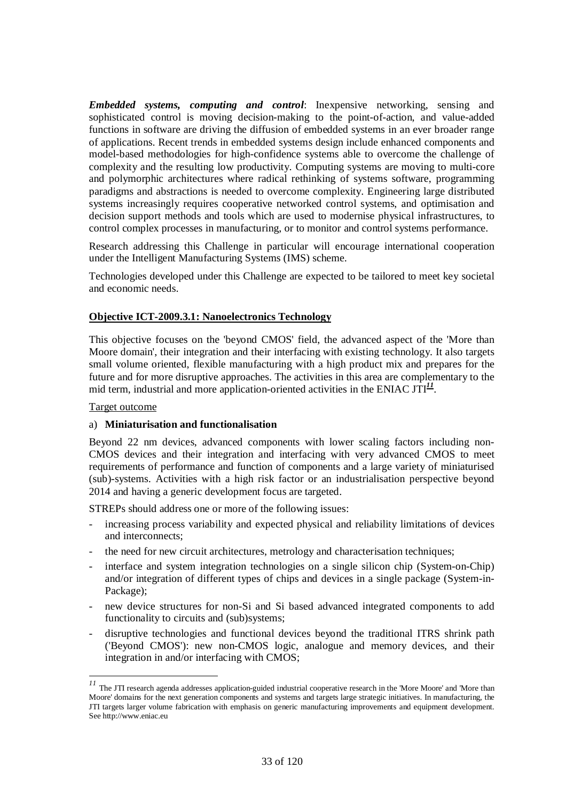*Embedded systems, computing and control*: Inexpensive networking, sensing and sophisticated control is moving decision-making to the point-of-action, and value-added functions in software are driving the diffusion of embedded systems in an ever broader range of applications. Recent trends in embedded systems design include enhanced components and model-based methodologies for high-confidence systems able to overcome the challenge of complexity and the resulting low productivity. Computing systems are moving to multi-core and polymorphic architectures where radical rethinking of systems software, programming paradigms and abstractions is needed to overcome complexity. Engineering large distributed systems increasingly requires cooperative networked control systems, and optimisation and decision support methods and tools which are used to modernise physical infrastructures, to control complex processes in manufacturing, or to monitor and control systems performance.

Research addressing this Challenge in particular will encourage international cooperation under the Intelligent Manufacturing Systems (IMS) scheme.

Technologies developed under this Challenge are expected to be tailored to meet key societal and economic needs.

### **Objective ICT-2009.3.1: Nanoelectronics Technology**

This objective focuses on the 'beyond CMOS' field, the advanced aspect of the 'More than Moore domain', their integration and their interfacing with existing technology. It also targets small volume oriented, flexible manufacturing with a high product mix and prepares for the future and for more disruptive approaches. The activities in this area are complementary to the mid term, industrial and more application-oriented activities in the ENIAC JTI $^{11}$ .

Target outcome

 $\ddot{\phantom{a}}$ 

### a) **Miniaturisation and functionalisation**

Beyond 22 nm devices, advanced components with lower scaling factors including non-CMOS devices and their integration and interfacing with very advanced CMOS to meet requirements of performance and function of components and a large variety of miniaturised (sub)-systems. Activities with a high risk factor or an industrialisation perspective beyond 2014 and having a generic development focus are targeted.

STREPs should address one or more of the following issues:

- increasing process variability and expected physical and reliability limitations of devices and interconnects;
- the need for new circuit architectures, metrology and characterisation techniques;
- interface and system integration technologies on a single silicon chip (System-on-Chip) and/or integration of different types of chips and devices in a single package (System-in-Package);
- new device structures for non-Si and Si based advanced integrated components to add functionality to circuits and (sub)systems;
- disruptive technologies and functional devices beyond the traditional ITRS shrink path ('Beyond CMOS'): new non-CMOS logic, analogue and memory devices, and their integration in and/or interfacing with CMOS;

<sup>&</sup>lt;sup>11</sup> The JTI research agenda addresses application-guided industrial cooperative research in the 'More Moore' and 'More than Moore' domains for the next generation components and systems and targets large strategic initiatives. In manufacturing, the JTI targets larger volume fabrication with emphasis on generic manufacturing improvements and equipment development. See http://www.eniac.eu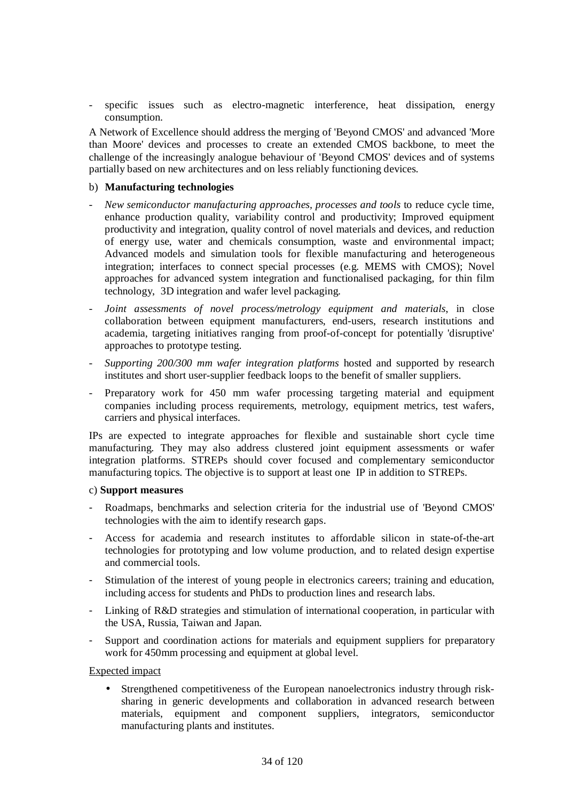specific issues such as electro-magnetic interference, heat dissipation, energy consumption.

A Network of Excellence should address the merging of 'Beyond CMOS' and advanced 'More than Moore' devices and processes to create an extended CMOS backbone, to meet the challenge of the increasingly analogue behaviour of 'Beyond CMOS' devices and of systems partially based on new architectures and on less reliably functioning devices.

### b) **Manufacturing technologies**

- *New semiconductor manufacturing approaches, processes and tools* to reduce cycle time, enhance production quality, variability control and productivity; Improved equipment productivity and integration, quality control of novel materials and devices, and reduction of energy use, water and chemicals consumption, waste and environmental impact; Advanced models and simulation tools for flexible manufacturing and heterogeneous integration; interfaces to connect special processes (e.g. MEMS with CMOS); Novel approaches for advanced system integration and functionalised packaging, for thin film technology, 3D integration and wafer level packaging.
- *Joint assessments of novel process/metrology equipment and materials*, in close collaboration between equipment manufacturers, end-users, research institutions and academia, targeting initiatives ranging from proof-of-concept for potentially 'disruptive' approaches to prototype testing.
- *Supporting 200/300 mm wafer integration platforms* hosted and supported by research institutes and short user-supplier feedback loops to the benefit of smaller suppliers.
- Preparatory work for 450 mm wafer processing targeting material and equipment companies including process requirements, metrology, equipment metrics, test wafers, carriers and physical interfaces.

IPs are expected to integrate approaches for flexible and sustainable short cycle time manufacturing. They may also address clustered joint equipment assessments or wafer integration platforms. STREPs should cover focused and complementary semiconductor manufacturing topics. The objective is to support at least one IP in addition to STREPs.

### c) **Support measures**

- Roadmaps, benchmarks and selection criteria for the industrial use of 'Beyond CMOS' technologies with the aim to identify research gaps.
- Access for academia and research institutes to affordable silicon in state-of-the-art technologies for prototyping and low volume production, and to related design expertise and commercial tools.
- Stimulation of the interest of young people in electronics careers; training and education, including access for students and PhDs to production lines and research labs.
- Linking of R&D strategies and stimulation of international cooperation, in particular with the USA, Russia, Taiwan and Japan.
- Support and coordination actions for materials and equipment suppliers for preparatory work for 450mm processing and equipment at global level.

# Expected impact

• Strengthened competitiveness of the European nanoelectronics industry through risksharing in generic developments and collaboration in advanced research between materials, equipment and component suppliers, integrators, semiconductor manufacturing plants and institutes.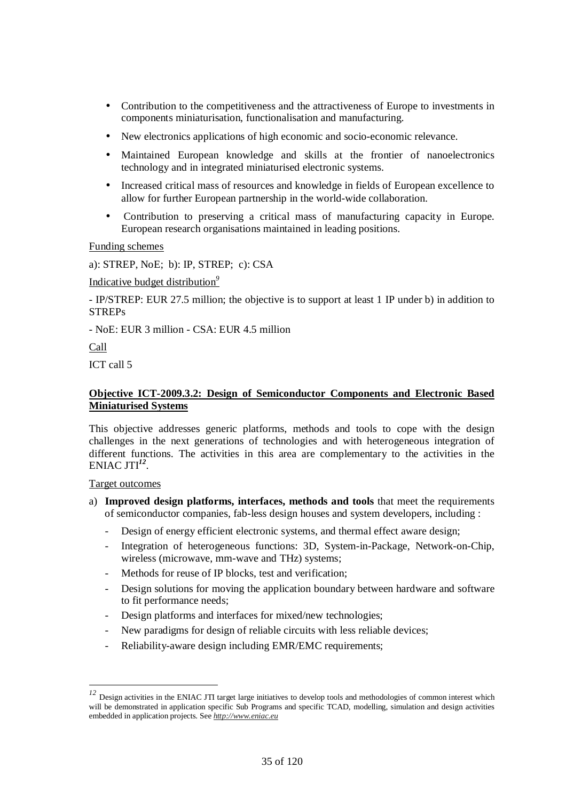- Contribution to the competitiveness and the attractiveness of Europe to investments in components miniaturisation, functionalisation and manufacturing.
- New electronics applications of high economic and socio-economic relevance.
- Maintained European knowledge and skills at the frontier of nanoelectronics technology and in integrated miniaturised electronic systems.
- Increased critical mass of resources and knowledge in fields of European excellence to allow for further European partnership in the world-wide collaboration.
- Contribution to preserving a critical mass of manufacturing capacity in Europe. European research organisations maintained in leading positions.

Funding schemes

a): STREP, NoE; b): IP, STREP; c): CSA

#### Indicative budget distribution*<sup>9</sup>*

- IP/STREP: EUR 27.5 million; the objective is to support at least 1 IP under b) in addition to **STREPs** 

- NoE: EUR 3 million - CSA: EUR 4.5 million

Call

ICT call 5

### **Objective ICT-2009.3.2: Design of Semiconductor Components and Electronic Based Miniaturised Systems**

This objective addresses generic platforms, methods and tools to cope with the design challenges in the next generations of technologies and with heterogeneous integration of different functions. The activities in this area are complementary to the activities in the ENIAC JTI*<sup>12</sup>* .

#### Target outcomes

 $\overline{a}$ 

- a) **Improved design platforms, interfaces, methods and tools** that meet the requirements of semiconductor companies, fab-less design houses and system developers, including :
	- Design of energy efficient electronic systems, and thermal effect aware design;
	- Integration of heterogeneous functions: 3D, System-in-Package, Network-on-Chip, wireless (microwave, mm-wave and THz) systems;
	- Methods for reuse of IP blocks, test and verification;
	- Design solutions for moving the application boundary between hardware and software to fit performance needs;
	- Design platforms and interfaces for mixed/new technologies;
	- New paradigms for design of reliable circuits with less reliable devices;
	- Reliability-aware design including EMR/EMC requirements;

<sup>&</sup>lt;sup>12</sup> Design activities in the ENIAC JTI target large initiatives to develop tools and methodologies of common interest which will be demonstrated in application specific Sub Programs and specific TCAD, modelling, simulation and design activities embedded in application projects. See *http://www.eniac.eu*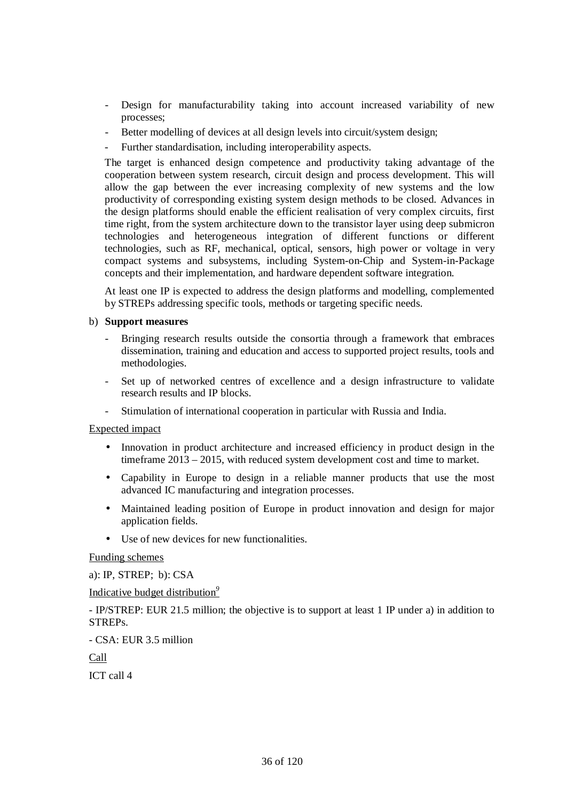- Design for manufacturability taking into account increased variability of new processes;
- Better modelling of devices at all design levels into circuit/system design:
- Further standardisation, including interoperability aspects.

The target is enhanced design competence and productivity taking advantage of the cooperation between system research, circuit design and process development. This will allow the gap between the ever increasing complexity of new systems and the low productivity of corresponding existing system design methods to be closed. Advances in the design platforms should enable the efficient realisation of very complex circuits, first time right, from the system architecture down to the transistor layer using deep submicron technologies and heterogeneous integration of different functions or different technologies, such as RF, mechanical, optical, sensors, high power or voltage in very compact systems and subsystems, including System-on-Chip and System-in-Package concepts and their implementation, and hardware dependent software integration.

At least one IP is expected to address the design platforms and modelling, complemented by STREPs addressing specific tools, methods or targeting specific needs.

### b) **Support measures**

- Bringing research results outside the consortia through a framework that embraces dissemination, training and education and access to supported project results, tools and methodologies.
- Set up of networked centres of excellence and a design infrastructure to validate research results and IP blocks.
- Stimulation of international cooperation in particular with Russia and India.

### Expected impact

- Innovation in product architecture and increased efficiency in product design in the timeframe 2013 – 2015, with reduced system development cost and time to market.
- Capability in Europe to design in a reliable manner products that use the most advanced IC manufacturing and integration processes.
- Maintained leading position of Europe in product innovation and design for major application fields.
- Use of new devices for new functionalities.

Funding schemes

a): IP, STREP; b): CSA

Indicative budget distribution*<sup>9</sup>*

- IP/STREP: EUR 21.5 million; the objective is to support at least 1 IP under a) in addition to STREPs.

- CSA: EUR 3.5 million

Call

ICT call 4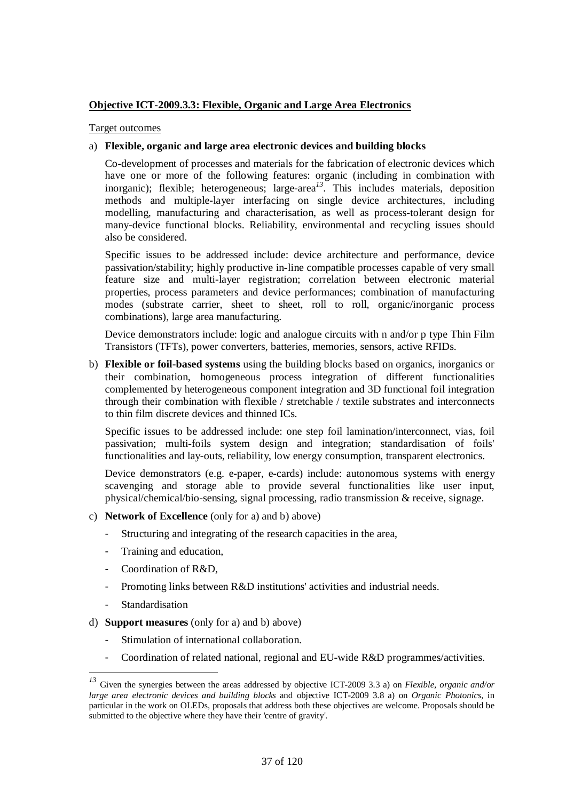# **Objective ICT-2009.3.3: Flexible, Organic and Large Area Electronics**

Target outcomes

## a) **Flexible, organic and large area electronic devices and building blocks**

Co-development of processes and materials for the fabrication of electronic devices which have one or more of the following features: organic (including in combination with inorganic); flexible; heterogeneous; large-area*<sup>13</sup>*. This includes materials, deposition methods and multiple-layer interfacing on single device architectures, including modelling, manufacturing and characterisation, as well as process-tolerant design for many-device functional blocks. Reliability, environmental and recycling issues should also be considered.

Specific issues to be addressed include: device architecture and performance, device passivation/stability; highly productive in-line compatible processes capable of very small feature size and multi-layer registration; correlation between electronic material properties, process parameters and device performances; combination of manufacturing modes (substrate carrier, sheet to sheet, roll to roll, organic/inorganic process combinations), large area manufacturing.

Device demonstrators include: logic and analogue circuits with n and/or p type Thin Film Transistors (TFTs), power converters, batteries, memories, sensors, active RFIDs.

b) **Flexible or foil-based systems** using the building blocks based on organics, inorganics or their combination, homogeneous process integration of different functionalities complemented by heterogeneous component integration and 3D functional foil integration through their combination with flexible / stretchable / textile substrates and interconnects to thin film discrete devices and thinned ICs.

Specific issues to be addressed include: one step foil lamination/interconnect, vias, foil passivation; multi-foils system design and integration; standardisation of foils' functionalities and lay-outs, reliability, low energy consumption, transparent electronics.

Device demonstrators (e.g. e-paper, e-cards) include: autonomous systems with energy scavenging and storage able to provide several functionalities like user input, physical/chemical/bio-sensing, signal processing, radio transmission & receive, signage.

- c) **Network of Excellence** (only for a) and b) above)
	- Structuring and integrating of the research capacities in the area,
	- Training and education,
	- Coordination of R&D,
	- Promoting links between R&D institutions' activities and industrial needs.
	- Standardisation

 $\overline{a}$ 

- d) **Support measures** (only for a) and b) above)
	- Stimulation of international collaboration.
	- Coordination of related national, regional and EU-wide R&D programmes/activities.

*<sup>13</sup>* Given the synergies between the areas addressed by objective ICT-2009 3.3 a) on *Flexible, organic and/or large area electronic devices and building blocks* and objective ICT-2009 3.8 a) on *Organic Photonics*, in particular in the work on OLEDs, proposals that address both these objectives are welcome. Proposals should be submitted to the objective where they have their 'centre of gravity'.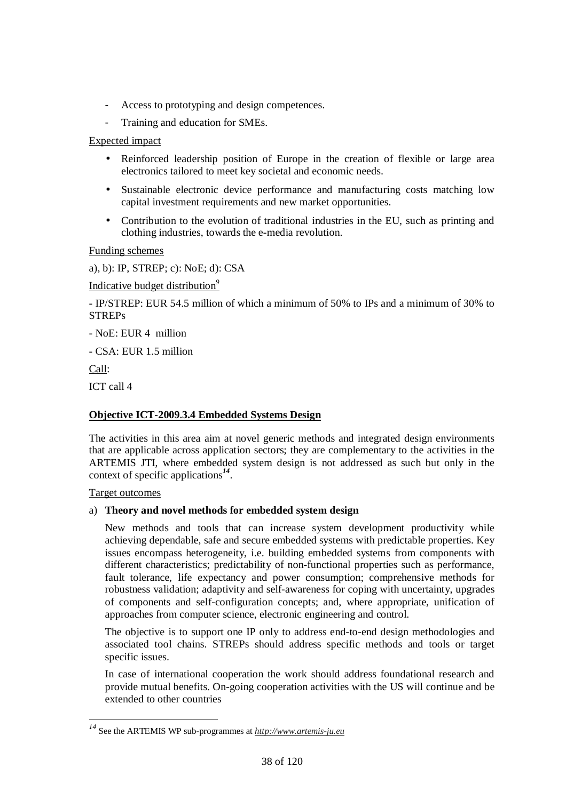- Access to prototyping and design competences.
- Training and education for SMEs.

Expected impact

- Reinforced leadership position of Europe in the creation of flexible or large area electronics tailored to meet key societal and economic needs.
- Sustainable electronic device performance and manufacturing costs matching low capital investment requirements and new market opportunities.
- Contribution to the evolution of traditional industries in the EU, such as printing and clothing industries, towards the e-media revolution.

Funding schemes

a), b): IP, STREP; c): NoE; d): CSA

Indicative budget distribution*<sup>9</sup>*

- IP/STREP: EUR 54.5 million of which a minimum of 50% to IPs and a minimum of 30% to **STREPs** 

- NoE: EUR 4 million

- CSA: EUR 1.5 million

Call:

 $\overline{a}$ 

ICT call 4

# **Objective ICT-2009.3.4 Embedded Systems Design**

The activities in this area aim at novel generic methods and integrated design environments that are applicable across application sectors; they are complementary to the activities in the ARTEMIS JTI, where embedded system design is not addressed as such but only in the context of specific applications*<sup>14</sup>* .

#### Target outcomes

#### a) **Theory and novel methods for embedded system design**

 New methods and tools that can increase system development productivity while achieving dependable, safe and secure embedded systems with predictable properties. Key issues encompass heterogeneity, i.e. building embedded systems from components with different characteristics; predictability of non-functional properties such as performance, fault tolerance, life expectancy and power consumption; comprehensive methods for robustness validation; adaptivity and self-awareness for coping with uncertainty, upgrades of components and self-configuration concepts; and, where appropriate, unification of approaches from computer science, electronic engineering and control.

The objective is to support one IP only to address end-to-end design methodologies and associated tool chains. STREPs should address specific methods and tools or target specific issues.

In case of international cooperation the work should address foundational research and provide mutual benefits. On-going cooperation activities with the US will continue and be extended to other countries

*<sup>14</sup>* See the ARTEMIS WP sub-programmes at *http://www.artemis-ju.eu*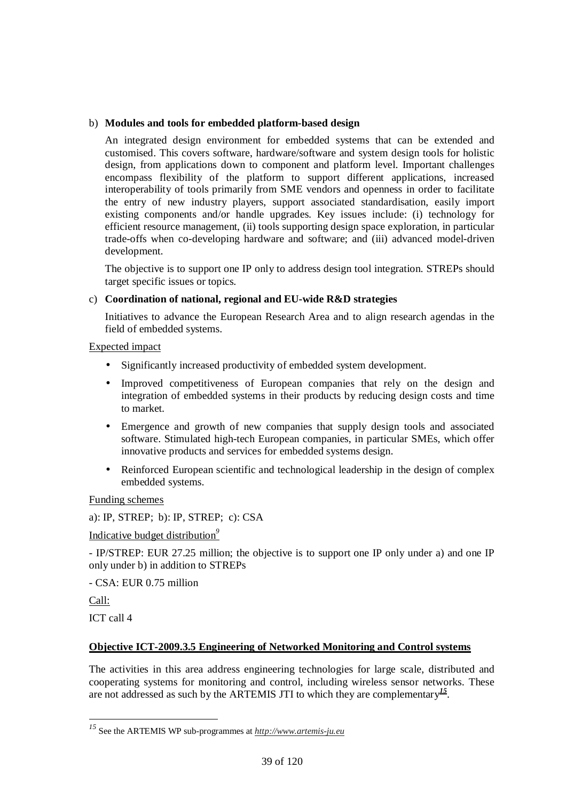## b) **Modules and tools for embedded platform-based design**

 An integrated design environment for embedded systems that can be extended and customised. This covers software, hardware/software and system design tools for holistic design, from applications down to component and platform level. Important challenges encompass flexibility of the platform to support different applications, increased interoperability of tools primarily from SME vendors and openness in order to facilitate the entry of new industry players, support associated standardisation, easily import existing components and/or handle upgrades. Key issues include: (i) technology for efficient resource management, (ii) tools supporting design space exploration, in particular trade-offs when co-developing hardware and software; and (iii) advanced model-driven development.

The objective is to support one IP only to address design tool integration. STREPs should target specific issues or topics.

## c) **Coordination of national, regional and EU-wide R&D strategies**

 Initiatives to advance the European Research Area and to align research agendas in the field of embedded systems.

Expected impact

- Significantly increased productivity of embedded system development.
- Improved competitiveness of European companies that rely on the design and integration of embedded systems in their products by reducing design costs and time to market.
- Emergence and growth of new companies that supply design tools and associated software. Stimulated high-tech European companies, in particular SMEs, which offer innovative products and services for embedded systems design.
- Reinforced European scientific and technological leadership in the design of complex embedded systems.

Funding schemes

a): IP, STREP; b): IP, STREP; c): CSA

Indicative budget distribution*<sup>9</sup>*

- IP/STREP: EUR 27.25 million; the objective is to support one IP only under a) and one IP only under b) in addition to STREPs

- CSA: EUR 0.75 million

Call:

 $\overline{a}$ 

ICT call 4

# **Objective ICT-2009.3.5 Engineering of Networked Monitoring and Control systems**

The activities in this area address engineering technologies for large scale, distributed and cooperating systems for monitoring and control, including wireless sensor networks. These are not addressed as such by the ARTEMIS JTI to which they are complementary*<sup>15</sup>* .

*<sup>15</sup>* See the ARTEMIS WP sub-programmes at *http://www.artemis-ju.eu*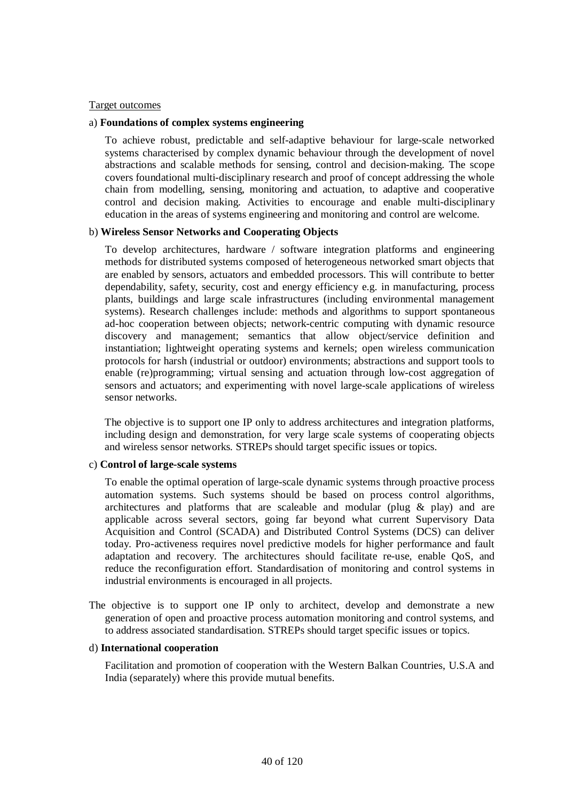#### Target outcomes

#### a) **Foundations of complex systems engineering**

To achieve robust, predictable and self-adaptive behaviour for large-scale networked systems characterised by complex dynamic behaviour through the development of novel abstractions and scalable methods for sensing, control and decision-making. The scope covers foundational multi-disciplinary research and proof of concept addressing the whole chain from modelling, sensing, monitoring and actuation, to adaptive and cooperative control and decision making. Activities to encourage and enable multi-disciplinary education in the areas of systems engineering and monitoring and control are welcome.

#### b) **Wireless Sensor Networks and Cooperating Objects**

 To develop architectures, hardware / software integration platforms and engineering methods for distributed systems composed of heterogeneous networked smart objects that are enabled by sensors, actuators and embedded processors. This will contribute to better dependability, safety, security, cost and energy efficiency e.g. in manufacturing, process plants, buildings and large scale infrastructures (including environmental management systems). Research challenges include: methods and algorithms to support spontaneous ad-hoc cooperation between objects; network-centric computing with dynamic resource discovery and management; semantics that allow object/service definition and instantiation; lightweight operating systems and kernels; open wireless communication protocols for harsh (industrial or outdoor) environments; abstractions and support tools to enable (re)programming; virtual sensing and actuation through low-cost aggregation of sensors and actuators; and experimenting with novel large-scale applications of wireless sensor networks.

The objective is to support one IP only to address architectures and integration platforms, including design and demonstration, for very large scale systems of cooperating objects and wireless sensor networks. STREPs should target specific issues or topics.

#### c) **Control of large-scale systems**

 To enable the optimal operation of large-scale dynamic systems through proactive process automation systems. Such systems should be based on process control algorithms, architectures and platforms that are scaleable and modular (plug  $\&$  play) and are applicable across several sectors, going far beyond what current Supervisory Data Acquisition and Control (SCADA) and Distributed Control Systems (DCS) can deliver today. Pro-activeness requires novel predictive models for higher performance and fault adaptation and recovery. The architectures should facilitate re-use, enable QoS, and reduce the reconfiguration effort. Standardisation of monitoring and control systems in industrial environments is encouraged in all projects.

The objective is to support one IP only to architect, develop and demonstrate a new generation of open and proactive process automation monitoring and control systems, and to address associated standardisation. STREPs should target specific issues or topics.

#### d) **International cooperation**

 Facilitation and promotion of cooperation with the Western Balkan Countries, U.S.A and India (separately) where this provide mutual benefits.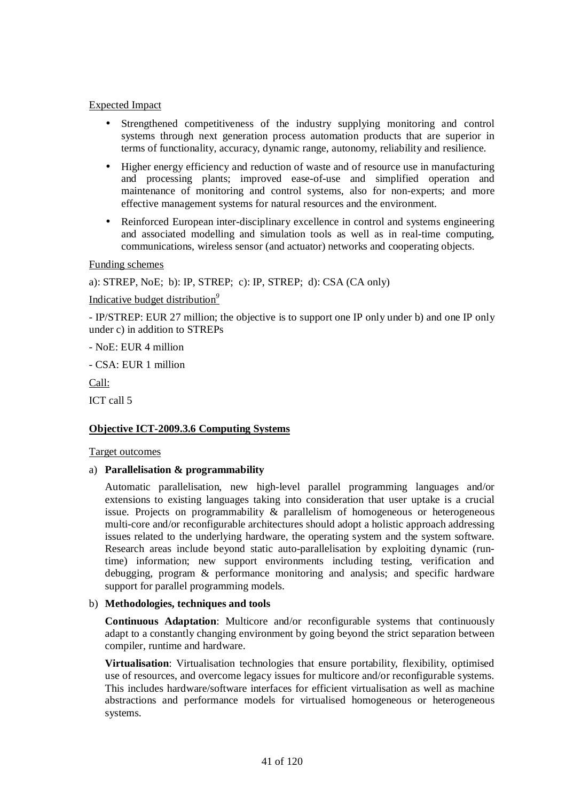## Expected Impact

- Strengthened competitiveness of the industry supplying monitoring and control systems through next generation process automation products that are superior in terms of functionality, accuracy, dynamic range, autonomy, reliability and resilience.
- Higher energy efficiency and reduction of waste and of resource use in manufacturing and processing plants; improved ease-of-use and simplified operation and maintenance of monitoring and control systems, also for non-experts; and more effective management systems for natural resources and the environment.
- Reinforced European inter-disciplinary excellence in control and systems engineering and associated modelling and simulation tools as well as in real-time computing, communications, wireless sensor (and actuator) networks and cooperating objects.

## Funding schemes

a): STREP, NoE; b): IP, STREP; c): IP, STREP; d): CSA (CA only)

#### Indicative budget distribution*<sup>9</sup>*

- IP/STREP: EUR 27 million; the objective is to support one IP only under b) and one IP only under c) in addition to STREPs

- NoE: EUR 4 million

- CSA: EUR 1 million

Call:

ICT call 5

# **Objective ICT-2009.3.6 Computing Systems**

#### Target outcomes

#### a) **Parallelisation & programmability**

 Automatic parallelisation, new high-level parallel programming languages and/or extensions to existing languages taking into consideration that user uptake is a crucial issue. Projects on programmability & parallelism of homogeneous or heterogeneous multi-core and/or reconfigurable architectures should adopt a holistic approach addressing issues related to the underlying hardware, the operating system and the system software. Research areas include beyond static auto-parallelisation by exploiting dynamic (runtime) information; new support environments including testing, verification and debugging, program & performance monitoring and analysis; and specific hardware support for parallel programming models.

#### b) **Methodologies, techniques and tools**

**Continuous Adaptation**: Multicore and/or reconfigurable systems that continuously adapt to a constantly changing environment by going beyond the strict separation between compiler, runtime and hardware.

**Virtualisation:** Virtualisation technologies that ensure portability, flexibility, optimised use of resources, and overcome legacy issues for multicore and/or reconfigurable systems. This includes hardware/software interfaces for efficient virtualisation as well as machine abstractions and performance models for virtualised homogeneous or heterogeneous systems.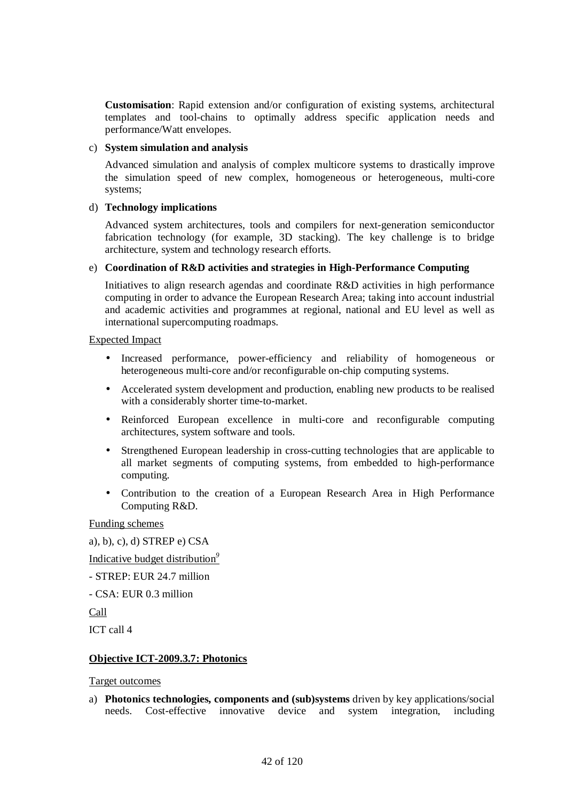**Customisation**: Rapid extension and/or configuration of existing systems, architectural templates and tool-chains to optimally address specific application needs and performance/Watt envelopes.

#### c) **System simulation and analysis**

 Advanced simulation and analysis of complex multicore systems to drastically improve the simulation speed of new complex, homogeneous or heterogeneous, multi-core systems;

## d) **Technology implications**

 Advanced system architectures, tools and compilers for next-generation semiconductor fabrication technology (for example, 3D stacking). The key challenge is to bridge architecture, system and technology research efforts.

## e) **Coordination of R&D activities and strategies in High-Performance Computing**

 Initiatives to align research agendas and coordinate R&D activities in high performance computing in order to advance the European Research Area; taking into account industrial and academic activities and programmes at regional, national and EU level as well as international supercomputing roadmaps.

#### Expected Impact

- Increased performance, power-efficiency and reliability of homogeneous or heterogeneous multi-core and/or reconfigurable on-chip computing systems.
- Accelerated system development and production, enabling new products to be realised with a considerably shorter time-to-market.
- Reinforced European excellence in multi-core and reconfigurable computing architectures, system software and tools.
- Strengthened European leadership in cross-cutting technologies that are applicable to all market segments of computing systems, from embedded to high-performance computing.
- Contribution to the creation of a European Research Area in High Performance Computing R&D.

# Funding schemes

```
a), b), c), d) STREP e) CSA
```
Indicative budget distribution*<sup>9</sup>*

- STREP: EUR 24.7 million
- CSA: EUR 0.3 million
- Call

ICT call 4

# **Objective ICT-2009.3.7: Photonics**

# Target outcomes

a) **Photonics technologies, components and (sub)systems** driven by key applications/social needs. Cost-effective innovative device and system integration, including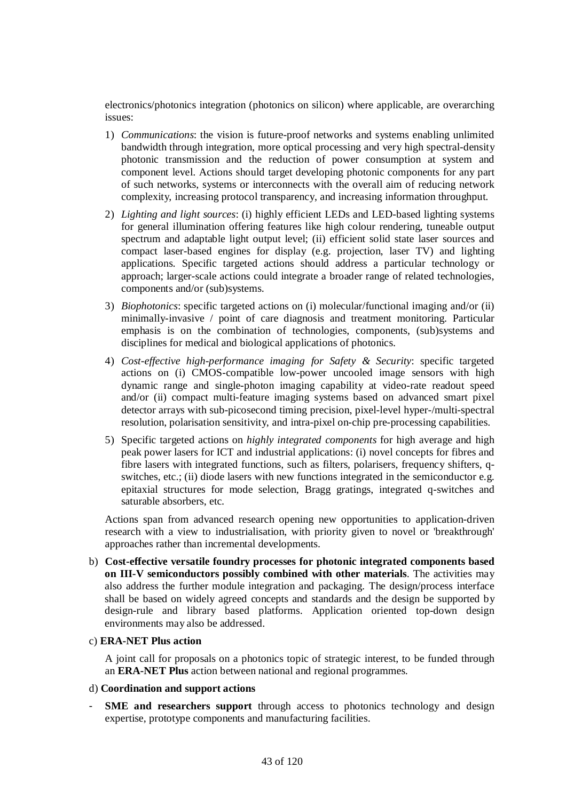electronics/photonics integration (photonics on silicon) where applicable, are overarching issues:

- 1) *Communications*: the vision is future-proof networks and systems enabling unlimited bandwidth through integration, more optical processing and very high spectral-density photonic transmission and the reduction of power consumption at system and component level. Actions should target developing photonic components for any part of such networks, systems or interconnects with the overall aim of reducing network complexity, increasing protocol transparency, and increasing information throughput.
- 2) *Lighting and light sources*: (i) highly efficient LEDs and LED-based lighting systems for general illumination offering features like high colour rendering, tuneable output spectrum and adaptable light output level; (ii) efficient solid state laser sources and compact laser-based engines for display (e.g. projection, laser TV) and lighting applications. Specific targeted actions should address a particular technology or approach; larger-scale actions could integrate a broader range of related technologies, components and/or (sub)systems.
- 3) *Biophotonics*: specific targeted actions on (i) molecular/functional imaging and/or (ii) minimally-invasive / point of care diagnosis and treatment monitoring. Particular emphasis is on the combination of technologies, components, (sub)systems and disciplines for medical and biological applications of photonics.
- 4) *Cost-effective high-performance imaging for Safety & Security*: specific targeted actions on (i) CMOS-compatible low-power uncooled image sensors with high dynamic range and single-photon imaging capability at video-rate readout speed and/or (ii) compact multi-feature imaging systems based on advanced smart pixel detector arrays with sub-picosecond timing precision, pixel-level hyper-/multi-spectral resolution, polarisation sensitivity, and intra-pixel on-chip pre-processing capabilities.
- 5) Specific targeted actions on *highly integrated components* for high average and high peak power lasers for ICT and industrial applications: (i) novel concepts for fibres and fibre lasers with integrated functions, such as filters, polarisers, frequency shifters, qswitches, etc.; (ii) diode lasers with new functions integrated in the semiconductor e.g. epitaxial structures for mode selection, Bragg gratings, integrated q-switches and saturable absorbers, etc.

Actions span from advanced research opening new opportunities to application-driven research with a view to industrialisation, with priority given to novel or 'breakthrough' approaches rather than incremental developments.

b) **Cost-effective versatile foundry processes for photonic integrated components based on III-V semiconductors possibly combined with other materials**. The activities may also address the further module integration and packaging. The design/process interface shall be based on widely agreed concepts and standards and the design be supported by design-rule and library based platforms. Application oriented top-down design environments may also be addressed.

#### c) **ERA-NET Plus action**

A joint call for proposals on a photonics topic of strategic interest, to be funded through an **ERA-NET Plus** action between national and regional programmes.

#### d) **Coordination and support actions**

**SME** and researchers support through access to photonics technology and design expertise, prototype components and manufacturing facilities.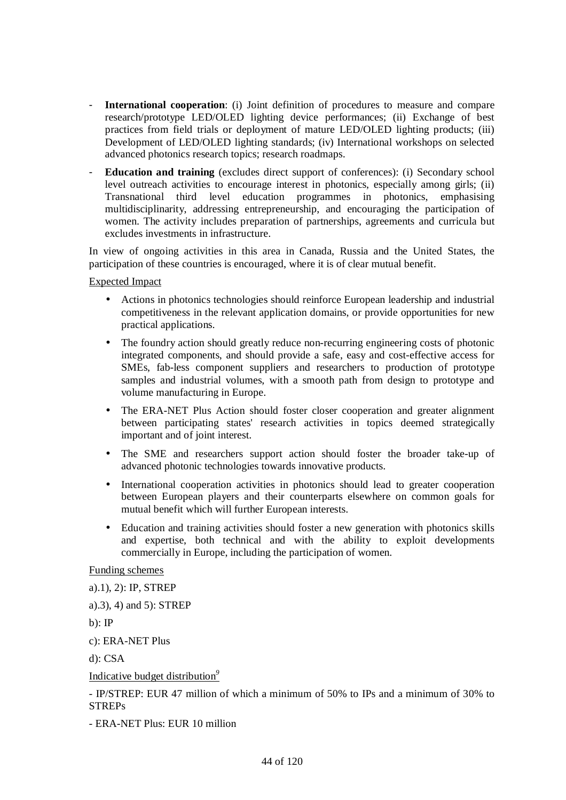- **International cooperation**: (i) Joint definition of procedures to measure and compare research/prototype LED/OLED lighting device performances; (ii) Exchange of best practices from field trials or deployment of mature LED/OLED lighting products; (iii) Development of LED/OLED lighting standards; (iv) International workshops on selected advanced photonics research topics; research roadmaps.
- **Education and training** (excludes direct support of conferences): (i) Secondary school level outreach activities to encourage interest in photonics, especially among girls; (ii) Transnational third level education programmes in photonics, emphasising multidisciplinarity, addressing entrepreneurship, and encouraging the participation of women. The activity includes preparation of partnerships, agreements and curricula but excludes investments in infrastructure.

In view of ongoing activities in this area in Canada, Russia and the United States, the participation of these countries is encouraged, where it is of clear mutual benefit.

Expected Impact

- Actions in photonics technologies should reinforce European leadership and industrial competitiveness in the relevant application domains, or provide opportunities for new practical applications.
- The foundry action should greatly reduce non-recurring engineering costs of photonic integrated components, and should provide a safe, easy and cost-effective access for SMEs, fab-less component suppliers and researchers to production of prototype samples and industrial volumes, with a smooth path from design to prototype and volume manufacturing in Europe.
- The ERA-NET Plus Action should foster closer cooperation and greater alignment between participating states' research activities in topics deemed strategically important and of joint interest.
- The SME and researchers support action should foster the broader take-up of advanced photonic technologies towards innovative products.
- International cooperation activities in photonics should lead to greater cooperation between European players and their counterparts elsewhere on common goals for mutual benefit which will further European interests.
- Education and training activities should foster a new generation with photonics skills and expertise, both technical and with the ability to exploit developments commercially in Europe, including the participation of women.

Funding schemes

a).1), 2): IP, STREP

a).3), 4) and 5): STREP

 $b)$ : IP

c): ERA-NET Plus

d): CSA

Indicative budget distribution*<sup>9</sup>*

- IP/STREP: EUR 47 million of which a minimum of 50% to IPs and a minimum of 30% to **STREPs** 

- ERA-NET Plus: EUR 10 million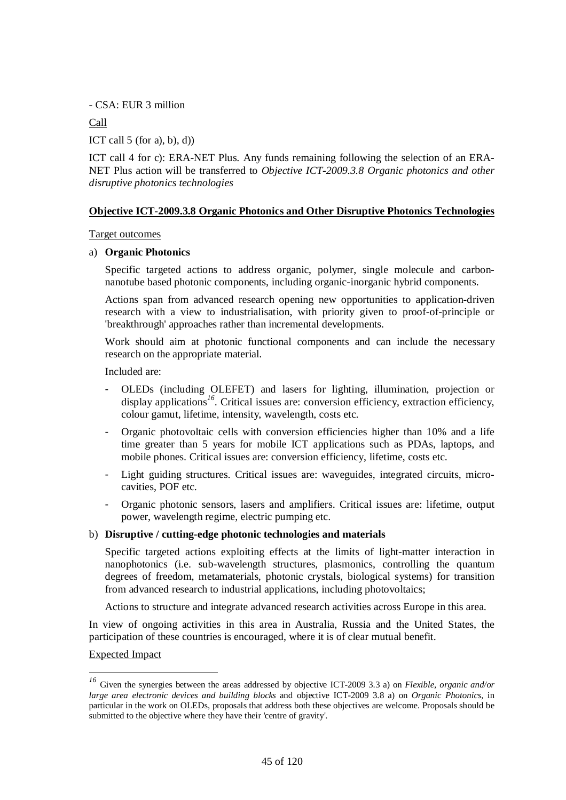- CSA: EUR 3 million

Call

ICT call  $5$  (for a), b), d))

ICT call 4 for c): ERA-NET Plus. Any funds remaining following the selection of an ERA-NET Plus action will be transferred to *Objective ICT-2009.3.8 Organic photonics and other disruptive photonics technologies*

## **Objective ICT-2009.3.8 Organic Photonics and Other Disruptive Photonics Technologies**

Target outcomes

#### a) **Organic Photonics**

Specific targeted actions to address organic, polymer, single molecule and carbonnanotube based photonic components, including organic-inorganic hybrid components.

Actions span from advanced research opening new opportunities to application-driven research with a view to industrialisation, with priority given to proof-of-principle or 'breakthrough' approaches rather than incremental developments.

Work should aim at photonic functional components and can include the necessary research on the appropriate material.

Included are:

- OLEDs (including OLEFET) and lasers for lighting, illumination, projection or display applications<sup>16</sup>. Critical issues are: conversion efficiency, extraction efficiency, colour gamut, lifetime, intensity, wavelength, costs etc.
- Organic photovoltaic cells with conversion efficiencies higher than 10% and a life time greater than 5 years for mobile ICT applications such as PDAs, laptops, and mobile phones. Critical issues are: conversion efficiency, lifetime, costs etc.
- Light guiding structures. Critical issues are: waveguides, integrated circuits, microcavities, POF etc.
- Organic photonic sensors, lasers and amplifiers. Critical issues are: lifetime, output power, wavelength regime, electric pumping etc.

#### b) **Disruptive / cutting-edge photonic technologies and materials**

Specific targeted actions exploiting effects at the limits of light-matter interaction in nanophotonics (i.e. sub-wavelength structures, plasmonics, controlling the quantum degrees of freedom, metamaterials, photonic crystals, biological systems) for transition from advanced research to industrial applications, including photovoltaics;

Actions to structure and integrate advanced research activities across Europe in this area.

In view of ongoing activities in this area in Australia, Russia and the United States, the participation of these countries is encouraged, where it is of clear mutual benefit.

#### Expected Impact

 $\overline{a}$ 

*<sup>16</sup>* Given the synergies between the areas addressed by objective ICT-2009 3.3 a) on *Flexible, organic and/or large area electronic devices and building blocks* and objective ICT-2009 3.8 a) on *Organic Photonics*, in particular in the work on OLEDs, proposals that address both these objectives are welcome. Proposals should be submitted to the objective where they have their 'centre of gravity'.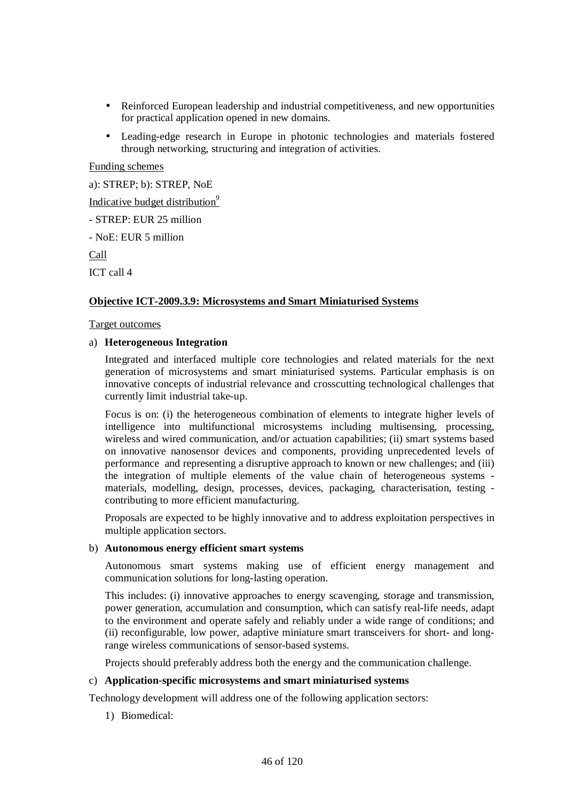- Reinforced European leadership and industrial competitiveness, and new opportunities for practical application opened in new domains.
- Leading-edge research in Europe in photonic technologies and materials fostered through networking, structuring and integration of activities.

Funding schemes

a): STREP; b): STREP, NoE Indicative budget distribution*<sup>9</sup>* - STREP: EUR 25 million - NoE: EUR 5 million Call ICT call 4

# **Objective ICT-2009.3.9: Microsystems and Smart Miniaturised Systems**

#### Target outcomes

#### a) **Heterogeneous Integration**

Integrated and interfaced multiple core technologies and related materials for the next generation of microsystems and smart miniaturised systems. Particular emphasis is on innovative concepts of industrial relevance and crosscutting technological challenges that currently limit industrial take-up.

Focus is on: (i) the heterogeneous combination of elements to integrate higher levels of intelligence into multifunctional microsystems including multisensing, processing, wireless and wired communication, and/or actuation capabilities; (ii) smart systems based on innovative nanosensor devices and components, providing unprecedented levels of performance and representing a disruptive approach to known or new challenges; and (iii) the integration of multiple elements of the value chain of heterogeneous systems materials, modelling, design, processes, devices, packaging, characterisation, testing contributing to more efficient manufacturing.

Proposals are expected to be highly innovative and to address exploitation perspectives in multiple application sectors.

#### b) **Autonomous energy efficient smart systems**

Autonomous smart systems making use of efficient energy management and communication solutions for long-lasting operation.

This includes: (i) innovative approaches to energy scavenging, storage and transmission, power generation, accumulation and consumption, which can satisfy real-life needs, adapt to the environment and operate safely and reliably under a wide range of conditions; and (ii) reconfigurable, low power, adaptive miniature smart transceivers for short- and longrange wireless communications of sensor-based systems.

Projects should preferably address both the energy and the communication challenge.

## c) **Application-specific microsystems and smart miniaturised systems**

Technology development will address one of the following application sectors:

1) Biomedical: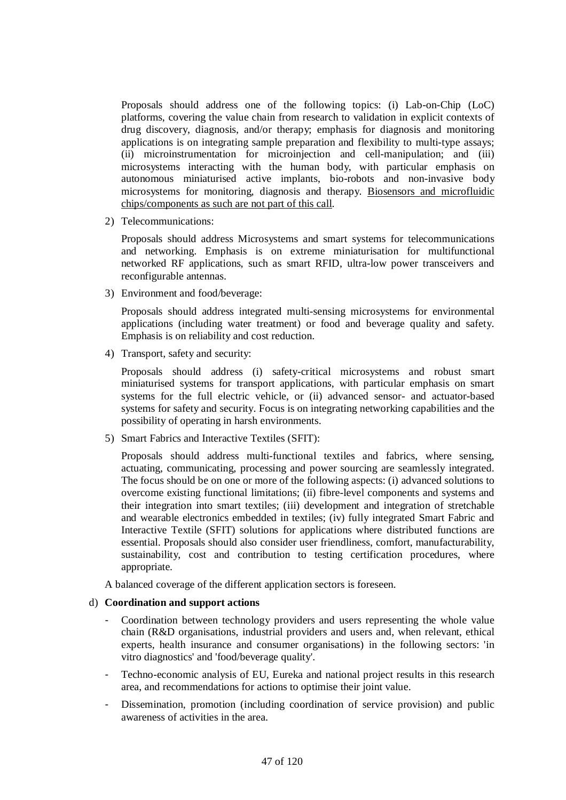Proposals should address one of the following topics: (i) Lab-on-Chip (LoC) platforms, covering the value chain from research to validation in explicit contexts of drug discovery, diagnosis, and/or therapy; emphasis for diagnosis and monitoring applications is on integrating sample preparation and flexibility to multi-type assays; (ii) microinstrumentation for microinjection and cell-manipulation; and (iii) microsystems interacting with the human body, with particular emphasis on autonomous miniaturised active implants, bio-robots and non-invasive body microsystems for monitoring, diagnosis and therapy. Biosensors and microfluidic chips/components as such are not part of this call.

2) Telecommunications:

Proposals should address Microsystems and smart systems for telecommunications and networking. Emphasis is on extreme miniaturisation for multifunctional networked RF applications, such as smart RFID, ultra-low power transceivers and reconfigurable antennas.

3) Environment and food/beverage:

Proposals should address integrated multi-sensing microsystems for environmental applications (including water treatment) or food and beverage quality and safety. Emphasis is on reliability and cost reduction.

4) Transport, safety and security:

Proposals should address (i) safety-critical microsystems and robust smart miniaturised systems for transport applications, with particular emphasis on smart systems for the full electric vehicle, or (ii) advanced sensor- and actuator-based systems for safety and security. Focus is on integrating networking capabilities and the possibility of operating in harsh environments.

5) Smart Fabrics and Interactive Textiles (SFIT):

Proposals should address multi-functional textiles and fabrics, where sensing, actuating, communicating, processing and power sourcing are seamlessly integrated. The focus should be on one or more of the following aspects: (i) advanced solutions to overcome existing functional limitations; (ii) fibre-level components and systems and their integration into smart textiles; (iii) development and integration of stretchable and wearable electronics embedded in textiles; (iv) fully integrated Smart Fabric and Interactive Textile (SFIT) solutions for applications where distributed functions are essential. Proposals should also consider user friendliness, comfort, manufacturability, sustainability, cost and contribution to testing certification procedures, where appropriate.

A balanced coverage of the different application sectors is foreseen.

# d) **Coordination and support actions**

- Coordination between technology providers and users representing the whole value chain (R&D organisations, industrial providers and users and, when relevant, ethical experts, health insurance and consumer organisations) in the following sectors: 'in vitro diagnostics' and 'food/beverage quality'.
- Techno-economic analysis of EU, Eureka and national project results in this research area, and recommendations for actions to optimise their joint value.
- Dissemination, promotion (including coordination of service provision) and public awareness of activities in the area.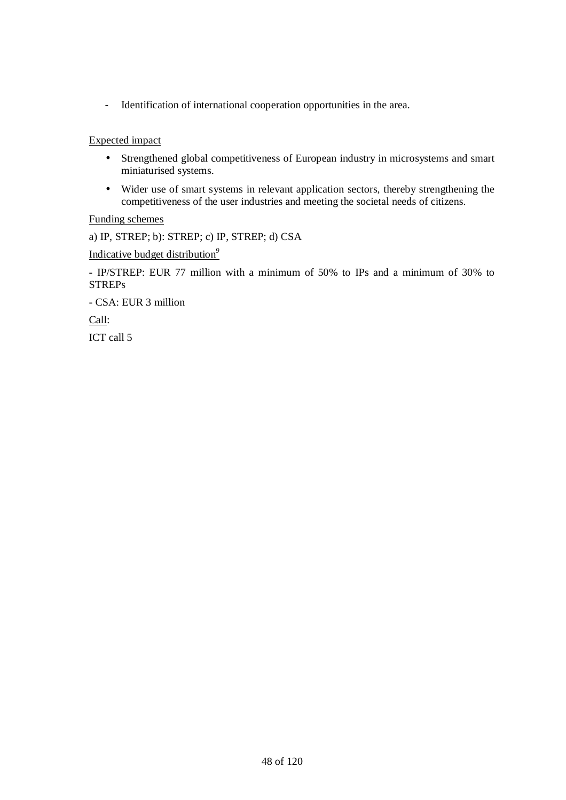- Identification of international cooperation opportunities in the area.

Expected impact

- Strengthened global competitiveness of European industry in microsystems and smart miniaturised systems.
- Wider use of smart systems in relevant application sectors, thereby strengthening the competitiveness of the user industries and meeting the societal needs of citizens.

Funding schemes

a) IP, STREP; b): STREP; c) IP, STREP; d) CSA

Indicative budget distribution*<sup>9</sup>*

- IP/STREP: EUR 77 million with a minimum of 50% to IPs and a minimum of 30% to **STREPs** 

- CSA: EUR 3 million

Call:

ICT call 5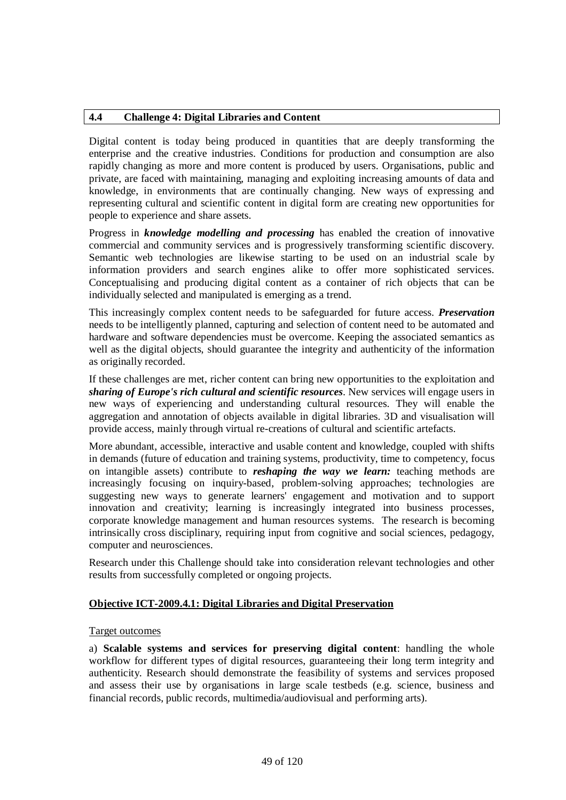## **4.4 Challenge 4: Digital Libraries and Content**

Digital content is today being produced in quantities that are deeply transforming the enterprise and the creative industries. Conditions for production and consumption are also rapidly changing as more and more content is produced by users. Organisations, public and private, are faced with maintaining, managing and exploiting increasing amounts of data and knowledge, in environments that are continually changing. New ways of expressing and representing cultural and scientific content in digital form are creating new opportunities for people to experience and share assets.

Progress in *knowledge modelling and processing* has enabled the creation of innovative commercial and community services and is progressively transforming scientific discovery. Semantic web technologies are likewise starting to be used on an industrial scale by information providers and search engines alike to offer more sophisticated services. Conceptualising and producing digital content as a container of rich objects that can be individually selected and manipulated is emerging as a trend.

This increasingly complex content needs to be safeguarded for future access. *Preservation* needs to be intelligently planned, capturing and selection of content need to be automated and hardware and software dependencies must be overcome. Keeping the associated semantics as well as the digital objects, should guarantee the integrity and authenticity of the information as originally recorded.

If these challenges are met, richer content can bring new opportunities to the exploitation and *sharing of Europe's rich cultural and scientific resources*. New services will engage users in new ways of experiencing and understanding cultural resources. They will enable the aggregation and annotation of objects available in digital libraries. 3D and visualisation will provide access, mainly through virtual re-creations of cultural and scientific artefacts.

More abundant, accessible, interactive and usable content and knowledge, coupled with shifts in demands (future of education and training systems, productivity, time to competency, focus on intangible assets) contribute to *reshaping the way we learn:* teaching methods are increasingly focusing on inquiry-based, problem-solving approaches; technologies are suggesting new ways to generate learners' engagement and motivation and to support innovation and creativity; learning is increasingly integrated into business processes, corporate knowledge management and human resources systems. The research is becoming intrinsically cross disciplinary, requiring input from cognitive and social sciences, pedagogy, computer and neurosciences.

Research under this Challenge should take into consideration relevant technologies and other results from successfully completed or ongoing projects.

# **Objective ICT-2009.4.1: Digital Libraries and Digital Preservation**

#### Target outcomes

a) **Scalable systems and services for preserving digital content**: handling the whole workflow for different types of digital resources, guaranteeing their long term integrity and authenticity. Research should demonstrate the feasibility of systems and services proposed and assess their use by organisations in large scale testbeds (e.g. science, business and financial records, public records, multimedia/audiovisual and performing arts).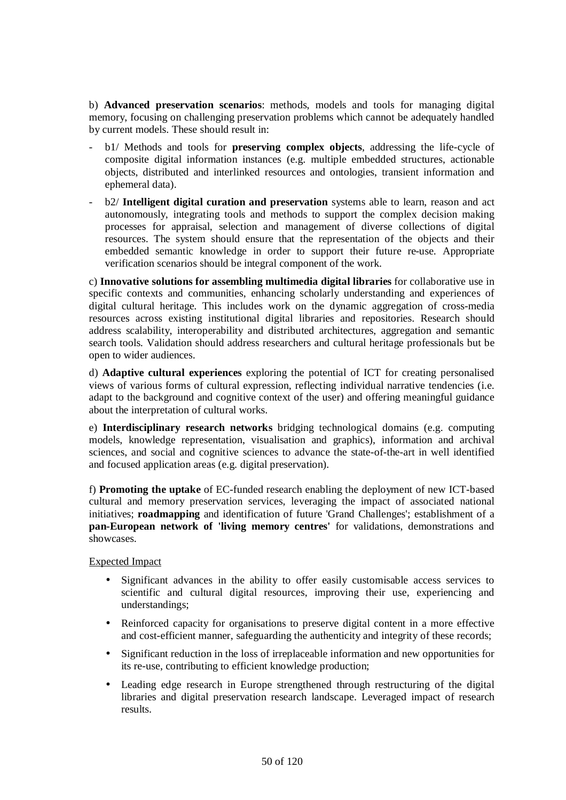b) **Advanced preservation scenarios**: methods, models and tools for managing digital memory, focusing on challenging preservation problems which cannot be adequately handled by current models. These should result in:

- b1/ Methods and tools for **preserving complex objects**, addressing the life-cycle of composite digital information instances (e.g. multiple embedded structures, actionable objects, distributed and interlinked resources and ontologies, transient information and ephemeral data).
- b2/ **Intelligent digital curation and preservation** systems able to learn, reason and act autonomously, integrating tools and methods to support the complex decision making processes for appraisal, selection and management of diverse collections of digital resources. The system should ensure that the representation of the objects and their embedded semantic knowledge in order to support their future re-use. Appropriate verification scenarios should be integral component of the work.

c) **Innovative solutions for assembling multimedia digital libraries** for collaborative use in specific contexts and communities, enhancing scholarly understanding and experiences of digital cultural heritage. This includes work on the dynamic aggregation of cross-media resources across existing institutional digital libraries and repositories. Research should address scalability, interoperability and distributed architectures, aggregation and semantic search tools. Validation should address researchers and cultural heritage professionals but be open to wider audiences.

d) **Adaptive cultural experiences** exploring the potential of ICT for creating personalised views of various forms of cultural expression, reflecting individual narrative tendencies (i.e. adapt to the background and cognitive context of the user) and offering meaningful guidance about the interpretation of cultural works.

e) **Interdisciplinary research networks** bridging technological domains (e.g. computing models, knowledge representation, visualisation and graphics), information and archival sciences, and social and cognitive sciences to advance the state-of-the-art in well identified and focused application areas (e.g. digital preservation).

f) **Promoting the uptake** of EC-funded research enabling the deployment of new ICT-based cultural and memory preservation services, leveraging the impact of associated national initiatives; **roadmapping** and identification of future 'Grand Challenges'; establishment of a **pan-European network of 'living memory centres'** for validations, demonstrations and showcases.

# Expected Impact

- Significant advances in the ability to offer easily customisable access services to scientific and cultural digital resources, improving their use, experiencing and understandings;
- Reinforced capacity for organisations to preserve digital content in a more effective and cost-efficient manner, safeguarding the authenticity and integrity of these records;
- Significant reduction in the loss of irreplaceable information and new opportunities for its re-use, contributing to efficient knowledge production;
- Leading edge research in Europe strengthened through restructuring of the digital libraries and digital preservation research landscape. Leveraged impact of research results.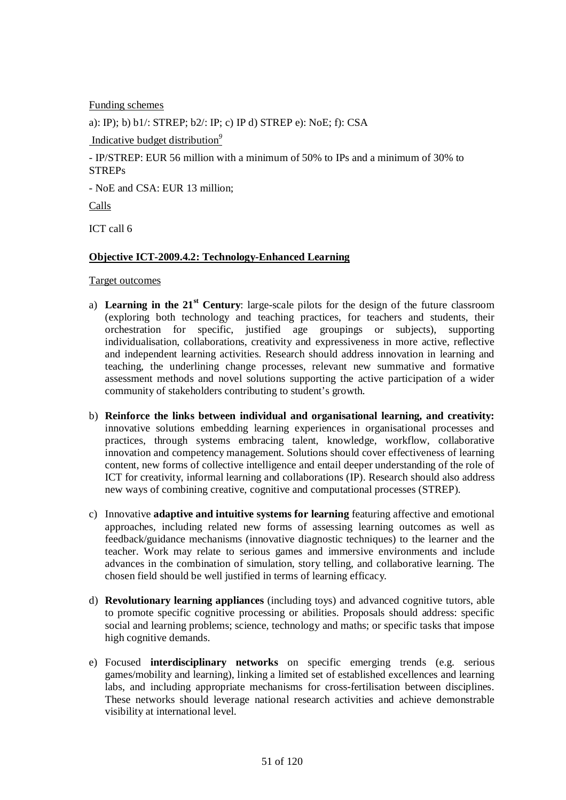Funding schemes

a): IP); b) b1/: STREP; b2/: IP; c) IP d) STREP e): NoE; f): CSA

Indicative budget distribution*<sup>9</sup>*

- IP/STREP: EUR 56 million with a minimum of 50% to IPs and a minimum of 30% to STREPs

- NoE and CSA: EUR 13 million;

Calls

ICT call 6

## **Objective ICT-2009.4.2: Technology-Enhanced Learning**

Target outcomes

- a) **Learning in the 21st Century**: large-scale pilots for the design of the future classroom (exploring both technology and teaching practices, for teachers and students, their orchestration for specific, justified age groupings or subjects), supporting individualisation, collaborations, creativity and expressiveness in more active, reflective and independent learning activities. Research should address innovation in learning and teaching, the underlining change processes, relevant new summative and formative assessment methods and novel solutions supporting the active participation of a wider community of stakeholders contributing to student's growth.
- b) **Reinforce the links between individual and organisational learning, and creativity:** innovative solutions embedding learning experiences in organisational processes and practices, through systems embracing talent, knowledge, workflow, collaborative innovation and competency management. Solutions should cover effectiveness of learning content, new forms of collective intelligence and entail deeper understanding of the role of ICT for creativity, informal learning and collaborations (IP). Research should also address new ways of combining creative, cognitive and computational processes (STREP).
- c) Innovative **adaptive and intuitive systems for learning** featuring affective and emotional approaches, including related new forms of assessing learning outcomes as well as feedback/guidance mechanisms (innovative diagnostic techniques) to the learner and the teacher. Work may relate to serious games and immersive environments and include advances in the combination of simulation, story telling, and collaborative learning. The chosen field should be well justified in terms of learning efficacy.
- d) **Revolutionary learning appliances** (including toys) and advanced cognitive tutors, able to promote specific cognitive processing or abilities. Proposals should address: specific social and learning problems; science, technology and maths; or specific tasks that impose high cognitive demands.
- e) Focused **interdisciplinary networks** on specific emerging trends (e.g. serious games/mobility and learning), linking a limited set of established excellences and learning labs, and including appropriate mechanisms for cross-fertilisation between disciplines. These networks should leverage national research activities and achieve demonstrable visibility at international level.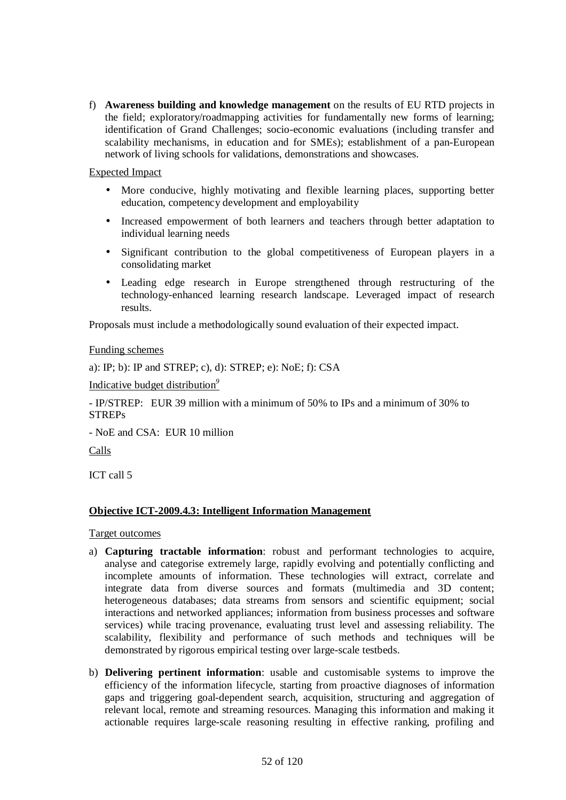f) **Awareness building and knowledge management** on the results of EU RTD projects in the field; exploratory/roadmapping activities for fundamentally new forms of learning; identification of Grand Challenges; socio-economic evaluations (including transfer and scalability mechanisms, in education and for SMEs); establishment of a pan-European network of living schools for validations, demonstrations and showcases.

## Expected Impact

- More conducive, highly motivating and flexible learning places, supporting better education, competency development and employability
- Increased empowerment of both learners and teachers through better adaptation to individual learning needs
- Significant contribution to the global competitiveness of European players in a consolidating market
- Leading edge research in Europe strengthened through restructuring of the technology-enhanced learning research landscape. Leveraged impact of research results.

Proposals must include a methodologically sound evaluation of their expected impact.

#### Funding schemes

a): IP; b): IP and STREP; c), d): STREP; e): NoE; f): CSA

Indicative budget distribution*<sup>9</sup>*

- IP/STREP: EUR 39 million with a minimum of 50% to IPs and a minimum of 30% to STREPs

- NoE and CSA: EUR 10 million

Calls

ICT call 5

# **Objective ICT-2009.4.3: Intelligent Information Management**

Target outcomes

- a) **Capturing tractable information**: robust and performant technologies to acquire, analyse and categorise extremely large, rapidly evolving and potentially conflicting and incomplete amounts of information. These technologies will extract, correlate and integrate data from diverse sources and formats (multimedia and 3D content; heterogeneous databases; data streams from sensors and scientific equipment; social interactions and networked appliances; information from business processes and software services) while tracing provenance, evaluating trust level and assessing reliability. The scalability, flexibility and performance of such methods and techniques will be demonstrated by rigorous empirical testing over large-scale testbeds.
- b) **Delivering pertinent information**: usable and customisable systems to improve the efficiency of the information lifecycle, starting from proactive diagnoses of information gaps and triggering goal-dependent search, acquisition, structuring and aggregation of relevant local, remote and streaming resources. Managing this information and making it actionable requires large-scale reasoning resulting in effective ranking, profiling and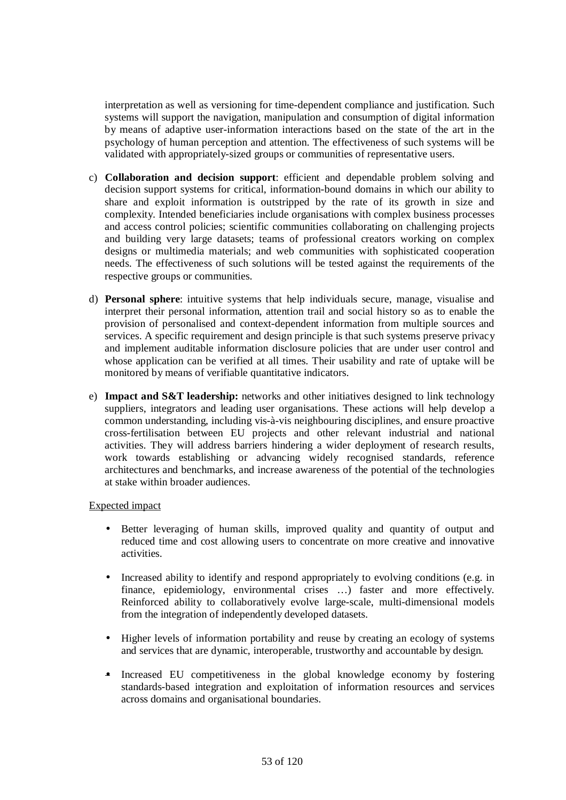interpretation as well as versioning for time-dependent compliance and justification. Such systems will support the navigation, manipulation and consumption of digital information by means of adaptive user-information interactions based on the state of the art in the psychology of human perception and attention. The effectiveness of such systems will be validated with appropriately-sized groups or communities of representative users.

- c) **Collaboration and decision support**: efficient and dependable problem solving and decision support systems for critical, information-bound domains in which our ability to share and exploit information is outstripped by the rate of its growth in size and complexity. Intended beneficiaries include organisations with complex business processes and access control policies; scientific communities collaborating on challenging projects and building very large datasets; teams of professional creators working on complex designs or multimedia materials; and web communities with sophisticated cooperation needs. The effectiveness of such solutions will be tested against the requirements of the respective groups or communities.
- d) **Personal sphere**: intuitive systems that help individuals secure, manage, visualise and interpret their personal information, attention trail and social history so as to enable the provision of personalised and context-dependent information from multiple sources and services. A specific requirement and design principle is that such systems preserve privacy and implement auditable information disclosure policies that are under user control and whose application can be verified at all times. Their usability and rate of uptake will be monitored by means of verifiable quantitative indicators.
- e) **Impact and S&T leadership:** networks and other initiatives designed to link technology suppliers, integrators and leading user organisations. These actions will help develop a common understanding, including vis-à-vis neighbouring disciplines, and ensure proactive cross-fertilisation between EU projects and other relevant industrial and national activities. They will address barriers hindering a wider deployment of research results, work towards establishing or advancing widely recognised standards, reference architectures and benchmarks, and increase awareness of the potential of the technologies at stake within broader audiences.

#### Expected impact

- Better leveraging of human skills, improved quality and quantity of output and reduced time and cost allowing users to concentrate on more creative and innovative activities.
- Increased ability to identify and respond appropriately to evolving conditions (e.g. in finance, epidemiology, environmental crises …) faster and more effectively. Reinforced ability to collaboratively evolve large-scale, multi-dimensional models from the integration of independently developed datasets.
- Higher levels of information portability and reuse by creating an ecology of systems and services that are dynamic, interoperable, trustworthy and accountable by design.
- Increased EU competitiveness in the global knowledge economy by fostering standards-based integration and exploitation of information resources and services across domains and organisational boundaries.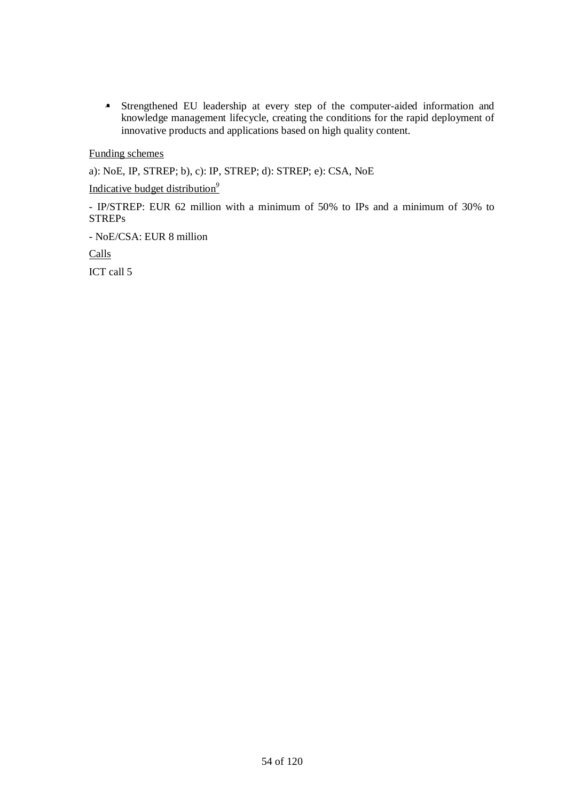• Strengthened EU leadership at every step of the computer-aided information and knowledge management lifecycle, creating the conditions for the rapid deployment of innovative products and applications based on high quality content.

Funding schemes

a): NoE, IP, STREP; b), c): IP, STREP; d): STREP; e): CSA, NoE

Indicative budget distribution*<sup>9</sup>*

- IP/STREP: EUR 62 million with a minimum of 50% to IPs and a minimum of 30% to STREPs

- NoE/CSA: EUR 8 million

Calls

ICT call 5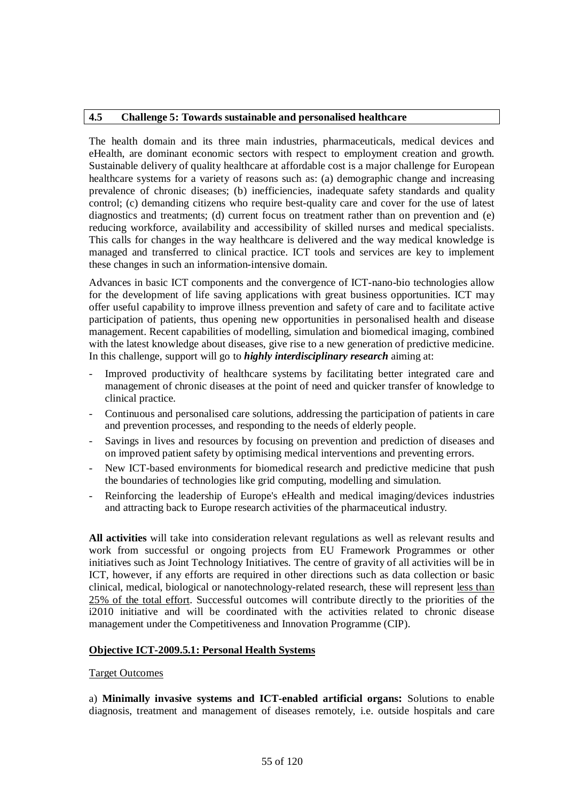## **4.5 Challenge 5: Towards sustainable and personalised healthcare**

The health domain and its three main industries, pharmaceuticals, medical devices and eHealth, are dominant economic sectors with respect to employment creation and growth. Sustainable delivery of quality healthcare at affordable cost is a major challenge for European healthcare systems for a variety of reasons such as: (a) demographic change and increasing prevalence of chronic diseases; (b) inefficiencies, inadequate safety standards and quality control; (c) demanding citizens who require best-quality care and cover for the use of latest diagnostics and treatments; (d) current focus on treatment rather than on prevention and (e) reducing workforce, availability and accessibility of skilled nurses and medical specialists. This calls for changes in the way healthcare is delivered and the way medical knowledge is managed and transferred to clinical practice. ICT tools and services are key to implement these changes in such an information-intensive domain.

Advances in basic ICT components and the convergence of ICT-nano-bio technologies allow for the development of life saving applications with great business opportunities. ICT may offer useful capability to improve illness prevention and safety of care and to facilitate active participation of patients, thus opening new opportunities in personalised health and disease management. Recent capabilities of modelling, simulation and biomedical imaging, combined with the latest knowledge about diseases, give rise to a new generation of predictive medicine. In this challenge, support will go to *highly interdisciplinary research* aiming at:

- Improved productivity of healthcare systems by facilitating better integrated care and management of chronic diseases at the point of need and quicker transfer of knowledge to clinical practice.
- Continuous and personalised care solutions, addressing the participation of patients in care and prevention processes, and responding to the needs of elderly people.
- Savings in lives and resources by focusing on prevention and prediction of diseases and on improved patient safety by optimising medical interventions and preventing errors.
- New ICT-based environments for biomedical research and predictive medicine that push the boundaries of technologies like grid computing, modelling and simulation.
- Reinforcing the leadership of Europe's eHealth and medical imaging/devices industries and attracting back to Europe research activities of the pharmaceutical industry.

**All activities** will take into consideration relevant regulations as well as relevant results and work from successful or ongoing projects from EU Framework Programmes or other initiatives such as Joint Technology Initiatives. The centre of gravity of all activities will be in ICT, however, if any efforts are required in other directions such as data collection or basic clinical, medical, biological or nanotechnology-related research, these will represent less than 25% of the total effort. Successful outcomes will contribute directly to the priorities of the i2010 initiative and will be coordinated with the activities related to chronic disease management under the Competitiveness and Innovation Programme (CIP).

#### **Objective ICT-2009.5.1: Personal Health Systems**

#### Target Outcomes

a) **Minimally invasive systems and ICT-enabled artificial organs:** Solutions to enable diagnosis, treatment and management of diseases remotely, i.e. outside hospitals and care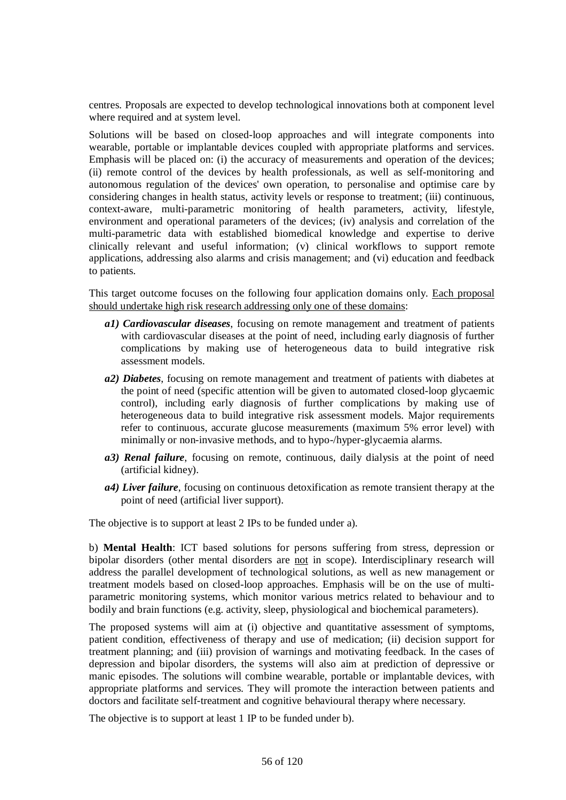centres. Proposals are expected to develop technological innovations both at component level where required and at system level.

Solutions will be based on closed-loop approaches and will integrate components into wearable, portable or implantable devices coupled with appropriate platforms and services. Emphasis will be placed on: (i) the accuracy of measurements and operation of the devices; (ii) remote control of the devices by health professionals, as well as self-monitoring and autonomous regulation of the devices' own operation, to personalise and optimise care by considering changes in health status, activity levels or response to treatment; (iii) continuous, context-aware, multi-parametric monitoring of health parameters, activity, lifestyle, environment and operational parameters of the devices; (iv) analysis and correlation of the multi-parametric data with established biomedical knowledge and expertise to derive clinically relevant and useful information; (v) clinical workflows to support remote applications, addressing also alarms and crisis management; and (vi) education and feedback to patients.

This target outcome focuses on the following four application domains only. Each proposal should undertake high risk research addressing only one of these domains:

- *a1) Cardiovascular diseases*, focusing on remote management and treatment of patients with cardiovascular diseases at the point of need, including early diagnosis of further complications by making use of heterogeneous data to build integrative risk assessment models.
- *a2) Diabetes*, focusing on remote management and treatment of patients with diabetes at the point of need (specific attention will be given to automated closed-loop glycaemic control), including early diagnosis of further complications by making use of heterogeneous data to build integrative risk assessment models. Major requirements refer to continuous, accurate glucose measurements (maximum 5% error level) with minimally or non-invasive methods, and to hypo-/hyper-glycaemia alarms.
- *a3) Renal failure*, focusing on remote, continuous, daily dialysis at the point of need (artificial kidney).
- *a4) Liver failure*, focusing on continuous detoxification as remote transient therapy at the point of need (artificial liver support).

The objective is to support at least 2 IPs to be funded under a).

b) **Mental Health**: ICT based solutions for persons suffering from stress, depression or bipolar disorders (other mental disorders are not in scope). Interdisciplinary research will address the parallel development of technological solutions, as well as new management or treatment models based on closed-loop approaches. Emphasis will be on the use of multiparametric monitoring systems, which monitor various metrics related to behaviour and to bodily and brain functions (e.g. activity, sleep, physiological and biochemical parameters).

The proposed systems will aim at (i) objective and quantitative assessment of symptoms, patient condition, effectiveness of therapy and use of medication; (ii) decision support for treatment planning; and (iii) provision of warnings and motivating feedback. In the cases of depression and bipolar disorders, the systems will also aim at prediction of depressive or manic episodes. The solutions will combine wearable, portable or implantable devices, with appropriate platforms and services. They will promote the interaction between patients and doctors and facilitate self-treatment and cognitive behavioural therapy where necessary.

The objective is to support at least 1 IP to be funded under b).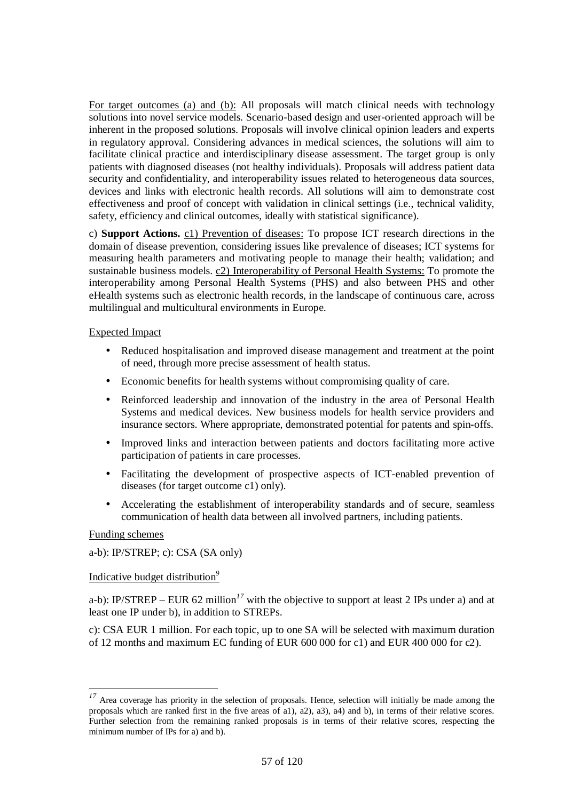For target outcomes (a) and (b): All proposals will match clinical needs with technology solutions into novel service models. Scenario-based design and user-oriented approach will be inherent in the proposed solutions. Proposals will involve clinical opinion leaders and experts in regulatory approval. Considering advances in medical sciences, the solutions will aim to facilitate clinical practice and interdisciplinary disease assessment. The target group is only patients with diagnosed diseases (not healthy individuals). Proposals will address patient data security and confidentiality, and interoperability issues related to heterogeneous data sources, devices and links with electronic health records. All solutions will aim to demonstrate cost effectiveness and proof of concept with validation in clinical settings (i.e., technical validity, safety, efficiency and clinical outcomes, ideally with statistical significance).

c) **Support Actions.** c1) Prevention of diseases: To propose ICT research directions in the domain of disease prevention, considering issues like prevalence of diseases; ICT systems for measuring health parameters and motivating people to manage their health; validation; and sustainable business models. c2) Interoperability of Personal Health Systems: To promote the interoperability among Personal Health Systems (PHS) and also between PHS and other eHealth systems such as electronic health records, in the landscape of continuous care, across multilingual and multicultural environments in Europe.

## Expected Impact

- Reduced hospitalisation and improved disease management and treatment at the point of need, through more precise assessment of health status.
- Economic benefits for health systems without compromising quality of care.
- Reinforced leadership and innovation of the industry in the area of Personal Health Systems and medical devices. New business models for health service providers and insurance sectors. Where appropriate, demonstrated potential for patents and spin-offs.
- Improved links and interaction between patients and doctors facilitating more active participation of patients in care processes.
- Facilitating the development of prospective aspects of ICT-enabled prevention of diseases (for target outcome c1) only).
- Accelerating the establishment of interoperability standards and of secure, seamless communication of health data between all involved partners, including patients.

#### Funding schemes

 $\overline{a}$ 

a-b): IP/STREP; c): CSA (SA only)

#### Indicative budget distribution*<sup>9</sup>*

a-b): IP/STREP – EUR 62 million<sup>17</sup> with the objective to support at least 2 IPs under a) and at least one IP under b), in addition to STREPs.

c): CSA EUR 1 million. For each topic, up to one SA will be selected with maximum duration of 12 months and maximum EC funding of EUR 600 000 for c1) and EUR 400 000 for c2).

<sup>&</sup>lt;sup>17</sup> Area coverage has priority in the selection of proposals. Hence, selection will initially be made among the proposals which are ranked first in the five areas of a1), a2), a3), a4) and b), in terms of their relative scores. Further selection from the remaining ranked proposals is in terms of their relative scores, respecting the minimum number of IPs for a) and b).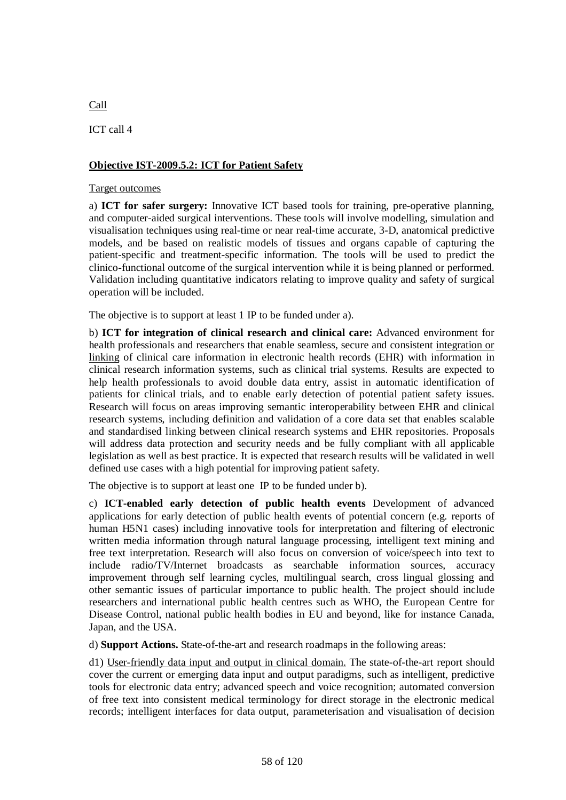# **Objective IST-2009.5.2: ICT for Patient Safety**

## Target outcomes

a) **ICT for safer surgery:** Innovative ICT based tools for training, pre-operative planning, and computer-aided surgical interventions. These tools will involve modelling, simulation and visualisation techniques using real-time or near real-time accurate, 3-D, anatomical predictive models, and be based on realistic models of tissues and organs capable of capturing the patient-specific and treatment-specific information. The tools will be used to predict the clinico-functional outcome of the surgical intervention while it is being planned or performed. Validation including quantitative indicators relating to improve quality and safety of surgical operation will be included.

The objective is to support at least 1 IP to be funded under a).

b) **ICT for integration of clinical research and clinical care:** Advanced environment for health professionals and researchers that enable seamless, secure and consistent integration or linking of clinical care information in electronic health records (EHR) with information in clinical research information systems, such as clinical trial systems. Results are expected to help health professionals to avoid double data entry, assist in automatic identification of patients for clinical trials, and to enable early detection of potential patient safety issues. Research will focus on areas improving semantic interoperability between EHR and clinical research systems, including definition and validation of a core data set that enables scalable and standardised linking between clinical research systems and EHR repositories. Proposals will address data protection and security needs and be fully compliant with all applicable legislation as well as best practice. It is expected that research results will be validated in well defined use cases with a high potential for improving patient safety.

The objective is to support at least one IP to be funded under b).

c) **ICT-enabled early detection of public health events** Development of advanced applications for early detection of public health events of potential concern (e.g. reports of human H5N1 cases) including innovative tools for interpretation and filtering of electronic written media information through natural language processing, intelligent text mining and free text interpretation. Research will also focus on conversion of voice/speech into text to include radio/TV/Internet broadcasts as searchable information sources, accuracy improvement through self learning cycles, multilingual search, cross lingual glossing and other semantic issues of particular importance to public health. The project should include researchers and international public health centres such as WHO, the European Centre for Disease Control, national public health bodies in EU and beyond, like for instance Canada, Japan, and the USA.

d) **Support Actions.** State-of-the-art and research roadmaps in the following areas:

d1) User-friendly data input and output in clinical domain. The state-of-the-art report should cover the current or emerging data input and output paradigms, such as intelligent, predictive tools for electronic data entry; advanced speech and voice recognition; automated conversion of free text into consistent medical terminology for direct storage in the electronic medical records; intelligent interfaces for data output, parameterisation and visualisation of decision

Call

ICT call 4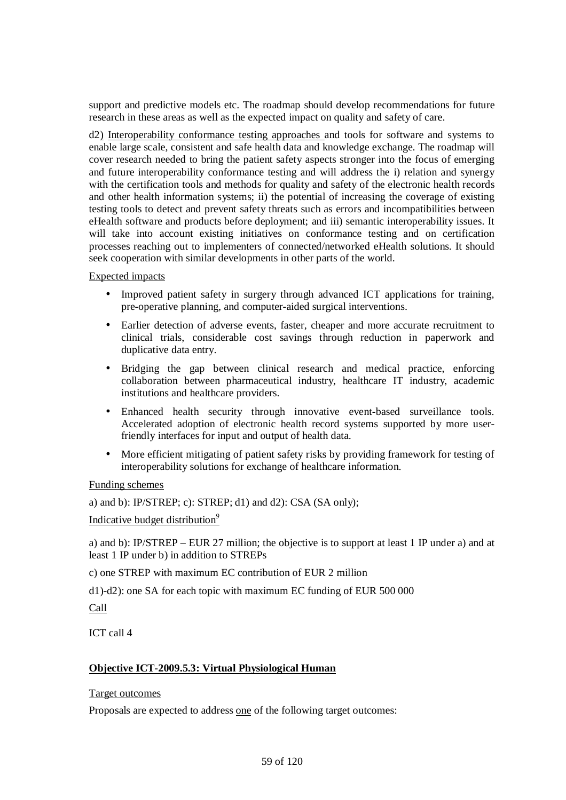support and predictive models etc. The roadmap should develop recommendations for future research in these areas as well as the expected impact on quality and safety of care.

d2) Interoperability conformance testing approaches and tools for software and systems to enable large scale, consistent and safe health data and knowledge exchange. The roadmap will cover research needed to bring the patient safety aspects stronger into the focus of emerging and future interoperability conformance testing and will address the i) relation and synergy with the certification tools and methods for quality and safety of the electronic health records and other health information systems; ii) the potential of increasing the coverage of existing testing tools to detect and prevent safety threats such as errors and incompatibilities between eHealth software and products before deployment; and iii) semantic interoperability issues. It will take into account existing initiatives on conformance testing and on certification processes reaching out to implementers of connected/networked eHealth solutions. It should seek cooperation with similar developments in other parts of the world.

Expected impacts

- Improved patient safety in surgery through advanced ICT applications for training, pre-operative planning, and computer-aided surgical interventions.
- Earlier detection of adverse events, faster, cheaper and more accurate recruitment to clinical trials, considerable cost savings through reduction in paperwork and duplicative data entry.
- Bridging the gap between clinical research and medical practice, enforcing collaboration between pharmaceutical industry, healthcare IT industry, academic institutions and healthcare providers.
- Enhanced health security through innovative event-based surveillance tools. Accelerated adoption of electronic health record systems supported by more userfriendly interfaces for input and output of health data.
- More efficient mitigating of patient safety risks by providing framework for testing of interoperability solutions for exchange of healthcare information.

Funding schemes

a) and b): IP/STREP; c): STREP; d1) and d2): CSA (SA only);

Indicative budget distribution*<sup>9</sup>*

a) and b): IP/STREP – EUR 27 million; the objective is to support at least 1 IP under a) and at least 1 IP under b) in addition to STREPs

c) one STREP with maximum EC contribution of EUR 2 million

d1)-d2): one SA for each topic with maximum EC funding of EUR 500 000

Call

ICT call 4

# **Objective ICT-2009.5.3: Virtual Physiological Human**

Target outcomes

Proposals are expected to address one of the following target outcomes: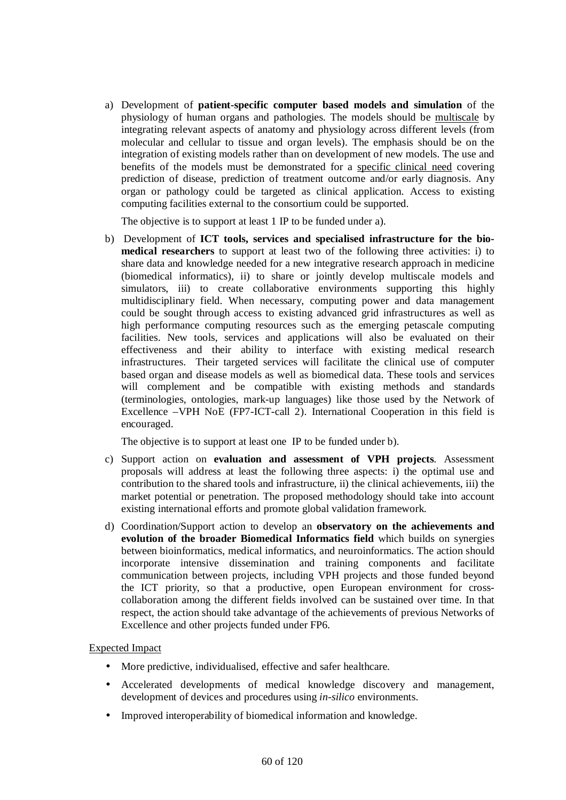a) Development of **patient-specific computer based models and simulation** of the physiology of human organs and pathologies. The models should be multiscale by integrating relevant aspects of anatomy and physiology across different levels (from molecular and cellular to tissue and organ levels). The emphasis should be on the integration of existing models rather than on development of new models. The use and benefits of the models must be demonstrated for a specific clinical need covering prediction of disease, prediction of treatment outcome and/or early diagnosis. Any organ or pathology could be targeted as clinical application. Access to existing computing facilities external to the consortium could be supported.

The objective is to support at least 1 IP to be funded under a).

b) Development of **ICT tools, services and specialised infrastructure for the biomedical researchers** to support at least two of the following three activities: i) to share data and knowledge needed for a new integrative research approach in medicine (biomedical informatics), ii) to share or jointly develop multiscale models and simulators, iii) to create collaborative environments supporting this highly multidisciplinary field. When necessary, computing power and data management could be sought through access to existing advanced grid infrastructures as well as high performance computing resources such as the emerging petascale computing facilities. New tools, services and applications will also be evaluated on their effectiveness and their ability to interface with existing medical research infrastructures. Their targeted services will facilitate the clinical use of computer based organ and disease models as well as biomedical data. These tools and services will complement and be compatible with existing methods and standards (terminologies, ontologies, mark-up languages) like those used by the Network of Excellence –VPH NoE (FP7-ICT-call 2). International Cooperation in this field is encouraged.

The objective is to support at least one IP to be funded under b).

- c) Support action on **evaluation and assessment of VPH projects**. Assessment proposals will address at least the following three aspects: i) the optimal use and contribution to the shared tools and infrastructure, ii) the clinical achievements, iii) the market potential or penetration. The proposed methodology should take into account existing international efforts and promote global validation framework.
- d) Coordination/Support action to develop an **observatory on the achievements and evolution of the broader Biomedical Informatics field** which builds on synergies between bioinformatics, medical informatics, and neuroinformatics. The action should incorporate intensive dissemination and training components and facilitate communication between projects, including VPH projects and those funded beyond the ICT priority, so that a productive, open European environment for crosscollaboration among the different fields involved can be sustained over time. In that respect, the action should take advantage of the achievements of previous Networks of Excellence and other projects funded under FP6.

# Expected Impact

- More predictive, individualised, effective and safer healthcare.
- Accelerated developments of medical knowledge discovery and management, development of devices and procedures using *in-silico* environments.
- Improved interoperability of biomedical information and knowledge.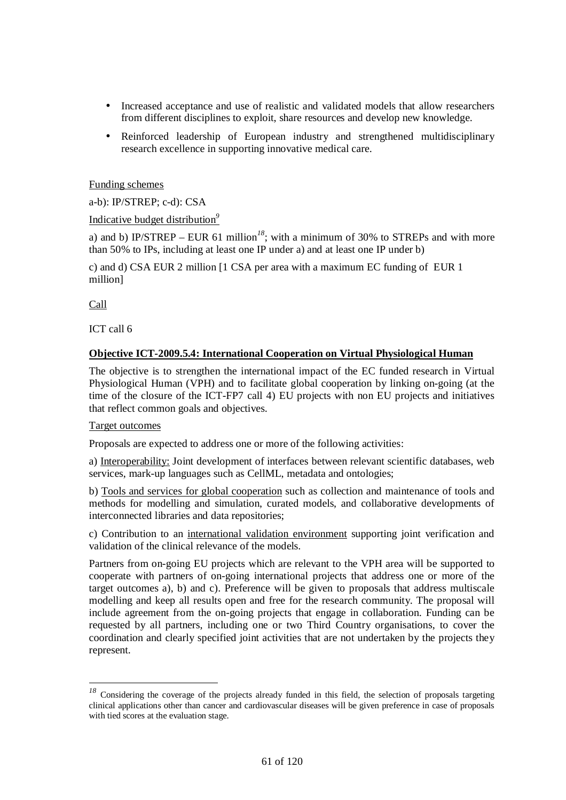- Increased acceptance and use of realistic and validated models that allow researchers from different disciplines to exploit, share resources and develop new knowledge.
- Reinforced leadership of European industry and strengthened multidisciplinary research excellence in supporting innovative medical care.

## Funding schemes

a-b): IP/STREP; c-d): CSA

Indicative budget distribution*<sup>9</sup>*

a) and b) IP/STREP – EUR 61 million<sup>18</sup>; with a minimum of 30% to STREPs and with more than 50% to IPs, including at least one IP under a) and at least one IP under b)

c) and d) CSA EUR 2 million [1 CSA per area with a maximum EC funding of EUR 1 million]

Call

 $\overline{\phantom{a}}$ 

ICT call 6

## **Objective ICT-2009.5.4: International Cooperation on Virtual Physiological Human**

The objective is to strengthen the international impact of the EC funded research in Virtual Physiological Human (VPH) and to facilitate global cooperation by linking on-going (at the time of the closure of the ICT-FP7 call 4) EU projects with non EU projects and initiatives that reflect common goals and objectives.

#### Target outcomes

Proposals are expected to address one or more of the following activities:

a) Interoperability: Joint development of interfaces between relevant scientific databases, web services, mark-up languages such as CellML, metadata and ontologies;

b) Tools and services for global cooperation such as collection and maintenance of tools and methods for modelling and simulation, curated models, and collaborative developments of interconnected libraries and data repositories;

c) Contribution to an international validation environment supporting joint verification and validation of the clinical relevance of the models.

Partners from on-going EU projects which are relevant to the VPH area will be supported to cooperate with partners of on-going international projects that address one or more of the target outcomes a), b) and c). Preference will be given to proposals that address multiscale modelling and keep all results open and free for the research community. The proposal will include agreement from the on-going projects that engage in collaboration. Funding can be requested by all partners, including one or two Third Country organisations, to cover the coordination and clearly specified joint activities that are not undertaken by the projects they represent.

<sup>&</sup>lt;sup>18</sup> Considering the coverage of the projects already funded in this field, the selection of proposals targeting clinical applications other than cancer and cardiovascular diseases will be given preference in case of proposals with tied scores at the evaluation stage.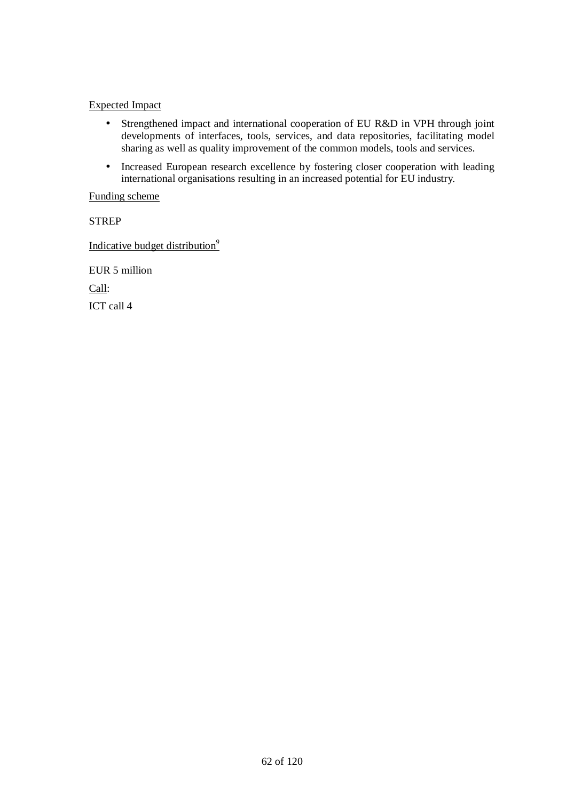## Expected Impact

- Strengthened impact and international cooperation of EU R&D in VPH through joint developments of interfaces, tools, services, and data repositories, facilitating model sharing as well as quality improvement of the common models, tools and services.
- Increased European research excellence by fostering closer cooperation with leading international organisations resulting in an increased potential for EU industry.

#### Funding scheme

**STREP** 

Indicative budget distribution*<sup>9</sup>*

EUR 5 million Call: ICT call 4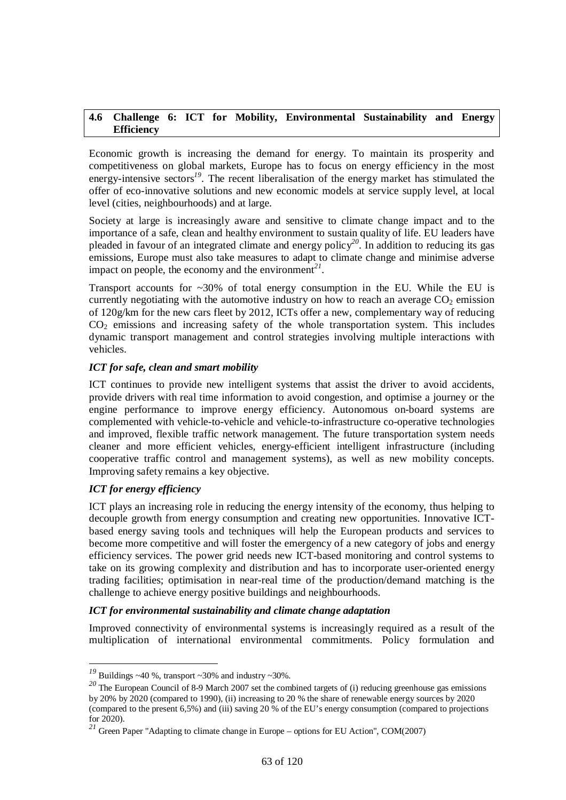## **4.6 Challenge 6: ICT for Mobility, Environmental Sustainability and Energy Efficiency**

Economic growth is increasing the demand for energy. To maintain its prosperity and competitiveness on global markets, Europe has to focus on energy efficiency in the most energy-intensive sectors<sup>19</sup>. The recent liberalisation of the energy market has stimulated the offer of eco-innovative solutions and new economic models at service supply level, at local level (cities, neighbourhoods) and at large.

Society at large is increasingly aware and sensitive to climate change impact and to the importance of a safe, clean and healthy environment to sustain quality of life. EU leaders have pleaded in favour of an integrated climate and energy policy*<sup>20</sup>*. In addition to reducing its gas emissions, Europe must also take measures to adapt to climate change and minimise adverse impact on people, the economy and the environment<sup>21</sup>.

Transport accounts for  $\sim 30\%$  of total energy consumption in the EU. While the EU is currently negotiating with the automotive industry on how to reach an average  $CO<sub>2</sub>$  emission of 120g/km for the new cars fleet by 2012, ICTs offer a new, complementary way of reducing  $CO<sub>2</sub>$  emissions and increasing safety of the whole transportation system. This includes dynamic transport management and control strategies involving multiple interactions with vehicles.

# *ICT for safe, clean and smart mobility*

ICT continues to provide new intelligent systems that assist the driver to avoid accidents, provide drivers with real time information to avoid congestion, and optimise a journey or the engine performance to improve energy efficiency. Autonomous on-board systems are complemented with vehicle-to-vehicle and vehicle-to-infrastructure co-operative technologies and improved, flexible traffic network management. The future transportation system needs cleaner and more efficient vehicles, energy-efficient intelligent infrastructure (including cooperative traffic control and management systems), as well as new mobility concepts. Improving safety remains a key objective.

# *ICT for energy efficiency*

 $\overline{a}$ 

ICT plays an increasing role in reducing the energy intensity of the economy, thus helping to decouple growth from energy consumption and creating new opportunities. Innovative ICTbased energy saving tools and techniques will help the European products and services to become more competitive and will foster the emergency of a new category of jobs and energy efficiency services. The power grid needs new ICT-based monitoring and control systems to take on its growing complexity and distribution and has to incorporate user-oriented energy trading facilities; optimisation in near-real time of the production/demand matching is the challenge to achieve energy positive buildings and neighbourhoods.

# *ICT for environmental sustainability and climate change adaptation*

Improved connectivity of environmental systems is increasingly required as a result of the multiplication of international environmental commitments. Policy formulation and

<sup>&</sup>lt;sup>19</sup> Buildings ~40 %, transport ~30% and industry ~30%.

<sup>&</sup>lt;sup>20</sup> The European Council of 8-9 March 2007 set the combined targets of (i) reducing greenhouse gas emissions by 20% by 2020 (compared to 1990), (ii) increasing to 20 % the share of renewable energy sources by 2020 (compared to the present 6,5%) and (iii) saving 20 % of the EU's energy consumption (compared to projections for 2020).

*<sup>21</sup>* Green Paper "Adapting to climate change in Europe – options for EU Action", COM(2007)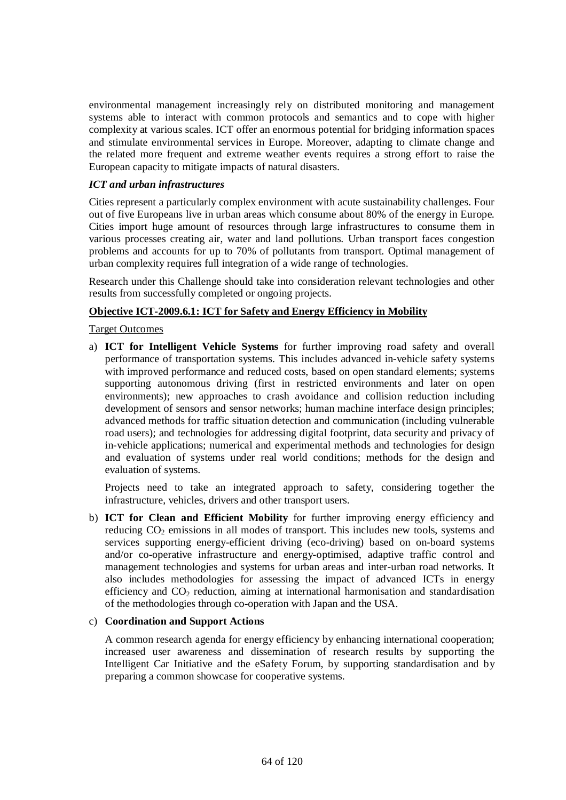environmental management increasingly rely on distributed monitoring and management systems able to interact with common protocols and semantics and to cope with higher complexity at various scales. ICT offer an enormous potential for bridging information spaces and stimulate environmental services in Europe. Moreover, adapting to climate change and the related more frequent and extreme weather events requires a strong effort to raise the European capacity to mitigate impacts of natural disasters.

# *ICT and urban infrastructures*

Cities represent a particularly complex environment with acute sustainability challenges. Four out of five Europeans live in urban areas which consume about 80% of the energy in Europe. Cities import huge amount of resources through large infrastructures to consume them in various processes creating air, water and land pollutions. Urban transport faces congestion problems and accounts for up to 70% of pollutants from transport. Optimal management of urban complexity requires full integration of a wide range of technologies.

Research under this Challenge should take into consideration relevant technologies and other results from successfully completed or ongoing projects.

# **Objective ICT-2009.6.1: ICT for Safety and Energy Efficiency in Mobility**

Target Outcomes

a) **ICT for Intelligent Vehicle Systems** for further improving road safety and overall performance of transportation systems. This includes advanced in-vehicle safety systems with improved performance and reduced costs, based on open standard elements; systems supporting autonomous driving (first in restricted environments and later on open environments); new approaches to crash avoidance and collision reduction including development of sensors and sensor networks; human machine interface design principles; advanced methods for traffic situation detection and communication (including vulnerable road users); and technologies for addressing digital footprint, data security and privacy of in-vehicle applications; numerical and experimental methods and technologies for design and evaluation of systems under real world conditions; methods for the design and evaluation of systems.

Projects need to take an integrated approach to safety, considering together the infrastructure, vehicles, drivers and other transport users.

b) **ICT for Clean and Efficient Mobility** for further improving energy efficiency and reducing  $CO<sub>2</sub>$  emissions in all modes of transport. This includes new tools, systems and services supporting energy-efficient driving (eco-driving) based on on-board systems and/or co-operative infrastructure and energy-optimised, adaptive traffic control and management technologies and systems for urban areas and inter-urban road networks. It also includes methodologies for assessing the impact of advanced ICTs in energy efficiency and  $CO<sub>2</sub>$  reduction, aiming at international harmonisation and standardisation of the methodologies through co-operation with Japan and the USA.

# c) **Coordination and Support Actions**

A common research agenda for energy efficiency by enhancing international cooperation; increased user awareness and dissemination of research results by supporting the Intelligent Car Initiative and the eSafety Forum, by supporting standardisation and by preparing a common showcase for cooperative systems.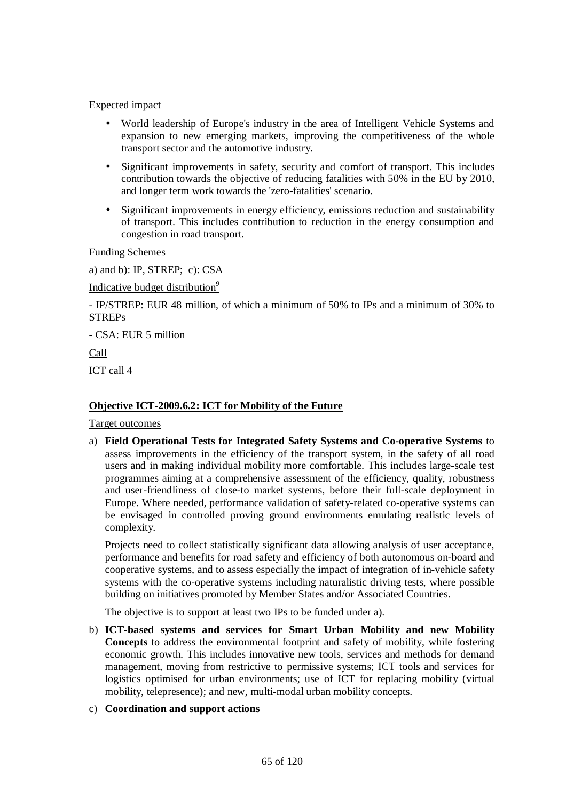## Expected impact

- World leadership of Europe's industry in the area of Intelligent Vehicle Systems and expansion to new emerging markets, improving the competitiveness of the whole transport sector and the automotive industry.
- Significant improvements in safety, security and comfort of transport. This includes contribution towards the objective of reducing fatalities with 50% in the EU by 2010, and longer term work towards the 'zero-fatalities' scenario.
- Significant improvements in energy efficiency, emissions reduction and sustainability of transport. This includes contribution to reduction in the energy consumption and congestion in road transport.

Funding Schemes

a) and b): IP, STREP; c): CSA

Indicative budget distribution*<sup>9</sup>*

- IP/STREP: EUR 48 million, of which a minimum of 50% to IPs and a minimum of 30% to STREPs

- CSA: EUR 5 million

Call

ICT call 4

## **Objective ICT-2009.6.2: ICT for Mobility of the Future**

Target outcomes

a) **Field Operational Tests for Integrated Safety Systems and Co-operative Systems** to assess improvements in the efficiency of the transport system, in the safety of all road users and in making individual mobility more comfortable. This includes large-scale test programmes aiming at a comprehensive assessment of the efficiency, quality, robustness and user-friendliness of close-to market systems, before their full-scale deployment in Europe. Where needed, performance validation of safety-related co-operative systems can be envisaged in controlled proving ground environments emulating realistic levels of complexity.

Projects need to collect statistically significant data allowing analysis of user acceptance, performance and benefits for road safety and efficiency of both autonomous on-board and cooperative systems, and to assess especially the impact of integration of in-vehicle safety systems with the co-operative systems including naturalistic driving tests, where possible building on initiatives promoted by Member States and/or Associated Countries.

The objective is to support at least two IPs to be funded under a).

b) **ICT-based systems and services for Smart Urban Mobility and new Mobility Concepts** to address the environmental footprint and safety of mobility, while fostering economic growth. This includes innovative new tools, services and methods for demand management, moving from restrictive to permissive systems; ICT tools and services for logistics optimised for urban environments; use of ICT for replacing mobility (virtual mobility, telepresence); and new, multi-modal urban mobility concepts.

# c) **Coordination and support actions**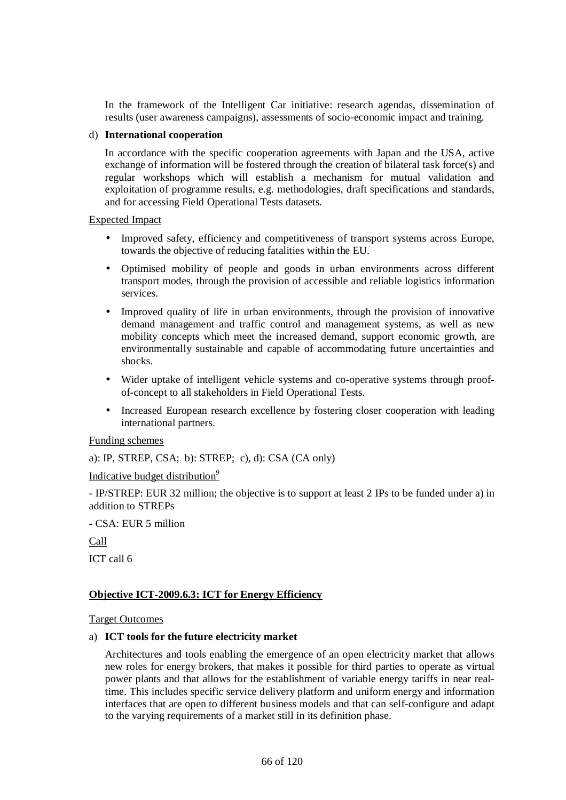In the framework of the Intelligent Car initiative: research agendas, dissemination of results (user awareness campaigns), assessments of socio-economic impact and training.

#### d) **International cooperation**

In accordance with the specific cooperation agreements with Japan and the USA, active exchange of information will be fostered through the creation of bilateral task force(s) and regular workshops which will establish a mechanism for mutual validation and exploitation of programme results, e.g. methodologies, draft specifications and standards, and for accessing Field Operational Tests datasets.

#### Expected Impact

- Improved safety, efficiency and competitiveness of transport systems across Europe, towards the objective of reducing fatalities within the EU.
- Optimised mobility of people and goods in urban environments across different transport modes, through the provision of accessible and reliable logistics information services.
- Improved quality of life in urban environments, through the provision of innovative demand management and traffic control and management systems, as well as new mobility concepts which meet the increased demand, support economic growth, are environmentally sustainable and capable of accommodating future uncertainties and shocks.
- Wider uptake of intelligent vehicle systems and co-operative systems through proofof-concept to all stakeholders in Field Operational Tests.
- Increased European research excellence by fostering closer cooperation with leading international partners.

#### Funding schemes

a): IP, STREP, CSA; b): STREP; c), d): CSA (CA only)

Indicative budget distribution*<sup>9</sup>*

- IP/STREP: EUR 32 million; the objective is to support at least 2 IPs to be funded under a) in addition to STREPs

- CSA: EUR 5 million

Call

ICT call 6

#### **Objective ICT-2009.6.3: ICT for Energy Efficiency**

#### Target Outcomes

#### a) **ICT tools for the future electricity market**

Architectures and tools enabling the emergence of an open electricity market that allows new roles for energy brokers, that makes it possible for third parties to operate as virtual power plants and that allows for the establishment of variable energy tariffs in near realtime. This includes specific service delivery platform and uniform energy and information interfaces that are open to different business models and that can self-configure and adapt to the varying requirements of a market still in its definition phase.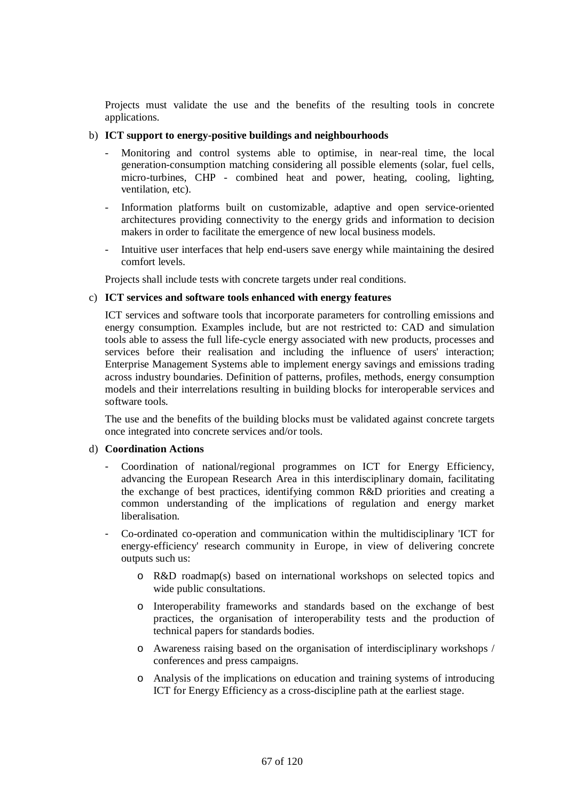Projects must validate the use and the benefits of the resulting tools in concrete applications.

#### b) **ICT support to energy-positive buildings and neighbourhoods**

- Monitoring and control systems able to optimise, in near-real time, the local generation-consumption matching considering all possible elements (solar, fuel cells, micro-turbines, CHP - combined heat and power, heating, cooling, lighting, ventilation, etc).
- Information platforms built on customizable, adaptive and open service-oriented architectures providing connectivity to the energy grids and information to decision makers in order to facilitate the emergence of new local business models.
- Intuitive user interfaces that help end-users save energy while maintaining the desired comfort levels.

Projects shall include tests with concrete targets under real conditions.

## c) **ICT services and software tools enhanced with energy features**

ICT services and software tools that incorporate parameters for controlling emissions and energy consumption. Examples include, but are not restricted to: CAD and simulation tools able to assess the full life-cycle energy associated with new products, processes and services before their realisation and including the influence of users' interaction; Enterprise Management Systems able to implement energy savings and emissions trading across industry boundaries. Definition of patterns, profiles, methods, energy consumption models and their interrelations resulting in building blocks for interoperable services and software tools.

The use and the benefits of the building blocks must be validated against concrete targets once integrated into concrete services and/or tools.

#### d) **Coordination Actions**

- Coordination of national/regional programmes on ICT for Energy Efficiency, advancing the European Research Area in this interdisciplinary domain, facilitating the exchange of best practices, identifying common R&D priorities and creating a common understanding of the implications of regulation and energy market liberalisation.
- Co-ordinated co-operation and communication within the multidisciplinary 'ICT for energy-efficiency' research community in Europe, in view of delivering concrete outputs such us:
	- o R&D roadmap(s) based on international workshops on selected topics and wide public consultations.
	- o Interoperability frameworks and standards based on the exchange of best practices, the organisation of interoperability tests and the production of technical papers for standards bodies.
	- o Awareness raising based on the organisation of interdisciplinary workshops / conferences and press campaigns.
	- o Analysis of the implications on education and training systems of introducing ICT for Energy Efficiency as a cross-discipline path at the earliest stage.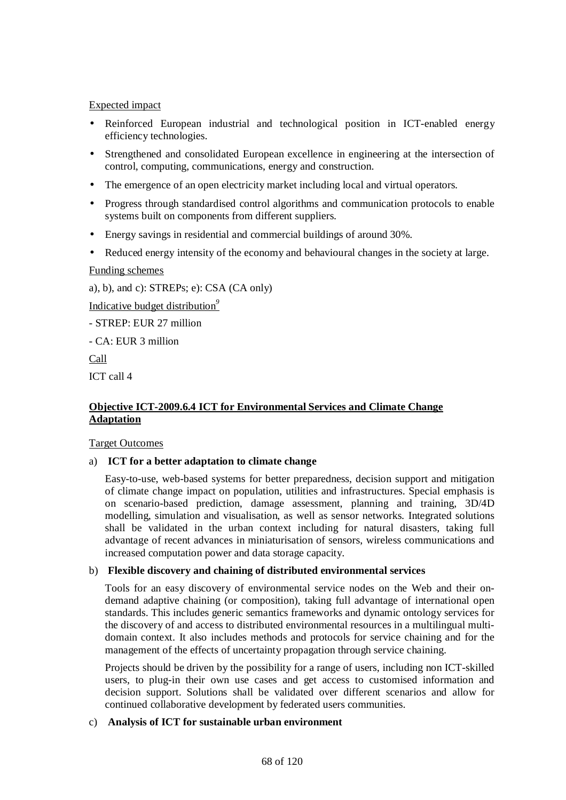## Expected impact

- Reinforced European industrial and technological position in ICT-enabled energy efficiency technologies.
- Strengthened and consolidated European excellence in engineering at the intersection of control, computing, communications, energy and construction.
- The emergence of an open electricity market including local and virtual operators.
- Progress through standardised control algorithms and communication protocols to enable systems built on components from different suppliers.
- Energy savings in residential and commercial buildings of around 30%.
- Reduced energy intensity of the economy and behavioural changes in the society at large.

Funding schemes

a), b), and c): STREPs; e): CSA (CA only)

Indicative budget distribution*<sup>9</sup>*

- STREP: EUR 27 million

- CA: EUR 3 million

Call

ICT call 4

## **Objective ICT-2009.6.4 ICT for Environmental Services and Climate Change Adaptation**

#### Target Outcomes

# a) **ICT for a better adaptation to climate change**

Easy-to-use, web-based systems for better preparedness, decision support and mitigation of climate change impact on population, utilities and infrastructures. Special emphasis is on scenario-based prediction, damage assessment, planning and training, 3D/4D modelling, simulation and visualisation, as well as sensor networks. Integrated solutions shall be validated in the urban context including for natural disasters, taking full advantage of recent advances in miniaturisation of sensors, wireless communications and increased computation power and data storage capacity.

#### b) **Flexible discovery and chaining of distributed environmental services**

Tools for an easy discovery of environmental service nodes on the Web and their ondemand adaptive chaining (or composition), taking full advantage of international open standards. This includes generic semantics frameworks and dynamic ontology services for the discovery of and access to distributed environmental resources in a multilingual multidomain context. It also includes methods and protocols for service chaining and for the management of the effects of uncertainty propagation through service chaining.

Projects should be driven by the possibility for a range of users, including non ICT-skilled users, to plug-in their own use cases and get access to customised information and decision support. Solutions shall be validated over different scenarios and allow for continued collaborative development by federated users communities.

#### c) **Analysis of ICT for sustainable urban environment**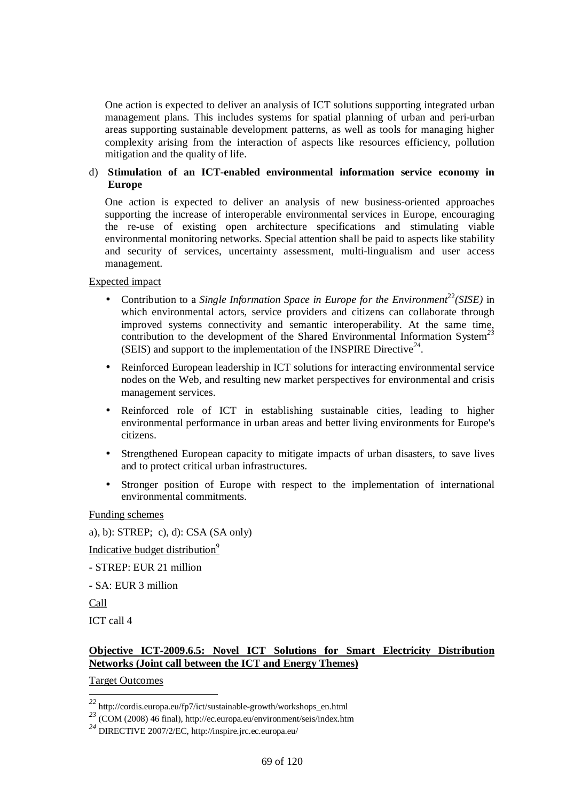One action is expected to deliver an analysis of ICT solutions supporting integrated urban management plans. This includes systems for spatial planning of urban and peri-urban areas supporting sustainable development patterns, as well as tools for managing higher complexity arising from the interaction of aspects like resources efficiency, pollution mitigation and the quality of life.

# d) **Stimulation of an ICT-enabled environmental information service economy in Europe**

One action is expected to deliver an analysis of new business-oriented approaches supporting the increase of interoperable environmental services in Europe, encouraging the re-use of existing open architecture specifications and stimulating viable environmental monitoring networks. Special attention shall be paid to aspects like stability and security of services, uncertainty assessment, multi-lingualism and user access management.

#### Expected impact

- Contribution to a *Single Information Space in Europe for the Environment*<sup>22</sup>*(SISE)* in which environmental actors, service providers and citizens can collaborate through improved systems connectivity and semantic interoperability. At the same time, contribution to the development of the Shared Environmental Information System<sup>23</sup> (SEIS) and support to the implementation of the INSPIRE Directive*<sup>24</sup>* .
- Reinforced European leadership in ICT solutions for interacting environmental service nodes on the Web, and resulting new market perspectives for environmental and crisis management services.
- Reinforced role of ICT in establishing sustainable cities, leading to higher environmental performance in urban areas and better living environments for Europe's citizens.
- Strengthened European capacity to mitigate impacts of urban disasters, to save lives and to protect critical urban infrastructures.
- Stronger position of Europe with respect to the implementation of international environmental commitments.

Funding schemes

a), b): STREP; c), d): CSA (SA only)

Indicative budget distribution*<sup>9</sup>*

- STREP: EUR 21 million

- SA: EUR 3 million

Call

 $\overline{a}$ 

ICT call 4

# **Objective ICT-2009.6.5: Novel ICT Solutions for Smart Electricity Distribution Networks (Joint call between the ICT and Energy Themes)**

Target Outcomes

*<sup>22</sup>* http://cordis.europa.eu/fp7/ict/sustainable-growth/workshops\_en.html

*<sup>23</sup>* (COM (2008) 46 final), http://ec.europa.eu/environment/seis/index.htm

*<sup>24</sup>* DIRECTIVE 2007/2/EC, http://inspire.jrc.ec.europa.eu/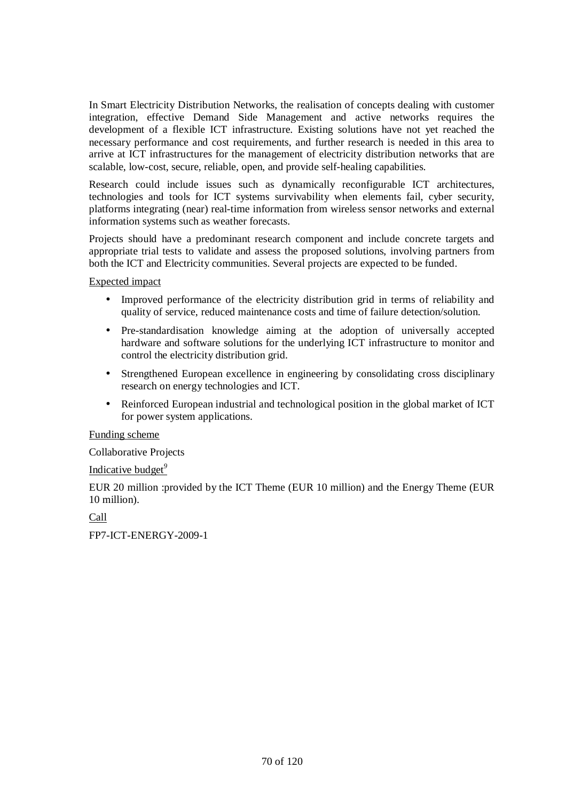In Smart Electricity Distribution Networks, the realisation of concepts dealing with customer integration, effective Demand Side Management and active networks requires the development of a flexible ICT infrastructure. Existing solutions have not yet reached the necessary performance and cost requirements, and further research is needed in this area to arrive at ICT infrastructures for the management of electricity distribution networks that are scalable, low-cost, secure, reliable, open, and provide self-healing capabilities.

Research could include issues such as dynamically reconfigurable ICT architectures, technologies and tools for ICT systems survivability when elements fail, cyber security, platforms integrating (near) real-time information from wireless sensor networks and external information systems such as weather forecasts.

Projects should have a predominant research component and include concrete targets and appropriate trial tests to validate and assess the proposed solutions, involving partners from both the ICT and Electricity communities. Several projects are expected to be funded.

Expected impact

- Improved performance of the electricity distribution grid in terms of reliability and quality of service, reduced maintenance costs and time of failure detection/solution.
- Pre-standardisation knowledge aiming at the adoption of universally accepted hardware and software solutions for the underlying ICT infrastructure to monitor and control the electricity distribution grid.
- Strengthened European excellence in engineering by consolidating cross disciplinary research on energy technologies and ICT.
- Reinforced European industrial and technological position in the global market of ICT for power system applications.

Funding scheme

Collaborative Projects

Indicative budget*<sup>9</sup>*

EUR 20 million :provided by the ICT Theme (EUR 10 million) and the Energy Theme (EUR 10 million).

Call

FP7-ICT-ENERGY-2009-1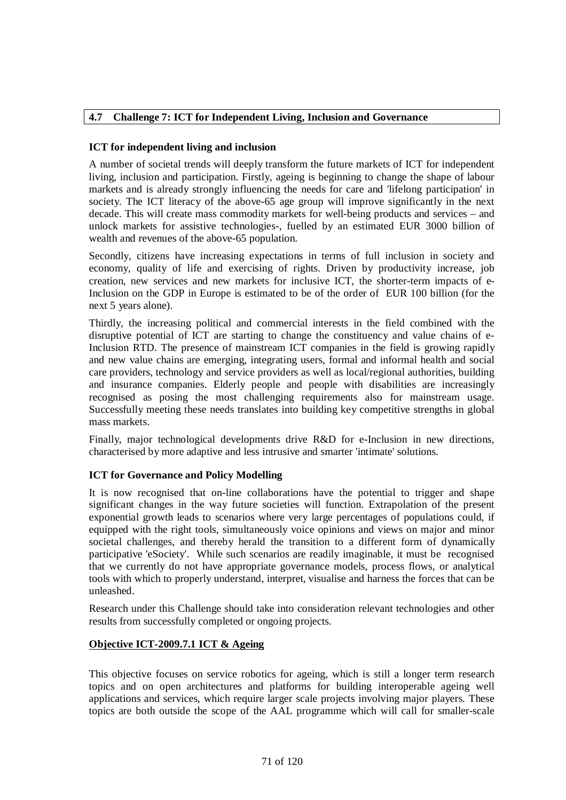# **4.7 Challenge 7: ICT for Independent Living, Inclusion and Governance**

## **ICT for independent living and inclusion**

A number of societal trends will deeply transform the future markets of ICT for independent living, inclusion and participation. Firstly, ageing is beginning to change the shape of labour markets and is already strongly influencing the needs for care and 'lifelong participation' in society. The ICT literacy of the above-65 age group will improve significantly in the next decade. This will create mass commodity markets for well-being products and services – and unlock markets for assistive technologies-, fuelled by an estimated EUR 3000 billion of wealth and revenues of the above-65 population.

Secondly, citizens have increasing expectations in terms of full inclusion in society and economy, quality of life and exercising of rights. Driven by productivity increase, job creation, new services and new markets for inclusive ICT, the shorter-term impacts of e-Inclusion on the GDP in Europe is estimated to be of the order of EUR 100 billion (for the next 5 years alone).

Thirdly, the increasing political and commercial interests in the field combined with the disruptive potential of ICT are starting to change the constituency and value chains of e-Inclusion RTD. The presence of mainstream ICT companies in the field is growing rapidly and new value chains are emerging, integrating users, formal and informal health and social care providers, technology and service providers as well as local/regional authorities, building and insurance companies. Elderly people and people with disabilities are increasingly recognised as posing the most challenging requirements also for mainstream usage. Successfully meeting these needs translates into building key competitive strengths in global mass markets.

Finally, major technological developments drive R&D for e-Inclusion in new directions, characterised by more adaptive and less intrusive and smarter 'intimate' solutions.

# **ICT for Governance and Policy Modelling**

It is now recognised that on-line collaborations have the potential to trigger and shape significant changes in the way future societies will function. Extrapolation of the present exponential growth leads to scenarios where very large percentages of populations could, if equipped with the right tools, simultaneously voice opinions and views on major and minor societal challenges, and thereby herald the transition to a different form of dynamically participative 'eSociety'. While such scenarios are readily imaginable, it must be recognised that we currently do not have appropriate governance models, process flows, or analytical tools with which to properly understand, interpret, visualise and harness the forces that can be unleashed.

Research under this Challenge should take into consideration relevant technologies and other results from successfully completed or ongoing projects.

#### **Objective ICT-2009.7.1 ICT & Ageing**

This objective focuses on service robotics for ageing, which is still a longer term research topics and on open architectures and platforms for building interoperable ageing well applications and services, which require larger scale projects involving major players. These topics are both outside the scope of the AAL programme which will call for smaller-scale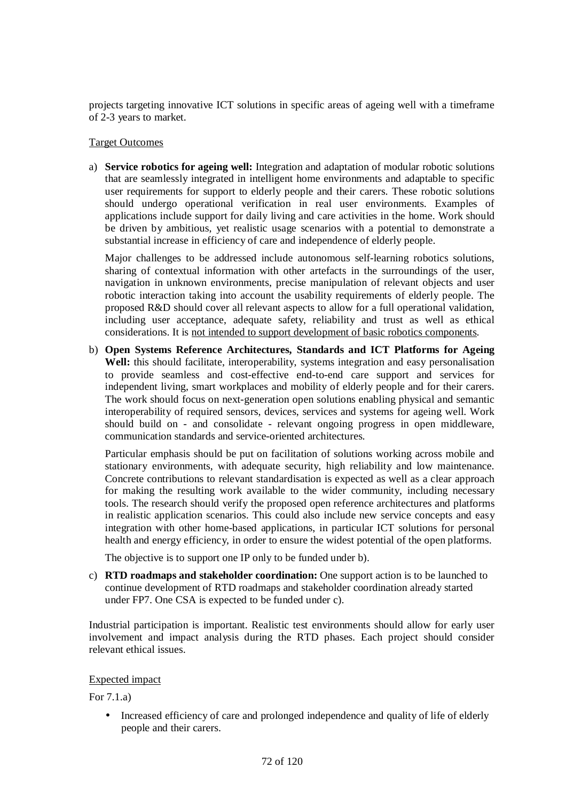projects targeting innovative ICT solutions in specific areas of ageing well with a timeframe of 2-3 years to market.

#### Target Outcomes

a) **Service robotics for ageing well:** Integration and adaptation of modular robotic solutions that are seamlessly integrated in intelligent home environments and adaptable to specific user requirements for support to elderly people and their carers. These robotic solutions should undergo operational verification in real user environments. Examples of applications include support for daily living and care activities in the home. Work should be driven by ambitious, yet realistic usage scenarios with a potential to demonstrate a substantial increase in efficiency of care and independence of elderly people.

Major challenges to be addressed include autonomous self-learning robotics solutions, sharing of contextual information with other artefacts in the surroundings of the user, navigation in unknown environments, precise manipulation of relevant objects and user robotic interaction taking into account the usability requirements of elderly people. The proposed R&D should cover all relevant aspects to allow for a full operational validation, including user acceptance, adequate safety, reliability and trust as well as ethical considerations. It is not intended to support development of basic robotics components.

b) **Open Systems Reference Architectures, Standards and ICT Platforms for Ageing Well:** this should facilitate, interoperability, systems integration and easy personalisation to provide seamless and cost-effective end-to-end care support and services for independent living, smart workplaces and mobility of elderly people and for their carers. The work should focus on next-generation open solutions enabling physical and semantic interoperability of required sensors, devices, services and systems for ageing well. Work should build on - and consolidate - relevant ongoing progress in open middleware, communication standards and service-oriented architectures.

Particular emphasis should be put on facilitation of solutions working across mobile and stationary environments, with adequate security, high reliability and low maintenance. Concrete contributions to relevant standardisation is expected as well as a clear approach for making the resulting work available to the wider community, including necessary tools. The research should verify the proposed open reference architectures and platforms in realistic application scenarios. This could also include new service concepts and easy integration with other home-based applications, in particular ICT solutions for personal health and energy efficiency, in order to ensure the widest potential of the open platforms.

The objective is to support one IP only to be funded under b).

c) **RTD roadmaps and stakeholder coordination:** One support action is to be launched to continue development of RTD roadmaps and stakeholder coordination already started under FP7. One CSA is expected to be funded under c).

Industrial participation is important. Realistic test environments should allow for early user involvement and impact analysis during the RTD phases. Each project should consider relevant ethical issues.

# Expected impact

For 7.1.a)

• Increased efficiency of care and prolonged independence and quality of life of elderly people and their carers.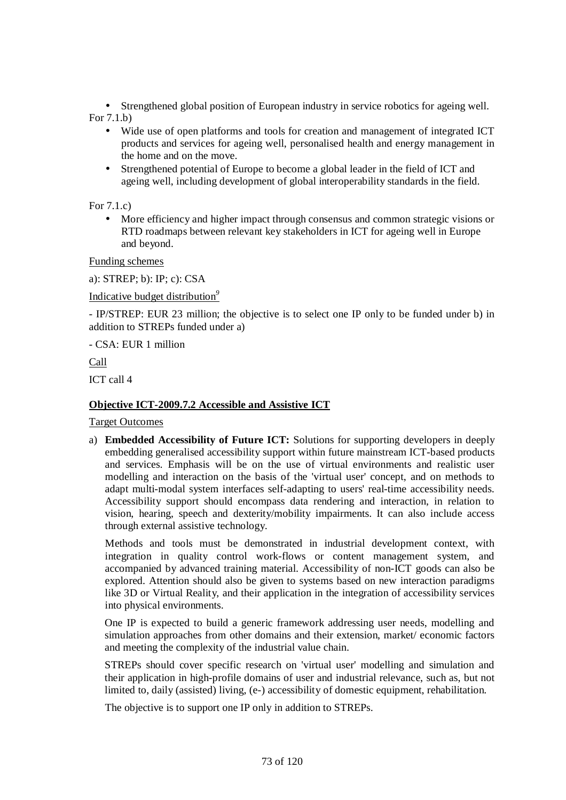• Strengthened global position of European industry in service robotics for ageing well. For 7.1.b)

- Wide use of open platforms and tools for creation and management of integrated ICT products and services for ageing well, personalised health and energy management in the home and on the move.
- Strengthened potential of Europe to become a global leader in the field of ICT and ageing well, including development of global interoperability standards in the field.

For 7.1.c)

• More efficiency and higher impact through consensus and common strategic visions or RTD roadmaps between relevant key stakeholders in ICT for ageing well in Europe and beyond.

Funding schemes

a): STREP; b): IP; c): CSA

Indicative budget distribution*<sup>9</sup>*

- IP/STREP: EUR 23 million; the objective is to select one IP only to be funded under b) in addition to STREPs funded under a)

- CSA: EUR 1 million

Call

ICT call 4

### **Objective ICT-2009.7.2 Accessible and Assistive ICT**

Target Outcomes

a) **Embedded Accessibility of Future ICT:** Solutions for supporting developers in deeply embedding generalised accessibility support within future mainstream ICT-based products and services. Emphasis will be on the use of virtual environments and realistic user modelling and interaction on the basis of the 'virtual user' concept, and on methods to adapt multi-modal system interfaces self-adapting to users' real-time accessibility needs. Accessibility support should encompass data rendering and interaction, in relation to vision, hearing, speech and dexterity/mobility impairments. It can also include access through external assistive technology.

Methods and tools must be demonstrated in industrial development context, with integration in quality control work-flows or content management system, and accompanied by advanced training material. Accessibility of non-ICT goods can also be explored. Attention should also be given to systems based on new interaction paradigms like 3D or Virtual Reality, and their application in the integration of accessibility services into physical environments.

One IP is expected to build a generic framework addressing user needs, modelling and simulation approaches from other domains and their extension, market/ economic factors and meeting the complexity of the industrial value chain.

STREPs should cover specific research on 'virtual user' modelling and simulation and their application in high-profile domains of user and industrial relevance, such as, but not limited to, daily (assisted) living, (e-) accessibility of domestic equipment, rehabilitation.

The objective is to support one IP only in addition to STREPs.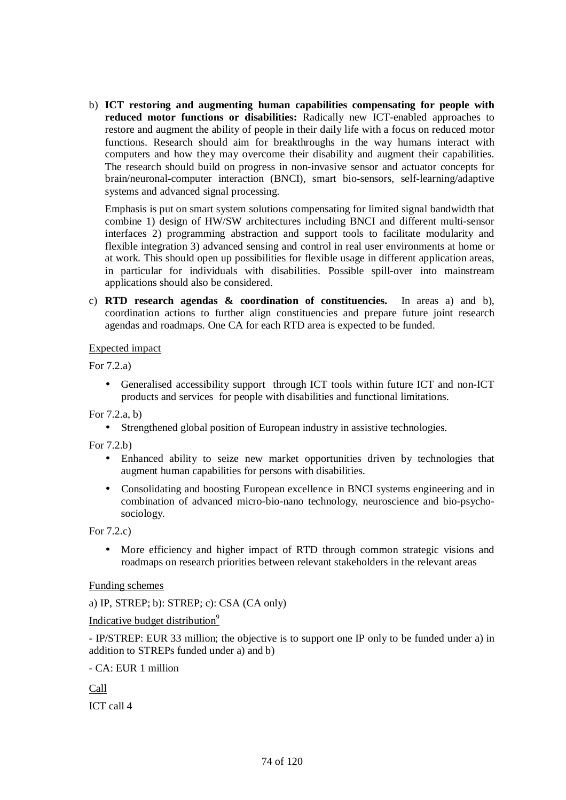b) **ICT restoring and augmenting human capabilities compensating for people with reduced motor functions or disabilities:** Radically new ICT-enabled approaches to restore and augment the ability of people in their daily life with a focus on reduced motor functions. Research should aim for breakthroughs in the way humans interact with computers and how they may overcome their disability and augment their capabilities. The research should build on progress in non-invasive sensor and actuator concepts for brain/neuronal-computer interaction (BNCI), smart bio-sensors, self-learning/adaptive systems and advanced signal processing.

Emphasis is put on smart system solutions compensating for limited signal bandwidth that combine 1) design of HW/SW architectures including BNCI and different multi-sensor interfaces 2) programming abstraction and support tools to facilitate modularity and flexible integration 3) advanced sensing and control in real user environments at home or at work. This should open up possibilities for flexible usage in different application areas, in particular for individuals with disabilities. Possible spill-over into mainstream applications should also be considered.

c) **RTD research agendas & coordination of constituencies.** In areas a) and b), coordination actions to further align constituencies and prepare future joint research agendas and roadmaps. One CA for each RTD area is expected to be funded.

## Expected impact

For 7.2.a)

• Generalised accessibility support through ICT tools within future ICT and non-ICT products and services for people with disabilities and functional limitations.

For 7.2.a, b)

• Strengthened global position of European industry in assistive technologies.

For 7.2.b)

- Enhanced ability to seize new market opportunities driven by technologies that augment human capabilities for persons with disabilities.
- Consolidating and boosting European excellence in BNCI systems engineering and in combination of advanced micro-bio-nano technology, neuroscience and bio-psychosociology.

For 7.2.c)

• More efficiency and higher impact of RTD through common strategic visions and roadmaps on research priorities between relevant stakeholders in the relevant areas

Funding schemes

a) IP, STREP; b): STREP; c): CSA (CA only)

Indicative budget distribution*<sup>9</sup>*

- IP/STREP: EUR 33 million; the objective is to support one IP only to be funded under a) in addition to STREPs funded under a) and b)

- CA: EUR 1 million

Call ICT call 4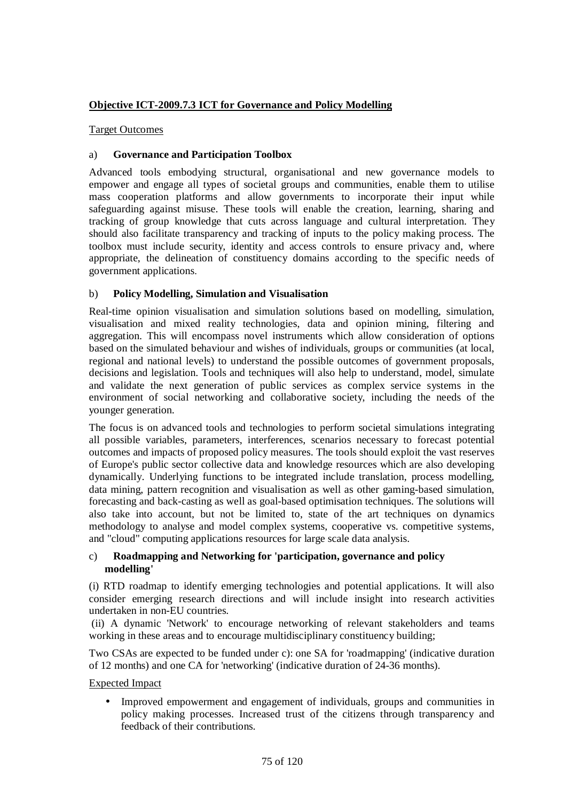## **Objective ICT-2009.7.3 ICT for Governance and Policy Modelling**

## Target Outcomes

## a) **Governance and Participation Toolbox**

Advanced tools embodying structural, organisational and new governance models to empower and engage all types of societal groups and communities, enable them to utilise mass cooperation platforms and allow governments to incorporate their input while safeguarding against misuse. These tools will enable the creation, learning, sharing and tracking of group knowledge that cuts across language and cultural interpretation. They should also facilitate transparency and tracking of inputs to the policy making process. The toolbox must include security, identity and access controls to ensure privacy and, where appropriate, the delineation of constituency domains according to the specific needs of government applications.

## b) **Policy Modelling, Simulation and Visualisation**

Real-time opinion visualisation and simulation solutions based on modelling, simulation, visualisation and mixed reality technologies, data and opinion mining, filtering and aggregation. This will encompass novel instruments which allow consideration of options based on the simulated behaviour and wishes of individuals, groups or communities (at local, regional and national levels) to understand the possible outcomes of government proposals, decisions and legislation. Tools and techniques will also help to understand, model, simulate and validate the next generation of public services as complex service systems in the environment of social networking and collaborative society, including the needs of the younger generation.

The focus is on advanced tools and technologies to perform societal simulations integrating all possible variables, parameters, interferences, scenarios necessary to forecast potential outcomes and impacts of proposed policy measures. The tools should exploit the vast reserves of Europe's public sector collective data and knowledge resources which are also developing dynamically. Underlying functions to be integrated include translation, process modelling, data mining, pattern recognition and visualisation as well as other gaming-based simulation, forecasting and back-casting as well as goal-based optimisation techniques. The solutions will also take into account, but not be limited to, state of the art techniques on dynamics methodology to analyse and model complex systems, cooperative vs. competitive systems, and "cloud" computing applications resources for large scale data analysis.

## c) **Roadmapping and Networking for 'participation, governance and policy modelling'**

(i) RTD roadmap to identify emerging technologies and potential applications. It will also consider emerging research directions and will include insight into research activities undertaken in non-EU countries.

 (ii) A dynamic 'Network' to encourage networking of relevant stakeholders and teams working in these areas and to encourage multidisciplinary constituency building;

Two CSAs are expected to be funded under c): one SA for 'roadmapping' (indicative duration of 12 months) and one CA for 'networking' (indicative duration of 24-36 months).

## Expected Impact

• Improved empowerment and engagement of individuals, groups and communities in policy making processes. Increased trust of the citizens through transparency and feedback of their contributions.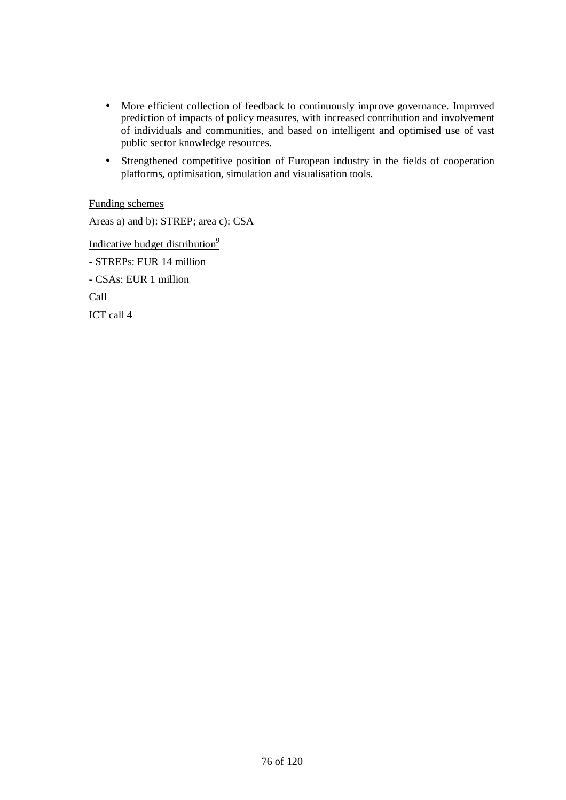- More efficient collection of feedback to continuously improve governance. Improved prediction of impacts of policy measures, with increased contribution and involvement of individuals and communities, and based on intelligent and optimised use of vast public sector knowledge resources.
- Strengthened competitive position of European industry in the fields of cooperation platforms, optimisation, simulation and visualisation tools.

## Funding schemes

Areas a) and b): STREP; area c): CSA Indicative budget distribution*<sup>9</sup>* - STREPs: EUR 14 million - CSAs: EUR 1 million Call ICT call 4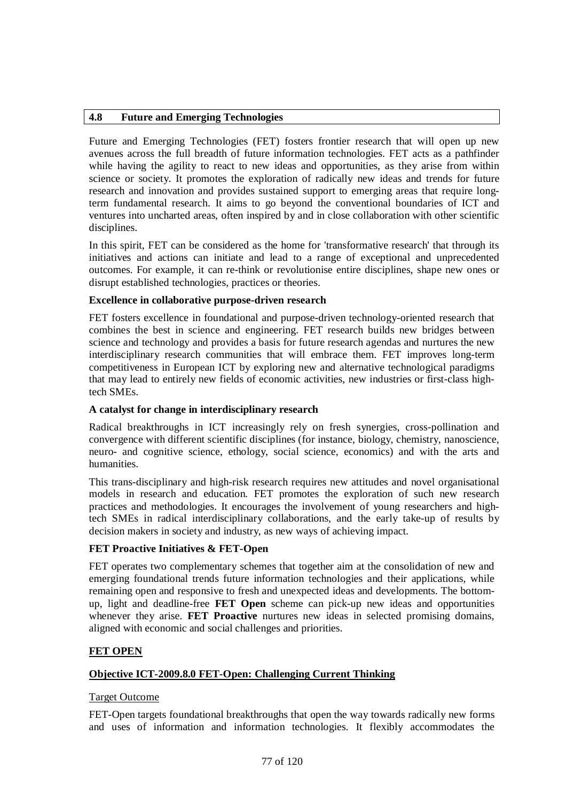## **4.8 Future and Emerging Technologies**

Future and Emerging Technologies (FET) fosters frontier research that will open up new avenues across the full breadth of future information technologies. FET acts as a pathfinder while having the agility to react to new ideas and opportunities, as they arise from within science or society. It promotes the exploration of radically new ideas and trends for future research and innovation and provides sustained support to emerging areas that require longterm fundamental research. It aims to go beyond the conventional boundaries of ICT and ventures into uncharted areas, often inspired by and in close collaboration with other scientific disciplines.

In this spirit, FET can be considered as the home for 'transformative research' that through its initiatives and actions can initiate and lead to a range of exceptional and unprecedented outcomes. For example, it can re-think or revolutionise entire disciplines, shape new ones or disrupt established technologies, practices or theories.

## **Excellence in collaborative purpose-driven research**

FET fosters excellence in foundational and purpose-driven technology-oriented research that combines the best in science and engineering. FET research builds new bridges between science and technology and provides a basis for future research agendas and nurtures the new interdisciplinary research communities that will embrace them. FET improves long-term competitiveness in European ICT by exploring new and alternative technological paradigms that may lead to entirely new fields of economic activities, new industries or first-class hightech SMEs.

## **A catalyst for change in interdisciplinary research**

Radical breakthroughs in ICT increasingly rely on fresh synergies, cross-pollination and convergence with different scientific disciplines (for instance, biology, chemistry, nanoscience, neuro- and cognitive science, ethology, social science, economics) and with the arts and humanities.

This trans-disciplinary and high-risk research requires new attitudes and novel organisational models in research and education. FET promotes the exploration of such new research practices and methodologies. It encourages the involvement of young researchers and hightech SMEs in radical interdisciplinary collaborations, and the early take-up of results by decision makers in society and industry, as new ways of achieving impact.

## **FET Proactive Initiatives & FET-Open**

FET operates two complementary schemes that together aim at the consolidation of new and emerging foundational trends future information technologies and their applications, while remaining open and responsive to fresh and unexpected ideas and developments. The bottomup, light and deadline-free **FET Open** scheme can pick-up new ideas and opportunities whenever they arise. **FET Proactive** nurtures new ideas in selected promising domains, aligned with economic and social challenges and priorities.

## **FET OPEN**

## **Objective ICT-2009.8.0 FET-Open: Challenging Current Thinking**

## Target Outcome

FET-Open targets foundational breakthroughs that open the way towards radically new forms and uses of information and information technologies. It flexibly accommodates the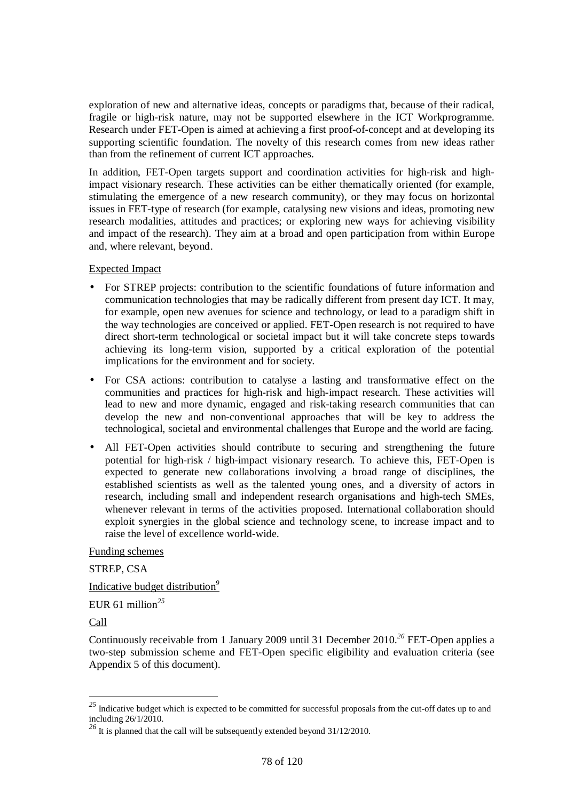exploration of new and alternative ideas, concepts or paradigms that, because of their radical, fragile or high-risk nature, may not be supported elsewhere in the ICT Workprogramme. Research under FET-Open is aimed at achieving a first proof-of-concept and at developing its supporting scientific foundation. The novelty of this research comes from new ideas rather than from the refinement of current ICT approaches.

In addition, FET-Open targets support and coordination activities for high-risk and highimpact visionary research. These activities can be either thematically oriented (for example, stimulating the emergence of a new research community), or they may focus on horizontal issues in FET-type of research (for example, catalysing new visions and ideas, promoting new research modalities, attitudes and practices; or exploring new ways for achieving visibility and impact of the research). They aim at a broad and open participation from within Europe and, where relevant, beyond.

#### Expected Impact

- For STREP projects: contribution to the scientific foundations of future information and communication technologies that may be radically different from present day ICT. It may, for example, open new avenues for science and technology, or lead to a paradigm shift in the way technologies are conceived or applied. FET-Open research is not required to have direct short-term technological or societal impact but it will take concrete steps towards achieving its long-term vision, supported by a critical exploration of the potential implications for the environment and for society.
- For CSA actions: contribution to catalyse a lasting and transformative effect on the communities and practices for high-risk and high-impact research. These activities will lead to new and more dynamic, engaged and risk-taking research communities that can develop the new and non-conventional approaches that will be key to address the technological, societal and environmental challenges that Europe and the world are facing.
- All FET-Open activities should contribute to securing and strengthening the future potential for high-risk / high-impact visionary research. To achieve this, FET-Open is expected to generate new collaborations involving a broad range of disciplines, the established scientists as well as the talented young ones, and a diversity of actors in research, including small and independent research organisations and high-tech SMEs, whenever relevant in terms of the activities proposed. International collaboration should exploit synergies in the global science and technology scene, to increase impact and to raise the level of excellence world-wide.

#### Funding schemes

STREP, CSA

Indicative budget distribution*<sup>9</sup>*

EUR 61 million*<sup>25</sup>*

Call

 $\overline{a}$ 

Continuously receivable from 1 January 2009 until 31 December 2010.*<sup>26</sup>* FET-Open applies a two-step submission scheme and FET-Open specific eligibility and evaluation criteria (see Appendix 5 of this document).

*<sup>25</sup>* Indicative budget which is expected to be committed for successful proposals from the cut-off dates up to and including 26/1/2010.

<sup>&</sup>lt;sup>26</sup> It is planned that the call will be subsequently extended beyond 31/12/2010.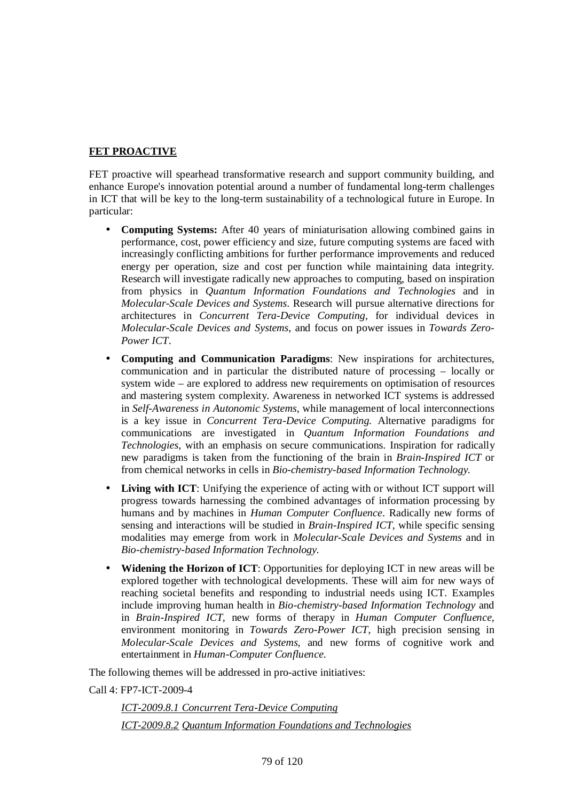## **FET PROACTIVE**

FET proactive will spearhead transformative research and support community building, and enhance Europe's innovation potential around a number of fundamental long-term challenges in ICT that will be key to the long-term sustainability of a technological future in Europe. In particular:

- **Computing Systems:** After 40 years of miniaturisation allowing combined gains in performance, cost, power efficiency and size, future computing systems are faced with increasingly conflicting ambitions for further performance improvements and reduced energy per operation, size and cost per function while maintaining data integrity. Research will investigate radically new approaches to computing, based on inspiration from physics in *Quantum Information Foundations and Technologies* and in *Molecular-Scale Devices and Systems*. Research will pursue alternative directions for architectures in *Concurrent Tera-Device Computing,* for individual devices in *Molecular-Scale Devices and Systems*, and focus on power issues in *Towards Zero-Power ICT*.
- **Computing and Communication Paradigms**: New inspirations for architectures, communication and in particular the distributed nature of processing – locally or system wide – are explored to address new requirements on optimisation of resources and mastering system complexity. Awareness in networked ICT systems is addressed in *Self-Awareness in Autonomic Systems*, while management of local interconnections is a key issue in *Concurrent Tera-Device Computing.* Alternative paradigms for communications are investigated in *Quantum Information Foundations and Technologies*, with an emphasis on secure communications. Inspiration for radically new paradigms is taken from the functioning of the brain in *Brain-Inspired ICT* or from chemical networks in cells in *Bio-chemistry-based Information Technology.*
- **Living with ICT**: Unifying the experience of acting with or without ICT support will progress towards harnessing the combined advantages of information processing by humans and by machines in *Human Computer Confluence*. Radically new forms of sensing and interactions will be studied in *Brain-Inspired ICT*, while specific sensing modalities may emerge from work in *Molecular-Scale Devices and Systems* and in *Bio-chemistry-based Information Technology.*
- **Widening the Horizon of ICT**: Opportunities for deploying ICT in new areas will be explored together with technological developments. These will aim for new ways of reaching societal benefits and responding to industrial needs using ICT. Examples include improving human health in *Bio-chemistry-based Information Technology* and in *Brain-Inspired ICT,* new forms of therapy in *Human Computer Confluence,*  environment monitoring in *Towards Zero-Power ICT*, high precision sensing in *Molecular-Scale Devices and Systems,* and new forms of cognitive work and entertainment in *Human-Computer Confluence*.

The following themes will be addressed in pro-active initiatives:

Call 4: FP7-ICT-2009-4

*ICT-2009.8.1 Concurrent Tera-Device Computing ICT-2009.8.2 Quantum Information Foundations and Technologies*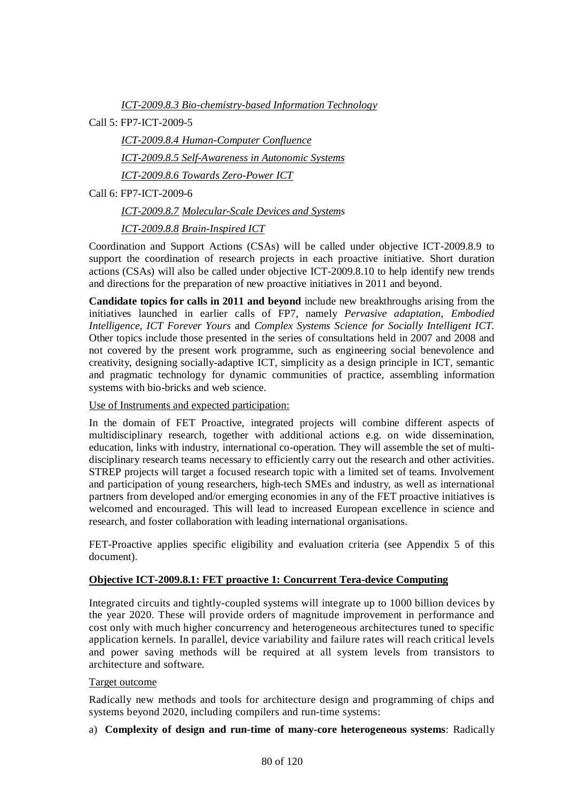*ICT-2009.8.3 Bio-chemistry-based Information Technology*

Call 5: FP7-ICT-2009-5

*ICT-2009.8.4 Human-Computer Confluence ICT-2009.8.5 Self-Awareness in Autonomic Systems ICT-2009.8.6 Towards Zero-Power ICT* 

Call 6: FP7-ICT-2009-6

*ICT-2009.8.7 Molecular-Scale Devices and Systems* 

*ICT-2009.8.8 Brain-Inspired ICT*

Coordination and Support Actions (CSAs) will be called under objective ICT-2009.8.9 to support the coordination of research projects in each proactive initiative. Short duration actions (CSAs) will also be called under objective ICT-2009.8.10 to help identify new trends and directions for the preparation of new proactive initiatives in 2011 and beyond.

**Candidate topics for calls in 2011 and beyond** include new breakthroughs arising from the initiatives launched in earlier calls of FP7, namely *Pervasive adaptation*, *Embodied Intelligence, ICT Forever Yours* and *Complex Systems Science for Socially Intelligent ICT.*  Other topics include those presented in the series of consultations held in 2007 and 2008 and not covered by the present work programme, such as engineering social benevolence and creativity, designing socially-adaptive ICT, simplicity as a design principle in ICT, semantic and pragmatic technology for dynamic communities of practice, assembling information systems with bio-bricks and web science.

### Use of Instruments and expected participation:

In the domain of FET Proactive, integrated projects will combine different aspects of multidisciplinary research, together with additional actions e.g. on wide dissemination, education, links with industry, international co-operation. They will assemble the set of multidisciplinary research teams necessary to efficiently carry out the research and other activities. STREP projects will target a focused research topic with a limited set of teams. Involvement and participation of young researchers, high-tech SMEs and industry, as well as international partners from developed and/or emerging economies in any of the FET proactive initiatives is welcomed and encouraged. This will lead to increased European excellence in science and research, and foster collaboration with leading international organisations.

FET-Proactive applies specific eligibility and evaluation criteria (see Appendix 5 of this document).

#### **Objective ICT-2009.8.1: FET proactive 1: Concurrent Tera-device Computing**

Integrated circuits and tightly-coupled systems will integrate up to 1000 billion devices by the year 2020. These will provide orders of magnitude improvement in performance and cost only with much higher concurrency and heterogeneous architectures tuned to specific application kernels. In parallel, device variability and failure rates will reach critical levels and power saving methods will be required at all system levels from transistors to architecture and software.

### Target outcome

Radically new methods and tools for architecture design and programming of chips and systems beyond 2020, including compilers and run-time systems:

a) **Complexity of design and run-time of many-core heterogeneous systems**: Radically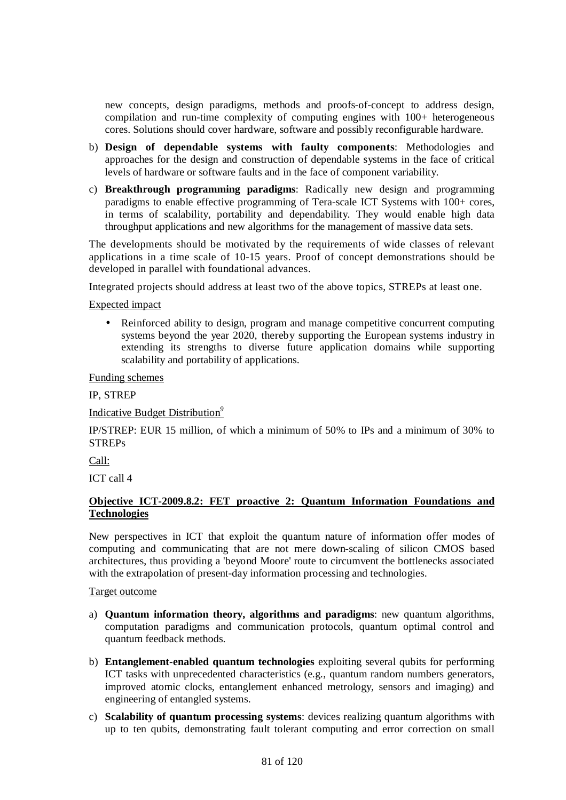new concepts, design paradigms, methods and proofs-of-concept to address design, compilation and run-time complexity of computing engines with 100+ heterogeneous cores. Solutions should cover hardware, software and possibly reconfigurable hardware.

- b) **Design of dependable systems with faulty components**: Methodologies and approaches for the design and construction of dependable systems in the face of critical levels of hardware or software faults and in the face of component variability.
- c) **Breakthrough programming paradigms**: Radically new design and programming paradigms to enable effective programming of Tera-scale ICT Systems with 100+ cores, in terms of scalability, portability and dependability. They would enable high data throughput applications and new algorithms for the management of massive data sets.

The developments should be motivated by the requirements of wide classes of relevant applications in a time scale of 10-15 years. Proof of concept demonstrations should be developed in parallel with foundational advances.

Integrated projects should address at least two of the above topics, STREPs at least one.

## Expected impact

• Reinforced ability to design, program and manage competitive concurrent computing systems beyond the year 2020, thereby supporting the European systems industry in extending its strengths to diverse future application domains while supporting scalability and portability of applications.

Funding schemes

IP, STREP

Indicative Budget Distribution*<sup>9</sup>*

IP/STREP: EUR 15 million, of which a minimum of 50% to IPs and a minimum of 30% to STREPs

Call:

ICT call 4

## **Objective ICT-2009.8.2: FET proactive 2: Quantum Information Foundations and Technologies**

New perspectives in ICT that exploit the quantum nature of information offer modes of computing and communicating that are not mere down-scaling of silicon CMOS based architectures, thus providing a 'beyond Moore' route to circumvent the bottlenecks associated with the extrapolation of present-day information processing and technologies.

#### Target outcome

- a) **Quantum information theory, algorithms and paradigms**: new quantum algorithms, computation paradigms and communication protocols, quantum optimal control and quantum feedback methods.
- b) **Entanglement-enabled quantum technologies** exploiting several qubits for performing ICT tasks with unprecedented characteristics (e.g., quantum random numbers generators, improved atomic clocks, entanglement enhanced metrology, sensors and imaging) and engineering of entangled systems.
- c) **Scalability of quantum processing systems**: devices realizing quantum algorithms with up to ten qubits, demonstrating fault tolerant computing and error correction on small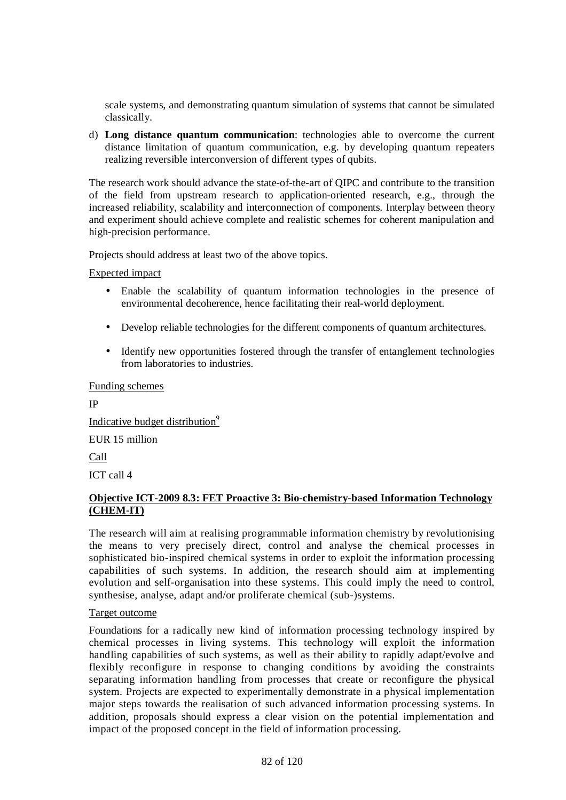scale systems, and demonstrating quantum simulation of systems that cannot be simulated classically.

d) **Long distance quantum communication**: technologies able to overcome the current distance limitation of quantum communication, e.g. by developing quantum repeaters realizing reversible interconversion of different types of qubits.

The research work should advance the state-of-the-art of QIPC and contribute to the transition of the field from upstream research to application-oriented research, e.g., through the increased reliability, scalability and interconnection of components. Interplay between theory and experiment should achieve complete and realistic schemes for coherent manipulation and high-precision performance.

Projects should address at least two of the above topics.

Expected impact

- Enable the scalability of quantum information technologies in the presence of environmental decoherence, hence facilitating their real-world deployment.
- Develop reliable technologies for the different components of quantum architectures.
- Identify new opportunities fostered through the transfer of entanglement technologies from laboratories to industries.

Funding schemes

IP Indicative budget distribution*<sup>9</sup>* EUR 15 million

Call

ICT call 4

## **Objective ICT-2009 8.3: FET Proactive 3: Bio-chemistry-based Information Technology (CHEM-IT)**

The research will aim at realising programmable information chemistry by revolutionising the means to very precisely direct, control and analyse the chemical processes in sophisticated bio-inspired chemical systems in order to exploit the information processing capabilities of such systems. In addition, the research should aim at implementing evolution and self-organisation into these systems. This could imply the need to control, synthesise, analyse, adapt and/or proliferate chemical (sub-)systems.

Target outcome

Foundations for a radically new kind of information processing technology inspired by chemical processes in living systems. This technology will exploit the information handling capabilities of such systems, as well as their ability to rapidly adapt/evolve and flexibly reconfigure in response to changing conditions by avoiding the constraints separating information handling from processes that create or reconfigure the physical system. Projects are expected to experimentally demonstrate in a physical implementation major steps towards the realisation of such advanced information processing systems. In addition, proposals should express a clear vision on the potential implementation and impact of the proposed concept in the field of information processing.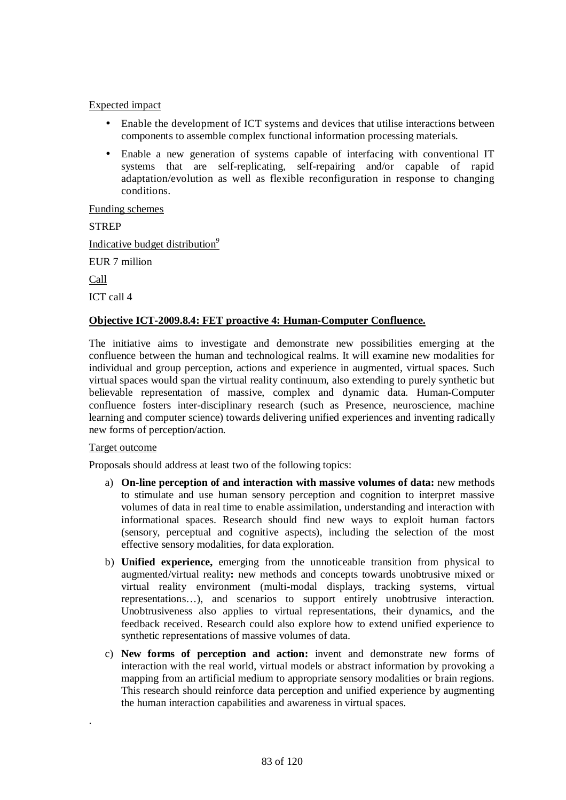- Enable the development of ICT systems and devices that utilise interactions between components to assemble complex functional information processing materials.
- Enable a new generation of systems capable of interfacing with conventional IT systems that are self-replicating, self-repairing and/or capable of rapid adaptation/evolution as well as flexible reconfiguration in response to changing conditions.

Funding schemes

**STREP** 

Indicative budget distribution*<sup>9</sup>*

EUR 7 million

Call

ICT call 4

## **Objective ICT-2009.8.4: FET proactive 4: Human-Computer Confluence.**

The initiative aims to investigate and demonstrate new possibilities emerging at the confluence between the human and technological realms. It will examine new modalities for individual and group perception, actions and experience in augmented, virtual spaces. Such virtual spaces would span the virtual reality continuum, also extending to purely synthetic but believable representation of massive, complex and dynamic data. Human-Computer confluence fosters inter-disciplinary research (such as Presence, neuroscience, machine learning and computer science) towards delivering unified experiences and inventing radically new forms of perception/action.

#### Target outcome

.

Proposals should address at least two of the following topics:

- a) **On-line perception of and interaction with massive volumes of data:** new methods to stimulate and use human sensory perception and cognition to interpret massive volumes of data in real time to enable assimilation, understanding and interaction with informational spaces. Research should find new ways to exploit human factors (sensory, perceptual and cognitive aspects), including the selection of the most effective sensory modalities, for data exploration.
- b) **Unified experience,** emerging from the unnoticeable transition from physical to augmented/virtual reality**:** new methods and concepts towards unobtrusive mixed or virtual reality environment (multi-modal displays, tracking systems, virtual representations…), and scenarios to support entirely unobtrusive interaction. Unobtrusiveness also applies to virtual representations, their dynamics, and the feedback received. Research could also explore how to extend unified experience to synthetic representations of massive volumes of data.
- c) **New forms of perception and action:** invent and demonstrate new forms of interaction with the real world, virtual models or abstract information by provoking a mapping from an artificial medium to appropriate sensory modalities or brain regions. This research should reinforce data perception and unified experience by augmenting the human interaction capabilities and awareness in virtual spaces.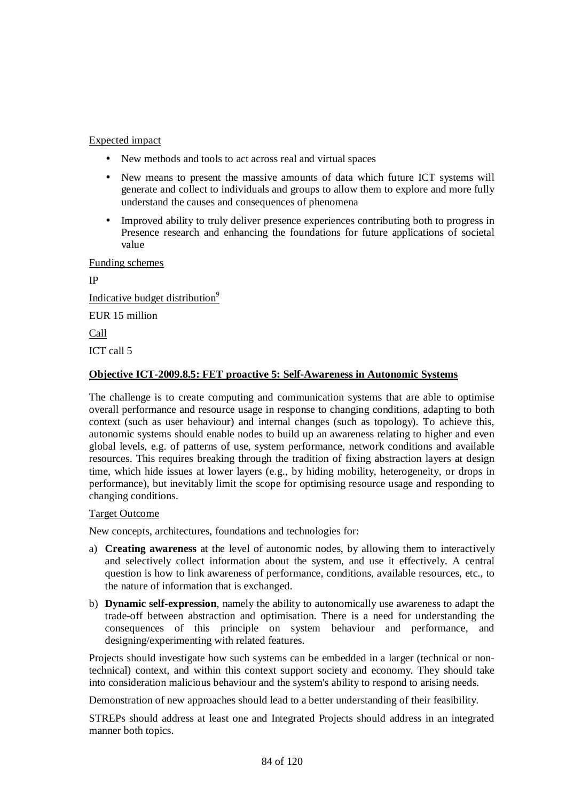- New methods and tools to act across real and virtual spaces
- New means to present the massive amounts of data which future ICT systems will generate and collect to individuals and groups to allow them to explore and more fully understand the causes and consequences of phenomena
- Improved ability to truly deliver presence experiences contributing both to progress in Presence research and enhancing the foundations for future applications of societal value

Funding schemes

IP Indicative budget distribution*<sup>9</sup>* EUR 15 million Call ICT call 5

## **Objective ICT-2009.8.5: FET proactive 5: Self-Awareness in Autonomic Systems**

The challenge is to create computing and communication systems that are able to optimise overall performance and resource usage in response to changing conditions, adapting to both context (such as user behaviour) and internal changes (such as topology). To achieve this, autonomic systems should enable nodes to build up an awareness relating to higher and even global levels, e.g. of patterns of use, system performance, network conditions and available resources. This requires breaking through the tradition of fixing abstraction layers at design time, which hide issues at lower layers (e.g., by hiding mobility, heterogeneity, or drops in performance), but inevitably limit the scope for optimising resource usage and responding to changing conditions.

#### Target Outcome

New concepts, architectures, foundations and technologies for:

- a) **Creating awareness** at the level of autonomic nodes, by allowing them to interactively and selectively collect information about the system, and use it effectively. A central question is how to link awareness of performance, conditions, available resources, etc., to the nature of information that is exchanged.
- b) **Dynamic self-expression**, namely the ability to autonomically use awareness to adapt the trade-off between abstraction and optimisation. There is a need for understanding the consequences of this principle on system behaviour and performance, and designing/experimenting with related features.

Projects should investigate how such systems can be embedded in a larger (technical or nontechnical) context, and within this context support society and economy. They should take into consideration malicious behaviour and the system's ability to respond to arising needs.

Demonstration of new approaches should lead to a better understanding of their feasibility.

STREPs should address at least one and Integrated Projects should address in an integrated manner both topics.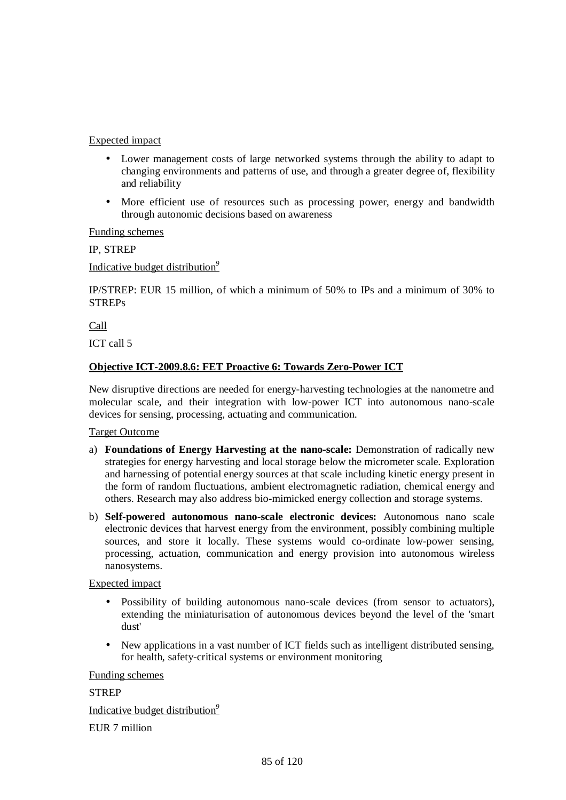- Lower management costs of large networked systems through the ability to adapt to changing environments and patterns of use, and through a greater degree of, flexibility and reliability
- More efficient use of resources such as processing power, energy and bandwidth through autonomic decisions based on awareness

Funding schemes

IP, STREP

Indicative budget distribution*<sup>9</sup>*

IP/STREP: EUR 15 million, of which a minimum of 50% to IPs and a minimum of 30% to STREPs

Call

ICT call 5

## **Objective ICT-2009.8.6: FET Proactive 6: Towards Zero-Power ICT**

New disruptive directions are needed for energy-harvesting technologies at the nanometre and molecular scale, and their integration with low-power ICT into autonomous nano-scale devices for sensing, processing, actuating and communication.

Target Outcome

- a) **Foundations of Energy Harvesting at the nano-scale:** Demonstration of radically new strategies for energy harvesting and local storage below the micrometer scale. Exploration and harnessing of potential energy sources at that scale including kinetic energy present in the form of random fluctuations, ambient electromagnetic radiation, chemical energy and others. Research may also address bio-mimicked energy collection and storage systems.
- b) **Self-powered autonomous nano-scale electronic devices:** Autonomous nano scale electronic devices that harvest energy from the environment, possibly combining multiple sources, and store it locally. These systems would co-ordinate low-power sensing, processing, actuation, communication and energy provision into autonomous wireless nanosystems.

#### Expected impact

- Possibility of building autonomous nano-scale devices (from sensor to actuators), extending the miniaturisation of autonomous devices beyond the level of the 'smart dust'
- New applications in a vast number of ICT fields such as intelligent distributed sensing, for health, safety-critical systems or environment monitoring

Funding schemes

## **STREP**

Indicative budget distribution*<sup>9</sup>*

EUR 7 million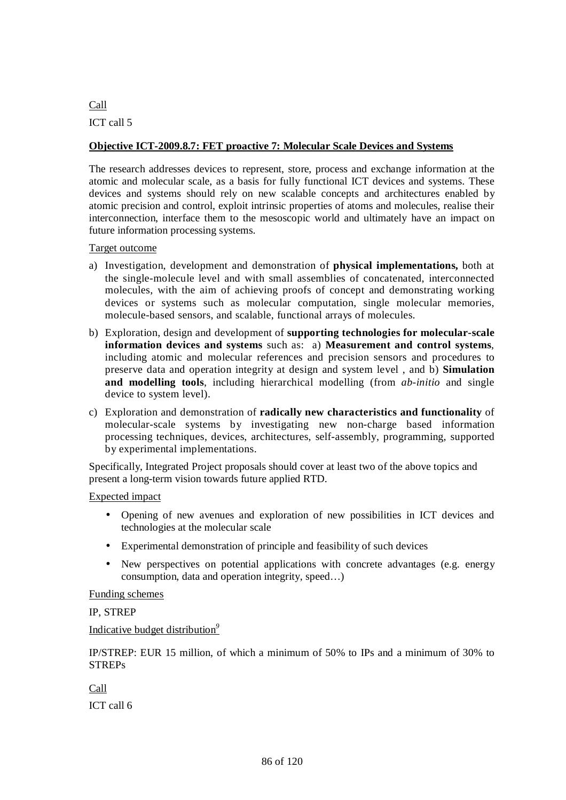## Call

ICT call 5

## **Objective ICT-2009.8.7: FET proactive 7: Molecular Scale Devices and Systems**

The research addresses devices to represent, store, process and exchange information at the atomic and molecular scale, as a basis for fully functional ICT devices and systems. These devices and systems should rely on new scalable concepts and architectures enabled by atomic precision and control, exploit intrinsic properties of atoms and molecules, realise their interconnection, interface them to the mesoscopic world and ultimately have an impact on future information processing systems.

#### Target outcome

- a) Investigation, development and demonstration of **physical implementations,** both at the single-molecule level and with small assemblies of concatenated, interconnected molecules, with the aim of achieving proofs of concept and demonstrating working devices or systems such as molecular computation, single molecular memories, molecule-based sensors, and scalable, functional arrays of molecules.
- b) Exploration, design and development of **supporting technologies for molecular-scale information devices and systems** such as: a) **Measurement and control systems**, including atomic and molecular references and precision sensors and procedures to preserve data and operation integrity at design and system level , and b) **Simulation and modelling tools**, including hierarchical modelling (from *ab-initio* and single device to system level).
- c) Exploration and demonstration of **radically new characteristics and functionality** of molecular-scale systems by investigating new non-charge based information processing techniques, devices, architectures, self-assembly, programming, supported by experimental implementations.

Specifically, Integrated Project proposals should cover at least two of the above topics and present a long-term vision towards future applied RTD.

#### Expected impact

- Opening of new avenues and exploration of new possibilities in ICT devices and technologies at the molecular scale
- Experimental demonstration of principle and feasibility of such devices
- New perspectives on potential applications with concrete advantages (e.g. energy consumption, data and operation integrity, speed…)

#### Funding schemes

## IP, STREP

## Indicative budget distribution*<sup>9</sup>*

IP/STREP: EUR 15 million, of which a minimum of 50% to IPs and a minimum of 30% to STREPs

#### Call

ICT call 6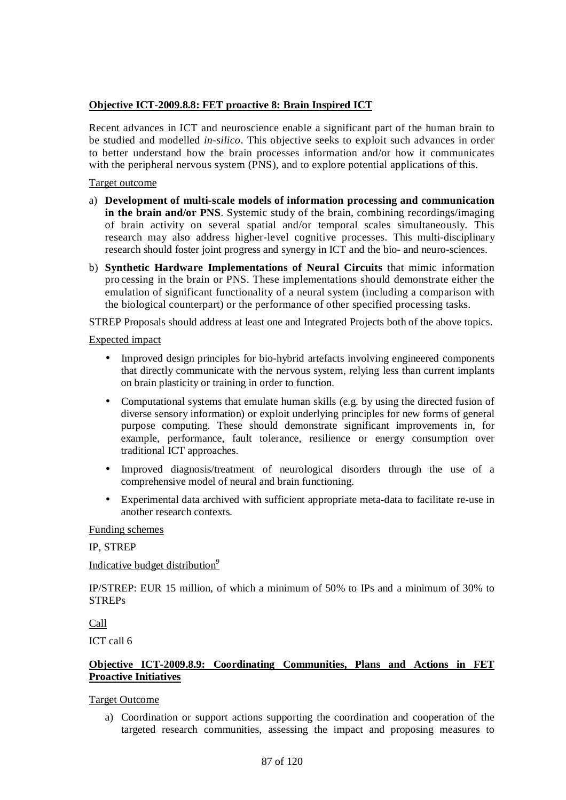## **Objective ICT-2009.8.8: FET proactive 8: Brain Inspired ICT**

Recent advances in ICT and neuroscience enable a significant part of the human brain to be studied and modelled *in-silico*. This objective seeks to exploit such advances in order to better understand how the brain processes information and/or how it communicates with the peripheral nervous system (PNS), and to explore potential applications of this.

## Target outcome

- a) **Development of multi-scale models of information processing and communication in the brain and/or PNS**. Systemic study of the brain, combining recordings/imaging of brain activity on several spatial and/or temporal scales simultaneously. This research may also address higher-level cognitive processes. This multi-disciplinary research should foster joint progress and synergy in ICT and the bio- and neuro-sciences.
- b) **Synthetic Hardware Implementations of Neural Circuits** that mimic information pro cessing in the brain or PNS. These implementations should demonstrate either the emulation of significant functionality of a neural system (including a comparison with the biological counterpart) or the performance of other specified processing tasks.

STREP Proposals should address at least one and Integrated Projects both of the above topics.

## Expected impact

- Improved design principles for bio-hybrid artefacts involving engineered components that directly communicate with the nervous system, relying less than current implants on brain plasticity or training in order to function.
- Computational systems that emulate human skills (e.g. by using the directed fusion of diverse sensory information) or exploit underlying principles for new forms of general purpose computing. These should demonstrate significant improvements in, for example, performance, fault tolerance, resilience or energy consumption over traditional ICT approaches.
- Improved diagnosis/treatment of neurological disorders through the use of a comprehensive model of neural and brain functioning.
- Experimental data archived with sufficient appropriate meta-data to facilitate re-use in another research contexts.

#### Funding schemes

## IP, STREP

## Indicative budget distribution*<sup>9</sup>*

IP/STREP: EUR 15 million, of which a minimum of 50% to IPs and a minimum of 30% to **STREPs** 

Call

ICT call 6

## **Objective ICT-2009.8.9: Coordinating Communities, Plans and Actions in FET Proactive Initiatives**

## Target Outcome

a) Coordination or support actions supporting the coordination and cooperation of the targeted research communities, assessing the impact and proposing measures to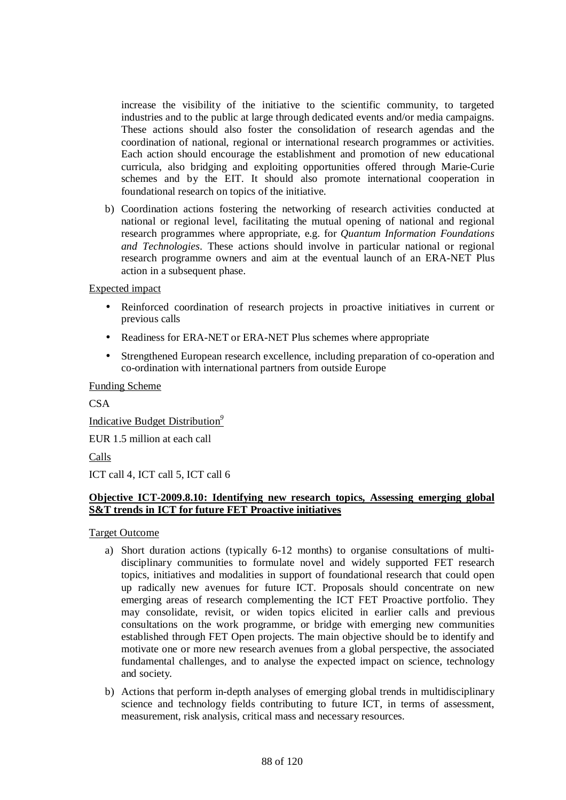increase the visibility of the initiative to the scientific community, to targeted industries and to the public at large through dedicated events and/or media campaigns. These actions should also foster the consolidation of research agendas and the coordination of national, regional or international research programmes or activities. Each action should encourage the establishment and promotion of new educational curricula, also bridging and exploiting opportunities offered through Marie-Curie schemes and by the EIT. It should also promote international cooperation in foundational research on topics of the initiative.

b) Coordination actions fostering the networking of research activities conducted at national or regional level, facilitating the mutual opening of national and regional research programmes where appropriate, e.g. for *Quantum Information Foundations and Technologies*. These actions should involve in particular national or regional research programme owners and aim at the eventual launch of an ERA-NET Plus action in a subsequent phase.

## Expected impact

- Reinforced coordination of research projects in proactive initiatives in current or previous calls
- Readiness for ERA-NET or ERA-NET Plus schemes where appropriate
- Strengthened European research excellence, including preparation of co-operation and co-ordination with international partners from outside Europe

Funding Scheme

**CSA** 

Indicative Budget Distribution*<sup>9</sup>*

EUR 1.5 million at each call

Calls

ICT call 4, ICT call 5, ICT call 6

## **Objective ICT-2009.8.10: Identifying new research topics, Assessing emerging global S&T trends in ICT for future FET Proactive initiatives**

Target Outcome

- a) Short duration actions (typically 6-12 months) to organise consultations of multidisciplinary communities to formulate novel and widely supported FET research topics, initiatives and modalities in support of foundational research that could open up radically new avenues for future ICT. Proposals should concentrate on new emerging areas of research complementing the ICT FET Proactive portfolio. They may consolidate, revisit, or widen topics elicited in earlier calls and previous consultations on the work programme, or bridge with emerging new communities established through FET Open projects. The main objective should be to identify and motivate one or more new research avenues from a global perspective, the associated fundamental challenges, and to analyse the expected impact on science, technology and society.
- b) Actions that perform in-depth analyses of emerging global trends in multidisciplinary science and technology fields contributing to future ICT, in terms of assessment, measurement, risk analysis, critical mass and necessary resources.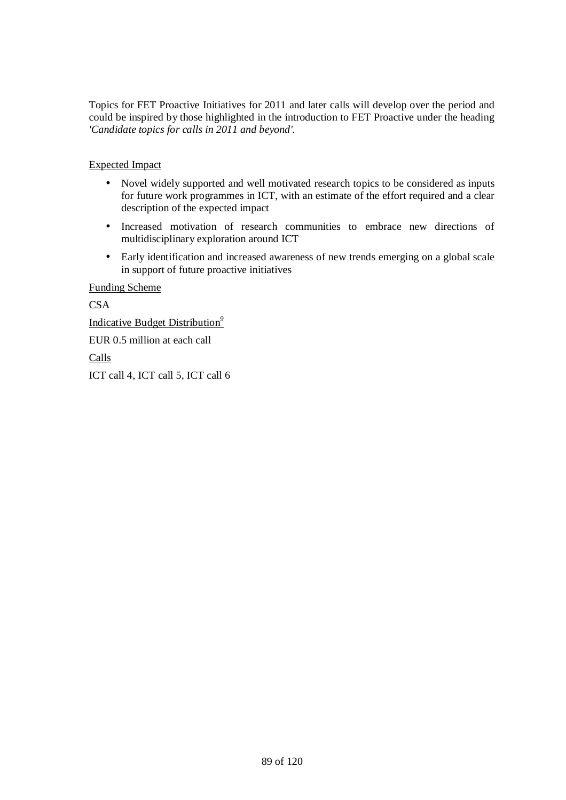Topics for FET Proactive Initiatives for 2011 and later calls will develop over the period and could be inspired by those highlighted in the introduction to FET Proactive under the heading *'Candidate topics for calls in 2011 and beyond'.*

Expected Impact

- Novel widely supported and well motivated research topics to be considered as inputs for future work programmes in ICT, with an estimate of the effort required and a clear description of the expected impact
- Increased motivation of research communities to embrace new directions of multidisciplinary exploration around ICT
- Early identification and increased awareness of new trends emerging on a global scale in support of future proactive initiatives

Funding Scheme

**CSA** 

Indicative Budget Distribution*<sup>9</sup>*

EUR 0.5 million at each call

Calls

ICT call 4, ICT call 5, ICT call 6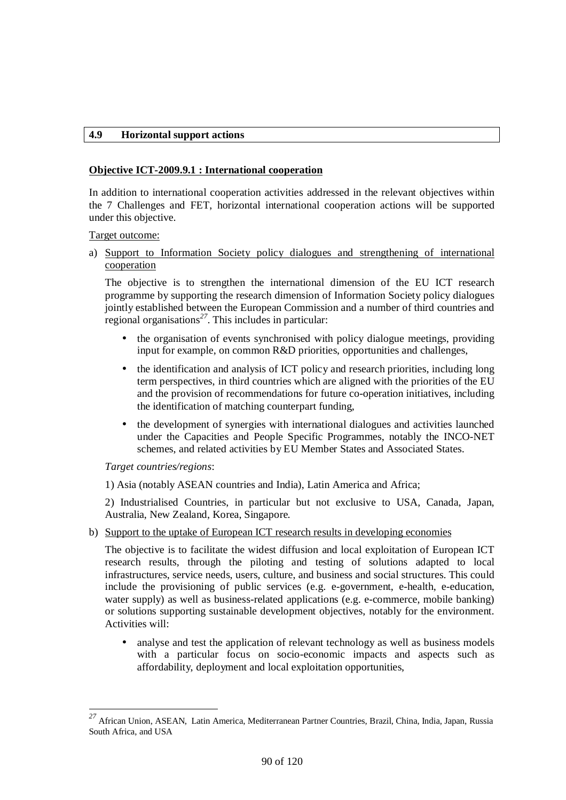### **4.9 Horizontal support actions**

### **Objective ICT-2009.9.1 : International cooperation**

In addition to international cooperation activities addressed in the relevant objectives within the 7 Challenges and FET, horizontal international cooperation actions will be supported under this objective.

Target outcome:

a) Support to Information Society policy dialogues and strengthening of international cooperation

The objective is to strengthen the international dimension of the EU ICT research programme by supporting the research dimension of Information Society policy dialogues jointly established between the European Commission and a number of third countries and regional organisations*<sup>27</sup>*. This includes in particular:

- the organisation of events synchronised with policy dialogue meetings, providing input for example, on common R&D priorities, opportunities and challenges,
- the identification and analysis of ICT policy and research priorities, including long term perspectives, in third countries which are aligned with the priorities of the EU and the provision of recommendations for future co-operation initiatives, including the identification of matching counterpart funding,
- the development of synergies with international dialogues and activities launched under the Capacities and People Specific Programmes, notably the INCO-NET schemes, and related activities by EU Member States and Associated States.

*Target countries/regions*:

1) Asia (notably ASEAN countries and India), Latin America and Africa;

2) Industrialised Countries, in particular but not exclusive to USA, Canada, Japan, Australia, New Zealand, Korea, Singapore.

b) Support to the uptake of European ICT research results in developing economies

The objective is to facilitate the widest diffusion and local exploitation of European ICT research results, through the piloting and testing of solutions adapted to local infrastructures, service needs, users, culture, and business and social structures. This could include the provisioning of public services (e.g. e-government, e-health, e-education, water supply) as well as business-related applications (e.g. e-commerce, mobile banking) or solutions supporting sustainable development objectives, notably for the environment. Activities will:

• analyse and test the application of relevant technology as well as business models with a particular focus on socio-economic impacts and aspects such as affordability, deployment and local exploitation opportunities,

<sup>27</sup> *<sup>27</sup>* African Union, ASEAN, Latin America, Mediterranean Partner Countries, Brazil, China, India, Japan, Russia South Africa, and USA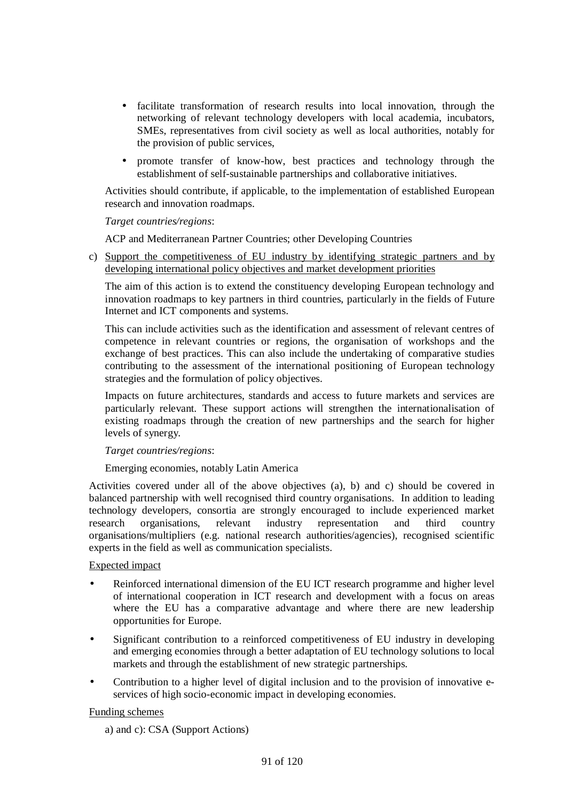- facilitate transformation of research results into local innovation, through the networking of relevant technology developers with local academia, incubators, SMEs, representatives from civil society as well as local authorities, notably for the provision of public services,
- promote transfer of know-how, best practices and technology through the establishment of self-sustainable partnerships and collaborative initiatives.

Activities should contribute, if applicable, to the implementation of established European research and innovation roadmaps.

## *Target countries/regions*:

ACP and Mediterranean Partner Countries; other Developing Countries

c) Support the competitiveness of EU industry by identifying strategic partners and by developing international policy objectives and market development priorities

The aim of this action is to extend the constituency developing European technology and innovation roadmaps to key partners in third countries, particularly in the fields of Future Internet and ICT components and systems.

This can include activities such as the identification and assessment of relevant centres of competence in relevant countries or regions, the organisation of workshops and the exchange of best practices. This can also include the undertaking of comparative studies contributing to the assessment of the international positioning of European technology strategies and the formulation of policy objectives.

Impacts on future architectures, standards and access to future markets and services are particularly relevant. These support actions will strengthen the internationalisation of existing roadmaps through the creation of new partnerships and the search for higher levels of synergy.

#### *Target countries/regions*:

Emerging economies, notably Latin America

Activities covered under all of the above objectives (a), b) and c) should be covered in balanced partnership with well recognised third country organisations. In addition to leading technology developers, consortia are strongly encouraged to include experienced market research organisations, relevant industry representation and third country organisations/multipliers (e.g. national research authorities/agencies), recognised scientific experts in the field as well as communication specialists.

## Expected impact

- Reinforced international dimension of the EU ICT research programme and higher level of international cooperation in ICT research and development with a focus on areas where the EU has a comparative advantage and where there are new leadership opportunities for Europe.
- Significant contribution to a reinforced competitiveness of EU industry in developing and emerging economies through a better adaptation of EU technology solutions to local markets and through the establishment of new strategic partnerships.
- Contribution to a higher level of digital inclusion and to the provision of innovative eservices of high socio-economic impact in developing economies.

#### Funding schemes

a) and c): CSA (Support Actions)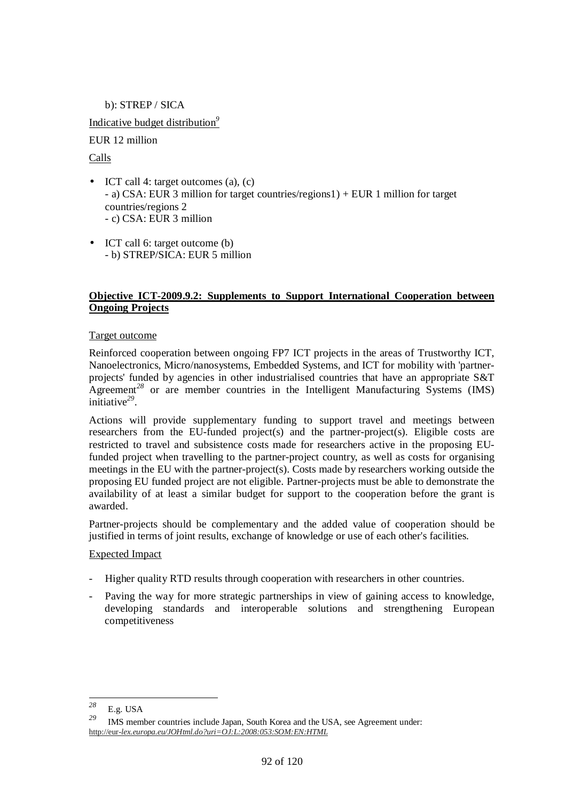b): STREP / SICA Indicative budget distribution*<sup>9</sup>* EUR 12 million Calls

- ICT call 4: target outcomes (a), (c) - a) CSA: EUR 3 million for target countries/regions1) + EUR 1 million for target countries/regions 2 - c) CSA: EUR 3 million
- ICT call 6: target outcome (b) - b) STREP/SICA: EUR 5 million

## **Objective ICT-2009.9.2: Supplements to Support International Cooperation between Ongoing Projects**

## Target outcome

Reinforced cooperation between ongoing FP7 ICT projects in the areas of Trustworthy ICT, Nanoelectronics, Micro/nanosystems, Embedded Systems, and ICT for mobility with 'partnerprojects' funded by agencies in other industrialised countries that have an appropriate S&T Agreement<sup>28</sup> or are member countries in the Intelligent Manufacturing Systems (IMS) initiative*<sup>29</sup>* .

Actions will provide supplementary funding to support travel and meetings between researchers from the EU-funded project(s) and the partner-project(s). Eligible costs are restricted to travel and subsistence costs made for researchers active in the proposing EUfunded project when travelling to the partner-project country, as well as costs for organising meetings in the EU with the partner-project(s). Costs made by researchers working outside the proposing EU funded project are not eligible. Partner-projects must be able to demonstrate the availability of at least a similar budget for support to the cooperation before the grant is awarded.

Partner-projects should be complementary and the added value of cooperation should be justified in terms of joint results, exchange of knowledge or use of each other's facilities.

## Expected Impact

- Higher quality RTD results through cooperation with researchers in other countries.
- Paving the way for more strategic partnerships in view of gaining access to knowledge, developing standards and interoperable solutions and strengthening European competitiveness

 $28$  $\frac{28}{29}$  E.g. USA

IMS member countries include Japan, South Korea and the USA, see Agreement under: http://eur-*lex.europa.eu/JOHtml.do?uri=OJ:L:2008:053:SOM:EN:HTML*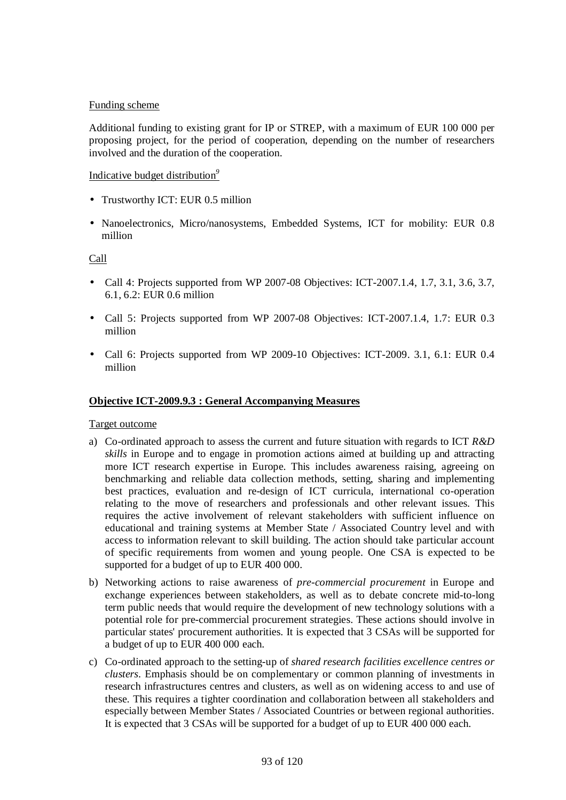## Funding scheme

Additional funding to existing grant for IP or STREP, with a maximum of EUR 100 000 per proposing project, for the period of cooperation, depending on the number of researchers involved and the duration of the cooperation.

## Indicative budget distribution*<sup>9</sup>*

- Trustworthy ICT: EUR 0.5 million
- Nanoelectronics, Micro/nanosystems, Embedded Systems, ICT for mobility: EUR 0.8 million

Call

- Call 4: Projects supported from WP 2007-08 Objectives: ICT-2007.1.4, 1.7, 3.1, 3.6, 3.7, 6.1, 6.2: EUR 0.6 million
- Call 5: Projects supported from WP 2007-08 Objectives: ICT-2007.1.4, 1.7: EUR 0.3 million
- Call 6: Projects supported from WP 2009-10 Objectives: ICT-2009. 3.1, 6.1: EUR 0.4 million

### **Objective ICT-2009.9.3 : General Accompanying Measures**

#### Target outcome

- a) Co-ordinated approach to assess the current and future situation with regards to ICT *R&D skills* in Europe and to engage in promotion actions aimed at building up and attracting more ICT research expertise in Europe. This includes awareness raising, agreeing on benchmarking and reliable data collection methods, setting, sharing and implementing best practices, evaluation and re-design of ICT curricula, international co-operation relating to the move of researchers and professionals and other relevant issues. This requires the active involvement of relevant stakeholders with sufficient influence on educational and training systems at Member State / Associated Country level and with access to information relevant to skill building. The action should take particular account of specific requirements from women and young people. One CSA is expected to be supported for a budget of up to EUR 400 000.
- b) Networking actions to raise awareness of *pre-commercial procurement* in Europe and exchange experiences between stakeholders, as well as to debate concrete mid-to-long term public needs that would require the development of new technology solutions with a potential role for pre-commercial procurement strategies. These actions should involve in particular states' procurement authorities. It is expected that 3 CSAs will be supported for a budget of up to EUR 400 000 each.
- c) Co-ordinated approach to the setting-up of *shared research facilities excellence centres or clusters*. Emphasis should be on complementary or common planning of investments in research infrastructures centres and clusters, as well as on widening access to and use of these. This requires a tighter coordination and collaboration between all stakeholders and especially between Member States / Associated Countries or between regional authorities. It is expected that 3 CSAs will be supported for a budget of up to EUR 400 000 each.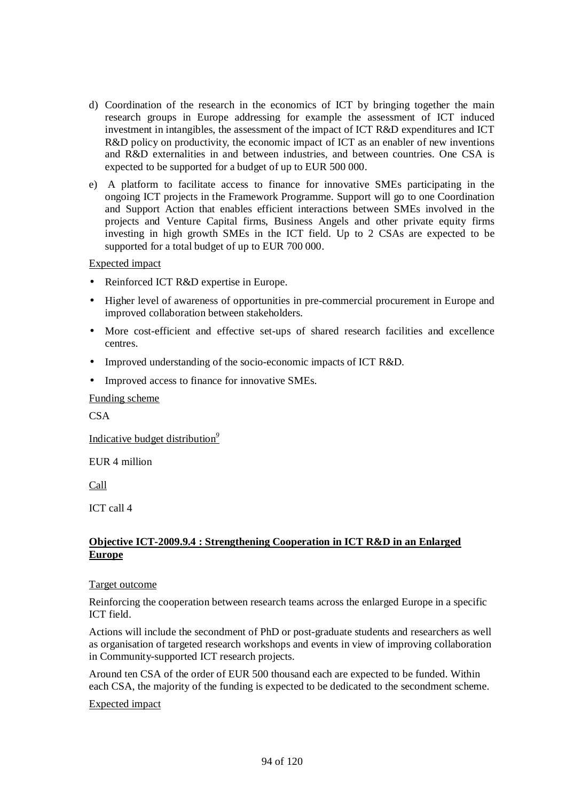- d) Coordination of the research in the economics of ICT by bringing together the main research groups in Europe addressing for example the assessment of ICT induced investment in intangibles, the assessment of the impact of ICT R&D expenditures and ICT R&D policy on productivity, the economic impact of ICT as an enabler of new inventions and R&D externalities in and between industries, and between countries. One CSA is expected to be supported for a budget of up to EUR 500 000.
- e) A platform to facilitate access to finance for innovative SMEs participating in the ongoing ICT projects in the Framework Programme. Support will go to one Coordination and Support Action that enables efficient interactions between SMEs involved in the projects and Venture Capital firms, Business Angels and other private equity firms investing in high growth SMEs in the ICT field. Up to 2 CSAs are expected to be supported for a total budget of up to EUR 700 000.

- Reinforced ICT R&D expertise in Europe.
- Higher level of awareness of opportunities in pre-commercial procurement in Europe and improved collaboration between stakeholders.
- More cost-efficient and effective set-ups of shared research facilities and excellence centres.
- Improved understanding of the socio-economic impacts of ICT R&D.
- Improved access to finance for innovative SMEs.

#### Funding scheme

**CSA** 

Indicative budget distribution*<sup>9</sup>*

EUR 4 million

Call

ICT call 4

## **Objective ICT-2009.9.4 : Strengthening Cooperation in ICT R&D in an Enlarged Europe**

#### Target outcome

Reinforcing the cooperation between research teams across the enlarged Europe in a specific ICT field.

Actions will include the secondment of PhD or post-graduate students and researchers as well as organisation of targeted research workshops and events in view of improving collaboration in Community-supported ICT research projects.

Around ten CSA of the order of EUR 500 thousand each are expected to be funded. Within each CSA, the majority of the funding is expected to be dedicated to the secondment scheme.

#### Expected impact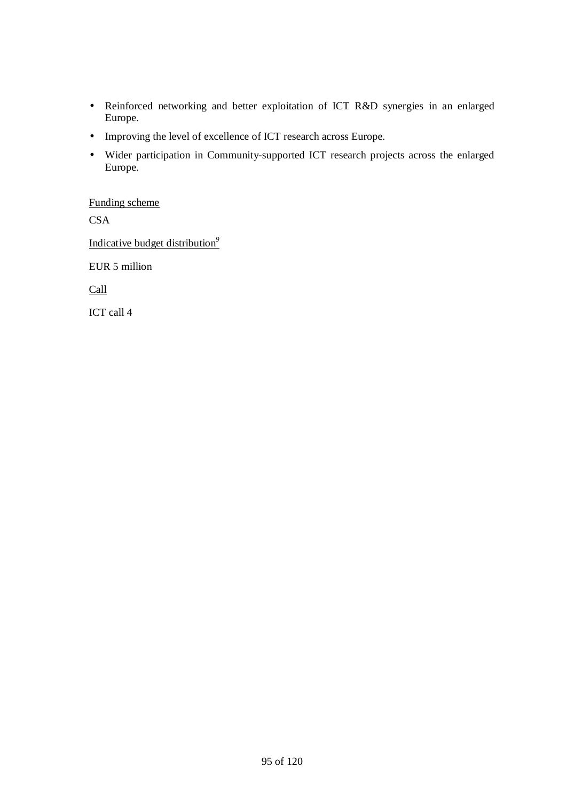- Reinforced networking and better exploitation of ICT R&D synergies in an enlarged Europe.
- Improving the level of excellence of ICT research across Europe.
- Wider participation in Community-supported ICT research projects across the enlarged Europe.

Funding scheme **CSA** Indicative budget distribution*<sup>9</sup>* EUR 5 million Call

ICT call 4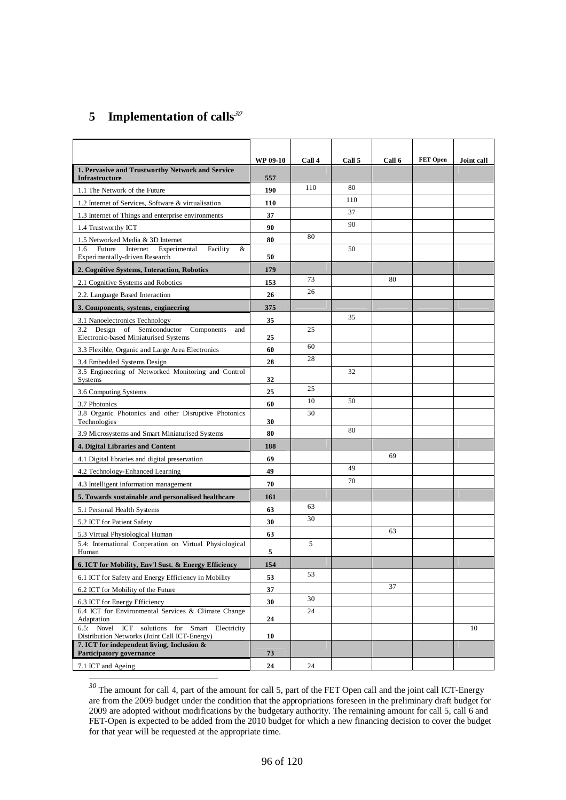# **5 Implementation of calls***<sup>30</sup>*

l

|                                                                                              | <b>WP 09-10</b> | Call 4 | Call 5 | Call 6 | <b>FET Open</b> | Joint call |
|----------------------------------------------------------------------------------------------|-----------------|--------|--------|--------|-----------------|------------|
| 1. Pervasive and Trustworthy Network and Service<br>Infrastructure                           | 557             |        |        |        |                 |            |
| 1.1 The Network of the Future                                                                | 190             | 110    | 80     |        |                 |            |
| 1.2 Internet of Services, Software & virtualisation                                          | 110             |        | 110    |        |                 |            |
| 1.3 Internet of Things and enterprise environments                                           | 37              |        | 37     |        |                 |            |
| 1.4 Trustworthy ICT                                                                          | 90              |        | 90     |        |                 |            |
| 1.5 Networked Media & 3D Internet                                                            | 80              | 80     |        |        |                 |            |
| Future<br>Internet<br>Experimental<br>Facility<br>1.6<br>&<br>Experimentally-driven Research | 50              |        | 50     |        |                 |            |
| 2. Cognitive Systems, Interaction, Robotics                                                  | 179             |        |        |        |                 |            |
| 2.1 Cognitive Systems and Robotics                                                           | 153             | 73     |        | 80     |                 |            |
| 2.2. Language Based Interaction                                                              | 26              | 26     |        |        |                 |            |
| 3. Components, systems, engineering                                                          | 375             |        |        |        |                 |            |
| 3.1 Nanoelectronics Technology                                                               | 35              |        | 35     |        |                 |            |
| 3.2 Design of Semiconductor<br>Components<br>and<br>Electronic-based Miniaturised Systems    | 25              | 25     |        |        |                 |            |
| 3.3 Flexible, Organic and Large Area Electronics                                             | 60              | 60     |        |        |                 |            |
| 3.4 Embedded Systems Design                                                                  | 28              | 28     |        |        |                 |            |
| 3.5 Engineering of Networked Monitoring and Control<br>Systems                               | 32              |        | 32     |        |                 |            |
| 3.6 Computing Systems                                                                        | 25              | 25     |        |        |                 |            |
| 3.7 Photonics                                                                                | 60              | 10     | 50     |        |                 |            |
| 3.8 Organic Photonics and other Disruptive Photonics<br>Technologies                         | 30              | 30     |        |        |                 |            |
| 3.9 Microsystems and Smart Miniaturised Systems                                              | 80              |        | 80     |        |                 |            |
| 4. Digital Libraries and Content                                                             | 188             |        |        |        |                 |            |
| 4.1 Digital libraries and digital preservation                                               | 69              |        |        | 69     |                 |            |
| 4.2 Technology-Enhanced Learning                                                             | 49              |        | 49     |        |                 |            |
| 4.3 Intelligent information management                                                       | 70              |        | 70     |        |                 |            |
| 5. Towards sustainable and personalised healthcare                                           | 161             |        |        |        |                 |            |
| 5.1 Personal Health Systems                                                                  | 63              | 63     |        |        |                 |            |
| 5.2 ICT for Patient Safety                                                                   | 30              | 30     |        |        |                 |            |
| 5.3 Virtual Physiological Human                                                              | 63              |        |        | 63     |                 |            |
| 5.4: International Cooperation on Virtual Physiological<br>Human                             | 5               | 5      |        |        |                 |            |
| 6. ICT for Mobility, Env'l Sust. & Energy Efficiency                                         | 154             |        |        |        |                 |            |
| 6.1 ICT for Safety and Energy Efficiency in Mobility                                         | 53              | 53     |        |        |                 |            |
| 6.2 ICT for Mobility of the Future                                                           | 37              |        |        | 37     |                 |            |
| 6.3 ICT for Energy Efficiency                                                                | 30              | 30     |        |        |                 |            |
| 6.4 ICT for Environmental Services & Climate Change                                          |                 | 24     |        |        |                 |            |
| Adaptation<br>6.5: Novel<br>solutions for<br>ICT<br>Smart<br>Electricity                     | 24              |        |        |        |                 | 10         |
| Distribution Networks (Joint Call ICT-Energy)                                                | 10              |        |        |        |                 |            |
| 7. ICT for independent living, Inclusion &                                                   |                 |        |        |        |                 |            |
| Participatory governance                                                                     | 73              |        |        |        |                 |            |
| 7.1 ICT and Ageing                                                                           | 24              | 24     |        |        |                 |            |

*<sup>30</sup>* The amount for call 4, part of the amount for call 5, part of the FET Open call and the joint call ICT-Energy are from the 2009 budget under the condition that the appropriations foreseen in the preliminary draft budget for 2009 are adopted without modifications by the budgetary authority. The remaining amount for call 5, call 6 and FET-Open is expected to be added from the 2010 budget for which a new financing decision to cover the budget for that year will be requested at the appropriate time.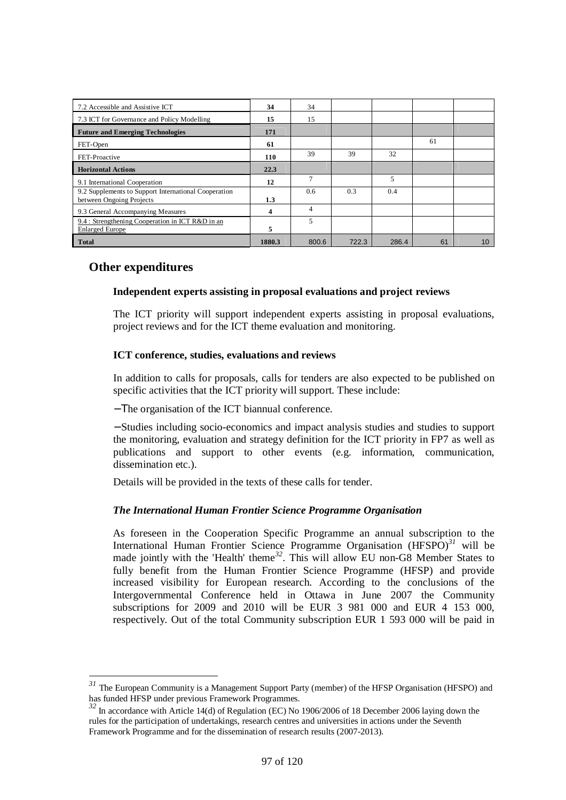| 7.2 Accessible and Assistive ICT                                                 | 34               | 34             |       |       |    |    |
|----------------------------------------------------------------------------------|------------------|----------------|-------|-------|----|----|
| 7.3 ICT for Governance and Policy Modelling                                      | 15               | 15             |       |       |    |    |
| <b>Future and Emerging Technologies</b>                                          | 171              |                |       |       |    |    |
| FET-Open                                                                         | 61               |                |       |       | 61 |    |
| FET-Proactive                                                                    | <b>110</b>       | 39             | 39    | 32    |    |    |
| <b>Horizontal Actions</b>                                                        | 22.3             |                |       |       |    |    |
| 9.1 International Cooperation                                                    | 12               | 7              |       | 5     |    |    |
| 9.2 Supplements to Support International Cooperation<br>between Ongoing Projects | $1.3\phantom{0}$ | 0.6            | 0.3   | 0.4   |    |    |
| 9.3 General Accompanying Measures                                                | 4                | $\overline{4}$ |       |       |    |    |
| 9.4 : Strengthening Cooperation in ICT R&D in an<br><b>Enlarged Europe</b>       | 5                | 5              |       |       |    |    |
| <b>Total</b>                                                                     | 1880.3           | 800.6          | 722.3 | 286.4 | 61 | 10 |

## **Other expenditures**

 $\overline{a}$ 

#### **Independent experts assisting in proposal evaluations and project reviews**

The ICT priority will support independent experts assisting in proposal evaluations, project reviews and for the ICT theme evaluation and monitoring.

#### **ICT conference, studies, evaluations and reviews**

In addition to calls for proposals, calls for tenders are also expected to be published on specific activities that the ICT priority will support. These include:

− Τhe organisation of the ICT biannual conference.

− Studies including socio-economics and impact analysis studies and studies to support the monitoring, evaluation and strategy definition for the ICT priority in FP7 as well as publications and support to other events (e.g. information, communication, dissemination etc.).

Details will be provided in the texts of these calls for tender.

## *The International Human Frontier Science Programme Organisation*

As foreseen in the Cooperation Specific Programme an annual subscription to the International Human Frontier Science Programme Organisation (HFSPO)*<sup>31</sup>* will be made jointly with the 'Health' theme*<sup>32</sup>*. This will allow EU non-G8 Member States to fully benefit from the Human Frontier Science Programme (HFSP) and provide increased visibility for European research. According to the conclusions of the Intergovernmental Conference held in Ottawa in June 2007 the Community subscriptions for 2009 and 2010 will be EUR 3 981 000 and EUR 4 153 000, respectively. Out of the total Community subscription EUR 1 593 000 will be paid in

*<sup>31</sup>* The European Community is a Management Support Party (member) of the HFSP Organisation (HFSPO) and has funded HFSP under previous Framework Programmes.

<sup>&</sup>lt;sup>32</sup> In accordance with Article 14(d) of Regulation (EC) No 1906/2006 of 18 December 2006 laying down the rules for the participation of undertakings, research centres and universities in actions under the Seventh Framework Programme and for the dissemination of research results (2007-2013).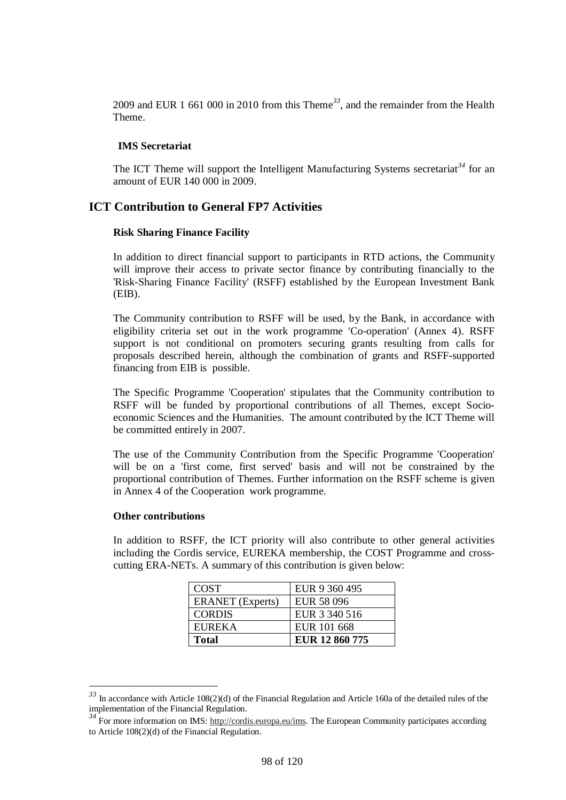2009 and EUR 1 661 000 in 2010 from this Theme*<sup>33</sup>*, and the remainder from the Health Theme.

#### **IMS Secretariat**

The ICT Theme will support the Intelligent Manufacturing Systems secretariat<sup>34</sup> for an amount of EUR 140 000 in 2009.

## **ICT Contribution to General FP7 Activities**

#### **Risk Sharing Finance Facility**

In addition to direct financial support to participants in RTD actions, the Community will improve their access to private sector finance by contributing financially to the 'Risk-Sharing Finance Facility' (RSFF) established by the European Investment Bank (EIB).

The Community contribution to RSFF will be used, by the Bank, in accordance with eligibility criteria set out in the work programme 'Co-operation' (Annex 4). RSFF support is not conditional on promoters securing grants resulting from calls for proposals described herein, although the combination of grants and RSFF-supported financing from EIB is possible.

The Specific Programme 'Cooperation' stipulates that the Community contribution to RSFF will be funded by proportional contributions of all Themes, except Socioeconomic Sciences and the Humanities. The amount contributed by the ICT Theme will be committed entirely in 2007.

The use of the Community Contribution from the Specific Programme 'Cooperation' will be on a 'first come, first served' basis and will not be constrained by the proportional contribution of Themes. Further information on the RSFF scheme is given in Annex 4 of the Cooperation work programme.

#### **Other contributions**

l

In addition to RSFF, the ICT priority will also contribute to other general activities including the Cordis service, EUREKA membership, the COST Programme and crosscutting ERA-NETs. A summary of this contribution is given below:

| <b>COST</b>             | EUR 9 360 495     |
|-------------------------|-------------------|
| <b>ERANET</b> (Experts) | <b>EUR 58 096</b> |
| <b>CORDIS</b>           | EUR 3 340 516     |
| <b>EUREKA</b>           | EUR 101 668       |
| <b>Total</b>            | EUR 12 860 775    |

*<sup>33</sup>* In accordance with Article 108(2)(d) of the Financial Regulation and Article 160a of the detailed rules of the implementation of the Financial Regulation.

<sup>&</sup>lt;sup>34</sup> For more information on IMS: http:/<u>/cordis.europa.eu/ims</u>. The European Community participates according to Article 108(2)(d) of the Financial Regulation.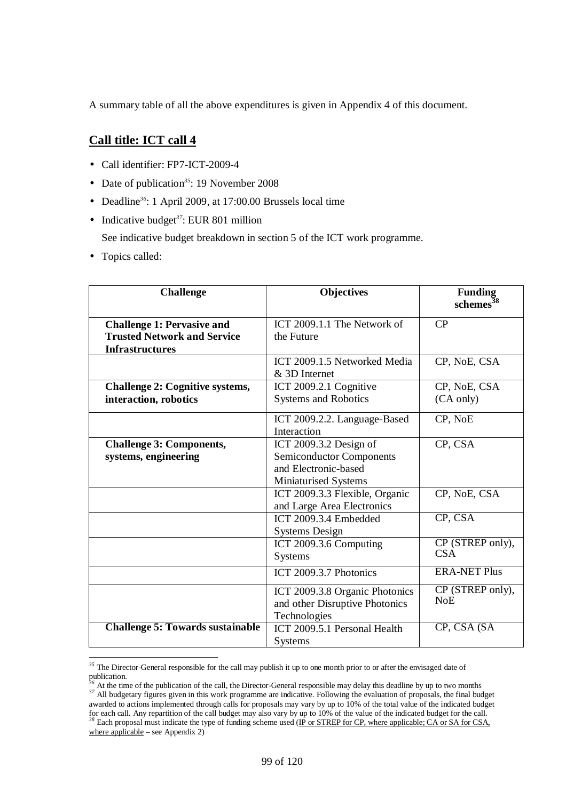A summary table of all the above expenditures is given in Appendix 4 of this document.

## **Call title: ICT call 4**

- Call identifier: FP7-ICT-2009-4
- Date of publication<sup>35</sup>: 19 November 2008
- Deadline*<sup>36</sup>*: 1 April 2009, at 17:00.00 Brussels local time
- Indicative budget<sup>37</sup>: EUR 801 million

See indicative budget breakdown in section 5 of the ICT work programme.

• Topics called:

| <b>Challenge</b>                        | <b>Objectives</b>               | <b>Funding</b><br>schemes <sup>38</sup> |
|-----------------------------------------|---------------------------------|-----------------------------------------|
| <b>Challenge 1: Pervasive and</b>       | ICT 2009.1.1 The Network of     | CP                                      |
| <b>Trusted Network and Service</b>      | the Future                      |                                         |
| <b>Infrastructures</b>                  |                                 |                                         |
|                                         | ICT 2009.1.5 Networked Media    | CP, NoE, CSA                            |
|                                         | & 3D Internet                   |                                         |
| <b>Challenge 2: Cognitive systems,</b>  | ICT 2009.2.1 Cognitive          | CP, NoE, CSA                            |
| interaction, robotics                   | <b>Systems and Robotics</b>     | (CA only)                               |
|                                         | ICT 2009.2.2. Language-Based    | CP, NoE                                 |
|                                         | Interaction                     |                                         |
| <b>Challenge 3: Components,</b>         | ICT 2009.3.2 Design of          | CP, CSA                                 |
| systems, engineering                    | <b>Semiconductor Components</b> |                                         |
|                                         | and Electronic-based            |                                         |
|                                         | Miniaturised Systems            |                                         |
|                                         | ICT 2009.3.3 Flexible, Organic  | CP, NoE, CSA                            |
|                                         | and Large Area Electronics      |                                         |
|                                         | ICT 2009.3.4 Embedded           | CP, CSA                                 |
|                                         | <b>Systems Design</b>           |                                         |
|                                         | ICT 2009.3.6 Computing          | CP (STREP only),                        |
|                                         | <b>Systems</b>                  | <b>CSA</b>                              |
|                                         | ICT 2009.3.7 Photonics          | <b>ERA-NET Plus</b>                     |
|                                         | ICT 2009.3.8 Organic Photonics  | CP (STREP only),                        |
|                                         | and other Disruptive Photonics  | NoE                                     |
|                                         | Technologies                    |                                         |
| <b>Challenge 5: Towards sustainable</b> | ICT 2009.5.1 Personal Health    | CP, CSA (SA                             |
|                                         | <b>Systems</b>                  |                                         |

 $\overline{\phantom{a}}$ *<sup>35</sup>* The Director-General responsible for the call may publish it up to one month prior to or after the envisaged date of publication.

<sup>&</sup>lt;sup>5</sup> At the time of the publication of the call, the Director-General responsible may delay this deadline by up to two months <sup>37</sup> All budgetary figures given in this work programme are indicative. Following the evaluation of proposals, the final budget awarded to actions implemented through calls for proposals may vary by up to 10% of the total value of the indicated budget for each call. Any repartition of the call budget may also vary by up to 10% of the value of the indicated budget for the call. <sup>38</sup> Each proposal must indicate the type of funding scheme used (IP or STREP for CP, where applicable; CA or SA for CSA, where applicable – see Appendix 2)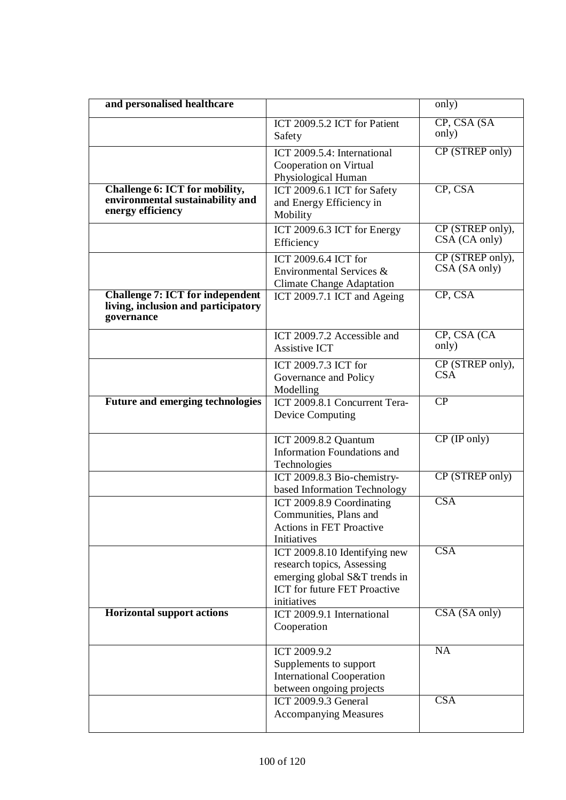| and personalised healthcare                                                                  |                                                                                                                                                    | only)                             |
|----------------------------------------------------------------------------------------------|----------------------------------------------------------------------------------------------------------------------------------------------------|-----------------------------------|
|                                                                                              | ICT 2009.5.2 ICT for Patient<br>Safety                                                                                                             | CP, CSA (SA<br>only)              |
|                                                                                              | ICT 2009.5.4: International<br>Cooperation on Virtual<br>Physiological Human                                                                       | CP (STREP only)                   |
| Challenge 6: ICT for mobility,<br>environmental sustainability and<br>energy efficiency      | ICT 2009.6.1 ICT for Safety<br>and Energy Efficiency in<br>Mobility                                                                                | CP, CSA                           |
|                                                                                              | ICT 2009.6.3 ICT for Energy<br>Efficiency                                                                                                          | CP (STREP only),<br>CSA (CA only) |
|                                                                                              | ICT 2009.6.4 ICT for<br>Environmental Services &<br><b>Climate Change Adaptation</b>                                                               | CP (STREP only),<br>CSA (SA only) |
| <b>Challenge 7: ICT for independent</b><br>living, inclusion and participatory<br>governance | ICT 2009.7.1 ICT and Ageing                                                                                                                        | CP, CSA                           |
|                                                                                              | ICT 2009.7.2 Accessible and<br><b>Assistive ICT</b>                                                                                                | CP, CSA (CA<br>only)              |
|                                                                                              | ICT 2009.7.3 ICT for<br>Governance and Policy<br>Modelling                                                                                         | CP (STREP only),<br><b>CSA</b>    |
| <b>Future and emerging technologies</b>                                                      | ICT 2009.8.1 Concurrent Tera-<br><b>Device Computing</b>                                                                                           | $\overline{CP}$                   |
|                                                                                              | ICT 2009.8.2 Quantum<br>Information Foundations and<br>Technologies                                                                                | $CP$ (IP only)                    |
|                                                                                              | ICT 2009.8.3 Bio-chemistry-<br>based Information Technology                                                                                        | CP (STREP only)                   |
|                                                                                              | ICT 2009.8.9 Coordinating<br>Communities, Plans and<br><b>Actions in FET Proactive</b><br>Initiatives                                              | CSA                               |
|                                                                                              | ICT 2009.8.10 Identifying new<br>research topics, Assessing<br>emerging global S&T trends in<br><b>ICT</b> for future FET Proactive<br>initiatives | CSA                               |
| <b>Horizontal support actions</b>                                                            | ICT 2009.9.1 International<br>Cooperation                                                                                                          | CSA (SA only)                     |
|                                                                                              | ICT 2009.9.2<br>Supplements to support<br><b>International Cooperation</b><br>between ongoing projects                                             | <b>NA</b>                         |
|                                                                                              | ICT 2009.9.3 General<br><b>Accompanying Measures</b>                                                                                               | CSA                               |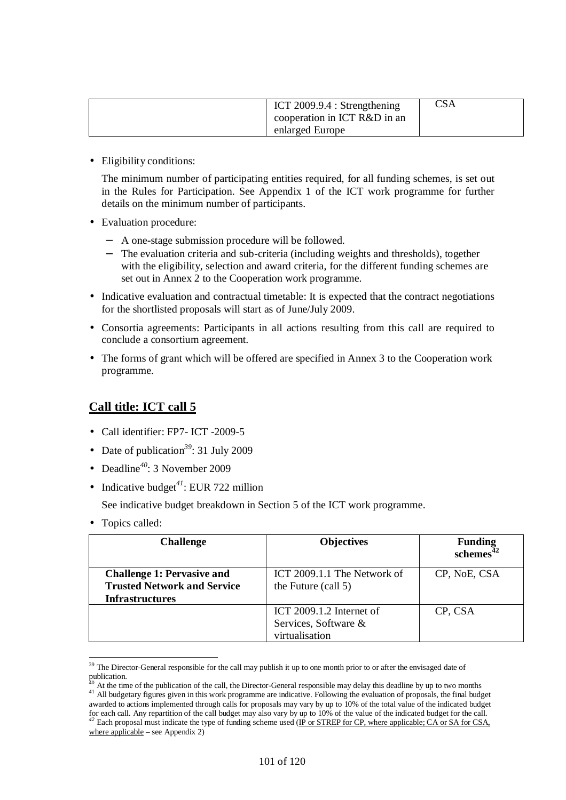| ICT $2009.9.4$ : Strengthening<br>cooperation in ICT R&D in an | CSA |
|----------------------------------------------------------------|-----|
| enlarged Europe                                                |     |

• Eligibility conditions:

The minimum number of participating entities required, for all funding schemes, is set out in the Rules for Participation. See Appendix 1 of the ICT work programme for further details on the minimum number of participants.

- Evaluation procedure:
	- − A one-stage submission procedure will be followed.
	- The evaluation criteria and sub-criteria (including weights and thresholds), together with the eligibility, selection and award criteria, for the different funding schemes are set out in Annex 2 to the Cooperation work programme.
- Indicative evaluation and contractual timetable: It is expected that the contract negotiations for the shortlisted proposals will start as of June/July 2009.
- Consortia agreements: Participants in all actions resulting from this call are required to conclude a consortium agreement.
- The forms of grant which will be offered are specified in Annex 3 to the Cooperation work programme.

## **Call title: ICT call 5**

- Call identifier: FP7- ICT -2009-5
- Date of publication<sup>39</sup>: 31 July 2009
- Deadline*<sup>40</sup>*: 3 November 2009
- Indicative budget<sup>41</sup>: EUR 722 million

See indicative budget breakdown in Section 5 of the ICT work programme.

• Topics called:

 $\overline{\phantom{a}}$ 

| <b>Challenge</b>                                                                                  | <b>Objectives</b>                                                  | <b>Funding</b><br>schemes <sup>42</sup> |
|---------------------------------------------------------------------------------------------------|--------------------------------------------------------------------|-----------------------------------------|
| <b>Challenge 1: Pervasive and</b><br><b>Trusted Network and Service</b><br><b>Infrastructures</b> | ICT 2009.1.1 The Network of<br>the Future (call 5)                 | CP, NoE, CSA                            |
|                                                                                                   | ICT 2009.1.2 Internet of<br>Services, Software &<br>virtualisation | CP, CSA                                 |

 $39$  The Director-General responsible for the call may publish it up to one month prior to or after the envisaged date of publication.

At the time of the publication of the call, the Director-General responsible may delay this deadline by up to two months <sup>41</sup> All budgetary figures given in this work programme are indicative. Following the evaluation of proposals, the final budget awarded to actions implemented through calls for proposals may vary by up to 10% of the total value of the indicated budget for each call. Any repartition of the call budget may also vary by up to 10% of the value of the indicated budget for the call. *<sup>42</sup>* Each proposal must indicate the type of funding scheme used (IP or STREP for CP, where applicable; CA or SA for CSA, where applicable – see Appendix 2)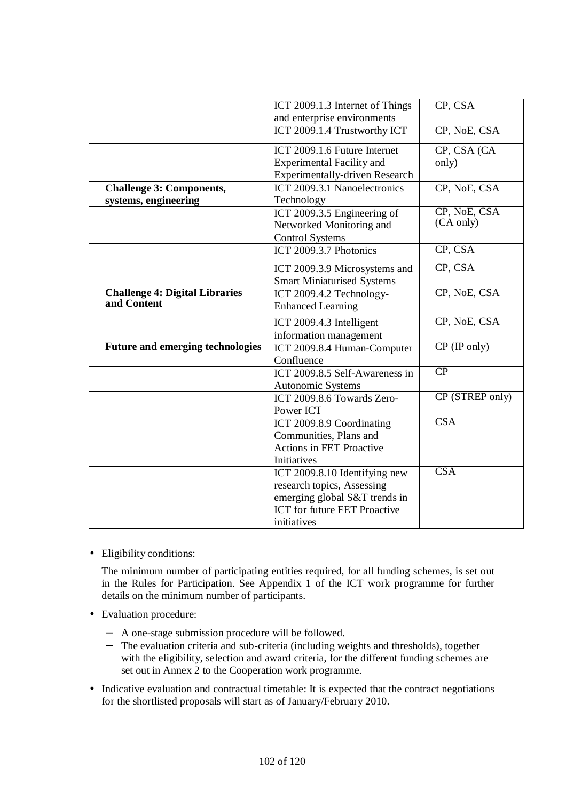|                                         | ICT 2009.1.3 Internet of Things     | CP, CSA         |
|-----------------------------------------|-------------------------------------|-----------------|
|                                         | and enterprise environments         |                 |
|                                         | ICT 2009.1.4 Trustworthy ICT        | CP, NoE, CSA    |
|                                         | ICT 2009.1.6 Future Internet        | CP, CSA (CA     |
|                                         | <b>Experimental Facility and</b>    | only)           |
|                                         | Experimentally-driven Research      |                 |
| <b>Challenge 3: Components,</b>         | ICT 2009.3.1 Nanoelectronics        | CP, NoE, CSA    |
| systems, engineering                    | Technology                          |                 |
|                                         | ICT 2009.3.5 Engineering of         | CP, NoE, CSA    |
|                                         | Networked Monitoring and            | (CA only)       |
|                                         | <b>Control Systems</b>              |                 |
|                                         | ICT 2009.3.7 Photonics              | CP, CSA         |
|                                         | ICT 2009.3.9 Microsystems and       | CP, CSA         |
|                                         | <b>Smart Miniaturised Systems</b>   |                 |
| <b>Challenge 4: Digital Libraries</b>   | ICT 2009.4.2 Technology-            | CP, NoE, CSA    |
| and Content                             | <b>Enhanced Learning</b>            |                 |
|                                         |                                     |                 |
|                                         | ICT 2009.4.3 Intelligent            | CP, NoE, CSA    |
|                                         | information management              |                 |
| <b>Future and emerging technologies</b> | ICT 2009.8.4 Human-Computer         | $CP$ (IP only)  |
|                                         | Confluence                          |                 |
|                                         | ICT 2009.8.5 Self-Awareness in      | CP              |
|                                         | Autonomic Systems                   |                 |
|                                         | ICT 2009.8.6 Towards Zero-          | CP (STREP only) |
|                                         | Power ICT                           |                 |
|                                         | ICT 2009.8.9 Coordinating           | CSA             |
|                                         | Communities, Plans and              |                 |
|                                         | <b>Actions in FET Proactive</b>     |                 |
|                                         | Initiatives                         |                 |
|                                         | ICT 2009.8.10 Identifying new       | CSA             |
|                                         | research topics, Assessing          |                 |
|                                         | emerging global S&T trends in       |                 |
|                                         | <b>ICT</b> for future FET Proactive |                 |
|                                         | initiatives                         |                 |

• Eligibility conditions:

The minimum number of participating entities required, for all funding schemes, is set out in the Rules for Participation. See Appendix 1 of the ICT work programme for further details on the minimum number of participants.

- Evaluation procedure:
	- − A one-stage submission procedure will be followed.
	- − The evaluation criteria and sub-criteria (including weights and thresholds), together with the eligibility, selection and award criteria, for the different funding schemes are set out in Annex 2 to the Cooperation work programme.
- Indicative evaluation and contractual timetable: It is expected that the contract negotiations for the shortlisted proposals will start as of January/February 2010.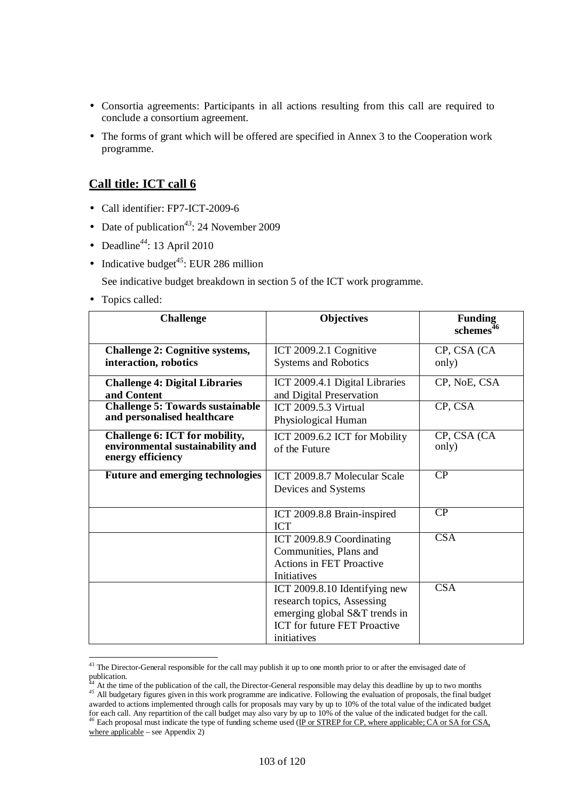- Consortia agreements: Participants in all actions resulting from this call are required to conclude a consortium agreement.
- The forms of grant which will be offered are specified in Annex 3 to the Cooperation work programme.

## **Call title: ICT call 6**

- Call identifier: FP7-ICT-2009-6
- Date of publication<sup>43</sup>: 24 November 2009
- Deadline*<sup>44</sup>*: 13 April 2010
- Indicative budget<sup>45</sup>: EUR 286 million

See indicative budget breakdown in section 5 of the ICT work programme.

• Topics called:

 $\overline{\phantom{a}}$ 

| <b>Challenge</b>                                                                        | <b>Objectives</b>                                                                                                                           | <b>Funding</b><br>schemes <sup>46</sup> |
|-----------------------------------------------------------------------------------------|---------------------------------------------------------------------------------------------------------------------------------------------|-----------------------------------------|
| <b>Challenge 2: Cognitive systems,</b><br>interaction, robotics                         | ICT 2009.2.1 Cognitive<br><b>Systems and Robotics</b>                                                                                       | CP, CSA (CA<br>only)                    |
| <b>Challenge 4: Digital Libraries</b><br>and Content                                    | ICT 2009.4.1 Digital Libraries<br>and Digital Preservation                                                                                  | CP, NoE, CSA                            |
| <b>Challenge 5: Towards sustainable</b><br>and personalised healthcare                  | ICT 2009.5.3 Virtual<br>Physiological Human                                                                                                 | CP, CSA                                 |
| Challenge 6: ICT for mobility,<br>environmental sustainability and<br>energy efficiency | ICT 2009.6.2 ICT for Mobility<br>of the Future                                                                                              | CP, CSA (CA<br>only)                    |
| <b>Future and emerging technologies</b>                                                 | ICT 2009.8.7 Molecular Scale<br>Devices and Systems                                                                                         | CP                                      |
|                                                                                         | ICT 2009.8.8 Brain-inspired<br><b>ICT</b>                                                                                                   | CP                                      |
|                                                                                         | ICT 2009.8.9 Coordinating<br>Communities, Plans and<br><b>Actions in FET Proactive</b><br>Initiatives                                       | $\overline{\text{CSA}}$                 |
|                                                                                         | ICT 2009.8.10 Identifying new<br>research topics, Assessing<br>emerging global S&T trends in<br>ICT for future FET Proactive<br>initiatives | $\overline{\text{CSA}}$                 |

 $43$  The Director-General responsible for the call may publish it up to one month prior to or after the envisaged date of publication.

At the time of the publication of the call, the Director-General responsible may delay this deadline by up to two months At the time of the publication of the can, the Director-Scherar responsible may deny any senante by up to this mediate *45* All budgetary figures given in this work programme are indicative. Following the evaluation of pro awarded to actions implemented through calls for proposals may vary by up to 10% of the total value of the indicated budget for each call. Any repartition of the call budget may also vary by up to 10% of the value of the indicated budget for the call. *<sup>46</sup>* Each proposal must indicate the type of funding scheme used (IP or STREP for CP, where applicable; CA or SA for CSA, where applicable – see Appendix 2)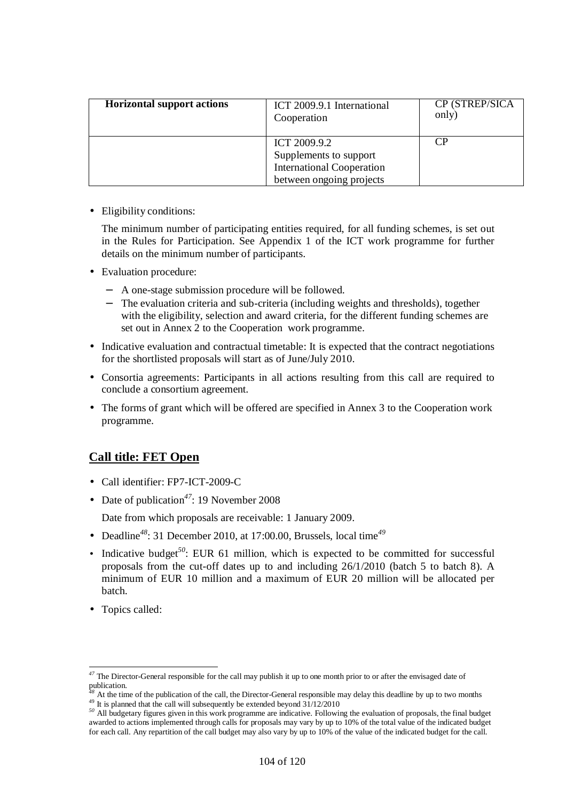| <b>Horizontal support actions</b> | ICT 2009.9.1 International<br>Cooperation                                                              | CP (STREP/SICA<br>only) |
|-----------------------------------|--------------------------------------------------------------------------------------------------------|-------------------------|
|                                   | ICT 2009.9.2<br>Supplements to support<br><b>International Cooperation</b><br>between ongoing projects | CP                      |

• Eligibility conditions:

The minimum number of participating entities required, for all funding schemes, is set out in the Rules for Participation. See Appendix 1 of the ICT work programme for further details on the minimum number of participants.

- Evaluation procedure:
	- − A one-stage submission procedure will be followed.
	- − The evaluation criteria and sub-criteria (including weights and thresholds), together with the eligibility, selection and award criteria, for the different funding schemes are set out in Annex 2 to the Cooperation work programme.
- Indicative evaluation and contractual timetable: It is expected that the contract negotiations for the shortlisted proposals will start as of June/July 2010.
- Consortia agreements: Participants in all actions resulting from this call are required to conclude a consortium agreement.
- The forms of grant which will be offered are specified in Annex 3 to the Cooperation work programme.

## **Call title: FET Open**

- Call identifier: FP7-ICT-2009-C
- Date of publication<sup>47</sup>: 19 November 2008

Date from which proposals are receivable: 1 January 2009.

- Deadline*<sup>48</sup>*: 31 December 2010, at 17:00.00, Brussels, local time*<sup>49</sup>*
- Indicative budget<sup>50</sup>: EUR 61 million, which is expected to be committed for successful proposals from the cut-off dates up to and including 26/1/2010 (batch 5 to batch 8). A minimum of EUR 10 million and a maximum of EUR 20 million will be allocated per batch.
- Topics called:

 $\overline{\phantom{a}}$ 

*<sup>47</sup>* The Director-General responsible for the call may publish it up to one month prior to or after the envisaged date of publication.

*<sup>48</sup>* At the time of the publication of the call, the Director-General responsible may delay this deadline by up to two months <sup>49</sup> It is planned that the call will subsequently be extended beyond  $31/12/2010$ 

<sup>&</sup>lt;sup>50</sup> All budgetary figures given in this work programme are indicative. Following the evaluation of proposals, the final budget awarded to actions implemented through calls for proposals may vary by up to 10% of the total value of the indicated budget for each call. Any repartition of the call budget may also vary by up to 10% of the value of the indicated budget for the call.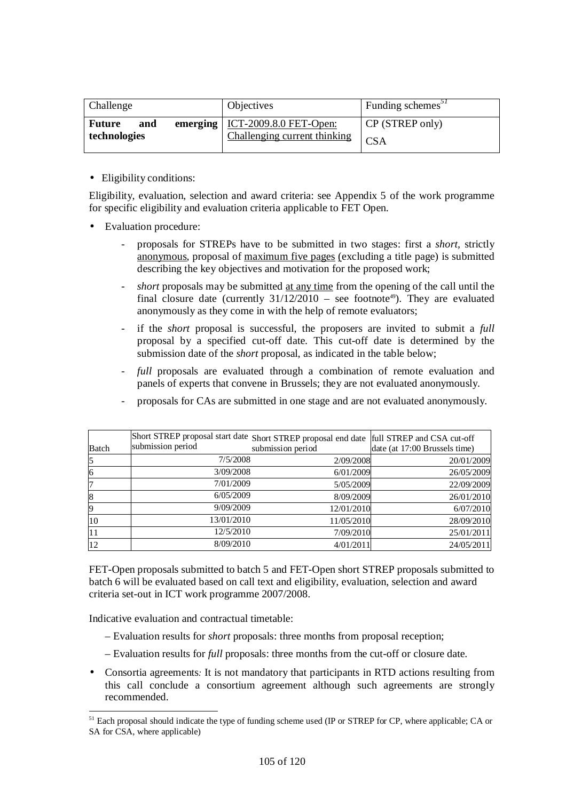| Challenge                            | <b>Objectives</b>                                                       | Funding schemes <sup>31</sup> |
|--------------------------------------|-------------------------------------------------------------------------|-------------------------------|
| <b>Future</b><br>and<br>technologies | emerging $\vert$ ICT-2009.8.0 FET-Open:<br>Challenging current thinking | CP (STREP only)<br><b>CSA</b> |

• Eligibility conditions:

Eligibility, evaluation, selection and award criteria: see Appendix 5 of the work programme for specific eligibility and evaluation criteria applicable to FET Open.

- Evaluation procedure:
	- proposals for STREPs have to be submitted in two stages: first a *short,* strictly anonymous, proposal of maximum five pages (excluding a title page) is submitted describing the key objectives and motivation for the proposed work;
	- *short* proposals may be submitted <u>at any time</u> from the opening of the call until the final closure date (currently  $31/12/2010$  – see footnote<sup>49</sup>). They are evaluated anonymously as they come in with the help of remote evaluators;
	- if the *short* proposal is successful, the proposers are invited to submit a *full* proposal by a specified cut-off date. This cut-off date is determined by the submission date of the *short* proposal, as indicated in the table below;
	- full proposals are evaluated through a combination of remote evaluation and panels of experts that convene in Brussels; they are not evaluated anonymously.

| <b>Batch</b> | submission period | Short STREP proposal start date Short STREP proposal end date full STREP and CSA cut-off<br>submission period | date (at 17:00 Brussels time) |
|--------------|-------------------|---------------------------------------------------------------------------------------------------------------|-------------------------------|
| 5            | 7/5/2008          | 2/09/2008                                                                                                     | 20/01/2009                    |
| 6            | 3/09/2008         | 6/01/2009                                                                                                     | 26/05/2009                    |
| 7            | 7/01/2009         | 5/05/2009                                                                                                     | 22/09/2009                    |
| 8            | 6/05/2009         | 8/09/2009                                                                                                     | 26/01/2010                    |
| 9            | 9/09/2009         | 12/01/2010                                                                                                    | 6/07/2010                     |
| 10           | 13/01/2010        | 11/05/2010                                                                                                    | 28/09/2010                    |
| 11           | 12/5/2010         | 7/09/2010                                                                                                     | 25/01/2011                    |
| 12           | 8/09/2010         | 4/01/2011                                                                                                     | 24/05/2011                    |

- proposals for CAs are submitted in one stage and are not evaluated anonymously.

FET-Open proposals submitted to batch 5 and FET-Open short STREP proposals submitted to batch 6 will be evaluated based on call text and eligibility, evaluation, selection and award criteria set-out in ICT work programme 2007/2008.

Indicative evaluation and contractual timetable:

 $\overline{a}$ 

- Evaluation results for *short* proposals: three months from proposal reception;
- Evaluation results for *full* proposals: three months from the cut-off or closure date.
- Consortia agreements*:* It is not mandatory that participants in RTD actions resulting from this call conclude a consortium agreement although such agreements are strongly recommended.

<sup>&</sup>lt;sup>51</sup> Each proposal should indicate the type of funding scheme used (IP or STREP for CP, where applicable; CA or SA for CSA, where applicable)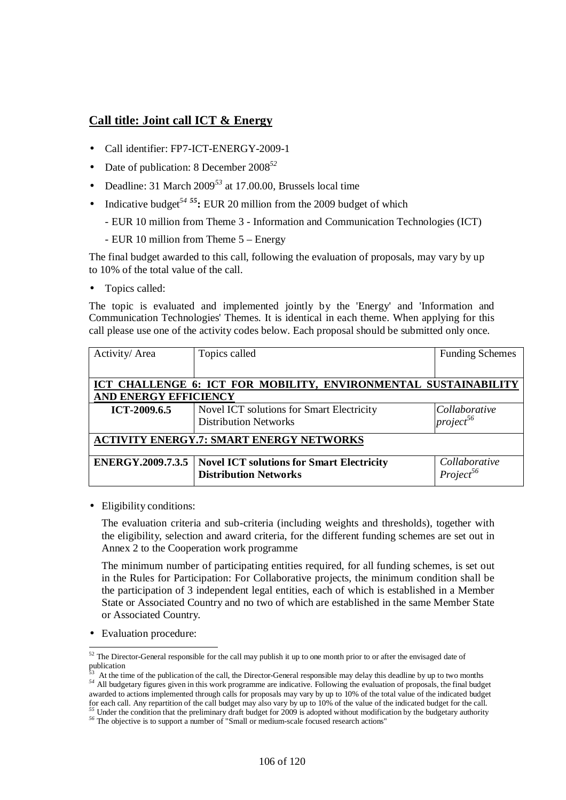## **Call title: Joint call ICT & Energy**

- Call identifier: FP7-ICT-ENERGY-2009-1
- Date of publication: 8 December 2008*<sup>52</sup>*
- Deadline: 31 March 2009*<sup>53</sup>* at 17.00.00, Brussels local time
- Indicative budget<sup>54 55</sup>**:** EUR 20 million from the 2009 budget of which
	- EUR 10 million from Theme 3 Information and Communication Technologies (ICT)
	- EUR 10 million from Theme 5 Energy

The final budget awarded to this call, following the evaluation of proposals, may vary by up to 10% of the total value of the call.

• Topics called:

The topic is evaluated and implemented jointly by the 'Energy' and 'Information and Communication Technologies' Themes. It is identical in each theme. When applying for this call please use one of the activity codes below. Each proposal should be submitted only once.

| Activity/Area                                                   | Topics called                                    | <b>Funding Schemes</b> |  |
|-----------------------------------------------------------------|--------------------------------------------------|------------------------|--|
|                                                                 |                                                  |                        |  |
| ICT CHALLENGE 6: ICT FOR MOBILITY, ENVIRONMENTAL SUSTAINABILITY |                                                  |                        |  |
| <b>AND ENERGY EFFICIENCY</b>                                    |                                                  |                        |  |
| ICT-2009.6.5                                                    | Novel ICT solutions for Smart Electricity        | Collaborative          |  |
|                                                                 | <b>Distribution Networks</b>                     | $project^{56}$         |  |
| <b>ACTIVITY ENERGY.7: SMART ENERGY NETWORKS</b>                 |                                                  |                        |  |
| <b>ENERGY.2009.7.3.5</b>                                        | <b>Novel ICT solutions for Smart Electricity</b> | Collaborative          |  |
|                                                                 | <b>Distribution Networks</b>                     | $Project^{56}$         |  |

• Eligibility conditions:

The evaluation criteria and sub-criteria (including weights and thresholds), together with the eligibility, selection and award criteria, for the different funding schemes are set out in Annex 2 to the Cooperation work programme

The minimum number of participating entities required, for all funding schemes, is set out in the Rules for Participation: For Collaborative projects, the minimum condition shall be the participation of 3 independent legal entities, each of which is established in a Member State or Associated Country and no two of which are established in the same Member State or Associated Country.

• Evaluation procedure:

 $\overline{a}$  $52$  The Director-General responsible for the call may publish it up to one month prior to or after the envisaged date of publication

<sup>53</sup> At the time of the publication of the call, the Director-General responsible may delay this deadline by up to two months *<sup>54</sup>* All budgetary figures given in this work programme are indicative. Following the evaluation of proposals, the final budget awarded to actions implemented through calls for proposals may vary by up to 10% of the total value of the indicated budget for each call. Any repartition of the call budget may also vary by up to 10% of the value of the indicated budget for the call. *<sup>55</sup>* Under the condition that the preliminary draft budget for 2009 is adopted without modification by the budgetary authority

*<sup>56</sup>* The objective is to support a number of "Small or medium-scale focused research actions"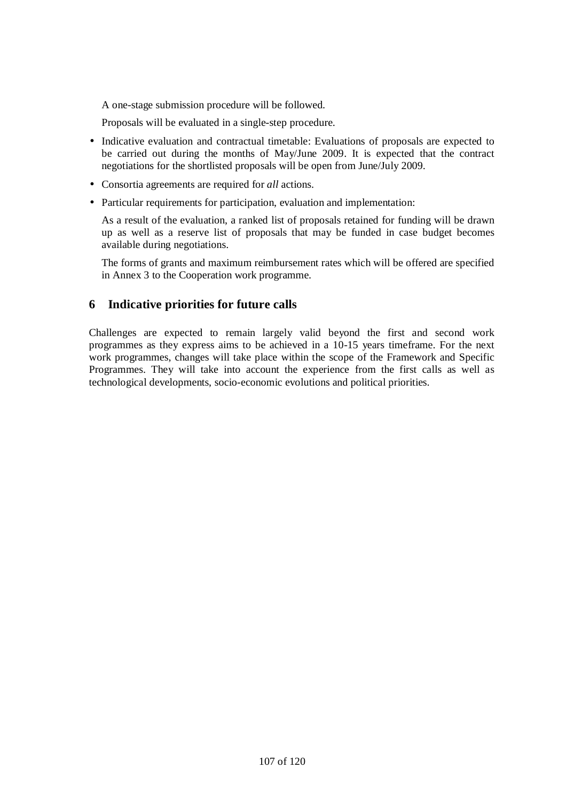A one-stage submission procedure will be followed.

Proposals will be evaluated in a single-step procedure.

- Indicative evaluation and contractual timetable: Evaluations of proposals are expected to be carried out during the months of May/June 2009. It is expected that the contract negotiations for the shortlisted proposals will be open from June/July 2009.
- Consortia agreements are required for *all* actions.
- Particular requirements for participation, evaluation and implementation:

As a result of the evaluation, a ranked list of proposals retained for funding will be drawn up as well as a reserve list of proposals that may be funded in case budget becomes available during negotiations.

The forms of grants and maximum reimbursement rates which will be offered are specified in Annex 3 to the Cooperation work programme.

## **6 Indicative priorities for future calls**

Challenges are expected to remain largely valid beyond the first and second work programmes as they express aims to be achieved in a 10-15 years timeframe. For the next work programmes, changes will take place within the scope of the Framework and Specific Programmes. They will take into account the experience from the first calls as well as technological developments, socio-economic evolutions and political priorities.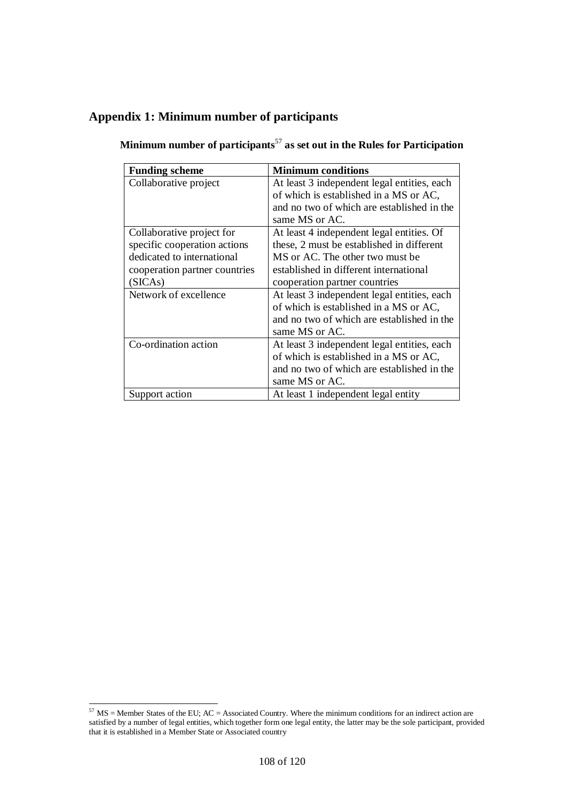# **Appendix 1: Minimum number of participants**

| <b>Funding scheme</b>         | <b>Minimum conditions</b>                   |
|-------------------------------|---------------------------------------------|
| Collaborative project         | At least 3 independent legal entities, each |
|                               | of which is established in a MS or AC,      |
|                               | and no two of which are established in the  |
|                               | same MS or AC.                              |
| Collaborative project for     | At least 4 independent legal entities. Of   |
| specific cooperation actions  | these, 2 must be established in different   |
| dedicated to international    | MS or AC. The other two must be             |
| cooperation partner countries | established in different international      |
| (SICAs)                       | cooperation partner countries               |
| Network of excellence         | At least 3 independent legal entities, each |
|                               | of which is established in a MS or AC,      |
|                               | and no two of which are established in the  |
|                               | same MS or AC.                              |
| Co-ordination action          | At least 3 independent legal entities, each |
|                               | of which is established in a MS or AC,      |
|                               | and no two of which are established in the  |
|                               | same MS or AC.                              |
| Support action                | At least 1 independent legal entity         |

**Minimum number of participants**<sup>57</sup> **as set out in the Rules for Participation** 

 $\overline{a}$  $57$  MS = Member States of the EU; AC = Associated Country. Where the minimum conditions for an indirect action are satisfied by a number of legal entities, which together form one legal entity, the latter may be the sole participant, provided that it is established in a Member State or Associated country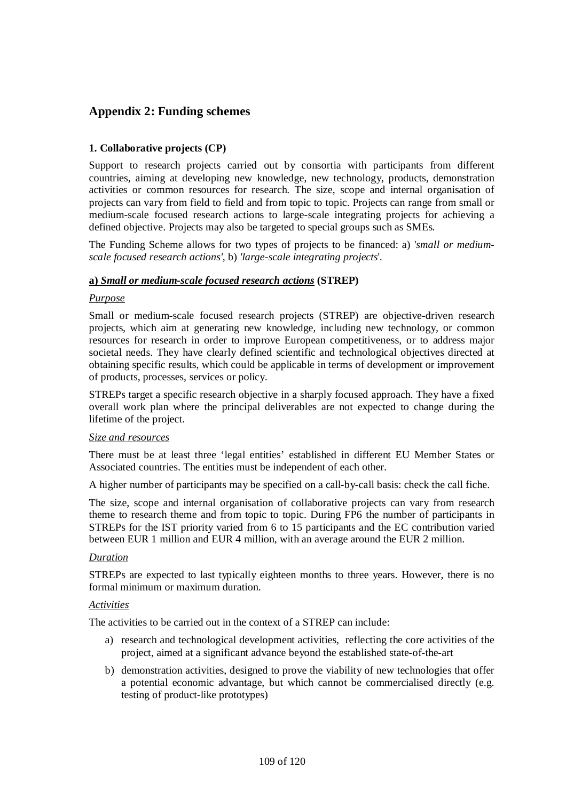# **Appendix 2: Funding schemes**

# **1. Collaborative projects (CP)**

Support to research projects carried out by consortia with participants from different countries, aiming at developing new knowledge, new technology, products, demonstration activities or common resources for research. The size, scope and internal organisation of projects can vary from field to field and from topic to topic. Projects can range from small or medium-scale focused research actions to large-scale integrating projects for achieving a defined objective. Projects may also be targeted to special groups such as SMEs*.*

The Funding Scheme allows for two types of projects to be financed: a) '*small or mediumscale focused research actions',* b) *'large-scale integrating projects*'*.* 

# **a)** *Small or medium-scale focused research actions* **(STREP)**

## *Purpose*

Small or medium-scale focused research projects (STREP) are objective-driven research projects, which aim at generating new knowledge, including new technology, or common resources for research in order to improve European competitiveness, or to address major societal needs. They have clearly defined scientific and technological objectives directed at obtaining specific results, which could be applicable in terms of development or improvement of products, processes, services or policy.

STREPs target a specific research objective in a sharply focused approach. They have a fixed overall work plan where the principal deliverables are not expected to change during the lifetime of the project.

## *Size and resources*

There must be at least three 'legal entities' established in different EU Member States or Associated countries. The entities must be independent of each other.

A higher number of participants may be specified on a call-by-call basis: check the call fiche.

The size, scope and internal organisation of collaborative projects can vary from research theme to research theme and from topic to topic. During FP6 the number of participants in STREPs for the IST priority varied from 6 to 15 participants and the EC contribution varied between EUR 1 million and EUR 4 million, with an average around the EUR 2 million.

## *Duration*

STREPs are expected to last typically eighteen months to three years. However, there is no formal minimum or maximum duration.

## *Activities*

The activities to be carried out in the context of a STREP can include:

- a) research and technological development activities, reflecting the core activities of the project, aimed at a significant advance beyond the established state-of-the-art
- b) demonstration activities, designed to prove the viability of new technologies that offer a potential economic advantage, but which cannot be commercialised directly (e.g. testing of product-like prototypes)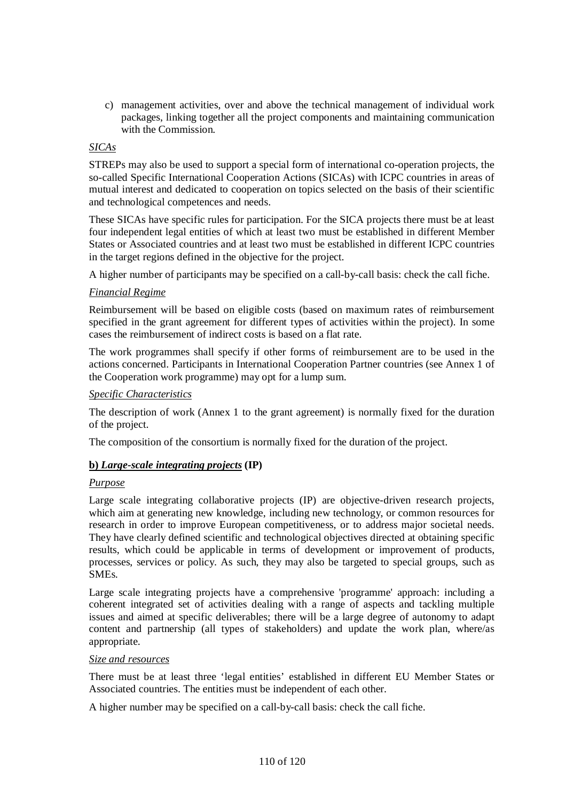c) management activities, over and above the technical management of individual work packages, linking together all the project components and maintaining communication with the Commission.

# *SICAs*

STREPs may also be used to support a special form of international co-operation projects, the so-called Specific International Cooperation Actions (SICAs) with ICPC countries in areas of mutual interest and dedicated to cooperation on topics selected on the basis of their scientific and technological competences and needs.

These SICAs have specific rules for participation. For the SICA projects there must be at least four independent legal entities of which at least two must be established in different Member States or Associated countries and at least two must be established in different ICPC countries in the target regions defined in the objective for the project.

A higher number of participants may be specified on a call-by-call basis: check the call fiche.

## *Financial Regime*

Reimbursement will be based on eligible costs (based on maximum rates of reimbursement specified in the grant agreement for different types of activities within the project). In some cases the reimbursement of indirect costs is based on a flat rate.

The work programmes shall specify if other forms of reimbursement are to be used in the actions concerned. Participants in International Cooperation Partner countries (see Annex 1 of the Cooperation work programme) may opt for a lump sum.

## *Specific Characteristics*

The description of work (Annex 1 to the grant agreement) is normally fixed for the duration of the project.

The composition of the consortium is normally fixed for the duration of the project.

## **b)** *Large-scale integrating projects* **(IP)**

#### *Purpose*

Large scale integrating collaborative projects (IP) are objective-driven research projects, which aim at generating new knowledge, including new technology, or common resources for research in order to improve European competitiveness, or to address major societal needs. They have clearly defined scientific and technological objectives directed at obtaining specific results, which could be applicable in terms of development or improvement of products, processes, services or policy. As such, they may also be targeted to special groups, such as SMEs.

Large scale integrating projects have a comprehensive 'programme' approach: including a coherent integrated set of activities dealing with a range of aspects and tackling multiple issues and aimed at specific deliverables; there will be a large degree of autonomy to adapt content and partnership (all types of stakeholders) and update the work plan, where/as appropriate.

#### *Size and resources*

There must be at least three 'legal entities' established in different EU Member States or Associated countries. The entities must be independent of each other.

A higher number may be specified on a call-by-call basis: check the call fiche.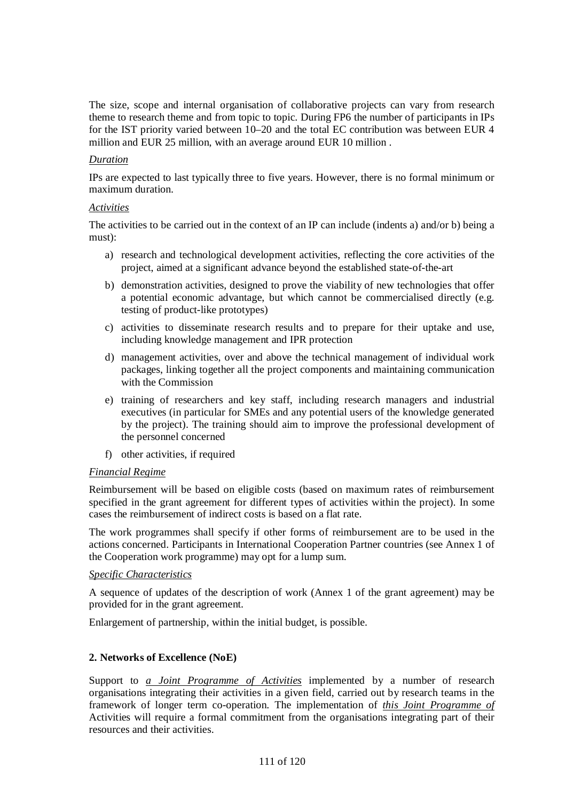The size, scope and internal organisation of collaborative projects can vary from research theme to research theme and from topic to topic. During FP6 the number of participants in IPs for the IST priority varied between 10–20 and the total EC contribution was between EUR 4 million and EUR 25 million, with an average around EUR 10 million .

## *Duration*

IPs are expected to last typically three to five years. However, there is no formal minimum or maximum duration.

# *Activities*

The activities to be carried out in the context of an IP can include (indents a) and/or b) being a must):

- a) research and technological development activities, reflecting the core activities of the project, aimed at a significant advance beyond the established state-of-the-art
- b) demonstration activities, designed to prove the viability of new technologies that offer a potential economic advantage, but which cannot be commercialised directly (e.g. testing of product-like prototypes)
- c) activities to disseminate research results and to prepare for their uptake and use, including knowledge management and IPR protection
- d) management activities, over and above the technical management of individual work packages, linking together all the project components and maintaining communication with the Commission
- e) training of researchers and key staff, including research managers and industrial executives (in particular for SMEs and any potential users of the knowledge generated by the project). The training should aim to improve the professional development of the personnel concerned
- f) other activities, if required

# *Financial Regime*

Reimbursement will be based on eligible costs (based on maximum rates of reimbursement specified in the grant agreement for different types of activities within the project). In some cases the reimbursement of indirect costs is based on a flat rate.

The work programmes shall specify if other forms of reimbursement are to be used in the actions concerned. Participants in International Cooperation Partner countries (see Annex 1 of the Cooperation work programme) may opt for a lump sum.

## *Specific Characteristics*

A sequence of updates of the description of work (Annex 1 of the grant agreement) may be provided for in the grant agreement.

Enlargement of partnership, within the initial budget, is possible.

# **2. Networks of Excellence (NoE)**

Support to *a Joint Programme of Activities* implemented by a number of research organisations integrating their activities in a given field, carried out by research teams in the framework of longer term co-operation. The implementation of *this Joint Programme of*  Activities will require a formal commitment from the organisations integrating part of their resources and their activities.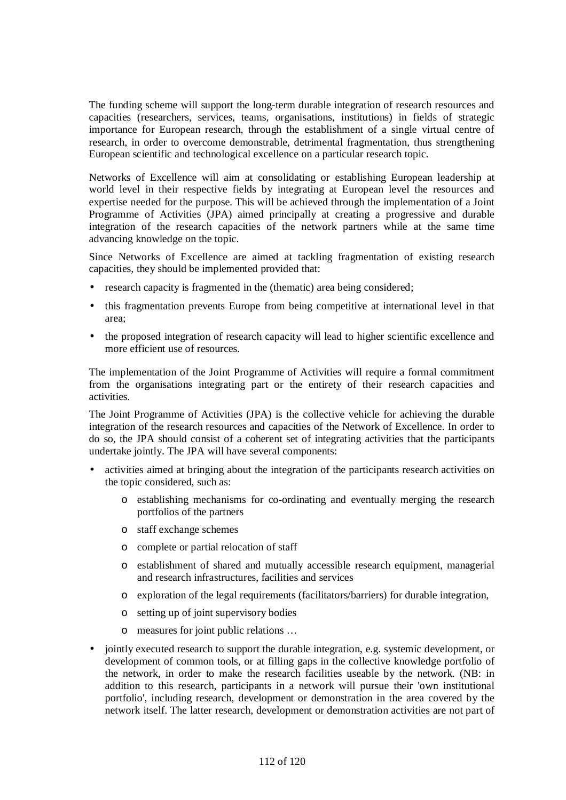The funding scheme will support the long-term durable integration of research resources and capacities (researchers, services, teams, organisations, institutions) in fields of strategic importance for European research, through the establishment of a single virtual centre of research, in order to overcome demonstrable, detrimental fragmentation, thus strengthening European scientific and technological excellence on a particular research topic.

Networks of Excellence will aim at consolidating or establishing European leadership at world level in their respective fields by integrating at European level the resources and expertise needed for the purpose. This will be achieved through the implementation of a Joint Programme of Activities (JPA) aimed principally at creating a progressive and durable integration of the research capacities of the network partners while at the same time advancing knowledge on the topic.

Since Networks of Excellence are aimed at tackling fragmentation of existing research capacities, they should be implemented provided that:

- research capacity is fragmented in the (thematic) area being considered;
- this fragmentation prevents Europe from being competitive at international level in that area;
- the proposed integration of research capacity will lead to higher scientific excellence and more efficient use of resources.

The implementation of the Joint Programme of Activities will require a formal commitment from the organisations integrating part or the entirety of their research capacities and activities.

The Joint Programme of Activities (JPA) is the collective vehicle for achieving the durable integration of the research resources and capacities of the Network of Excellence. In order to do so, the JPA should consist of a coherent set of integrating activities that the participants undertake jointly. The JPA will have several components:

- activities aimed at bringing about the integration of the participants research activities on the topic considered, such as:
	- o establishing mechanisms for co-ordinating and eventually merging the research portfolios of the partners
	- o staff exchange schemes
	- o complete or partial relocation of staff
	- o establishment of shared and mutually accessible research equipment, managerial and research infrastructures, facilities and services
	- o exploration of the legal requirements (facilitators/barriers) for durable integration,
	- o setting up of joint supervisory bodies
	- o measures for joint public relations …
- jointly executed research to support the durable integration, e.g. systemic development, or development of common tools, or at filling gaps in the collective knowledge portfolio of the network, in order to make the research facilities useable by the network. (NB: in addition to this research, participants in a network will pursue their 'own institutional portfolio', including research, development or demonstration in the area covered by the network itself. The latter research, development or demonstration activities are not part of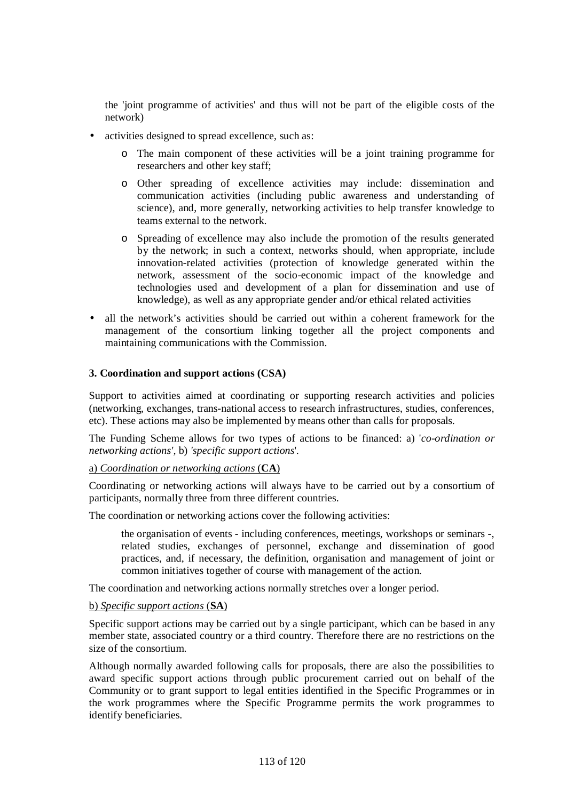the 'joint programme of activities' and thus will not be part of the eligible costs of the network)

- activities designed to spread excellence, such as:
	- o The main component of these activities will be a joint training programme for researchers and other key staff;
	- o Other spreading of excellence activities may include: dissemination and communication activities (including public awareness and understanding of science), and, more generally, networking activities to help transfer knowledge to teams external to the network.
	- o Spreading of excellence may also include the promotion of the results generated by the network; in such a context, networks should, when appropriate, include innovation-related activities (protection of knowledge generated within the network, assessment of the socio-economic impact of the knowledge and technologies used and development of a plan for dissemination and use of knowledge), as well as any appropriate gender and/or ethical related activities
- all the network's activities should be carried out within a coherent framework for the management of the consortium linking together all the project components and maintaining communications with the Commission.

# **3. Coordination and support actions (CSA)**

Support to activities aimed at coordinating or supporting research activities and policies (networking, exchanges, trans-national access to research infrastructures, studies, conferences, etc). These actions may also be implemented by means other than calls for proposals.

The Funding Scheme allows for two types of actions to be financed: a) '*co-ordination or networking actions',* b) *'specific support actions*'*.* 

## a) *Coordination or networking actions* (**CA**)

Coordinating or networking actions will always have to be carried out by a consortium of participants, normally three from three different countries.

The coordination or networking actions cover the following activities:

the organisation of events - including conferences, meetings, workshops or seminars -, related studies, exchanges of personnel, exchange and dissemination of good practices, and, if necessary, the definition, organisation and management of joint or common initiatives together of course with management of the action.

The coordination and networking actions normally stretches over a longer period.

## b) *Specific support actions* (**SA**)

Specific support actions may be carried out by a single participant, which can be based in any member state, associated country or a third country. Therefore there are no restrictions on the size of the consortium.

Although normally awarded following calls for proposals, there are also the possibilities to award specific support actions through public procurement carried out on behalf of the Community or to grant support to legal entities identified in the Specific Programmes or in the work programmes where the Specific Programme permits the work programmes to identify beneficiaries.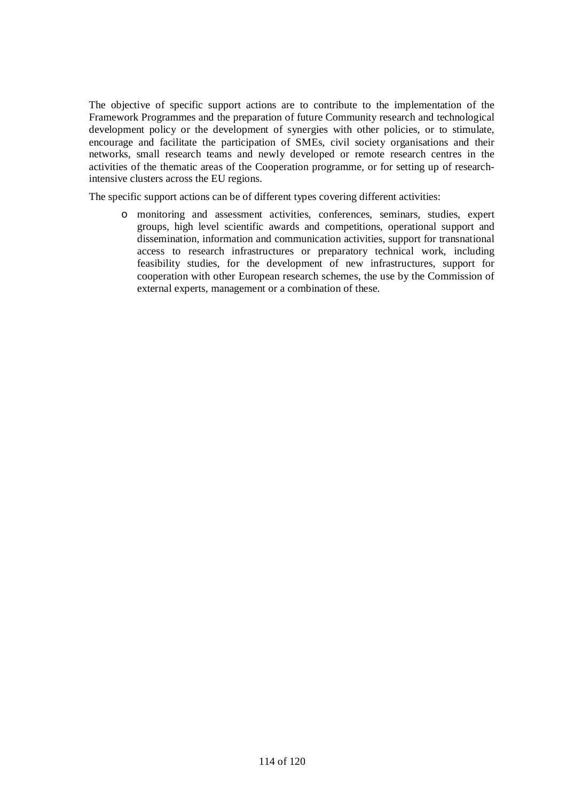The objective of specific support actions are to contribute to the implementation of the Framework Programmes and the preparation of future Community research and technological development policy or the development of synergies with other policies, or to stimulate, encourage and facilitate the participation of SMEs, civil society organisations and their networks, small research teams and newly developed or remote research centres in the activities of the thematic areas of the Cooperation programme, or for setting up of researchintensive clusters across the EU regions.

The specific support actions can be of different types covering different activities:

o monitoring and assessment activities, conferences, seminars, studies, expert groups, high level scientific awards and competitions, operational support and dissemination, information and communication activities, support for transnational access to research infrastructures or preparatory technical work, including feasibility studies, for the development of new infrastructures, support for cooperation with other European research schemes, the use by the Commission of external experts, management or a combination of these.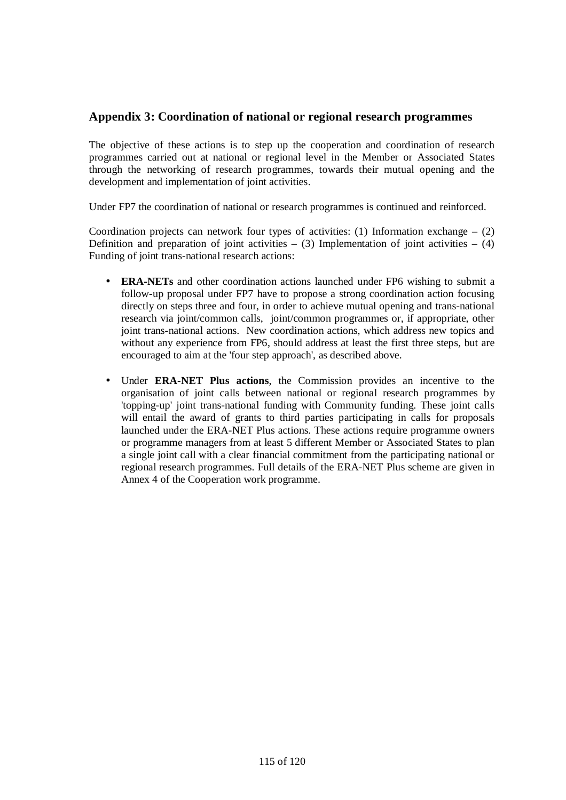# **Appendix 3: Coordination of national or regional research programmes**

The objective of these actions is to step up the cooperation and coordination of research programmes carried out at national or regional level in the Member or Associated States through the networking of research programmes, towards their mutual opening and the development and implementation of joint activities.

Under FP7 the coordination of national or research programmes is continued and reinforced.

Coordination projects can network four types of activities: (1) Information exchange  $-$  (2) Definition and preparation of joint activities – (3) Implementation of joint activities – (4) Funding of joint trans-national research actions:

- **ERA-NETs** and other coordination actions launched under FP6 wishing to submit a follow-up proposal under FP7 have to propose a strong coordination action focusing directly on steps three and four, in order to achieve mutual opening and trans-national research via joint/common calls, joint/common programmes or, if appropriate, other joint trans-national actions. New coordination actions, which address new topics and without any experience from FP6, should address at least the first three steps, but are encouraged to aim at the 'four step approach', as described above.
- Under **ERA-NET Plus actions**, the Commission provides an incentive to the organisation of joint calls between national or regional research programmes by 'topping-up' joint trans-national funding with Community funding. These joint calls will entail the award of grants to third parties participating in calls for proposals launched under the ERA-NET Plus actions. These actions require programme owners or programme managers from at least 5 different Member or Associated States to plan a single joint call with a clear financial commitment from the participating national or regional research programmes. Full details of the ERA-NET Plus scheme are given in Annex 4 of the Cooperation work programme.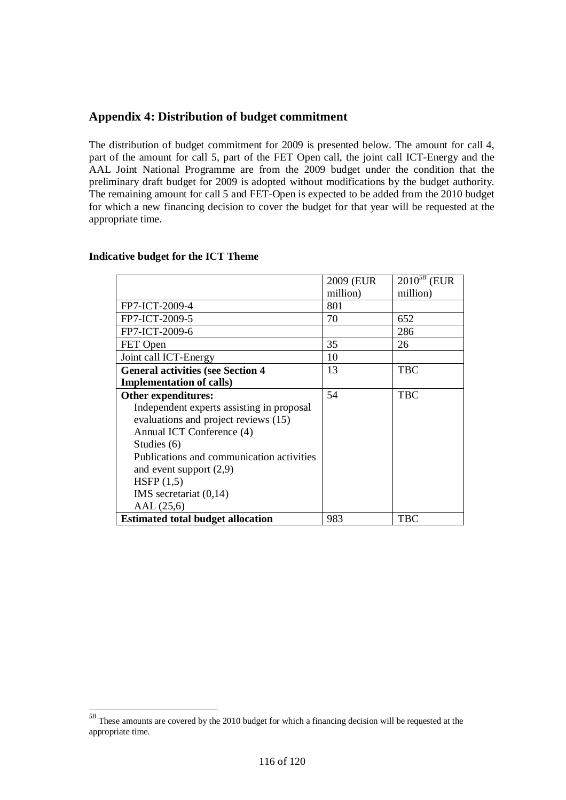# **Appendix 4: Distribution of budget commitment**

The distribution of budget commitment for 2009 is presented below. The amount for call 4, part of the amount for call 5, part of the FET Open call, the joint call ICT-Energy and the AAL Joint National Programme are from the 2009 budget under the condition that the preliminary draft budget for 2009 is adopted without modifications by the budget authority. The remaining amount for call 5 and FET-Open is expected to be added from the 2010 budget for which a new financing decision to cover the budget for that year will be requested at the appropriate time.

|                                           | 2009 (EUR | $2010^{58}$ (EUR) |
|-------------------------------------------|-----------|-------------------|
|                                           | million)  | million)          |
| FP7-ICT-2009-4                            | 801       |                   |
| FP7-ICT-2009-5                            | 70        | 652               |
| FP7-ICT-2009-6                            |           | 286               |
| FET Open                                  | 35        | 26                |
| Joint call ICT-Energy                     | 10        |                   |
| <b>General activities (see Section 4</b>  | 13        | <b>TBC</b>        |
| <b>Implementation of calls)</b>           |           |                   |
| Other expenditures:                       | 54        | <b>TBC</b>        |
| Independent experts assisting in proposal |           |                   |
| evaluations and project reviews (15)      |           |                   |
| Annual ICT Conference (4)                 |           |                   |
| Studies (6)                               |           |                   |
| Publications and communication activities |           |                   |
| and event support $(2,9)$                 |           |                   |
| HSFP $(1,5)$                              |           |                   |
| IMS secretariat $(0,14)$                  |           |                   |
| AAL (25,6)                                |           |                   |
| <b>Estimated total budget allocation</b>  | 983       | TBC               |

# **Indicative budget for the ICT Theme**

 $\overline{a}$ 

*<sup>58</sup>* These amounts are covered by the 2010 budget for which a financing decision will be requested at the appropriate time.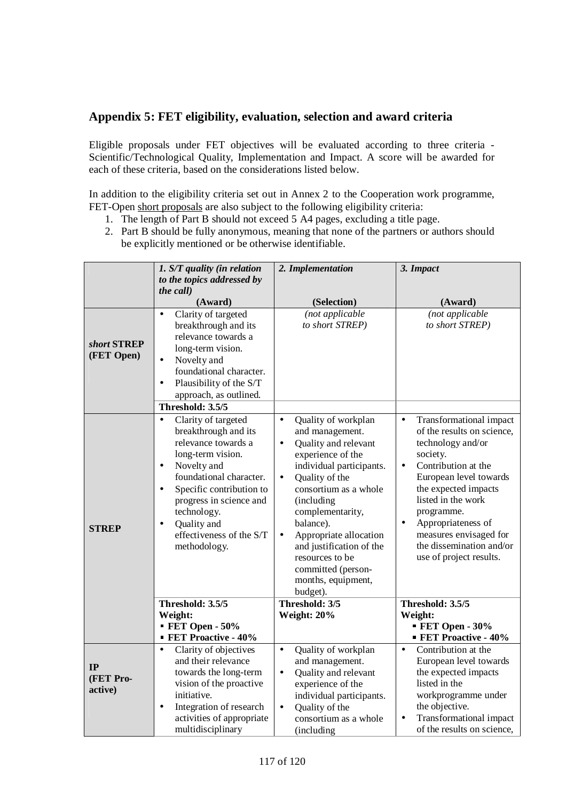# **Appendix 5: FET eligibility, evaluation, selection and award criteria**

Eligible proposals under FET objectives will be evaluated according to three criteria - Scientific/Technological Quality, Implementation and Impact. A score will be awarded for each of these criteria, based on the considerations listed below.

In addition to the eligibility criteria set out in Annex 2 to the Cooperation work programme, FET-Open short proposals are also subject to the following eligibility criteria:

- 1. The length of Part B should not exceed 5 A4 pages, excluding a title page.
- 2. Part B should be fully anonymous, meaning that none of the partners or authors should be explicitly mentioned or be otherwise identifiable.

|                            | 1. S/T quality (in relation                                                                                                                                                                                                                                                                                    | 2. Implementation                                                                                                                                                                                                                                                                                                                                                                              | 3. Impact                                                                                                                                                                                                                                                                                                                                         |
|----------------------------|----------------------------------------------------------------------------------------------------------------------------------------------------------------------------------------------------------------------------------------------------------------------------------------------------------------|------------------------------------------------------------------------------------------------------------------------------------------------------------------------------------------------------------------------------------------------------------------------------------------------------------------------------------------------------------------------------------------------|---------------------------------------------------------------------------------------------------------------------------------------------------------------------------------------------------------------------------------------------------------------------------------------------------------------------------------------------------|
|                            | to the topics addressed by                                                                                                                                                                                                                                                                                     |                                                                                                                                                                                                                                                                                                                                                                                                |                                                                                                                                                                                                                                                                                                                                                   |
|                            | the call)                                                                                                                                                                                                                                                                                                      |                                                                                                                                                                                                                                                                                                                                                                                                |                                                                                                                                                                                                                                                                                                                                                   |
|                            | (Award)                                                                                                                                                                                                                                                                                                        | (Selection)                                                                                                                                                                                                                                                                                                                                                                                    | (Award)                                                                                                                                                                                                                                                                                                                                           |
| short STREP<br>(FET Open)  | Clarity of targeted<br>$\bullet$<br>breakthrough and its<br>relevance towards a<br>long-term vision.<br>Novelty and<br>$\bullet$<br>foundational character.<br>Plausibility of the S/T<br>$\bullet$<br>approach, as outlined.<br>Threshold: 3.5/5                                                              | (not applicable<br>to short STREP)                                                                                                                                                                                                                                                                                                                                                             | (not applicable<br>to short STREP)                                                                                                                                                                                                                                                                                                                |
| <b>STREP</b>               | Clarity of targeted<br>$\bullet$<br>breakthrough and its<br>relevance towards a<br>long-term vision.<br>Novelty and<br>٠<br>foundational character.<br>Specific contribution to<br>$\bullet$<br>progress in science and<br>technology.<br>Quality and<br>$\bullet$<br>effectiveness of the S/T<br>methodology. | Quality of workplan<br>$\bullet$<br>and management.<br>Quality and relevant<br>$\bullet$<br>experience of the<br>individual participants.<br>Quality of the<br>$\bullet$<br>consortium as a whole<br>(including<br>complementarity,<br>balance).<br>Appropriate allocation<br>$\bullet$<br>and justification of the<br>resources to be<br>committed (person-<br>months, equipment,<br>budget). | Transformational impact<br>$\bullet$<br>of the results on science,<br>technology and/or<br>society.<br>Contribution at the<br>$\bullet$<br>European level towards<br>the expected impacts<br>listed in the work<br>programme.<br>Appropriateness of<br>$\bullet$<br>measures envisaged for<br>the dissemination and/or<br>use of project results. |
|                            | Threshold: 3.5/5                                                                                                                                                                                                                                                                                               | Threshold: 3/5                                                                                                                                                                                                                                                                                                                                                                                 | Threshold: 3.5/5                                                                                                                                                                                                                                                                                                                                  |
|                            | Weight:                                                                                                                                                                                                                                                                                                        | Weight: 20%                                                                                                                                                                                                                                                                                                                                                                                    | Weight:                                                                                                                                                                                                                                                                                                                                           |
|                            | $\blacktriangleright$ FET Open - 50%                                                                                                                                                                                                                                                                           |                                                                                                                                                                                                                                                                                                                                                                                                | $\blacktriangleright$ FET Open - 30%                                                                                                                                                                                                                                                                                                              |
|                            | <b>FET Proactive - 40%</b>                                                                                                                                                                                                                                                                                     |                                                                                                                                                                                                                                                                                                                                                                                                | <b>FET Proactive - 40%</b><br>Contribution at the<br>$\bullet$                                                                                                                                                                                                                                                                                    |
| IP<br>(FET Pro-<br>active) | Clarity of objectives<br>$\bullet$<br>and their relevance<br>towards the long-term<br>vision of the proactive<br>initiative.<br>Integration of research<br>$\bullet$<br>activities of appropriate                                                                                                              | Quality of workplan<br>$\bullet$<br>and management.<br>Quality and relevant<br>$\bullet$<br>experience of the<br>individual participants.<br>Quality of the<br>$\bullet$<br>consortium as a whole                                                                                                                                                                                              | European level towards<br>the expected impacts<br>listed in the<br>workprogramme under<br>the objective.<br>Transformational impact<br>$\bullet$                                                                                                                                                                                                  |
|                            | multidisciplinary                                                                                                                                                                                                                                                                                              | (including                                                                                                                                                                                                                                                                                                                                                                                     | of the results on science,                                                                                                                                                                                                                                                                                                                        |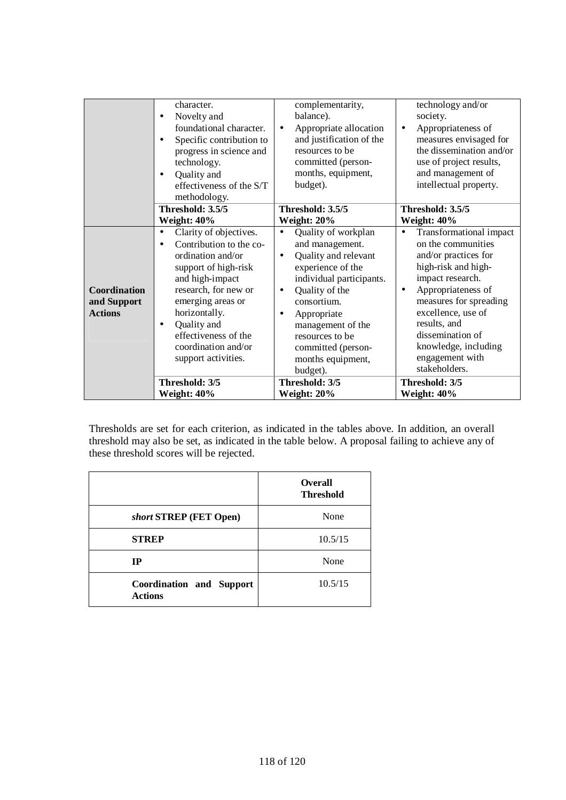|                                               | character.<br>Novelty and<br>$\bullet$<br>foundational character.<br>Specific contribution to<br>progress in science and<br>technology.<br>Quality and<br>$\bullet$                                                                                                                                 | complementarity,<br>balance).<br>Appropriate allocation<br>$\bullet$<br>and justification of the<br>resources to be<br>committed (person-<br>months, equipment,                                                                                                                                       | technology and/or<br>society.<br>Appropriateness of<br>$\bullet$<br>measures envisaged for<br>the dissemination and/or<br>use of project results,<br>and management of                                                                                                                                                  |
|-----------------------------------------------|-----------------------------------------------------------------------------------------------------------------------------------------------------------------------------------------------------------------------------------------------------------------------------------------------------|-------------------------------------------------------------------------------------------------------------------------------------------------------------------------------------------------------------------------------------------------------------------------------------------------------|-------------------------------------------------------------------------------------------------------------------------------------------------------------------------------------------------------------------------------------------------------------------------------------------------------------------------|
|                                               | effectiveness of the S/T<br>methodology.                                                                                                                                                                                                                                                            | budget).                                                                                                                                                                                                                                                                                              | intellectual property.                                                                                                                                                                                                                                                                                                  |
|                                               | Threshold: 3.5/5<br>Weight: 40%                                                                                                                                                                                                                                                                     | Threshold: 3.5/5<br>Weight: 20%                                                                                                                                                                                                                                                                       | Threshold: 3.5/5<br>Weight: 40%                                                                                                                                                                                                                                                                                         |
| Coordination<br>and Support<br><b>Actions</b> | Clarity of objectives.<br>$\bullet$<br>Contribution to the co-<br>$\bullet$<br>ordination and/or<br>support of high-risk<br>and high-impact<br>research, for new or<br>emerging areas or<br>horizontally.<br>Quality and<br>٠<br>effectiveness of the<br>coordination and/or<br>support activities. | Quality of workplan<br>$\bullet$<br>and management.<br>Quality and relevant<br>$\bullet$<br>experience of the<br>individual participants.<br>Quality of the<br>consortium.<br>Appropriate<br>$\bullet$<br>management of the<br>resources to be<br>committed (person-<br>months equipment,<br>budget). | <b>Transformational impact</b><br>$\bullet$<br>on the communities<br>and/or practices for<br>high-risk and high-<br>impact research.<br>Appropriateness of<br>$\bullet$<br>measures for spreading<br>excellence, use of<br>results, and<br>dissemination of<br>knowledge, including<br>engagement with<br>stakeholders. |
|                                               | Threshold: 3/5<br>Weight: 40%                                                                                                                                                                                                                                                                       | Threshold: 3/5<br>Weight: 20%                                                                                                                                                                                                                                                                         | Threshold: 3/5<br>Weight: 40%                                                                                                                                                                                                                                                                                           |

Thresholds are set for each criterion, as indicated in the tables above. In addition, an overall threshold may also be set, as indicated in the table below. A proposal failing to achieve any of these threshold scores will be rejected.

|                                                   | <b>Overall</b><br><b>Threshold</b> |
|---------------------------------------------------|------------------------------------|
| short STREP (FET Open)                            | None                               |
| <b>STREP</b>                                      | 10.5/15                            |
| <b>IP</b>                                         | None                               |
| <b>Coordination and Support</b><br><b>Actions</b> | 10.5/15                            |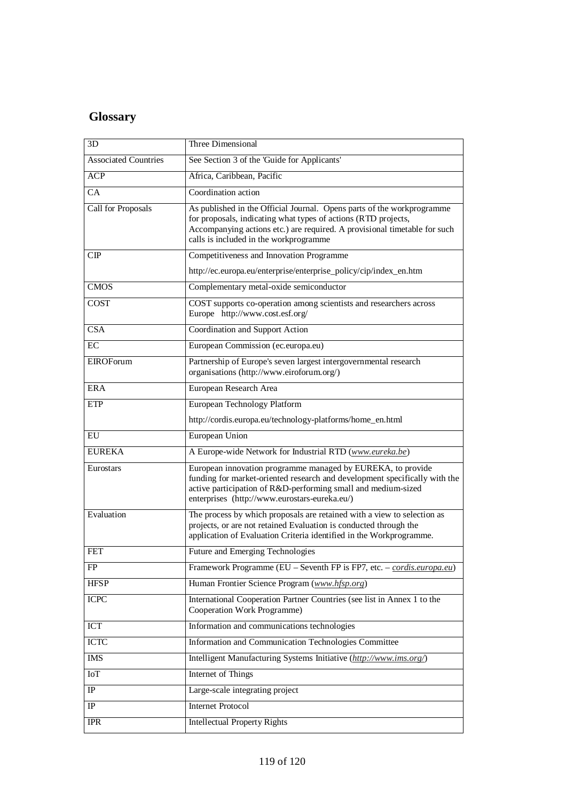# **Glossary**

| 3D                          | Three Dimensional                                                                                                                                                                                                                                               |
|-----------------------------|-----------------------------------------------------------------------------------------------------------------------------------------------------------------------------------------------------------------------------------------------------------------|
| <b>Associated Countries</b> | See Section 3 of the 'Guide for Applicants'                                                                                                                                                                                                                     |
| <b>ACP</b>                  | Africa, Caribbean, Pacific                                                                                                                                                                                                                                      |
| $\overline{CA}$             | Coordination action                                                                                                                                                                                                                                             |
| Call for Proposals          | As published in the Official Journal. Opens parts of the workprogramme<br>for proposals, indicating what types of actions (RTD projects,<br>Accompanying actions etc.) are required. A provisional timetable for such<br>calls is included in the workprogramme |
| CP                          | Competitiveness and Innovation Programme                                                                                                                                                                                                                        |
|                             | http://ec.europa.eu/enterprise/enterprise_policy/cip/index_en.htm                                                                                                                                                                                               |
| <b>CMOS</b>                 | Complementary metal-oxide semiconductor                                                                                                                                                                                                                         |
| COST                        | COST supports co-operation among scientists and researchers across<br>Europe http://www.cost.esf.org/                                                                                                                                                           |
| CSA                         | Coordination and Support Action                                                                                                                                                                                                                                 |
| ЕC                          | European Commission (ec.europa.eu)                                                                                                                                                                                                                              |
| <b>EIROForum</b>            | Partnership of Europe's seven largest intergovernmental research<br>organisations (http://www.eiroforum.org/)                                                                                                                                                   |
| <b>ERA</b>                  | European Research Area                                                                                                                                                                                                                                          |
| ETP                         | European Technology Platform                                                                                                                                                                                                                                    |
|                             | http://cordis.europa.eu/technology-platforms/home_en.html                                                                                                                                                                                                       |
| EU                          | European Union                                                                                                                                                                                                                                                  |
| <b>EUREKA</b>               | A Europe-wide Network for Industrial RTD (www.eureka.be)                                                                                                                                                                                                        |
| Eurostars                   | European innovation programme managed by EUREKA, to provide<br>funding for market-oriented research and development specifically with the<br>active participation of R&D-performing small and medium-sized<br>enterprises (http://www.eurostars-eureka.eu/)     |
| Evaluation                  | The process by which proposals are retained with a view to selection as<br>projects, or are not retained Evaluation is conducted through the<br>application of Evaluation Criteria identified in the Workprogramme.                                             |
| FET                         | Future and Emerging Technologies                                                                                                                                                                                                                                |
| FP                          | Framework Programme (EU - Seventh FP is FP7, etc. - cordis.europa.eu)                                                                                                                                                                                           |
| <b>HFSP</b>                 | Human Frontier Science Program (www.hfsp.org)                                                                                                                                                                                                                   |
| <b>ICPC</b>                 | International Cooperation Partner Countries (see list in Annex 1 to the<br>Cooperation Work Programme)                                                                                                                                                          |
| <b>ICT</b>                  | Information and communications technologies                                                                                                                                                                                                                     |
| <b>ICTC</b>                 | Information and Communication Technologies Committee                                                                                                                                                                                                            |
| <b>IMS</b>                  | Intelligent Manufacturing Systems Initiative (http://www.ims.org/)                                                                                                                                                                                              |
| IoT                         | Internet of Things                                                                                                                                                                                                                                              |
| $_{\rm IP}$                 | Large-scale integrating project                                                                                                                                                                                                                                 |
| IP                          | <b>Internet Protocol</b>                                                                                                                                                                                                                                        |
| <b>IPR</b>                  | <b>Intellectual Property Rights</b>                                                                                                                                                                                                                             |